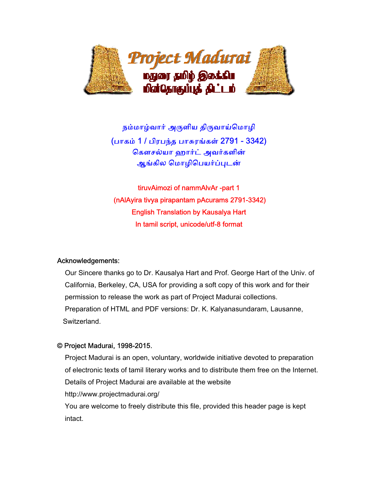

நம்மாழ்வார் அருளிய திருவாய்மொழி (பாகம் 1 / பிரபந்த பாசுரங்கள் 2791 - 3342) ெகௗசல்யா ஹார்ட் அவர்களின் ஆங்கில மொழிபெயர்ப்புடன்

tiruvAimozi of nammAlvAr -part 1 (nAlAyira tivya pirapantam pAcurams 2791-3342) English Translation by Kausalya Hart In tamil script, unicode/utf-8 format

#### Acknowledgements:

 Our Sincere thanks go to Dr. Kausalya Hart and Prof. George Hart of the Univ. of California, Berkeley, CA, USA for providing a soft copy of this work and for their permission to release the work as part of Project Madurai collections. Preparation of HTML and PDF versions: Dr. K. Kalyanasundaram, Lausanne, Switzerland.

### © Project Madurai, 1998-2015.

 Project Madurai is an open, voluntary, worldwide initiative devoted to preparation of electronic texts of tamil literary works and to distribute them free on the Internet. Details of Project Madurai are available at the website http://www.projectmadurai.org/

 You are welcome to freely distribute this file, provided this header page is kept intact.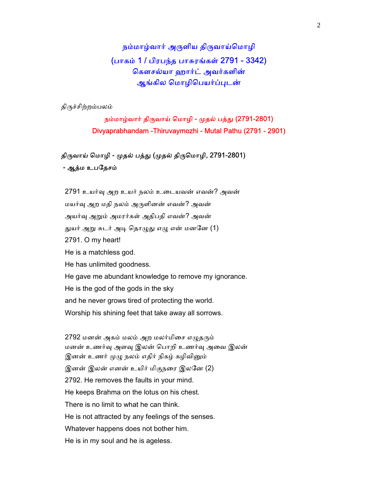நம்மாழ்வார் அருளிய திருவாய்மொழி (பாகம் 1 / பிரபந்த பாசுரங்கள் 2791 - 3342) ெகௗசல்யா ஹார்ட் அவர்களின் ஆங்கில மொழிபெயர்ப்புடன்

திᾞச்சிற்றம்பலம்

நம்மாழ்வார் திருவாய் மொழி - முதல் பத்து (2791-2801) Divyaprabhandam -Thiruvaymozhi - Mutal Pathu (2791 - 2901)

திருவாய் மொழி - முதல் பத்து (முதல் திருமொழி, 2791-2801) - ஆத்ம உபதேசம்

2791 உயர்வு அற உயர் நலம் உடையவன் எவன்? அவன் மயர்ᾫ அற மதி நலம் அᾞளினன் எவன்? அவன் அயர்வு அறும் அமரர்கள் அதிபதி எவன்? அவன் துயர் அறு சுடர் அடி தொழுது எழு என் மனனே (1) 2791. O my heart! He is a matchless god. He has unlimited goodness. He gave me abundant knowledge to remove my ignorance. He is the god of the gods in the sky and he never grows tired of protecting the world. Worship his shining feet that take away all sorrows.

2792 மனன் அகம் மலம் அற மலர்மிசை எழுதரும் மனன் உணர்ᾫ அளᾫ இலன் ெபாறி உணர்ᾫ அைவ இலன் இனன் உணர் முழு நலம் எதிர் நிகழ் கழிவினும் இனன் இலன் எனன் உயிர் மிகுநைர இலேன (2) 2792. He removes the faults in your mind. He keeps Brahma on the lotus on his chest. There is no limit to what he can think. He is not attracted by any feelings of the senses. Whatever happens does not bother him. He is in my soul and he is ageless.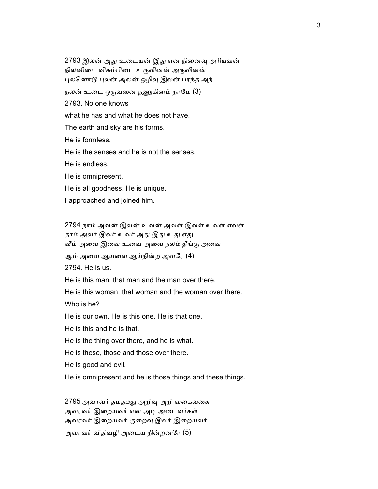2793 இலன் அது உடையன் இது என நினைவு அரியவன் நிலனிடை விசும்பிடை உருவினன் அருவினன் புலனொடு புலன் அலன் ஒழிவு இலன் பரந்த அந் நலன் உடை ஒருவனை நணுகினம் நாமே (3) 2793. No one knows what he has and what he does not have. The earth and sky are his forms. He is formless. He is the senses and he is not the senses. He is endless. He is omnipresent. He is all goodness. He is unique. I approached and joined him.

 2794 நாம் அவன் இவன் உவன் அவள் இவள் உவள் எவள் தாம் அவர் இவர் உவர் அது இது உது எது ᾪம் அைவ இைவ உைவ அைவ நலம் தீங்கு அைவ

ஆம் அைவ ஆயைவ ஆய்நின்ற அவேர (4)

2794. He is us.

He is this man, that man and the man over there.

He is this woman, that woman and the woman over there.

Who is he?

He is our own. He is this one, He is that one.

He is this and he is that.

He is the thing over there, and he is what.

He is these, those and those over there.

He is good and evil.

He is omnipresent and he is those things and these things.

2795 அவரவர் தமதமது அறிவு அறி வகைவகை அவரவர் இைறயவர் என அᾊ அைடவர்கள் அவரவர் இறையவர் குறைவு இலர் இறையவர் அவரவர் விதிவழி அடைய நின்றனரே (5)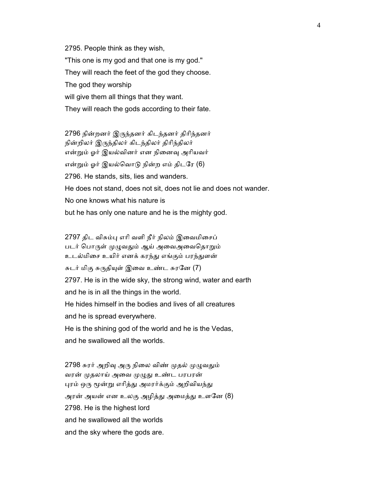2795. People think as they wish, "This one is my god and that one is my god." They will reach the feet of the god they choose. The god they worship will give them all things that they want. They will reach the gods according to their fate.

 2796 நின்றனர் இᾞந்தனர் கிடந்தனர் திாிந்தனர் நின்றிலர் இருந்திலர் கிடந்திலர் திரிந்திலர் என்றும் ஓர் இயல்வினர் என நினைவு அரியவர் என்ᾠம் ஓர் இயல்ெவாᾌ நின்ற எம் திடேர (6) 2796. He stands, sits, lies and wanders. He does not stand, does not sit, does not lie and does not wander. No one knows what his nature is but he has only one nature and he is the mighty god.

2797 திட விசும்பு எரி வளி நீர் நிலம் இவைமிசைப் படர் பொருள் முழுவதும் ஆய் அவைஅவைதொறும் உடல்மிைச உயிர் எனக் கரந்ᾐ எங்கும் பரந்ᾐளன் சுடர் மிகு சுருதியுள் இவை உண்ட சுரனே (7) 2797. He is in the wide sky, the strong wind, water and earth and he is in all the things in the world. He hides himself in the bodies and lives of all creatures and he is spread everywhere. He is the shining god of the world and he is the Vedas,

and he swallowed all the worlds.

2798 சுரர் அறிவு அரு நிலை விண் முதல் முழுவதும் வரன் முதலாய் அவை முழுது உண்ட பரபரன் புரம் ஒரு மூன்று எரித்து அமரர்க்கும் அறிவியந்து அரன் அயன் என உலகு அழித்து அமைத்து உளனே (8) 2798. He is the highest lord and he swallowed all the worlds and the sky where the gods are.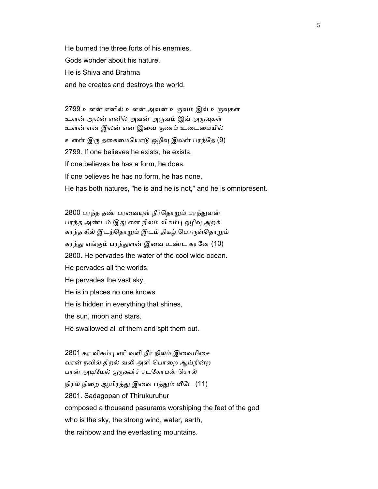He burned the three forts of his enemies. Gods wonder about his nature. He is Shiva and Brahma and he creates and destroys the world.

2799 உளன் எனில் உளன் அவன் உருவம் இவ் உருவுகள் உளன் அலன் எனில் அவன் அருவம் இவ் அருவுகள் உளன் என இலன் என இைவ குணம் உைடைமயில் உளன் இரு தகைமையொடு ஒழிவு இலன் பரந்தே (9) 2799. If one believes he exists, he exists. If one believes he has a form, he does. If one believes he has no form, he has none. He has both natures, "he is and he is not," and he is omnipresent.

2800 பரந்த தண் பரவையுள் நீர்தொறும் பரந்துளன் பரந்த அண்டம் இது என நிலம் விசும்பு ஒழிவு அறக் கரந்த சில் இடந்தொறும் இடம் திகழ் பொருள்தொறும் கரந்து எங்கும் பரந்துளன் இவை உண்ட கரனே (10) 2800. He pervades the water of the cool wide ocean. He pervades all the worlds. He pervades the vast sky. He is in places no one knows. He is hidden in everything that shines, the sun, moon and stars. He swallowed all of them and spit them out. 2801 கர விசும்பு எரி வளி நீர் நிலம் இவைமிசை வரன் நவில் திறல் வᾢ அளி ெபாைற ஆய்நின்ற

பரன் அடிமேல் குருகூர்ச் சடகோபன் சொல்

நிரல் நிறை ஆயிரத்து இவை பத்தும் வீடே (11)

2801. Saḍagopan of Thirukuruhur

composed a thousand pasurams worshiping the feet of the god

who is the sky, the strong wind, water, earth,

the rainbow and the everlasting mountains.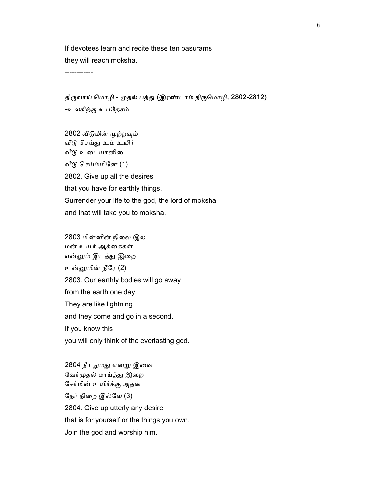If devotees learn and recite these ten pasurams they will reach moksha.

------------

## திருவாய் மொழி - முதல் பத்து (இரண்டாம் திருமொழி, 2802-2812) -உலகிற்கு உபேதசம்

- 2802 வீடுமின் முற்றவும் வீடு செய்து உம் உயிர் வீடு உடையானிடை ᾪᾌ ெசய்ம்மிேன (1) 2802. Give up all the desires that you have for earthly things. Surrender your life to the god, the lord of moksha and that will take you to moksha.
- 2803 மின்னின் நிைல இல மன் உயிர் ஆக்ைககள் என்னும் இடத்து இறை உன்ᾔமின் நீேர (2) 2803. Our earthly bodies will go away from the earth one day. They are like lightning and they come and go in a second. If you know this you will only think of the everlasting god.

2804 நீர் நுமது என்று இவை வேர்முதல் மாய்த்து இறை ேசர்மின் உயிர்க்கு அதன் ேநர் நிைற இல்ேல (3) 2804. Give up utterly any desire that is for yourself or the things you own. Join the god and worship him.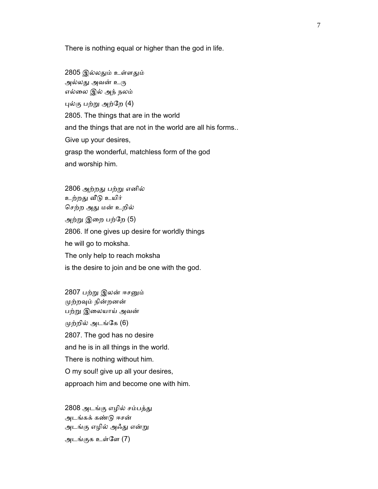There is nothing equal or higher than the god in life.

 2805 இல்லᾐம் உள்ளᾐம் அல்லது அவன் உரு எல்ைல இல் அந் நலம் ᾗல்கு பற்ᾠ அற்ேற (4) 2805. The things that are in the world and the things that are not in the world are all his forms.. Give up your desires, grasp the wonderful, matchless form of the god and worship him.

 2806 அற்றᾐ பற்ᾠ எனில் உற்றது வீடு உயிர் செற்ற அது மன் உறில் அற்ᾠ இைற பற்ேற (5) 2806. If one gives up desire for worldly things he will go to moksha. The only help to reach moksha is the desire to join and be one with the god.

2807 பற்று இலன் ஈசனும் ᾙற்றᾫம் நின்றனன் பற்று இலையாய் அவன் முற்றில் அடங்கே (6) 2807. The god has no desire and he is in all things in the world. There is nothing without him. O my soul! give up all your desires, approach him and become one with him.

2808 அடங்கு எழில் சம்பத்து அடங்கக் கண்ᾌ ஈசன் அடங்கு எழில் அஃᾐ என்ᾠ அடங்குக உள்ேள (7)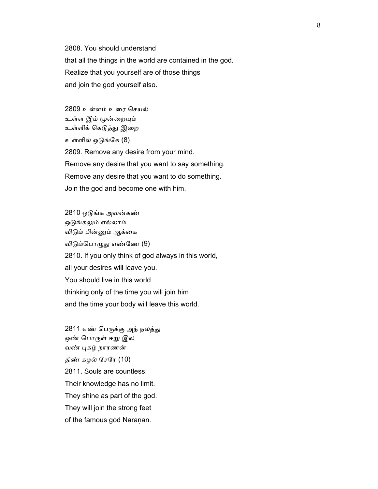2808. You should understand that all the things in the world are contained in the god. Realize that you yourself are of those things and join the god yourself also.

 2809 உள்ளம் உைர ெசயல் உள்ள இம் மூன்றையும் உள்ளிக் கெடுத்து இறை உள்ளில் ஒᾌங்ேக (8) 2809. Remove any desire from your mind. Remove any desire that you want to say something. Remove any desire that you want to do something. Join the god and become one with him.

 2810 ஒᾌங்க அவன்கண் ஒடுங்கலும் எல்லாம் விடும் பின்னும் ஆக்கை விடும்பொழுது எண்ணே (9) 2810. If you only think of god always in this world, all your desires will leave you. You should live in this world thinking only of the time you will join him and the time your body will leave this world.

2811 எண் பெருக்கு அந் நலத்து ஒண் பொருள் ஈறு இல வண் புகழ் நாரணன் திண் கழல் சேரே $(10)$  2811. Souls are countless. Their knowledge has no limit. They shine as part of the god. They will join the strong feet of the famous god Naraṇan.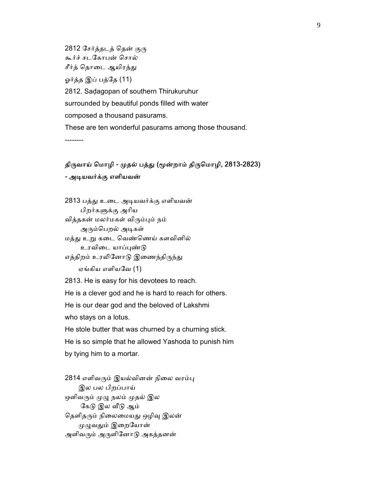2812 சேர்த்தடத் தென் குரு கூர்ச் சடேகாபன் ெசால் சீர்த் தொடை ஆயிரத்து ஓர்த்த இப் பத்தே (11) 2812. Saḍagopan of southern Thirukuruhur surrounded by beautiful ponds filled with water composed a thousand pasurams. These are ten wonderful pasurams among those thousand. --------

#### திருவாய் மொழி - முதல் பத்து (மூன்றாம் திருமொழி, 2813-2823)

#### - அடியவர்க்கு எளியவன்

 2813 பத்ᾐ உைட அᾊயவர்க்கு எளியவன் பிறர்கᾦக்கு அாிய வித்தகன் மலர்மகள் விᾞம்ᾗம் நம் அரும்பெறல் அடிகள் மத்து உறு கடை வெண்ணெய் களவினில்

உரவிடை யாப்புண்டு

எத்திறம் உரலினோடு இணைந்திருந்து

ஏங்கிய எளியேவ (1)

2813. He is easy for his devotees to reach.

He is a clever god and he is hard to reach for others.

He is our dear god and the beloved of Lakshmi

who stays on a lotus.

 He stole butter that was churned by a churning stick. He is so simple that he allowed Yashoda to punish him by tying him to a mortar.

2814 எளிவரும் இயல்வினன் நிலை வரம்பு இல பல பிறப்பாய் ஒளிவரும் முழு நலம் முதல் இல கேடு இல வீடு ஆம் தெளிதரும் நிலைமையது ஒழிவு இலன் முழுவதும் இறையோன் அளிவரும் அருளினோடு அகத்தனன்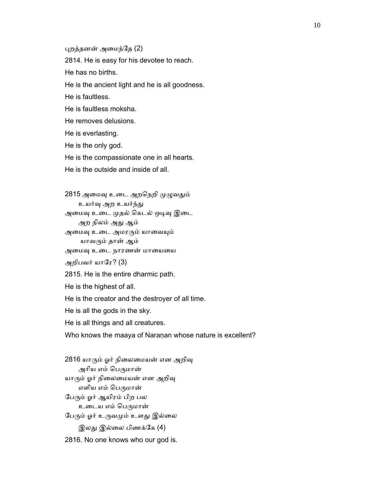ᾗறத்தனன் அைமந்ேத (2)

2814. He is easy for his devotee to reach.

He has no births.

He is the ancient light and he is all goodness.

He is faultless.

He is faultless moksha.

He removes delusions.

He is everlasting.

He is the only god.

He is the compassionate one in all hearts.

He is the outside and inside of all.

2815 அமைவு உடை அறநெறி முழுவதும்

உயர்வு அற உயர்ந்து

அமைவு உடை முதல் கெடல் ஒடிவு இடை

அற நிலம் அᾐ ஆம்

அமைவு உடை அமரரும் யாவையும்

யாவᾞம் தான் ஆம்

அமைவு உடை நாரணன் மாயையை

அறிபவர் யாரே? (3)

2815. He is the entire dharmic path.

He is the highest of all.

He is the creator and the destroyer of all time.

He is all the gods in the sky.

He is all things and all creatures.

Who knows the maaya of Naraṇan whose nature is excellent?

2816 யாரும் ஓர் நிலைமையன் என அறிவு அரிய எம் பெருமான் யாரும் ஓர் நிலைமையன் என அறிவு எளிய எம் பெருமான் ேபᾞம் ஓர் ஆயிரம் பிற பல உடைய எம் பெருமான் பேரும் ஓர் உருவமும் உளது இல்லை இலது இல்லை பிணக்கே (4) 2816. No one knows who our god is.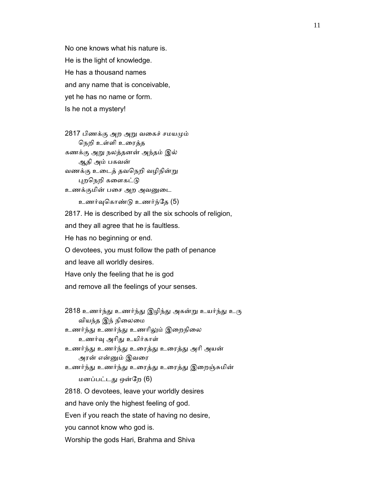No one knows what his nature is. He is the light of knowledge. He has a thousand names and any name that is conceivable, yet he has no name or form. Is he not a mystery!

 2817 பிணக்கு அற அᾠ வைகச் சமயᾙம் ெநறி உள்ளி உைரத்த கணக்கு அᾠ நலத்தனன் அந்தம் இல் ஆதி அம் பகவன் வணக்கு உைடத் தவெநறி வழிநின்ᾠ புறநெறி களைகட்டு உணக்குமின் பசை அற அவனுடை

உணர்ᾫெகாண்ᾌ உணர்ந்ேத (5)

 2817. He is described by all the six schools of religion, and they all agree that he is faultless. He has no beginning or end. O devotees, you must follow the path of penance and leave all worldly desires. Have only the feeling that he is god and remove all the feelings of your senses.

```
2818 உணர்ந்து உணர்ந்து இழிந்து அகன்று உயர்ந்து உரு
  வியந்த இந் நிலைமை
உணர்ந்ᾐ உணர்ந்ᾐ உணாிᾤம் இைறநிைல 
   உணர்ᾫ அாிᾐ உயிர்காள் 
உணர்ந்ᾐ உணர்ந்ᾐ உைரத்ᾐ உைரத்ᾐ அாி அயன் 
   அரன் என்ᾔம் இவைர 
உணர்ந்ᾐ உணர்ந்ᾐ உைரத்ᾐ உைரத்ᾐ இைறஞ்சுமின் 
   மனப்பட்டᾐ ஒன்ேற (6) 
2818. O devotees, leave your worldly desires 
and have only the highest feeling of god. 
Even if you reach the state of having no desire, 
you cannot know who god is. 
Worship the gods Hari, Brahma and Shiva
```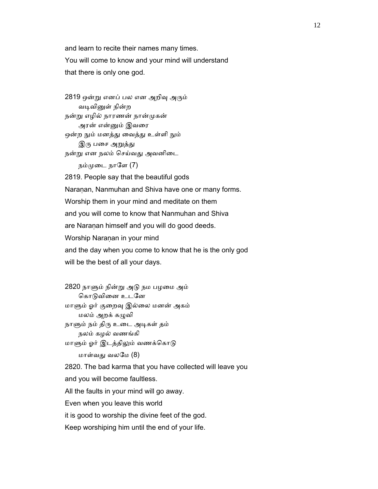and learn to recite their names many times. You will come to know and your mind will understand that there is only one god.

2819 ஒன்று எனப் பல என அறிவு அரும் வடிவினுள் நின்ற நன்ᾠ எழில் நாரணன் நான்ᾙகன் அரன் என்ᾔம் இவைர ஒன்ற நும் மனத்து வைத்து உள்ளி நும் இரு பசை அறுத்து நன்ᾠ என நலம் ெசய்வᾐ அவனிைட

நம்முடை நாளே (7)

 2819. People say that the beautiful gods Naraṇan, Nanmuhan and Shiva have one or many forms. Worship them in your mind and meditate on them and you will come to know that Nanmuhan and Shiva are Naranan himself and you will do good deeds. Worship Naranan in your mind and the day when you come to know that he is the only god will be the best of all your days.

 2820 நாᾦம் நின்ᾠ அᾌ நம பழைம அம் கொடுவினை உடனே மாᾦம் ஓர் குைறᾫ இல்ைல மனன் அகம் மலம் அறக் கᾨவி நாளும் நம் திரு உடை அடிகள் தம் நலம் கழல் வணங்கி மாளும் ஓர் இடத்திலும் வணக்கொடு மாள்வᾐ வலேம (8)

 2820. The bad karma that you have collected will leave you and you will become faultless. All the faults in your mind will go away. Even when you leave this world it is good to worship the divine feet of the god.

Keep worshiping him until the end of your life.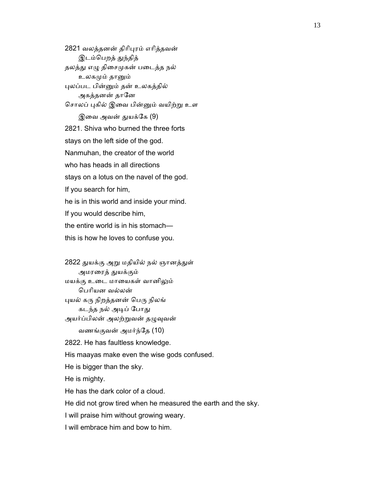2821 வலத்தனன் திாிᾗரம் எாித்தவன் இடம்பெறத் துந்தித் தலத்து எழு திசைமுகன் படைத்த நல் உலகமும் தானும் ᾗலப்பட பின்ᾔம் தன் உலகத்தில் அகத்தனன் தானே சொலப் புகில் இவை பின்னும் வயிற்று உள இவை அவன் துயக்கே (9) 2821. Shiva who burned the three forts stays on the left side of the god. Nanmuhan, the creator of the world who has heads in all directions stays on a lotus on the navel of the god. If you search for him, he is in this world and inside your mind. If you would describe him, the entire world is in his stomach this is how he loves to confuse you.

2822 துயக்கு அறு மதியில் நல் ஞானத்துள் அமரைரத் ᾐயக்கும் மயக்கு உைட மாையகள் வானிᾤம் ெபாியன வல்லன் புயல் கரு நிறத்தனன் பெரு நிலங் கடந்த நல் அடிப் போது அயர்ப்பிலன் அலற்றுவன் தழுவுவன் வணங்குவன் அமர்ந்ேத (10) 2822. He has faultless knowledge. His maayas make even the wise gods confused. He is bigger than the sky. He is mighty. He has the dark color of a cloud.

He did not grow tired when he measured the earth and the sky.

I will praise him without growing weary.

I will embrace him and bow to him.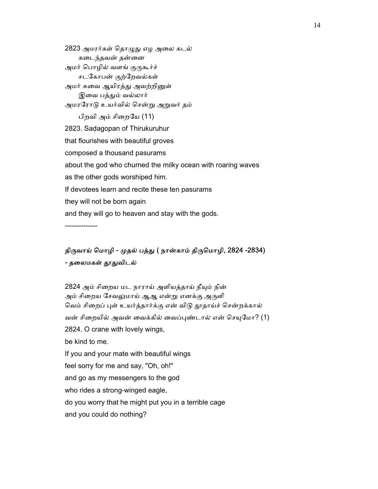2823 அமரர்கள் தொழுது எழ அலை கடல் கடைந்தவன் தன்னை அமர் பொழில் வளங் குருகூர்ச் சடேகாபன் குற்ேறவல்கள் அமர் சுவை ஆயிரத்து அவற்றினுள் இவை பத்தும் வல்லார் அமரேராᾌ உயர்வில் ெசன்ᾠ அᾠவர் தம் பிறவி அம் சிைறேய (11) 2823. Saḍagopan of Thirukuruhur that flourishes with beautiful groves composed a thousand pasurams about the god who churned the milky ocean with roaring waves as the other gods worshiped him. If devotees learn and recite these ten pasurams they will not be born again and they will go to heaven and stay with the gods.

--------------

### திருவாய் மொழி - முதல் பத்து ( நான்காம் திருமொழி, 2824 -2834) - தலைமகள் தூதுவிடல்

2824 அம் சிறைய மட நாராய் அளியத்தாய் நீயும் நின் அம் சிறைய சேவலுமாய் ஆஆ என்று எனக்கு அருளி வெம் சிறைப் புள் உயர்த்தார்க்கு என் விடு தூதாய்ச் சென்றக்கால் வன் சிறையில் அவன் வைக்கில் வைப்புண்டால் என் செயுமோ? (1) 2824. O crane with lovely wings, be kind to me. If you and your mate with beautiful wings feel sorry for me and say, "Oh, oh!" and go as my messengers to the god who rides a strong-winged eagle, do you worry that he might put you in a terrible cage and you could do nothing?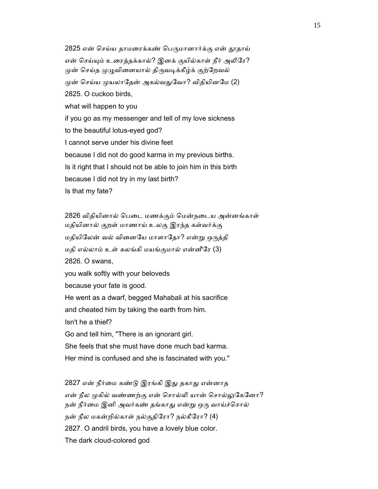2825 என் செய்ய தாமரைக்கண் பெருமானார்க்கு என் தூதாய் என் செய்யும் உரைத்தக்கால்? இனக் குயில்காள் நீர் அலிரே? முன் செய்த முழுவினையால் திருவடிக்கீழ்க் குற்றேவல் முன் செய்ய முயலாதேன் அகல்வதுவோ? விதியினமே (2) 2825. O cuckoo birds, what will happen to you if you go as my messenger and tell of my love sickness to the beautiful lotus-eyed god? I cannot serve under his divine feet because I did not do good karma in my previous births. Is it right that I should not be able to join him in this birth because I did not try in my last birth? Is that my fate?

 2826 விதியினால் ெபைட மணக்கும் ெமன்நைடய அன்னங்காள் மதியினால் குறள் மாணாய் உலகு இரந்த கள்வர்க்கு மதியிலேன் வல் வினையே மாளாதோ? என்று ஒருத்தி மதி எல்லாம் உள் கலங்கி மயங்குமால் என்னீேர (3) 2826. O swans, you walk softly with your beloveds because your fate is good. He went as a dwarf, begged Mahabali at his sacrifice and cheated him by taking the earth from him. Isn't he a thief? Go and tell him, "There is an ignorant girl. She feels that she must have done much bad karma. Her mind is confused and she is fascinated with you."

2827 என் நீர்மை கண்டு இரங்கி இது தகாது என்னாத என் நீல முகில் வண்ணற்கு என் சொல்லி யான் சொல்லுகேனோ? நன் நீர்மை இனி அவர்கண் தங்காது என்று ஒரு வாய்ச்சொல் நன் நீல மகன்றில்காள் நல்குதிேரா? நல்கீேரா? (4) 2827. O andril birds, you have a lovely blue color. The dark cloud-colored god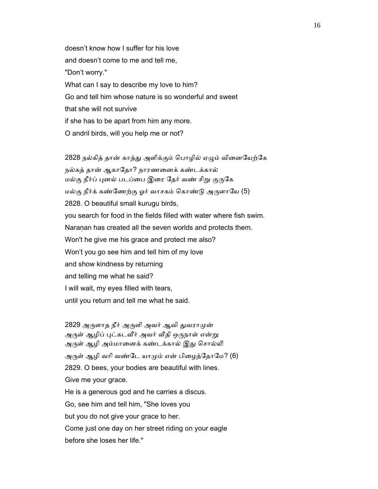doesn't know how I suffer for his love and doesn't come to me and tell me, "Don't worry." What can I say to describe my love to him? Go and tell him whose nature is so wonderful and sweet that she will not survive if she has to be apart from him any more. O andril birds, will you help me or not?

2828 நல்கித் தான் காத்து அளிக்கும் பொழில் ஏழும் வினையேற்கே நல்கத் தான் ஆகாேதா? நாரணைனக் கண்டக்கால் மல்கு நீர்ப் புனல் படப்பை இரை தேர் வண் சிறு குருகே மல்கு நீர்க் கண்ணேற்கு ஓர் வாசகம் கொண்டு அருளாயே (5) 2828. O beautiful small kurugu birds, you search for food in the fields filled with water where fish swim. Naranan has created all the seven worlds and protects them. Won't he give me his grace and protect me also? Won't you go see him and tell him of my love and show kindness by returning and telling me what he said? I will wait, my eyes filled with tears, until you return and tell me what he said.

2829 அருளாத நீர் அருளி அவர் ஆவி துவராமுன் அருள் ஆழிப் புட்கடவீர் அவர் வீதி ஒருநாள் என்று அருள் ஆழி அம்மானைக் கண்டக்கால் இது சொல்லி அருள் ஆழி வரி வண்டே யாமும் என் பிழைத்தோமே? (6) 2829. O bees, your bodies are beautiful with lines. Give me your grace. He is a generous god and he carries a discus. Go, see him and tell him, "She loves you but you do not give your grace to her. Come just one day on her street riding on your eagle before she loses her life."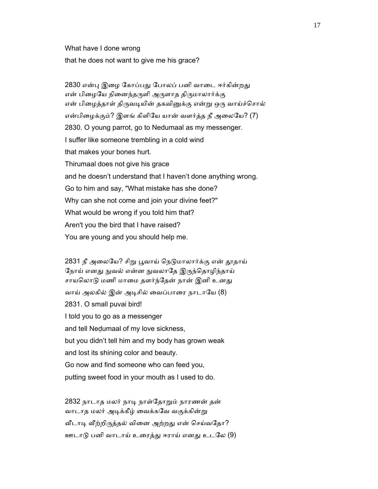What have I done wrong that he does not want to give me his grace?

2830 என்பு இழை கோப்பது போலப் பனி வாடை ஈர்கின்றது என் பிழையே நினைந்தருளி அருளாத திருமாலார்க்கு என் பிழைத்தாள் திருவடியின் தகவினுக்கு என்று ஒரு வாய்ச்சொல் என்பிழைக்கும்? இளங் கிளியே யான் வளர்த்த நீ அலையே? (7) 2830. O young parrot, go to Nedumaal as my messenger. I suffer like someone trembling in a cold wind that makes your bones hurt. Thirumaal does not give his grace and he doesn't understand that I haven't done anything wrong. Go to him and say, "What mistake has she done? Why can she not come and join your divine feet?" What would be wrong if you told him that? Aren't you the bird that I have raised? You are young and you should help me.

2831 நீ அலையே? சிறு பூவாய் நெடுமாலார்க்கு என் தூதாய் நோய் எனது நுவல் என்ன நுவலாதே இருந்தொழிந்தாய் சாயலொடு மணி மாமை தளர்ந்தேன் நான் இனி உனது வாய் அலகில் இன் அடிசில் வைப்பாரை நாடாயே (8) 2831. O small puvai bird! I told you to go as a messenger and tell Neḍumaal of my love sickness, but you didn't tell him and my body has grown weak and lost its shining color and beauty. Go now and find someone who can feed you, putting sweet food in your mouth as I used to do.

 2832 நாடாத மலர் நாᾊ நாள்ேதாᾠம் நாரணன் தன் வாடாத மலர் அடிக்கீழ் வைக்கவே வகுக்கின்று வீடாடி வீற்றிருத்தல் வினை அற்றது என் செய்வதோ? ஊடாᾌ பனி வாடாய் உைரத்ᾐ ஈராய் எனᾐ உடேல (9)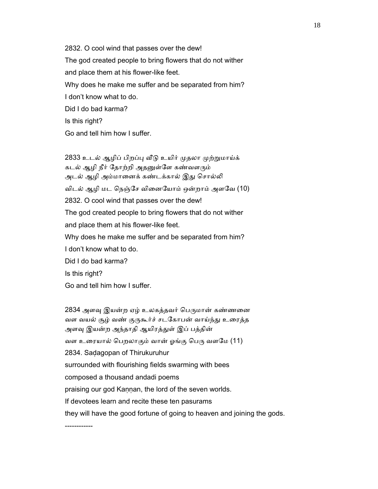2832. O cool wind that passes over the dew! The god created people to bring flowers that do not wither and place them at his flower-like feet. Why does he make me suffer and be separated from him? I don't know what to do. Did I do bad karma? Is this right? Go and tell him how I suffer.

2833 உடல் ஆழிப் பிறப்பு வீடு உயிர் முதலா முற்றுமாய்க் கடல் ஆழி நீர் தோற்றி அதனுள்ளே கண்வளரும் அடல் ஆழி அம்மானைக் கண்டக்கால் இது சொல்லி விடல் ஆழி மட ெநஞ்ேச விைனேயாம் ஒன்றாம் அளேவ (10) 2832. O cool wind that passes over the dew! The god created people to bring flowers that do not wither and place them at his flower-like feet. Why does he make me suffer and be separated from him? I don't know what to do. Did I do bad karma? Is this right? Go and tell him how I suffer.

2834 அளவு இயன்ற ஏழ் உலகத்தவர் பெருமான் கண்ணனை வள வயல் சூழ் வண் குருகூர்ச் சடகோபன் வாய்ந்து உரைத்த அளவு இயன்ற அந்தாதி ஆயிரத்துள் இப் பத்தின் வள உரையால் பெறலாகும் வான் ஓங்கு பெரு வளமே (11) 2834. Saḍagopan of Thirukuruhur surrounded with flourishing fields swarming with bees composed a thousand andadi poems praising our god Kaṇṇan, the lord of the seven worlds. If devotees learn and recite these ten pasurams they will have the good fortune of going to heaven and joining the gods. ------------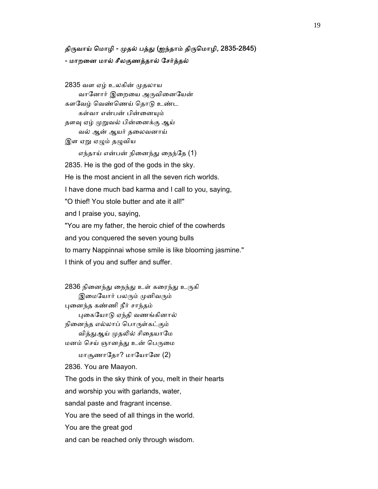### திருவாய் மொழி - முதல் பத்து (ஐந்தாம் திருமொழி, 2835-2845) - மாறைன மால் சீலகுணத்தால் ேசர்த்தல்

2835 வள ஏழ் உலகின் முதலாய வானோர் இறையை அருவினையேன் களேவழ் ெவண்ெணய் ெதாᾌ உண்ட கள்வா என்பன் பின்னையும் தளவு ஏழ் முறுவல் பின்னைக்கு ஆய் வல் ஆன் ஆயர் தைலவனாய் இள ஏறு ஏழும் தழுவிய எந்தாய் என்பன் நிைனந்ᾐ ைநந்ேத (1) 2835. He is the god of the gods in the sky. He is the most ancient in all the seven rich worlds. I have done much bad karma and I call to you, saying, "O thief! You stole butter and ate it all!" and I praise you, saying, "You are my father, the heroic chief of the cowherds and you conquered the seven young bulls to marry Nappinnai whose smile is like blooming jasmine." I think of you and suffer and suffer.

2836 நினைந்து நைந்து உள் கரைந்து உருகி இமையோர் பலரும் முனிவரும் ᾗைனந்த கண்ணி நீர் சாந்தம் ᾗைகேயாᾌ ஏந்தி வணங்கினால் நிைனந்த எல்லாப் ெபாᾞள்கட்கும் வித்துஆய் முதலில் சிதையாமே மனம் செய் ஞானத்து உன் பெருமை மாசூணாேதா? மாேயாேன (2)

2836. You are Maayon.

The gods in the sky think of you, melt in their hearts

and worship you with garlands, water,

sandal paste and fragrant incense.

You are the seed of all things in the world.

You are the great god

and can be reached only through wisdom.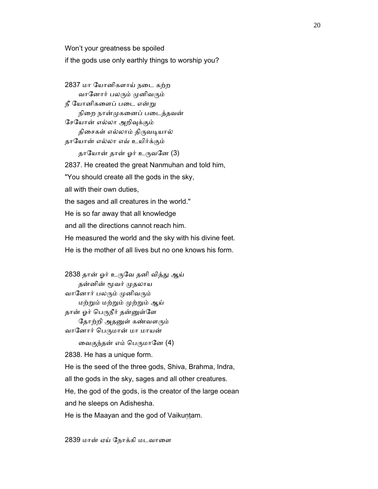Won't your greatness be spoiled

if the gods use only earthly things to worship you?

 2837 மா ேயானிகளாய் நைட கற்ற வானோர் பலரும் முனிவரும் நீ யோனிகளைப் படை என்று நிறை நான்முகனைப் படைத்தவன் ேசேயான் எல்லா அறிᾫக்கும் திசைகள் எல்லாம் திருவடியால் தாேயான் எல்லா எவ் உயிர்க்கும் தாயோன் தான் ஓர் உருவனே (3) 2837. He created the great Nanmuhan and told him, "You should create all the gods in the sky, all with their own duties, the sages and all creatures in the world." He is so far away that all knowledge and all the directions cannot reach him. He measured the world and the sky with his divine feet. He is the mother of all lives but no one knows his form.

2838 தான் ஓர் உருவே தனி வித்து ஆய் தன்னின் மூவர் முதலாய வானோர் பலரும் முனிவரும் மற்ᾠம் மற்ᾠம் ᾙற்ᾠம் ஆய் தான் ஓர் பெருநீர் தன்னுள்ளே தோற்றி அதனுள் கண்வளரும் வானோர் பெருமான் மா மாயன் வைகுந்தன் எம் பெருமானே (4) 2838. He has a unique form. He is the seed of the three gods, Shiva, Brahma, Indra, all the gods in the sky, sages and all other creatures. He, the god of the gods, is the creator of the large ocean and he sleeps on Adishesha. He is the Maayan and the god of Vaikuṇṭam.

2839 மான் ஏய் ேநாக்கி மடவாைள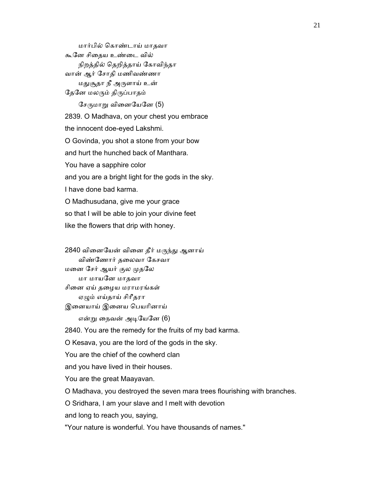மார்பில் ெகாண்டாய் மாதவா கூேன சிைதய உண்ைட வில் நிறத்தில் ெதறித்தாய் ேகாவிந்தா வான் ஆர் ேசாதி மணிவண்ணா மதுசூதா நீ அருளாய் உன் தேனே மலரும் திருப்பாதம் சேருமாறு வினையேனே  $(5)$  2839. O Madhava, on your chest you embrace the innocent doe-eyed Lakshmi. O Govinda, you shot a stone from your bow and hurt the hunched back of Manthara. You have a sapphire color and you are a bright light for the gods in the sky. I have done bad karma. O Madhusudana, give me your grace so that I will be able to join your divine feet like the flowers that drip with honey.

2840 வினையேன் வினை தீர் மருந்து ஆனாய் விண்ேணார் தைலவா ேகசவா மனை சேர் ஆயர் குல முதலே மா மாயேன மாதவா சிைன ஏய் தைழய மராமரங்கள் ஏᾨம் எய்தாய் சிாீதரா இனையாய் இனைய பெயரினாய் என்று நைவன் அடியேனே (6) 2840. You are the remedy for the fruits of my bad karma. O Kesava, you are the lord of the gods in the sky. You are the chief of the cowherd clan and you have lived in their houses. You are the great Maayavan.

O Madhava, you destroyed the seven mara trees flourishing with branches.

O Sridhara, I am your slave and I melt with devotion

and long to reach you, saying,

"Your nature is wonderful. You have thousands of names."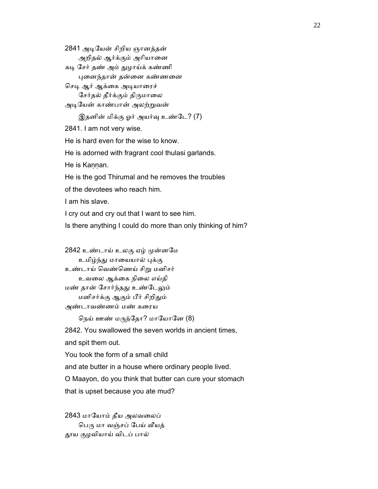2841 அᾊேயன் சிறிய ஞானத்தன் அறிதல் ஆர்க்கும் அரியானை கடி சேர் தண் அம் துழாய்க் கண்ணி

ᾗைனந்தான் தன்ைன கண்ணைன

செடி ஆர் ஆக்கை அடியாரைச் சேர்தல் தீர்க்கும் திருமாலை

அடியேன் காண்பான் அலற்றுவன்

இதனின் மிக்கு ஓர் அயர்வு உண்டே? (7)

2841. I am not very wise.

He is hard even for the wise to know.

He is adorned with fragrant cool thulasi garlands.

He is Kannan.

He is the god Thirumal and he removes the troubles

of the devotees who reach him.

I am his slave.

I cry out and cry out that I want to see him.

Is there anything I could do more than only thinking of him?

2842 உண்டாய் உலகு ஏழ் முன்னமே உமிழ்ந்து மாயையால் புக்கு உண்டாய் ெவண்ெணய் சிᾠ மனிசர் உவைல ஆக்ைக நிைல எய்தி மண் தான் சோர்ந்தது உண்டேலும் மனிசர்க்கு ஆகும் பீர் சிறிᾐம் அண்டாவண்ணம் மண் கைரய

நெய் ஊண் மருந்தோ? மாயோனே (8)

2842. You swallowed the seven worlds in ancient times,

and spit them out.

You took the form of a small child

and ate butter in a house where ordinary people lived.

O Maayon, do you think that butter can cure your stomach

that is upset because you ate mud?

 2843 மாேயாம் தீய அலவைலப் பெரு மா வஞ்சப் பேய் வீயத் ᾑய குழவியாய் விடப் பால்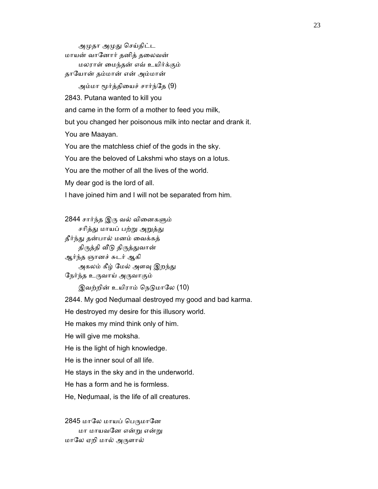அமுதா அமுது செய்திட்ட மாயன் வாேனார் தனித் தைலவன் மலராள் ைமந்தன் எவ் உயிர்க்கும் தாேயான் தம்மான் என் அம்மான்

அம்மா மூர்த்தியைச் சார்ந்தே (9)

2843. Putana wanted to kill you

and came in the form of a mother to feed you milk,

but you changed her poisonous milk into nectar and drank it.

You are Maayan.

You are the matchless chief of the gods in the sky.

You are the beloved of Lakshmi who stays on a lotus.

You are the mother of all the lives of the world.

My dear god is the lord of all.

I have joined him and I will not be separated from him.

2844 சார்ந்த இரு வல் வினைகளும் சரித்து மாயப் பற்று அறுத்து தீர்ந்ᾐ தன்பால் மனம் ைவக்கத் திருத்தி வீடு திருத்துவான் ஆர்ந்த ஞானச் சுடர் ஆகி அகலம் கீழ் மேல் அளவு இறந்து ேநர்ந்த உᾞவாய் அᾞவாகும்

இவற்றின் உயிராம் நெடுமாலே (10)

2844. My god Neḍumaal destroyed my good and bad karma.

He destroyed my desire for this illusory world.

He makes my mind think only of him.

He will give me moksha.

He is the light of high knowledge.

He is the inner soul of all life.

He stays in the sky and in the underworld.

He has a form and he is formless.

He, Neḍumaal, is the life of all creatures.

2845 மாலே மாயப் பெருமானே மா மாயவனே என்று என்று மாேல ஏறி மால் அᾞளால்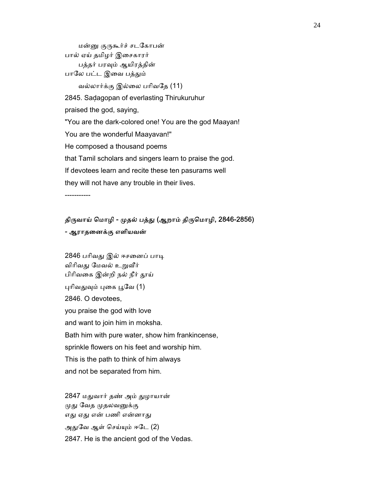மன்னு குருகூர்ச் சடகோபன் பால் ஏய் தமிழர் இைசகாரர் பத்தர் பரᾫம் ஆயிரத்தின் பாலே பட்ட இவை பத்தும் வல்லார்க்கு இல்ைல பாிவேத (11) 2845. Saḍagopan of everlasting Thirukuruhur praised the god, saying, "You are the dark-colored one! You are the god Maayan! You are the wonderful Maayavan!" He composed a thousand poems that Tamil scholars and singers learn to praise the god. If devotees learn and recite these ten pasurams well they will not have any trouble in their lives.

-----------

### திருவாய் மொழி - முதல் பத்து (ஆறாம் திருமொழி, 2846-2856) - ஆராதைனக்கு எளியவன்

2846 பரிவது இல் ஈசனைப் பாடி விரிவது மேவல் உறுவீர் பிரிவகை இன்றி நல் நீர் தூய் புரிவதுவும் புகை பூவே (1) 2846. O devotees, you praise the god with love and want to join him in moksha. Bath him with pure water, show him frankincense, sprinkle flowers on his feet and worship him. This is the path to think of him always and not be separated from him.

 2847 மᾐவார் தண் அம் ᾐழாயான் முது வேத முதலவனுக்கு எது ஏது என் பணி என்னாது அᾐேவ ஆள் ெசய்ᾜம் ஈேட (2) 2847. He is the ancient god of the Vedas.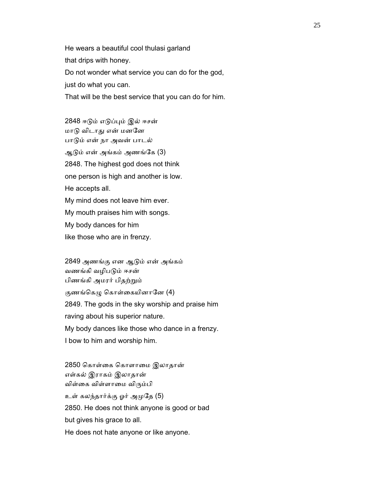He wears a beautiful cool thulasi garland that drips with honey. Do not wonder what service you can do for the god, just do what you can. That will be the best service that you can do for him.

 2848 ஈᾌம் எᾌப்ᾗம் இல் ஈசன் மாᾌ விடாᾐ என் மனேன பாᾌம் என் நா அவன் பாடல் ஆᾌம் என் அங்கம் அணங்ேக (3) 2848. The highest god does not think one person is high and another is low. He accepts all. My mind does not leave him ever. My mouth praises him with songs. My body dances for him like those who are in frenzy.

 2849 அணங்கு என ஆᾌம் என் அங்கம் வணங்கி வழிபᾌம் ஈசன் பிணங்கி அமரர் பிதற்ᾠம் குணங்கெழு கொள்கையினானே  $(4)$  2849. The gods in the sky worship and praise him raving about his superior nature. My body dances like those who dance in a frenzy. I bow to him and worship him.

 2850 ெகாள்ைக ெகாளாைம இலாதான் எள்கல் இராகம் இலாதான் விள்ைக விள்ளாைம விᾞம்பி உள் கலந்தார்க்கு ஓர் அᾙேத (5) 2850. He does not think anyone is good or bad but gives his grace to all. He does not hate anyone or like anyone.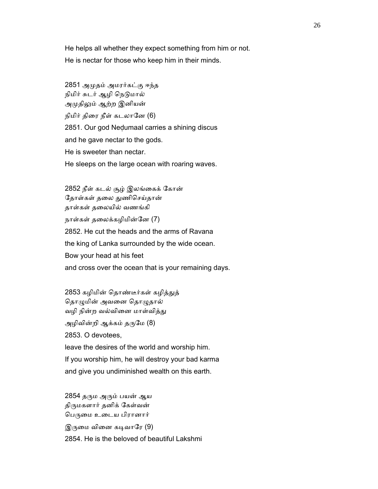He helps all whether they expect something from him or not. He is nectar for those who keep him in their minds.

 2851 அᾙதம் அமரர்கட்கு ஈந்த நிமிர் சுடர் ஆழி நெடுமால் அமுதிலும் ஆற்ற இனியன் நிமிர் திரை நீள் கடலானே (6) 2851. Our god Neḍumaal carries a shining discus and he gave nectar to the gods. He is sweeter than nectar. He sleeps on the large ocean with roaring waves.

 2852 நீள் கடல் சூழ் இலங்ைகக் ேகான் தோள்கள் தலை துணிசெய்தான் தாள்கள் தைலயில் வணங்கி நாள்கள் தைலக்கழிமின்ேன (7) 2852. He cut the heads and the arms of Ravana the king of Lanka surrounded by the wide ocean. Bow your head at his feet and cross over the ocean that is your remaining days.

2853 கழிமின் தொண்டீர்கள் கழித்துத் தொழுமின் அவனை தொழுதால் வழி நின்ற வல்வினை மாள்வித்து அழிவின்றி ஆக்கம் தருமே (8) 2853. O devotees, leave the desires of the world and worship him. If you worship him, he will destroy your bad karma and give you undiminished wealth on this earth.

2854 தரும அரும் பயன் ஆய திருமகளார் தனிக் கேள்வன் பெருமை உடைய பிரானார் இருமை வினை கடிவாரே  $(9)$ 2854. He is the beloved of beautiful Lakshmi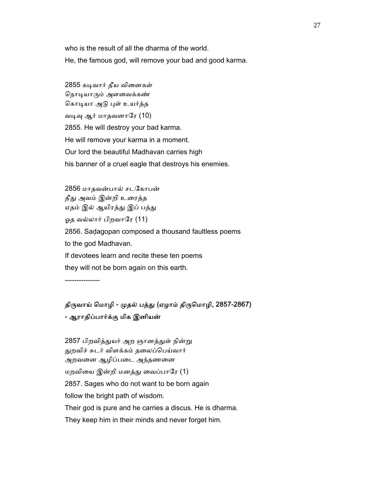who is the result of all the dharma of the world.

He, the famous god, will remove your bad and good karma.

2855 கடிவார் தீய வினைகள் நொடியாரும் அளவைக்கண் கொடியா அடு புள் உயர்த்த வடிவு ஆர் மாதவனாரே  $(10)$  2855. He will destroy your bad karma. He will remove your karma in a moment. Our lord the beautiful Madhavan carries high his banner of a cruel eagle that destroys his enemies.

 2856 மாதவன்பால் சடேகாபன் தீது அவம் இன்றி உரைத்த ஏதம் இல் ஆயிரத்து இப் பத்து ஓத வல்லார் பிறவாரே (11) 2856. Saḍagopan composed a thousand faultless poems to the god Madhavan. If devotees learn and recite these ten poems they will not be born again on this earth.

---------------

# திருவாய் மொழி - முதல் பத்து (ஏழாம் திருமொழி, 2857-2867) - ஆராதிப்பார்க்கு மிக இனியன்

2857 பிறவித்துயர் அற ஞானத்துள் நின்று ᾐறவிச் சுடர் விளக்கம் தைலப்ெபய்வார் அறவைன ஆழிப்பைட அந்தணைன மறவிைய இன்றி மனத்ᾐ ைவப்பாேர (1) 2857. Sages who do not want to be born again follow the bright path of wisdom. Their god is pure and he carries a discus. He is dharma. They keep him in their minds and never forget him.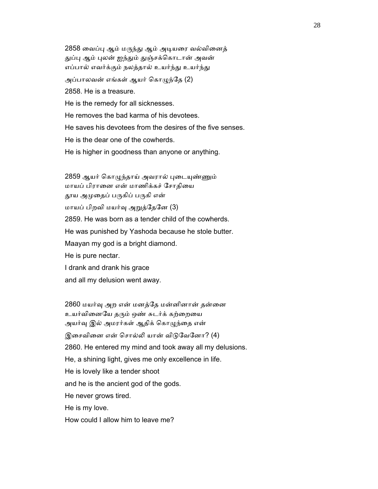2858 வைப்பு ஆம் மருந்து ஆம் அடியரை வல்வினைத் துப்பு ஆம் புலன் ஐந்தும் துஞ்சக்கொடான் அவன் எப்பால் எவர்க்கும் நலத்தால் உயர்ந்து உயர்ந்து அப்பாலவன் எங்கள் ஆயர் கொழுந்தே (2) 2858. He is a treasure. He is the remedy for all sicknesses. He removes the bad karma of his devotees. He saves his devotees from the desires of the five senses. He is the dear one of the cowherds. He is higher in goodness than anyone or anything.

2859 ஆயர் கொழுந்தாய் அவரால் புடையுண்ணும் மாயப் பிரானை என் மாணிக்கச் சோதியை தூய அமுதைப் பருகிப் பருகி என் மாயப் பிறவி மயர்ᾫ அᾠத்ேதேன (3) 2859. He was born as a tender child of the cowherds. He was punished by Yashoda because he stole butter. Maayan my god is a bright diamond. He is pure nectar. I drank and drank his grace and all my delusion went away.

 2860 மயர்ᾫ அற என் மனத்ேத மன்னினான் தன்ைன உயர்வினையே தரும் ஒண் சுடர்க் கற்றையை அயர்வு இல் அமரர்கள் ஆதிக் கொழுந்தை என் இசைவினை என் சொல்லி யான் விடுவேனோ? (4) 2860. He entered my mind and took away all my delusions. He, a shining light, gives me only excellence in life. He is lovely like a tender shoot and he is the ancient god of the gods. He never grows tired. He is my love. How could I allow him to leave me?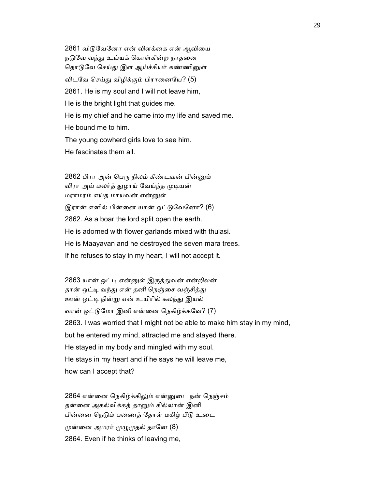2861 விடுவேனோ என் விளக்கை என் ஆவியை நடுவே வந்து உய்யக் கொள்கின்ற நாதனை தொடுவே செய்து இள ஆய்ச்சியர் கண்ணினுள் விடவே செய்து விழிக்கும் பிரானையே? (5) 2861. He is my soul and I will not leave him, He is the bright light that guides me. He is my chief and he came into my life and saved me. He bound me to him. The young cowherd girls love to see him. He fascinates them all.

2862 பிரா அன் பெரு நிலம் கீண்டவன் பின்னும் விரா அய் மலர்த் துழாய் வேய்ந்த முடியன் மராமரம் எய்த மாயவன் என்ᾔள் இரான் எனில் பின்னை யான் ஒட்டுவேனோ? (6) 2862. As a boar the lord split open the earth. He is adorned with flower garlands mixed with thulasi. He is Maayavan and he destroyed the seven mara trees. If he refuses to stay in my heart, I will not accept it.

2863 யான் ஒட்டி என்னுள் இருத்துவன் என்றிலன் தான் ஒட்டி வந்து என் தனி நெஞ்சை வஞ்சித்து ஊன் ஒட்டி நின்று என் உயிரில் கலந்து இயல் வான் ஒட்ᾌேமா இனி என்ைன ெநகிழ்க்கேவ? (7) 2863. I was worried that I might not be able to make him stay in my mind, but he entered my mind, attracted me and stayed there. He stayed in my body and mingled with my soul. He stays in my heart and if he says he will leave me, how can I accept that?

 2864 என்ைன ெநகிழ்க்கிᾤம் என்ᾔைட நன் ெநஞ்சம் தன்னை அகல்விக்கத் தானும் கில்லான் இனி பின்னை நெடும் பணைத் தோள் மகிழ் பீடு உடை முன்னை அமரர் முழுமுதல் தானே (8) 2864. Even if he thinks of leaving me,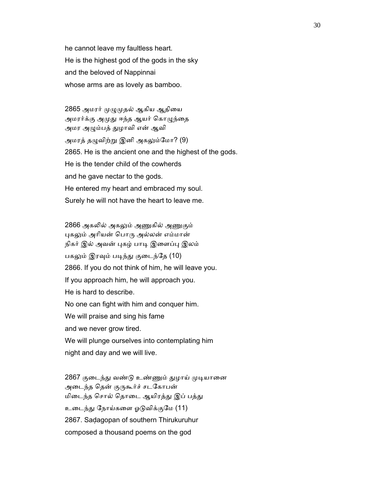he cannot leave my faultless heart. He is the highest god of the gods in the sky and the beloved of Nappinnai whose arms are as lovely as bamboo.

2865 அமரர் முழுமுதல் ஆகிய ஆதியை அமரர்க்கு அமுது ஈந்த ஆயர் கொழுந்தை அமர அᾨம்பத் ᾐழாவி என் ஆவி அமரத் தழுவிற்று இனி அகலும்மோ? (9) 2865. He is the ancient one and the highest of the gods. He is the tender child of the cowherds and he gave nectar to the gods. He entered my heart and embraced my soul. Surely he will not have the heart to leave me.

2866 அகலில் அகலும் அணுகில் அணுகும் புகலும் அரியன் பொரு அல்லன் எம்மான் நிகர் இல் அவன் புகழ் பாடி இளைப்பு இலம் பகலும் இரவும் படிந்து குடைந்தே (10) 2866. If you do not think of him, he will leave you. If you approach him, he will approach you. He is hard to describe. No one can fight with him and conquer him. We will praise and sing his fame and we never grow tired. We will plunge ourselves into contemplating him night and day and we will live.

2867 குடைந்து வண்டு உண்ணும் துழாய் முடியானை அடைந்த தென் குருகூர்ச் சடகோபன் மிடைந்த சொல் தொடை ஆயிரத்து இப் பத்து உைடந்ᾐ ேநாய்கைள ஓᾌவிக்குேம (11) 2867. Saḍagopan of southern Thirukuruhur composed a thousand poems on the god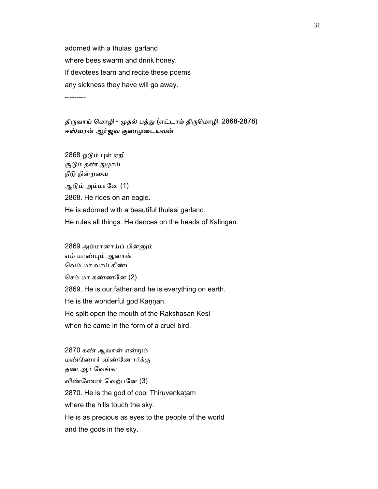adorned with a thulasi garland where bees swarm and drink honey. If devotees learn and recite these poems any sickness they have will go away. ---------

திருவாய் மொழி - முதல் பத்து (எட்டாம் திருமொழி, 2868-2878) ஈஸ்வரன் ஆர்ஜவ குணᾙைடயவன்

 2868 ஓᾌம் ᾗள் ஏறி சூᾌம் தண் ᾐழாய் நீடு நின்றவை ஆᾌம் அம்மாேன (1) 2868. He rides on an eagle. He is adorned with a beautiful thulasi garland. He rules all things. He dances on the heads of Kalingan.

 2869 அம்மானாய்ப் பின்ᾔம் எம் மாண்ᾗம் ஆனான் ெவம் மா வாய் கீண்ட ெசம் மா கண்ணேன (2) 2869. He is our father and he is everything on earth. He is the wonderful god Kannan. He split open the mouth of the Rakshasan Kesi when he came in the form of a cruel bird.

 2870 கண் ஆவான் என்ᾠம் மண்ேணார் விண்ேணார்க்கு தண் ஆர் ேவங்கட விண்ேணார் ெவற்பேன (3) 2870. He is the god of cool Thiruvenkaṭam where the hills touch the sky. He is as precious as eyes to the people of the world and the gods in the sky.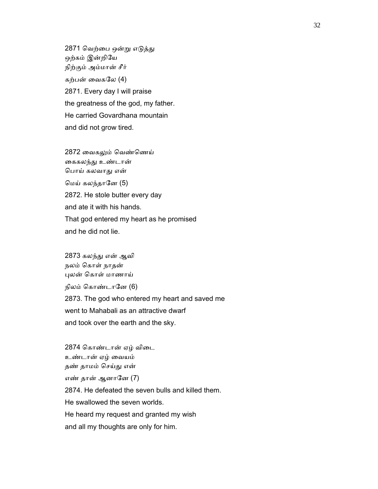2871 வெற்பை ஒன்று எடுத்து ஒற்கம் இன்றிேய நிற்கும் அம்மான் சீர் கற்பன் ைவகேல (4) 2871. Every day I will praise the greatness of the god, my father. He carried Govardhana mountain and did not grow tired.

 2872 ைவகᾤம் ெவண்ெணய் கைகலந்து உண்டான் ெபாய் கலவாᾐ என் ெமய் கலந்தாேன (5) 2872. He stole butter every day and ate it with his hands. That god entered my heart as he promised and he did not lie.

 2873 கலந்ᾐ என் ஆவி நலம் ெகாள் நாதன் ᾗலன் ெகாள் மாணாய் நிலம் கொண்டானே (6) 2873. The god who entered my heart and saved me went to Mahabali as an attractive dwarf and took over the earth and the sky.

 2874 ெகாண்டான் ஏழ் விைட உண்டான் ஏழ் ைவயம் தண் தாமம் ெசய்ᾐ என் எண் தான் ஆனானே (7) 2874. He defeated the seven bulls and killed them. He swallowed the seven worlds. He heard my request and granted my wish and all my thoughts are only for him.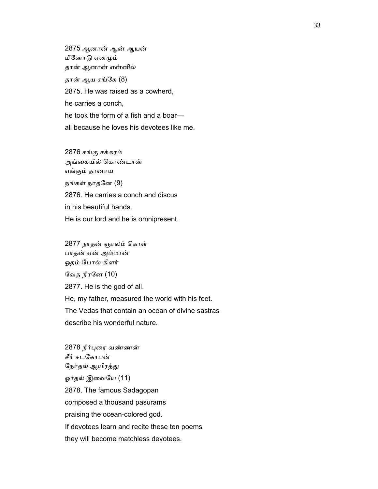2875 ஆனான் ஆன் ஆயன் மீனோடு ஏனமும் தான் ஆனான் என்னில் தான் ஆய சங்கே (8) 2875. He was raised as a cowherd, he carries a conch, he took the form of a fish and a boar all because he loves his devotees like me.

 2876 சங்கு சக்கரம் அங்ைகயில் ெகாண்டான் எங்கும் தானாய நங்கள் நாதேன (9) 2876. He carries a conch and discus in his beautiful hands.

He is our lord and he is omnipresent.

 2877 நாதன் ஞாலம் ெகாள் பாதன் என் அம்மான் ஓதம் போல் கிளர் ேவத நீரேன (10) 2877. He is the god of all. He, my father, measured the world with his feet. The Vedas that contain an ocean of divine sastras describe his wonderful nature.

 2878 நீர்ᾗைர வண்ணன் சீர் சடேகாபன் நேர்தல் ஆயிரத்து ஓர்தல் இவையே (11) 2878. The famous Sadagopan composed a thousand pasurams praising the ocean-colored god. If devotees learn and recite these ten poems they will become matchless devotees.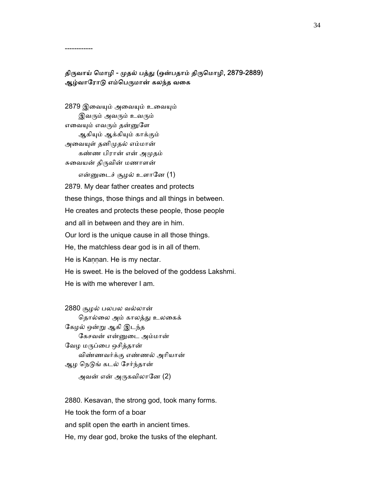திருவாய் மொழி - முதல் பத்து (ஒன்பதாம் திருமொழி, 2879-2889) ஆழ்வாரோடு எம்பெருமான் கலந்த வகை

------------

2879 இவையும் அவையும் உவையும் இவரும் அவரும் உவரும் எவையும் எவரும் தன்னுளே ஆகிᾜம் ஆக்கிᾜம் காக்கும் அவையுள் தனிமுதல் எம்மான் கண்ண பிரான் என் அᾙதம் சுைவயன் திᾞவின் மணாளன் என்னுடைச் சூழல் உளானே (1) 2879. My dear father creates and protects these things, those things and all things in between. He creates and protects these people, those people and all in between and they are in him. Our lord is the unique cause in all those things. He, the matchless dear god is in all of them. He is Kannan. He is my nectar. He is sweet. He is the beloved of the goddess Lakshmi. He is with me wherever I am.

 2880 சூழல் பலபல வல்லான் தொல்லை அம் காலத்து உலகைக் ேகழல் ஒன்ᾠ ஆகி இடந்த ேகசவன் என்ᾔைட அம்மான் வேழ மருப்பை ஒசித்தான் விண்ணவர்க்கு எண்ணல் அாியான் ஆழ நெடுங் கடல் சேர்ந்தான் அவன் என் அருகவிலானே  $(2)$ 

 2880. Kesavan, the strong god, took many forms. He took the form of a boar and split open the earth in ancient times. He, my dear god, broke the tusks of the elephant.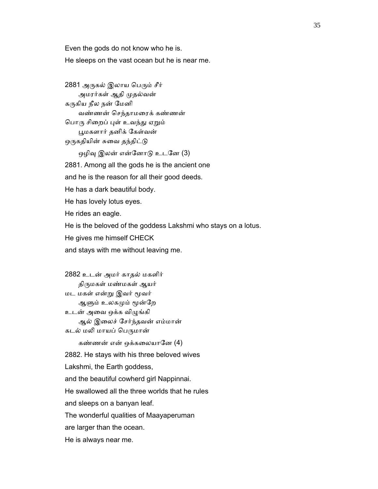Even the gods do not know who he is. He sleeps on the vast ocean but he is near me.

2881 அருகல் இலாய பெரும் சீர் அமரர்கள் ஆதி ᾙதல்வன் கருகிய நீல நன் மேனி வண்ணன் ெசந்தாமைரக் கண்ணன் பொரு சிறைப் புள் உவந்து ஏறும் ᾘமகளார் தனிக் ேகள்வன் ஒருகதியின் சுவை தந்திட்டு ஒழிவு இலன் என்னோடு உடனே (3) 2881. Among all the gods he is the ancient one and he is the reason for all their good deeds. He has a dark beautiful body. He has lovely lotus eyes. He rides an eagle. He is the beloved of the goddess Lakshmi who stays on a lotus. He gives me himself CHECK and stays with me without leaving me.

 2882 உடன் அமர் காதல் மகளிர் திருமகள் மண்மகள் ஆயர் மட மகள் என்ᾠ இவர் ᾚவர் ஆளும் உலகமும் மூன்றே உடன் அவை ஒக்க விழுங்கி ஆல் இைலச் ேசர்ந்தவன் எம்மான் கடல் மலி மாயப் பெருமான் கண்ணன் என் ஒக்கலையானே  $(4)$  2882. He stays with his three beloved wives Lakshmi, the Earth goddess, and the beautiful cowherd girl Nappinnai. He swallowed all the three worlds that he rules and sleeps on a banyan leaf. The wonderful qualities of Maayaperuman are larger than the ocean. He is always near me.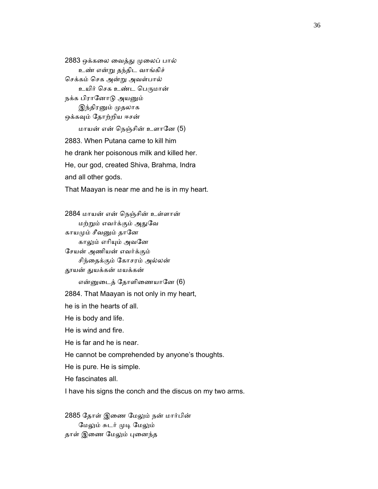2883 ஒக்கலை வைத்து முலைப் பால் உண் என்ᾠ தந்திட வாங்கிச் ெசக்கம் ெசக அன்ᾠ அவள்பால் உயிர் செக உண்ட பெருமான் நக்க பிரானோடு அயனும் இந்திரனும் முதலாக ஒக்கவும் தோற்றிய ஈசன் மாயன் என் ெநஞ்சின் உளாேன (5) 2883. When Putana came to kill him he drank her poisonous milk and killed her. He, our god, created Shiva, Brahma, Indra and all other gods. That Maayan is near me and he is in my heart.

 2884 மாயன் என் ெநஞ்சின் உள்ளான் மற்ᾠம் எவர்க்கும் அᾐேவ காயமும் சீவனும் தானே காலும் எரியும் அவனே ேசயன் அணியன் எவர்க்கும் சிந்ைதக்கும் ேகாசரம் அல்லன் ᾑயன் ᾐயக்கன் மயக்கன் என்னுடைத் தோளிணையானே (6) 2884. That Maayan is not only in my heart, he is in the hearts of all. He is body and life. He is wind and fire. He is far and he is near. He cannot be comprehended by anyone's thoughts. He is pure. He is simple. He fascinates all.

I have his signs the conch and the discus on my two arms.

 2885 ேதாள் இைண ேமᾤம் நன் மார்பின் மேலும் சுடர் முடி மேலும் தாள் இணை மேலும் புனைந்த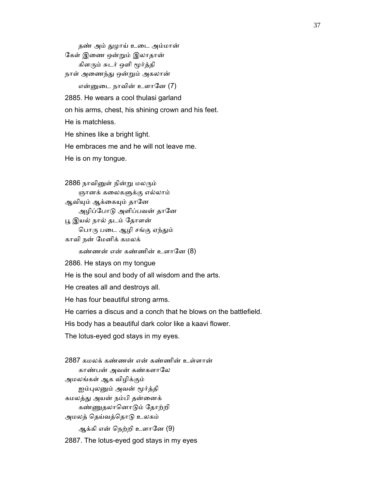தண் அம் துழாய் உடை அம்மான் ேகள் இைண ஒன்ᾠம் இலாதான் கிளᾞம் சுடர் ஒளி ᾚர்த்தி நாள் அணைந்து ஒன்றும் அகலான் என்ᾔைட நாவின் உளாேன (7) 2885. He wears a cool thulasi garland on his arms, chest, his shining crown and his feet. He is matchless. He shines like a bright light. He embraces me and he will not leave me. He is on my tongue.

2886 நாவினுள் நின்று மலரும் ஞானக் கலைகளுக்கு எல்லாம் ஆவியும் ஆக்கையும் தானே அழிப்போடு அளிப்பவன் தானே ᾘ இயல் நால் தடம் ேதாளன் பொரு படை ஆழி சங்கு ஏந்தும் காவி நன் ேமனிக் கமலக் கண்ணன் என் கண்ணின் உளானே (8) 2886. He stays on my tongue He is the soul and body of all wisdom and the arts. He creates all and destroys all. He has four beautiful strong arms. He carries a discus and a conch that he blows on the battlefield. His body has a beautiful dark color like a kaavi flower. The lotus-eyed god stays in my eyes.

 2887 கமலக் கண்ணன் என் கண்ணின் உள்ளான் காண்பன் அவன் கண்களாேல அமலங்கள் ஆக விழிக்கும் ஐம்புலனும் அவன் மூர்த்தி கமலத்து அயன் நம்பி தன்னைக் கண்ᾎதலாெனாᾌம் ேதாற்றி அமலத் ெதய்வத்ெதாᾌ உலகம் ஆக்கி என் நெற்றி உளானே (9) 2887. The lotus-eyed god stays in my eyes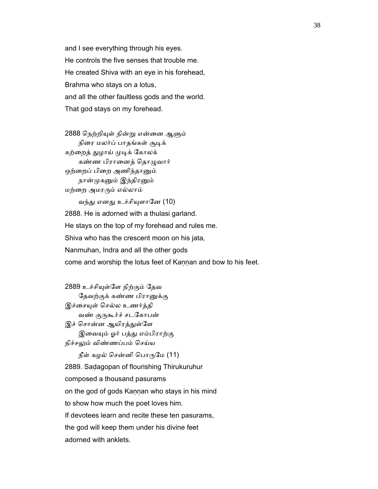and I see everything through his eyes. He controls the five senses that trouble me. He created Shiva with an eye in his forehead, Brahma who stays on a lotus, and all the other faultless gods and the world. That god stays on my forehead.

 2888 ெநற்றிᾜள் நின்ᾠ என்ைன ஆᾦம் நிரை மலர்ப் பாதங்கள் சூடிக் கற்றைத் துழாய் முடிக் கோலக் கண்ண பிரானைத் தொழுவார் ஒற்றைப் பிறை அணிந்தானும் நான்முகனும் இந்திரனும் மற்ைற அமரᾞம் எல்லாம்

வந்து எனது உச்சியுளானே (10) 2888. He is adorned with a thulasi garland. He stays on the top of my forehead and rules me. Shiva who has the crescent moon on his jata, Nanmuhan, Indra and all the other gods come and worship the lotus feet of Kannan and bow to his feet.

 2889 உச்சிᾜள்ேள நிற்கும் ேதவ தேவற்குக் கண்ண பிரானுக்கு இச்சையுள் செல்ல உணர்த்தி வண் குருகூர்ச் சடகோபன் இச் சொன்ன ஆயிரத்துள்ளே இவையும் ஓர் பத்து எம்பிராற்கு நிச்சᾤம் விண்ணப்பம் ெசய்ய நீள் கழல் சென்னி பொருமே  $(11)$  2889. Saḍagopan of flourishing Thirukuruhur composed a thousand pasurams on the god of gods Kaṇṇan who stays in his mind to show how much the poet loves him. If devotees learn and recite these ten pasurams,

the god will keep them under his divine feet

adorned with anklets.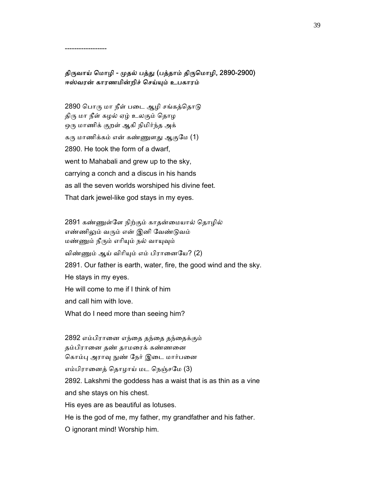திருவாய் மொழி - முதல் பத்து (பத்தாம் திருமொழி, 2890-2900) ஈஸ்வரன் காரணமின்றிச் ெசய்ᾜம் உபகாரம்

2890 பொரு மா நீள் படை ஆழி சங்கத்தொடு திரு மா நீள் கழல் ஏழ் உலகும் தொழ ஒரு மாணிக் குறள் ஆகி நிமிர்ந்த அக் கரு மாணிக்கம் என் கண்ணுளது ஆகுமே (1) 2890. He took the form of a dwarf, went to Mahabali and grew up to the sky, carrying a conch and a discus in his hands as all the seven worlds worshiped his divine feet. That dark jewel-like god stays in my eyes.

------------------

 2891 கண்ᾎள்ேள நிற்கும் காதன்ைமயால் ெதாழில் எண்ணிᾤம் வᾞம் என் இனி ேவண்ᾌவம் மண்ணும் நீரும் எரியும் நல் வாயுவும் விண்ணும் ஆய் விரியும் எம் பிரானையே? (2) 2891. Our father is earth, water, fire, the good wind and the sky. He stays in my eyes. He will come to me if I think of him and call him with love. What do I need more than seeing him?

 2892 எம்பிராைன எந்ைத தந்ைத தந்ைதக்கும் தம்பிராைன தண் தாமைரக் கண்ணைன கொம்பு அராவு நுண் நேர் இடை மார்பனை எம்பிராைனத் ெதாழாய் மட ெநஞ்சேம (3) 2892. Lakshmi the goddess has a waist that is as thin as a vine and she stays on his chest. His eyes are as beautiful as lotuses. He is the god of me, my father, my grandfather and his father.

O ignorant mind! Worship him.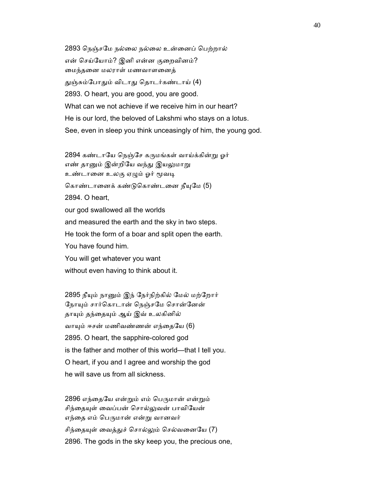2893 ெநஞ்சேம நல்ைல நல்ைல உன்ைனப் ெபற்றால் என் ெசய்ேயாம்? இனி என்ன குைறவினம்? ைமந்தைன மலராள் மணவாளைனத் துஞ்சும்போதும் விடாது தொடர்கண்டாய் (4) 2893. O heart, you are good, you are good. What can we not achieve if we receive him in our heart? He is our lord, the beloved of Lakshmi who stays on a lotus. See, even in sleep you think unceasingly of him, the young god.

2894 கண்டாயே நெஞ்சே கருமங்கள் வாய்க்கின்று ஓர் எண் தானும் இன்றியே வந்து இயலுமாறு உண்டானை உலகு ஏழும் ஓர் மூவடி கொண்டானைக் கண்டுகொண்டனை நீயுமே (5) 2894. O heart, our god swallowed all the worlds and measured the earth and the sky in two steps. He took the form of a boar and split open the earth. You have found him. You will get whatever you want without even having to think about it.

2895 நீயும் நானும் இந் நேர்நிற்கில் மேல் மற்றோர் நோயும் சார்கொடான் நெஞ்சமே சொன்னேன் தாயும் தந்தையும் ஆய் இவ் உலகினில் வாயும் ஈசன் மணிவண்ணன் எந்தையே (6) 2895. O heart, the sapphire-colored god is the father and mother of this world—that I tell you. O heart, if you and I agree and worship the god he will save us from all sickness.

2896 எந்தையே என்றும் எம் பெருமான் என்றும் சிந்தையுள் வைப்பன் சொல்லுவன் பாவியேன் எந்தை எம் பெருமான் என்று வானவர் சிந்தையுள் வைத்துச் சொல்லும் செல்வனையே (7) 2896. The gods in the sky keep you, the precious one,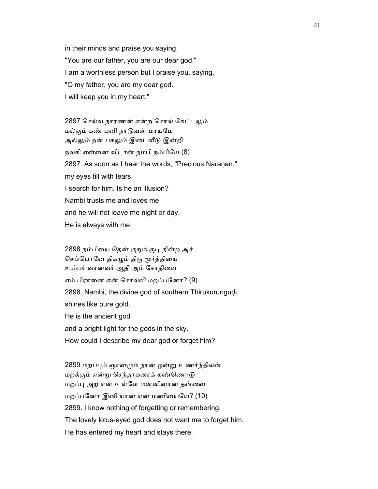in their minds and praise you saying, "You are our father, you are our dear god." I am a worthless person but I praise you, saying, "O my father, you are my dear god. I will keep you in my heart."

2897 செல்வ நாரணன் என்ற சொல் கேட்டலும் மல்கும் கண் பனி நாடுவன் மாயமே அல்லும் நன் பகலும் இடைவீடு இன்றி நல்கி என்ைன விடான் நம்பி நம்பிேய (8) 2897. As soon as I hear the words, "Precious Naranan," my eyes fill with tears. I search for him. Is he an illusion? Nambi trusts me and loves me and he will not leave me night or day. He is always with me.

2898 நம்பியை தென் குறுங்குடி நின்ற அச் செம்பொனே திகழும் திரு மூர்த்தியை உம்பர் வானவர் ஆதி அம் சோதியை எம் பிராைன என் ெசால்ᾢ மறப்பேனா? (9) 2898. Nambi, the divine god of southern Thirukurungudi, shines like pure gold. He is the ancient god and a bright light for the gods in the sky. How could I describe my dear god or forget him?

 2899 மறப்ᾗம் ஞானᾙம் நான் ஒன்ᾠ உணர்ந்திலன் மறக்கும் என்று செந்தாமரைக் கண்ணொடு மறப்பு அற என் உள்ளே மன்னினான் தன்னை மறப்பனோ இனி யான் என் மணியையே? (10) 2899. I know nothing of forgetting or remembering. The lovely lotus-eyed god does not want me to forget him. He has entered my heart and stays there.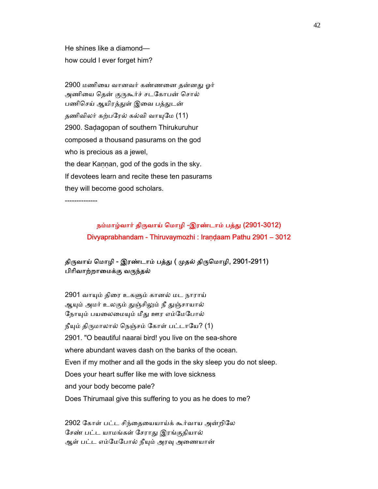He shines like a diamond how could I ever forget him?

2900 மணியை வானவர் கண்ணனை தன்னது ஓர் அணியை தென் குருகூர்ச் சடகோபன் சொல் பணிசெய் ஆயிரத்துள் இவை பத்துடன் தணிவிலர் கற்பரேல் கல்வி வாயுமே (11) 2900. Saḍagopan of southern Thirukuruhur composed a thousand pasurams on the god who is precious as a jewel, the dear Kannan, god of the gods in the sky. If devotees learn and recite these ten pasurams they will become good scholars.

--------------

# நம்மாழ்வார் திருவாய் மொழி -இரண்டாம் பத்து (2901-3012) Divyaprabhandam - Thiruvaymozhi : Iraṇḍaam Pathu 2901 – 3012

## திருவாய் மொழி - இரண்டாம் பத்து ( முதல் திருமொழி, 2901-2911) பிரிவாற்றாமைக்கு வருந்தல்

 2901 வாᾜம் திைர உகᾦம் கானல் மட நாராய் ஆயும் அமர் உலகும் துஞ்சிலும் நீ துஞ்சாயால் நோயும் பயலைமையும் மீது ஊர எம்மேபோல்  $\mathbf f$ யும் திருமாலால் நெஞ்சம் கோள் பட்டாயே? (1) 2901. "O beautiful naarai bird! you live on the sea-shore where abundant waves dash on the banks of the ocean. Even if my mother and all the gods in the sky sleep you do not sleep. Does your heart suffer like me with love sickness and your body become pale? Does Thirumaal give this suffering to you as he does to me?

 2902 ேகாள் பட்ட சிந்ைதையயாய்க் கூர்வாய அன்றிேல ேசண் பட்ட யாமங்கள் ேசராᾐ இரங்குதியால் ஆள் பட்ட எம்மேபோல் நீயும் அரவு அணையான்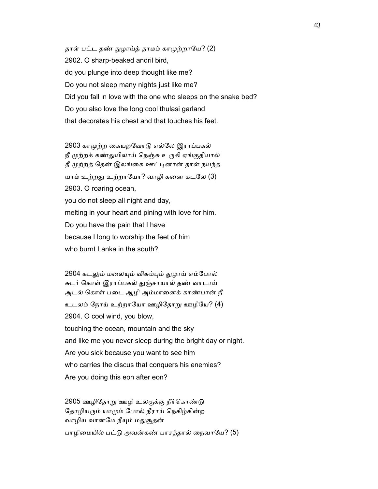தாள் பட்ட தண் துழாய்த் தாமம் காமுற்றாயே? (2) 2902. O sharp-beaked andril bird, do you plunge into deep thought like me? Do you not sleep many nights just like me? Did you fall in love with the one who sleeps on the snake bed? Do you also love the long cool thulasi garland that decorates his chest and that touches his feet.

2903 காமுற்ற கையறவோடு எல்லே இராப்பகல் நீ முற்றக் கண்துயிலாய் நெஞ்சு உருகி ஏங்குதியால் தீ முற்றத் தென் இலங்கை ஊட்டினான் தாள் நயந்த யாம் உற்றது உற்றாயோ? வாழி கனை கடலே (3) 2903. O roaring ocean, you do not sleep all night and day, melting in your heart and pining with love for him. Do you have the pain that I have because I long to worship the feet of him who burnt Lanka in the south?

2904 கடலும் மலையும் விசும்பும் துழாய் எம்போல் சுடர் ெகாள் இராப்பகல் ᾐஞ்சாயால் தண் வாடாய் அடல் ெகாள் பைட ஆழி அம்மாைனக் காண்பான் நீ உடலம் நோய் உற்றாயோ ஊழிதோறு ஊழியே? (4) 2904. O cool wind, you blow, touching the ocean, mountain and the sky and like me you never sleep during the bright day or night. Are you sick because you want to see him who carries the discus that conquers his enemies? Are you doing this eon after eon?

2905 ஊழிதோறு ஊழி உலகுக்கு நீர்கொண்டு தோழியரும் யாமும் போல் நீராய் நெகிழ்கின்ற வாழிய வானமே நீயும் மதுசூதன் பாழிமையில் பட்டு அவன்கண் பாசத்தால் நைவாயே? (5)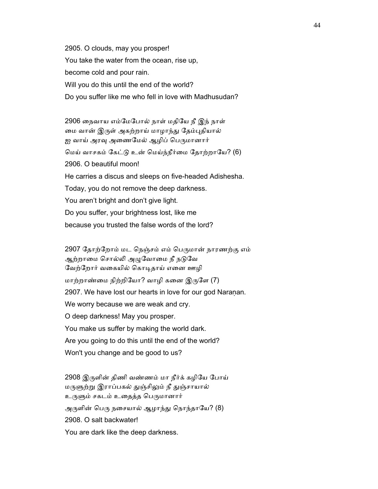2905. O clouds, may you prosper! You take the water from the ocean, rise up, become cold and pour rain. Will you do this until the end of the world? Do you suffer like me who fell in love with Madhusudan?

 2906 ைநவாய எம்ேமேபால் நாள் மதிேய நீ இந் நாள் மை வான் இருள் அகற்றாய் மாழாந்து தேம்புதியால் ஐ வாய் அரவு அணைமேல் ஆழிப் பெருமானார் ெமய் வாசகம் ேகட்ᾌ உன் ெமய்ந்நீர்ைம ேதாற்றாேய? (6) 2906. O beautiful moon! He carries a discus and sleeps on five-headed Adishesha. Today, you do not remove the deep darkness. You aren't bright and don't give light. Do you suffer, your brightness lost, like me because you trusted the false words of the lord?

2907 தோற்றோம் மட நெஞ்சம் எம் பெருமான் நாரணற்கு எம் ஆற்றாமை சொல்லி அழுவோமை நீ நடுவே வேற்றோர் வகையில் கொடிதாய் எனை ஊழி மாற்றாண்மை நிற்றியோ? வாழி கனை இருளே (7) 2907. We have lost our hearts in love for our god Naraṇan. We worry because we are weak and cry. O deep darkness! May you prosper. You make us suffer by making the world dark. Are you going to do this until the end of the world? Won't you change and be good to us?

 2908 இᾞளின் திணி வண்ணம் மா நீர்க் கழிேய ேபாய் மருளுற்று இராப்பகல் துஞ்சிலும் நீ துஞ்சாயால் உருளும் சகடம் உதைத்த பெருமானார் அருளின் பெரு நசையால் ஆழாந்து நொந்தாயே? (8) 2908. O salt backwater! You are dark like the deep darkness.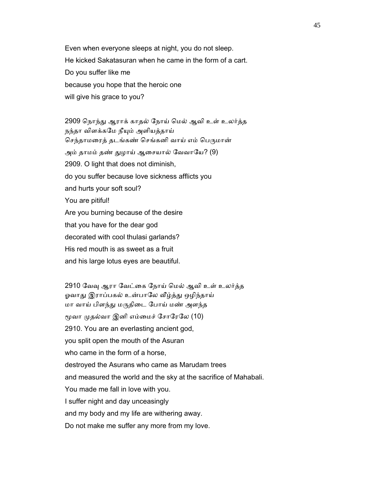Even when everyone sleeps at night, you do not sleep. He kicked Sakatasuran when he came in the form of a cart. Do you suffer like me because you hope that the heroic one will give his grace to you?

 2909 ெநாந்ᾐ ஆராக் காதல் ேநாய் ெமல் ஆவி உள் உலர்த்த நந்தா விளக்கமே நீயும் அளியத்தாய் செந்தாமரைத் தடங்கண் செங்கனி வாய் எம் பெருமான் அம் தாமம் தண் துழாய் ஆசையால் வேவாயே? (9) 2909. O light that does not diminish, do you suffer because love sickness afflicts you and hurts your soft soul? You are pitiful! Are you burning because of the desire that you have for the dear god decorated with cool thulasi garlands? His red mouth is as sweet as a fruit and his large lotus eyes are beautiful.

2910 வேவு ஆரா வேட்கை நோய் மெல் ஆவி உள் உலர்த்த ஓவாது இராப்பகல் உன்பாலே வீழ்த்து ஒழிந்தாய் மா வாய் பிளந்ᾐ மᾞதிைட ேபாய் மண் அளந்த ᾚவா ᾙதல்வா இனி எம்ைமச் ேசாேரேல (10) 2910. You are an everlasting ancient god, you split open the mouth of the Asuran who came in the form of a horse, destroyed the Asurans who came as Marudam trees and measured the world and the sky at the sacrifice of Mahabali. You made me fall in love with you. I suffer night and day unceasingly and my body and my life are withering away. Do not make me suffer any more from my love.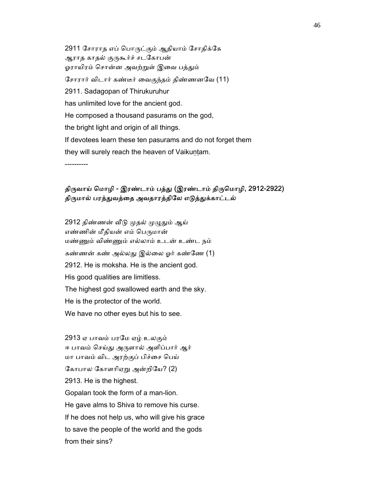2911 ேசாராத எப் ெபாᾞட்கும் ஆதியாம் ேசாதிக்ேக ஆராத காதல் குருகூர்ச் சடகோபன் ஓராயிரம் சொன்ன அவற்றுள் இவை பத்தும் ேசாரார் விடார் கண்டீர் ைவகுந்தம் திண்ணனேவ (11) 2911. Sadagopan of Thirukuruhur has unlimited love for the ancient god. He composed a thousand pasurams on the god, the bright light and origin of all things. If devotees learn these ten pasurams and do not forget them they will surely reach the heaven of Vaikuntam.

----------

#### திருவாய் மொழி - இரண்டாம் பத்து (இரண்டாம் திருமொழி, 2912-2922) திருமால் பரத்துவத்தை அவதாரத்திலே எடுத்துக்காட்டல்

2912 திண்ணன் வீடு முதல் முழுதும் ஆய் எண்ணின் மீதியன் எம் பெருமான் மண்ᾎம் விண்ᾎம் எல்லாம் உடன் உண்ட நம் கண்ணன் கண் அல்லது இல்லை ஓர் கண்ணே (1) 2912. He is moksha. He is the ancient god. His good qualities are limitless. The highest god swallowed earth and the sky. He is the protector of the world. We have no other eyes but his to see.

 2913 ஏ பாவம் பரேம ஏழ் உலகும் ஈ பாவம் செய்து அருளால் அளிப்பார் ஆர் மா பாவம் விட அரற்குப் பிச்சை பெய் கோபால கோளரிஏறு அன்றியே? (2) 2913. He is the highest. Gopalan took the form of a man-lion. He gave alms to Shiva to remove his curse. If he does not help us, who will give his grace to save the people of the world and the gods from their sins?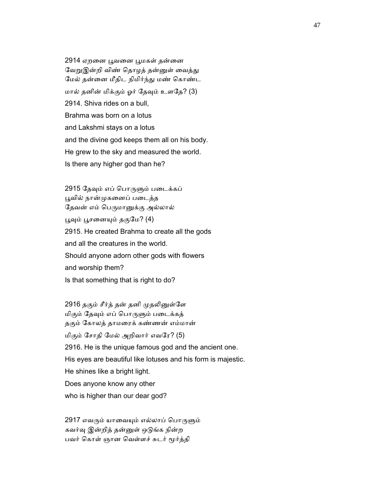2914 ஏறனை பூவனை பூமகள் தன்னை வேறுஇன்றி விண் தொழத் தன்னுள் வைத்து ேமல் தன்ைன மீதிட நிமிர்ந்ᾐ மண் ெகாண்ட மால் தனின் மிக்கும் ஓர் தேவும் உளதே? (3) 2914. Shiva rides on a bull, Brahma was born on a lotus and Lakshmi stays on a lotus and the divine god keeps them all on his body. He grew to the sky and measured the world. Is there any higher god than he?

2915 தேவும் எப் பொருளும் படைக்கப் பூவில் நான்முகனைப் படைத்த தேவன் எம் பெருமானுக்கு அல்லால் ᾘᾫம் ᾘசைனᾜம் தகுேம? (4) 2915. He created Brahma to create all the gods and all the creatures in the world. Should anyone adorn other gods with flowers and worship them? Is that something that is right to do?

2916 தகும் சீர்த் தன் தனி முதலினுள்ளே மிகும் தேவும் எப் பொருளும் படைக்கத் தகும் ேகாலத் தாமைரக் கண்ணன் எம்மான் மிகும் ேசாதி ேமல் அறிவார் எவேர? (5) 2916. He is the unique famous god and the ancient one. His eyes are beautiful like lotuses and his form is majestic. He shines like a bright light. Does anyone know any other who is higher than our dear god?

2917 எவரும் யாவையும் எல்லாப் பொருளும் கவர்வு இன்றித் தன்னுள் ஒடுங்க நின்ற பவர் கொள் ஞான வெள்ளச் சுடர் மூர்த்தி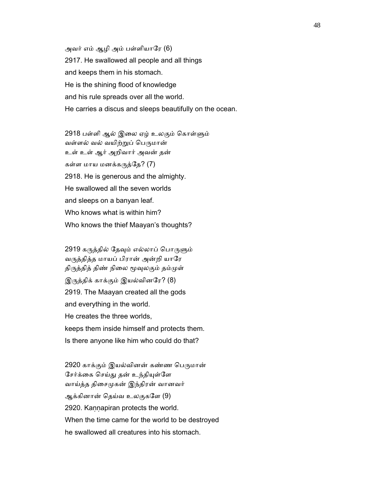அவர் எம் ஆழி அம் பள்ளியாேர (6) 2917. He swallowed all people and all things and keeps them in his stomach. He is the shining flood of knowledge and his rule spreads over all the world. He carries a discus and sleeps beautifully on the ocean.

2918 பள்ளி ஆல் இலை ஏழ் உலகும் கொள்ளும் வள்ளல் வல் வயிற்றுப் பெருமான் உள் உள் ஆர் அறிவார் அவன் தன் கள்ள மாய மனக்கருத்தே?  $(7)$  2918. He is generous and the almighty. He swallowed all the seven worlds and sleeps on a banyan leaf. Who knows what is within him? Who knows the thief Maayan's thoughts?

2919 கருத்தில் தேவும் எல்லாப் பொருளும் வருத்தித்த மாயப் பிரான் அன்றி யாரே திருத்தித் திண் நிலை மூவுலகும் தம்முள் இᾞத்திக் காக்கும் இயல்வினேர? (8) 2919. The Maayan created all the gods and everything in the world. He creates the three worlds, keeps them inside himself and protects them. Is there anyone like him who could do that?

2920 காக்கும் இயல்வினன் கண்ண பெருமான் சேர்க்கை செய்து தன் உந்தியுள்ளே வாய்த்த திசைமுகன் இந்திரன் வானவர் ஆக்கினான் ெதய்வ உலகுகேள (9) 2920. Kaṇṇapiran protects the world. When the time came for the world to be destroyed he swallowed all creatures into his stomach.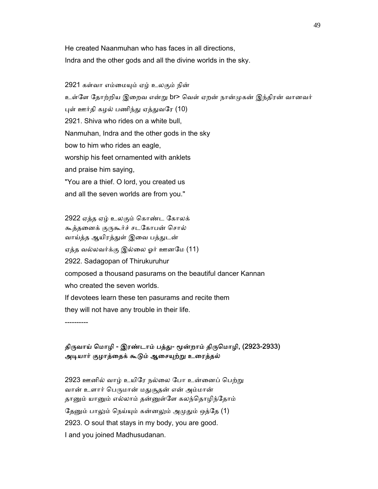He created Naanmuhan who has faces in all directions, Indra and the other gods and all the divine worlds in the sky.

 2921 கள்வா எம்ைமᾜம் ஏழ் உலகும் நின் உள்ளே தோற்றிய இறைவ என்று br> வெள் ஏறன் நான்முகன் இந்திரன் வானவர் புள் ஊர்தி கழல் பணிந்து ஏத்துவரே (10) 2921. Shiva who rides on a white bull, Nanmuhan, Indra and the other gods in the sky bow to him who rides an eagle, worship his feet ornamented with anklets and praise him saying, "You are a thief. O lord, you created us and all the seven worlds are from you."

 2922 ஏத்த ஏழ் உலகும் ெகாண்ட ேகாலக் கூத்தனைக் குருகூர்ச் சடகோபன் சொல் வாய்த்த ஆயிரத்துள் இவை பத்துடன் ஏத்த வல்லவர்க்கு இல்ைல ஓர் ஊனேம (11) 2922. Sadagopan of Thirukuruhur composed a thousand pasurams on the beautiful dancer Kannan who created the seven worlds. If devotees learn these ten pasurams and recite them they will not have any trouble in their life.

திருவாய் மொழி - இரண்டாம் பத்து- மூன்றாம் திருமொழி, (2923-2933) அடியார் குழாத்தைக் கூடும் ஆசையுற்று உரைத்தல்

2923 ஊனில் வாழ் உயிரே நல்லை போ உன்னைப் பெற்று வான் உளார் பெருமான் மதுசூதன் என் அம்மான் தானும் யானும் எல்லாம் தன்னுள்ளே கலந்தொழிந்தோம் தேனும் பாலும் நெய்யும் கன்னலும் அமுதும் ஒத்தே (1) 2923. O soul that stays in my body, you are good. I and you joined Madhusudanan.

----------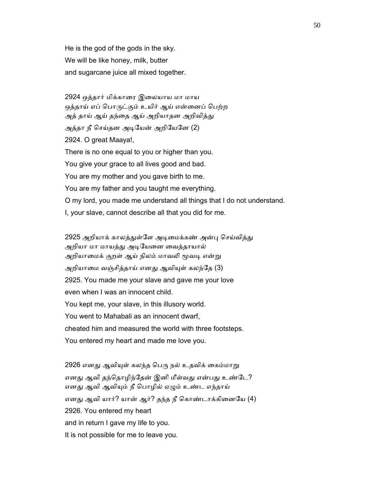He is the god of the gods in the sky. We will be like honey, milk, butter and sugarcane juice all mixed together.

 2924 ஒத்தார் மிக்காைர இைலயாய மா மாய ஒத்தாய் எப் பொருட்கும் உயிர் ஆய் என்னைப் பெற்ற அத் தாய் ஆய் தந்தை ஆய் அறியாதன அறிவித்து அத்தா நீ செய்தன அடியேன் அறியேனே (2) 2924. O great Maaya!, There is no one equal to you or higher than you. You give your grace to all lives good and bad. You are my mother and you gave birth to me. You are my father and you taught me everything. O my lord, you made me understand all things that I do not understand. I, your slave, cannot describe all that you did for me.

2925 அறியாக் காலத்துள்ளே அடிமைக்கண் அன்பு செய்வித்து அறியா மா மாயத்து அடியேனை வைத்தாயால் அறியாமைக் குறள் ஆய் நிலம் மாவலி மூவடி என்று அறியாமை வஞ்சித்தாய் எனது ஆவியுள் கலந்தே (3) 2925. You made me your slave and gave me your love even when I was an innocent child. You kept me, your slave, in this illusory world. You went to Mahabali as an innocent dwarf, cheated him and measured the world with three footsteps. You entered my heart and made me love you.

2926 எனது ஆவியுள் கலந்த பெரு நல் உதவிக் கைம்மாறு எனது ஆவி தந்தொழிந்தேன் இனி மீள்வது என்பது உண்டே? எனது ஆவி ஆவியும் நீ பொழில் ஏழும் உண்ட எந்தாய் எனது ஆவி யார்? யான் ஆர்? தந்த நீ கொண்டாக்கினையே (4) 2926. You entered my heart and in return I gave my life to you. It is not possible for me to leave you.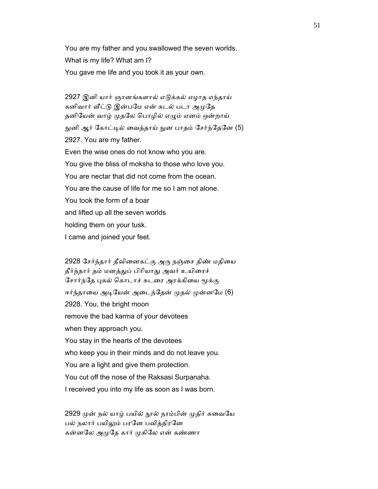You are my father and you swallowed the seven worlds. What is my life? What am I? You gave me life and you took it as your own.

2927 இனி யார் ஞானங்களால் எடுக்கல் எழாத எந்தாய் கனிவார் வீட்டு இன்பமே என் கடல் படா அமுதே தனியேன் வாழ் முதலே பொழில் ஏழும் ஏனம் ஒன்றாய் நுனி ஆர் கோட்டில் வைத்தாய் நுன பாதம் சேர்ந்தேனே (5) 2927. You are my father. Even the wise ones do not know who you are. You give the bliss of moksha to those who love you. You are nectar that did not come from the ocean. You are the cause of life for me so I am not alone. You took the form of a boar and lifted up all the seven worlds holding them on your tusk. I came and joined your feet.

2928 சேர்ந்தார் தீவினைகட்கு அரு நஞ்சை திண் மதியை தீர்ந்தார் தம் மனத்துப் பிரியாது அவர் உயிரைச் சோர்ந்தே புகல் கொடாச் சுடரை அரக்கியை மூக்கு ஈர்ந்தாயை அடியேன் அடைந்தேன் முதல் முன்னமே (6) 2928. You, the bright moon remove the bad karma of your devotees when they approach you. You stay in the hearts of the devotees who keep you in their minds and do not leave you. You are a light and give them protection. You cut off the nose of the Raksasi Surpanaha. I received you into my life as soon as I was born.

2929 முன் நல் யாழ் பயில் நூல் நரம்பின் முதிர் சுவையே பல் நலார் பயிலும் பரனே பவித்திரனே கன்னலே அமுதே கார் முகிலே என் கண்ணா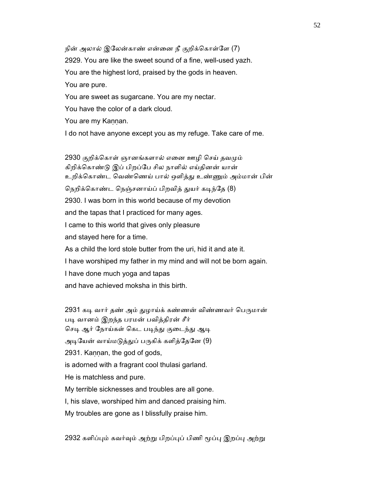நின் அலால் இலேன்காண் என்னை நீ குறிக்கொள்ளே (7) 2929. You are like the sweet sound of a fine, well-used yazh. You are the highest lord, praised by the gods in heaven. You are pure. You are sweet as sugarcane. You are my nectar. You have the color of a dark cloud. You are my Kaṇṇan.

I do not have anyone except you as my refuge. Take care of me.

2930 குறிக்கொள் ஞானங்களால் எனை ஊழி செய் தவமும் கிறிக்ெகாண்ᾌ இப் பிறப்ேப சில நாளில் எய்தினன் யான் உறிக்கொண்ட வெண்ணெய் பால் ஒளித்து உண்ணும் அம்மான் பின் நெறிக்கொண்ட நெஞ்சனாய்ப் பிறவித் துயர் கடிந்தே (8) 2930. I was born in this world because of my devotion and the tapas that I practiced for many ages. I came to this world that gives only pleasure and stayed here for a time. As a child the lord stole butter from the uri, hid it and ate it. I have worshiped my father in my mind and will not be born again. I have done much yoga and tapas and have achieved moksha in this birth.

2931 கடி வார் தண் அம் துழாய்க் கண்ணன் விண்ணவர் பெருமான் படி வானம் இறந்த பரமன் பவித்திரன் சீர் செடி ஆர் நோய்கள் கெட படிந்து குடைந்து ஆடி அடியேன் வாய்மடுத்துப் பருகிக் களித்தேனே (9) 2931. Kaṇṇan, the god of gods, is adorned with a fragrant cool thulasi garland. He is matchless and pure. My terrible sicknesses and troubles are all gone. I, his slave, worshiped him and danced praising him. My troubles are gone as I blissfully praise him.

2932 களிப்பும் கவர்வும் அற்று பிறப்புப் பிணி மூப்பு இறப்பு அற்று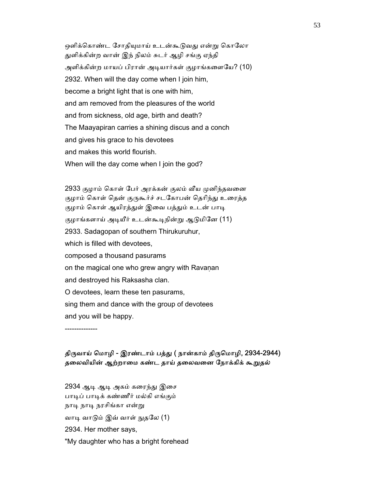ஒளிக்கொண்ட சோதியுமாய் உடன்கூடுவது என்று கொலோ ᾐளிக்கின்ற வான் இந் நிலம் சுடர் ஆழி சங்கு ஏந்தி அளிக்கின்ற மாயப் பிரான் அடியார்கள் குழாங்களையே? (10) 2932. When will the day come when I join him, become a bright light that is one with him, and am removed from the pleasures of the world and from sickness, old age, birth and death? The Maayapiran carries a shining discus and a conch and gives his grace to his devotees and makes this world flourish. When will the day come when I join the god?

2933 குழாம் கொள் பேர் அரக்கன் குலம் வீய முனிந்தவனை குழாம் கொள் தென் குருகூர்ச் சடகோபன் தெரிந்து உரைத்த குழாம் கொள் ஆயிரத்துள் இவை பத்தும் உடன் பாடி குழாங்களாய் அடியீர் உடன்கூடிநின்று ஆடுமினே (11) 2933. Sadagopan of southern Thirukuruhur, which is filled with devotees, composed a thousand pasurams on the magical one who grew angry with Ravanan and destroyed his Raksasha clan. O devotees, learn these ten pasurams, sing them and dance with the group of devotees and you will be happy.

--------------

### திருவாய் மொழி - இரண்டாம் பத்து ( நான்காம் திருமொழி, 2934-2944) தலைவியின் ஆற்றாமை கண்ட தாய் தலைவனை நோக்கிக் கூறுதல்

2934 ஆடி ஆடி அகம் கரைந்து இசை பாடிப் பாடிக் கண்ணீர் மல்கி எங்கும் நாடி நாடி நரசிங்கா என்று வாடி வாடும் இவ் வாள் நுதலே (1) 2934. Her mother says, "My daughter who has a bright forehead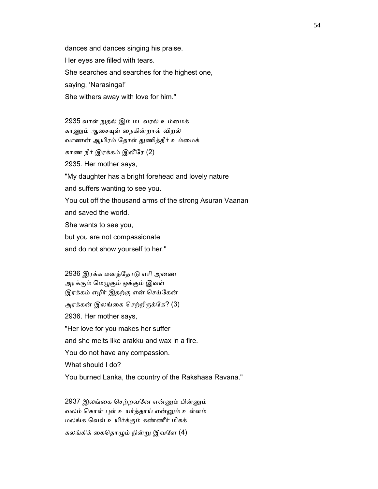dances and dances singing his praise. Her eyes are filled with tears. She searches and searches for the highest one, saying, 'Narasinga!' She withers away with love for him."

 2935 வாள் ᾒதல் இம் மடவரல் உம்ைமக் காணும் ஆசையுள் நைகின்றாள் விறல் வாணன் ஆயிரம் தோள் துணித்தீர் உம்மைக் காண நீர் இரக்கம் இலீேர (2) 2935. Her mother says, "My daughter has a bright forehead and lovely nature and suffers wanting to see you. You cut off the thousand arms of the strong Asuran Vaanan and saved the world. She wants to see you,

but you are not compassionate

and do not show yourself to her."

 2936 இரக்க மனத்ேதாᾌ எாி அைண அரக்கும் மெழுகும் ஒக்கும் இவள் இரக்கம் எழீர் இதற்கு என் ெசய்ேகன் அரக்கன் இலங்கை செற்றீருக்கே? (3) 2936. Her mother says, "Her love for you makes her suffer and she melts like arakku and wax in a fire. You do not have any compassion. What should I do? You burned Lanka, the country of the Rakshasa Ravana."

2937 இலங்கை செற்றவனே என்னும் பின்னும் வலம் கொள் புள் உயர்த்தாய் என்னும் உள்ளம் மலங்க ெவவ் உயிர்க்கும் கண்ணீர் மிகக்

கலங்கிக் கைதொழும் நின்று இவளே (4)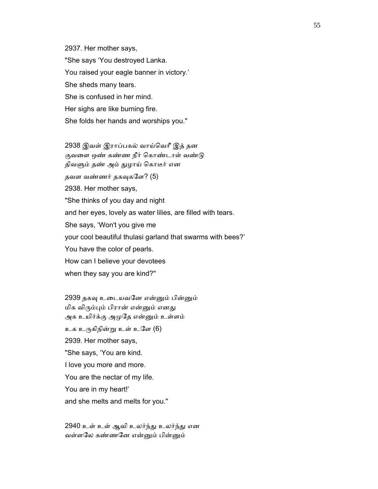2937. Her mother says, "She says 'You destroyed Lanka. You raised your eagle banner in victory.' She sheds many tears. She is confused in her mind. Her sighs are like burning fire. She folds her hands and worships you."

 2938 இவள் இராப்பகல் வாய்ெவாீ இத் தன குவளை ஒண் கண்ண நீர் கொண்டாள் வண்டு திவளும் தண் அம் துழாய் கொடீர் என தவள வண்ணர் தகவுகளே? (5) 2938. Her mother says, "She thinks of you day and night and her eyes, lovely as water lilies, are filled with tears. She says, 'Won't you give me your cool beautiful thulasi garland that swarms with bees?' You have the color of pearls. How can I believe your devotees when they say you are kind?"

 2939 தகᾫ உைடயவேன என்ᾔம் பின்ᾔம் மிக விரும்பும் பிரான் என்னும் எனது அக உயிர்க்கு அமுதே என்னும் உள்ளம் உக உᾞகிநின்ᾠ உள் உேள (6) 2939. Her mother says, "She says, 'You are kind. I love you more and more. You are the nectar of my life. You are in my heart!' and she melts and melts for you."

2940 உள் உள் ஆவி உலர்ந்து உலர்ந்து என வள்ளலே கண்ணனே என்னும் பின்னும்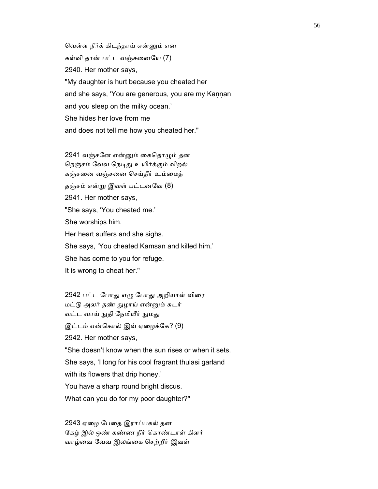ெவள்ள நீர்க் கிடந்தாய் என்ᾔம் என கள்வி தான் பட்ட வஞ்சைனேய (7) 2940. Her mother says, "My daughter is hurt because you cheated her and she says, 'You are generous, you are my Kaṇṇan and you sleep on the milky ocean.' She hides her love from me and does not tell me how you cheated her."

 2941 வஞ்சேன என்ᾔம் ைகெதாᾨம் தன நெஞ்சம் வேவ நெடிது உயிர்க்கும் விறல் கஞ்சைன வஞ்சைன ெசய்தீர் உம்ைமத் தஞ்சம் என்ᾠ இவள் பட்டனேவ (8) 2941. Her mother says, "She says, 'You cheated me.' She worships him. Her heart suffers and she sighs. She says, 'You cheated Kamsan and killed him.' She has come to you for refuge. It is wrong to cheat her."

 2942 பட்ட ேபாᾐ எᾨ ேபாᾐ அறியாள் விைர மட்ᾌ அலர் தண் ᾐழாய் என்ᾔம் சுடர் வட்ட வாய் நுதி நேமியீர் நுமது இட்டம் என்கொல் இவ் ஏழைக்கே? (9) 2942. Her mother says, "She doesn't know when the sun rises or when it sets. She says, 'I long for his cool fragrant thulasi garland with its flowers that drip honey.' You have a sharp round bright discus. What can you do for my poor daughter?"

 2943 ஏைழ ேபைத இராப்பகல் தன ேகழ் இல் ஒண் கண்ண நீர் ெகாண்டாள் கிளர் வாழ்ைவ ேவவ இலங்ைக ெசற்றீர் இவள்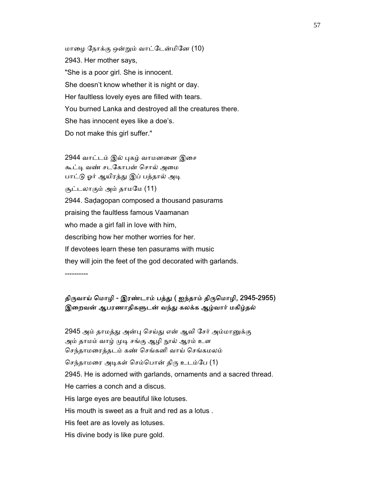மாைழ ேநாக்கு ஒன்ᾠம் வாட்ேடன்மிேன (10) 2943. Her mother says, "She is a poor girl. She is innocent. She doesn't know whether it is night or day. Her faultless lovely eyes are filled with tears. You burned Lanka and destroyed all the creatures there. She has innocent eyes like a doe's. Do not make this girl suffer."

 2944 வாட்டம் இல் ᾗகழ் வாமனைன இைச கூட்டி வண் சடகோபன் சொல் அமை பாட்டு ஓர் ஆயிரத்து இப் பத்தால் அடி சூட்டலாகும் அம் தாமமே (11) 2944. Saḍagopan composed a thousand pasurams praising the faultless famous Vaamanan who made a girl fall in love with him, describing how her mother worries for her. If devotees learn these ten pasurams with music they will join the feet of the god decorated with garlands.

----------

### திருவாய் மொழி - இரண்டாம் பத்து ( ஐந்தாம் திருமொழி, 2945-2955) இறைவன் ஆபரணாதிகளுடன் வந்து கலக்க ஆழ்வார் மகிழ்தல்

2945 அம் தாமத்து அன்பு செய்து என் ஆவி சேர் அம்மானுக்கு அம் தாமம் வாழ் முடி சங்கு ஆழி நூல் ஆரம் உள ெசந்தாமைரத்தடம் கண் ெசங்கனி வாய் ெசங்கமலம் செந்தாமரை அடிகள் செம்பொன் திரு உடம்பே (1) 2945. He is adorned with garlands, ornaments and a sacred thread. He carries a conch and a discus. His large eyes are beautiful like lotuses. His mouth is sweet as a fruit and red as a lotus . His feet are as lovely as lotuses. His divine body is like pure gold.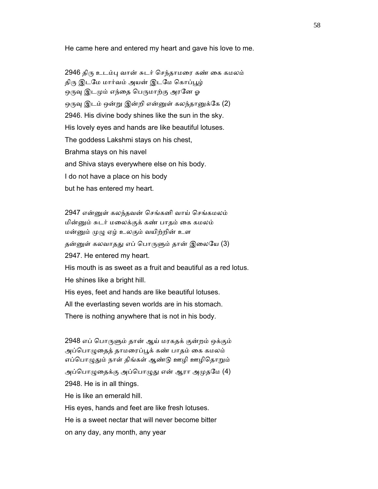He came here and entered my heart and gave his love to me.

 2946 திᾞ உடம்ᾗ வான் சுடர் ெசந்தாமைர கண் ைக கமலம் திரு இடமே மார்வம் அயன் இடமே கொப்பூழ் ஒருவு இடமும் எந்தை பெருமாற்கு அரனே ஓ ஒருவு இடம் ஒன்று இன்றி என்னுள் கலந்தானுக்கே (2) 2946. His divine body shines like the sun in the sky. His lovely eyes and hands are like beautiful lotuses. The goddess Lakshmi stays on his chest, Brahma stays on his navel and Shiva stays everywhere else on his body. I do not have a place on his body but he has entered my heart.

 2947 என்ᾔள் கலந்தவன் ெசங்கனி வாய் ெசங்கமலம் மின்ᾔம் சுடர் மைலக்குக் கண் பாதம் ைக கமலம் மன்ᾔம் ᾙᾨ ஏழ் உலகும் வயிற்றின் உள தன்னுள் கலவாதது எப் பொருளும் தான் இலையே (3) 2947. He entered my heart. His mouth is as sweet as a fruit and beautiful as a red lotus. He shines like a bright hill. His eyes, feet and hands are like beautiful lotuses. All the everlasting seven worlds are in his stomach. There is nothing anywhere that is not in his body.

 2948 எப் ெபாᾞᾦம் தான் ஆய் மரகதக் குன்றம் ஒக்கும் அப்பொழுதைத் தாமரைப்பூக் கண் பாதம் கை கமலம் எப்பொழுதும் நாள் திங்கள் ஆண்டு ஊழி ஊழிதொறும் அப்பொழுதைக்கு அப்பொழுது என் ஆரா அமுதமே (4) 2948. He is in all things. He is like an emerald hill. His eyes, hands and feet are like fresh lotuses. He is a sweet nectar that will never become bitter on any day, any month, any year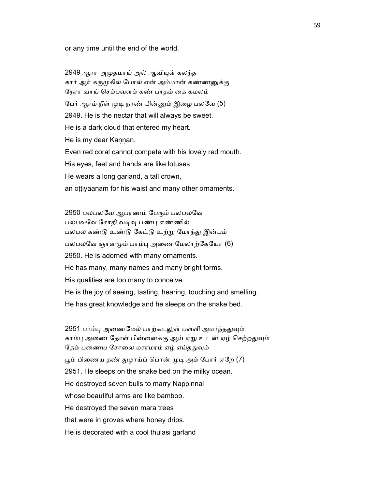or any time until the end of the world.

 2949 ஆரா அᾙதமாய் அல் ஆவிᾜள் கலந்த கார் ஆர் கருமுகில் போல் என் அம்மான் கண்ணனுக்கு ேநரா வாய் ெசம்பவளம் கண் பாதம் ைக கமலம் பேர் ஆரம் நீள் முடி நாண் பின்னும் இழை பலவே (5) 2949. He is the nectar that will always be sweet. He is a dark cloud that entered my heart. He is my dear Kannan. Even red coral cannot compete with his lovely red mouth. His eyes, feet and hands are like lotuses. He wears a long garland, a tall crown, an ottiyaanam for his waist and many other ornaments.

2950 பலபலவே ஆபரணம் பேரும் பலபலவே பலபலவே சோதி வடிவு பண்பு எண்ணில் பலபல கண்ᾌ உண்ᾌ ேகட்ᾌ உற்ᾠ ேமாந்ᾐ இன்பம் பலபலவே ஞானமும் பாம்பு அணை மேலாற்கேயோ (6) 2950. He is adorned with many ornaments. He has many, many names and many bright forms. His qualities are too many to conceive. He is the joy of seeing, tasting, hearing, touching and smelling. He has great knowledge and he sleeps on the snake bed.

2951 பாம்பு அணைமேல் பாற்கடலுள் பள்ளி அமர்ந்ததுவும் காம்பு அணை தோள் பின்னைக்கு ஆய் ஏறு உடன் ஏழ் செற்றதுவும் தேம் பணைய சோலை மராமரம் ஏழ் எய்ததுவும் பூம் பிணைய தண் துழாய்ப் பொன் முடி அம் போர் ஏறே (7) 2951. He sleeps on the snake bed on the milky ocean. He destroyed seven bulls to marry Nappinnai whose beautiful arms are like bamboo. He destroyed the seven mara trees that were in groves where honey drips. He is decorated with a cool thulasi garland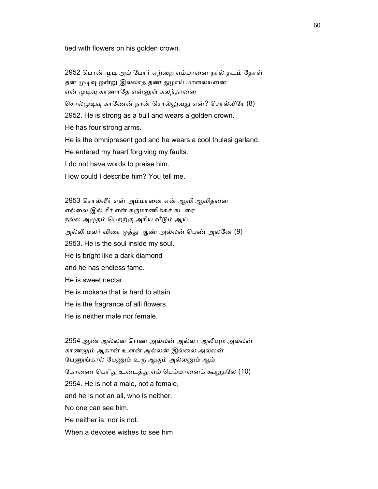tied with flowers on his golden crown.

2952 பொன் முடி அம் போர் ஏற்றை எம்மானை நால் தடம் தோள் தன் முடிவு ஒன்று இல்லாத தண் துழாய் மாலையனை என் முடிவு காணாதே என்னுள் கலந்தானை சொல்முடிவு காணேன் நான் சொல்லுவது என்? சொல்லீரே (8) 2952. He is strong as a bull and wears a golden crown. He has four strong arms. He is the omnipresent god and he wears a cool thulasi garland. He entered my heart forgiving my faults. I do not have words to praise him. How could I describe him? You tell me.

 2953 ெசால்லீர் என் அம்மாைன என் ஆவி ஆவிதைன எல்லை இல் சீர் என் கருமாணிக்கச் சுடரை நல்ல அமுதம் பெறற்கு அரிய வீடும் ஆய் அல்லி மலர் விரை ஒத்து ஆண் அல்லன் பெண் அலனே (9) 2953. He is the soul inside my soul. He is bright like a dark diamond and he has endless fame. He is sweet nectar. He is moksha that is hard to attain. He is the fragrance of alli flowers. He is neither male nor female.

2954 ஆண் அல்லன் பெண் அல்லன் அல்லா அலியும் அல்லன் காணᾤம் ஆகான் உளன் அல்லன் இல்ைல அல்லன் பேணுங்கால் பேணும் உரு ஆகும் அல்லனும் ஆம் கோணை பெரிது உடைத்து எம் பெம்மானைக் கூறுதலே (10) 2954. He is not a male, not a female, and he is not an ali, who is neither. No one can see him. He neither is, nor is not. When a devotee wishes to see him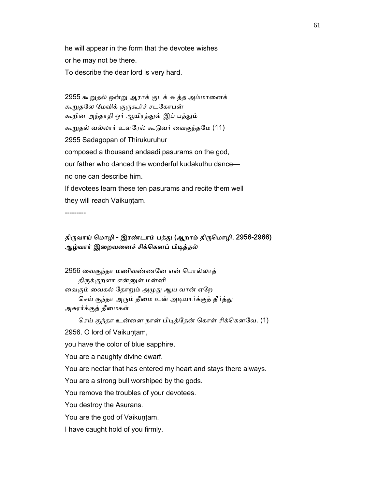he will appear in the form that the devotee wishes or he may not be there. To describe the dear lord is very hard.

2955 கூறுதல் ஒன்று ஆராக் குடக் கூத்த அம்மானைக் கூறுதலே மேவிக் குருகூர்ச் சடகோபன் கூறின அந்தாதி ஓர் ஆயிரத்துள் இப் பத்தும் கூᾠதல் வல்லார் உளேரல் கூᾌவர் ைவகுந்தேம (11) 2955 Sadagopan of Thirukuruhur composed a thousand andaadi pasurams on the god, our father who danced the wonderful kudakuthu dance no one can describe him. If devotees learn these ten pasurams and recite them well they will reach Vaikuntam.

---------

#### திருவாய் மொழி - இரண்டாம் பத்து (ஆறாம் திருமொழி, 2956-2966) ஆழ்வார் இறைவனைச் சிக்கெனப் பிடித்தல்

2956 வைகுந்தா மணிவண்ணனே என் பொல்லாத் திருக்குறளா என்னுள் மன்னி வைகும் வைகல் தோறும் அமுது ஆய வான் ஏறே செய் குந்தா அரும் தீமை உன் அடியார்க்குத் தீர்த்து அசுரர்க்குத் தீமைகள் செய் குந்தா உன்னை நான் பிடித்தேன் கொள் சிக்கெனவே. (1)

2956. O lord of Vaikuṇṭam,

you have the color of blue sapphire.

You are a naughty divine dwarf.

You are nectar that has entered my heart and stays there always.

You are a strong bull worshiped by the gods.

You remove the troubles of your devotees.

You destroy the Asurans.

You are the god of Vaikuntam.

I have caught hold of you firmly.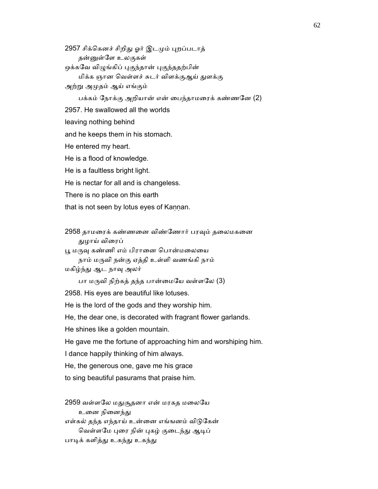2957 சிக்கெனச் சிறிது ஓர் இடமும் புறப்படாத் தன்னுள்ளே உலகுகள் ஒக்கவே விழுங்கிப் புகுந்தான் புகுந்ததற்பின் மிக்க ஞான ெவள்ளச் சுடர் விளக்குஆய் ᾐளக்கு அற்ᾠ அᾙதம் ஆய் எங்கும் பக்கம் நோக்கு அறியான் என் பைந்தாமரைக் கண்ணனே $(2)$  2957. He swallowed all the worlds leaving nothing behind and he keeps them in his stomach. He entered my heart. He is a flood of knowledge. He is a faultless bright light. He is nectar for all and is changeless. There is no place on this earth that is not seen by lotus eyes of Kannan.

2958 தாமரைக் கண்ணனை விண்ணோர் பரவும் தலைமகனை ᾐழாய் விைரப்

பூ மருவு கண்ணி எம் பிரானை பொன்மலையை

நாம் மᾞவி நன்கு ஏத்தி உள்ளி வணங்கி நாம்

மகிழ்ந்ᾐ ஆட நாᾫ அலர்

பா மருவி நிற்கத் தந்த பான்மையே வள்ளலே (3)

2958. His eyes are beautiful like lotuses.

He is the lord of the gods and they worship him.

He, the dear one, is decorated with fragrant flower garlands.

He shines like a golden mountain.

He gave me the fortune of approaching him and worshiping him.

I dance happily thinking of him always.

He, the generous one, gave me his grace

to sing beautiful pasurams that praise him.

2959 வள்ளலே மதுசூதனா என் மரகத மலையே உனை நினைந்து எள்கல் தந்த எந்தாய் உன்னை எங்ஙனம் விடுகேன் வெள்ளமே புரை நின் புகழ் குடைந்து ஆடிப் பாடிக் களித்து உகந்து உகந்து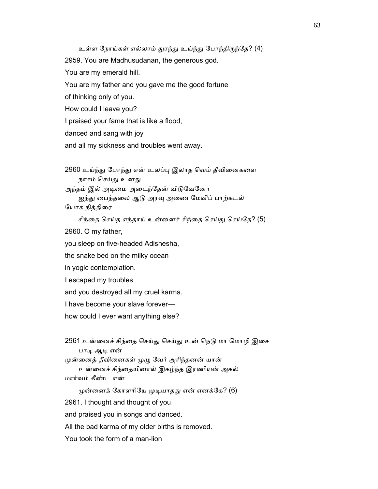உள்ள ேநாய்கள் எல்லாம் ᾐரந்ᾐ உய்ந்ᾐ ேபாந்திᾞந்ேத? (4) 2959. You are Madhusudanan, the generous god. You are my emerald hill. You are my father and you gave me the good fortune of thinking only of you. How could I leave you? I praised your fame that is like a flood, danced and sang with joy

and all my sickness and troubles went away.

2960 உய்ந்து போந்து என் உலப்பு இலாத வெம் தீவினைகளை நாசம் செய்து உனது அந்தம் இல் அடிமை அடைந்தேன் விடுவேனோ ஐந்து பைந்தலை ஆடு அரவு அணை மேவிப் பாற்கடல்

யோக நித்திரை

சிந்தை செய்த எந்தாய் உன்னைச் சிந்தை செய்து செய்தே? (5) 2960. O my father,

you sleep on five-headed Adishesha,

the snake bed on the milky ocean

in yogic contemplation.

I escaped my troubles

and you destroyed all my cruel karma.

I have become your slave forever—

how could I ever want anything else?

2961 உன்னைச் சிந்தை செய்து செய்து உன் நெடு மா மொழி இசை பாடி ஆடி என்

முன்னைத் தீவினைகள் முழு வேர் அரிந்தனன் யான்

 உன்ைனச் சிந்ைதயினால் இகழ்ந்த இரணியன் அகல் மார்வம் கீண்ட என்

முன்னைக் கோளரியே முடியாதது என் எனக்கே? (6)

2961. I thought and thought of you

and praised you in songs and danced.

All the bad karma of my older births is removed.

You took the form of a man-lion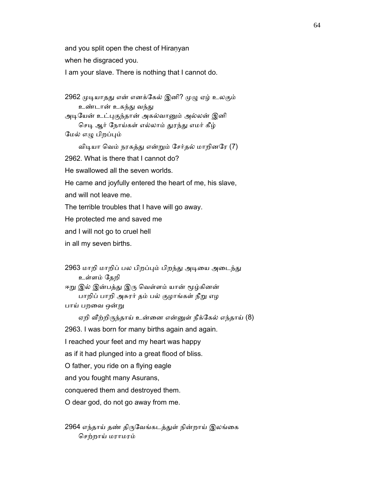and you split open the chest of Hiranyan

when he disgraced you.

I am your slave. There is nothing that I cannot do.

2962 முடியாதது என் எனக்கேல் இனி? முழு ஏழ் உலகும் உண்டான் உகந்து வந்து அடியேன் உட்புகுந்தான் அகல்வானும் அல்லன் இனி செடி ஆர் நோய்கள் எல்லாம் துரந்து எமர் கீழ் மேல் எழு பிறப்பும் விடியா வெம் நரகத்து என்றும் சேர்தல் மாறினரே (7) 2962. What is there that I cannot do? He swallowed all the seven worlds. He came and joyfully entered the heart of me, his slave, and will not leave me. The terrible troubles that I have will go away. He protected me and saved me and I will not go to cruel hell in all my seven births.

2963 மாறி மாறிப் பல பிறப்பும் பிறந்து அடியை அடைந்து உள்ளம் ேதறி

ஈறு இல் இன்பத்து இரு வெள்ளம் யான் மூழ்கினன் பாறிப் பாறி அசுரர் தம் பல் குழாங்கள் நீறு எழ பாய் பறைவ ஒன்ᾠ

ஏறி வீற்றிருந்தாய் உன்னை என்னுள் நீக்கேல் எந்தாய் (8)

2963. I was born for many births again and again.

I reached your feet and my heart was happy

as if it had plunged into a great flood of bliss.

O father, you ride on a flying eagle

and you fought many Asurans,

conquered them and destroyed them.

O dear god, do not go away from me.

2964 எந்தாய் தண் திருவேங்கடத்துள் நின்றாய் இலங்கை ெசற்றாய் மராமரம்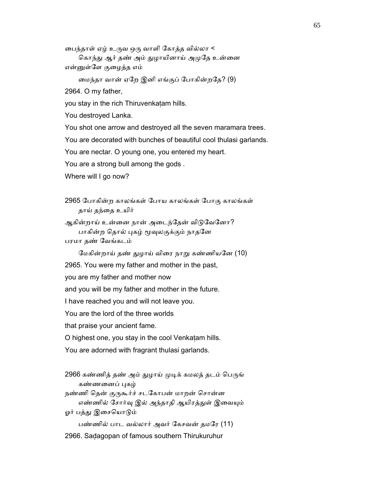ைபந்தாள் ஏழ் உᾞவ ஒᾞ வாளி ேகாத்த வில்லா <

கொந்து ஆர் தண் அம் துழாயினாய் அமுதே உன்னை என்ᾔள்ேள குைழத்த எம்

ைமந்தா வான் ஏேற இனி எங்குப் ேபாகின்றேத? (9)

2964. O my father,

you stay in the rich Thiruvenkaṭam hills.

You destroyed Lanka.

You shot one arrow and destroyed all the seven maramara trees.

You are decorated with bunches of beautiful cool thulasi garlands.

You are nectar. O young one, you entered my heart.

You are a strong bull among the gods .

Where will I go now?

 2965 ேபாகின்ற காலங்கள் ேபாய காலங்கள் ேபாகு காலங்கள் தாய் தந்ைத உயிர்

ஆகின்றாய் உன்னை நான் அடைந்தேன் விடுவேனோ? பாகின்ற தொல் புகழ் மூவுலகுக்கும் நாதனே பரமா தண் ேவங்கடம்

மேகின்றாய் தண் துழாய் விரை நாறு கண்ணியனே (10)

2965. You were my father and mother in the past,

you are my father and mother now

and you will be my father and mother in the future.

I have reached you and will not leave you.

You are the lord of the three worlds

that praise your ancient fame.

O highest one, you stay in the cool Venkaṭam hills.

You are adorned with fragrant thulasi garlands.

2966 கண்ணித் தண் அம் துழாய் முடிக் கமலத் தடம் பெருங் கண்ணனைப் புகழ் நண்ணி தென் குருகூர்ச் சடகோபன் மாறன் சொன்ன எண்ணில் சோர்வு இல் அந்தாதி ஆயிரத்துள் இவையும் ஓர் பத்து இசையொடும் பண்ணில் பாட வல்லார் அவர் ேகசவன் தமேர (11) 2966. Saḍagopan of famous southern Thirukuruhur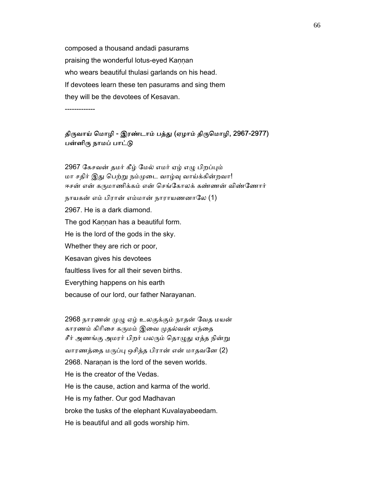composed a thousand andadi pasurams praising the wonderful lotus-eyed Kaṇṇan who wears beautiful thulasi garlands on his head. If devotees learn these ten pasurams and sing them they will be the devotees of Kesavan.

-------------

### திருவாய் மொழி - இரண்டாம் பத்து (ஏழாம் திருமொழி, 2967-2977) பன்னிரு நாமப் பாட்டு

2967 கேசவன் தமர் கீழ் மேல் எமர் ஏழ் எழு பிறப்பும் மா சதிர் இது பெற்று நம்முடை வாழ்வு வாய்க்கின்றவா! ஈசன் என் கருமாணிக்கம் என் செங்கோலக் கண்ணன் விண்ணோர் நாயகன் எம் பிரான் எம்மான் நாராயணனாேல (1) 2967. He is a dark diamond. The god Kaṇṇan has a beautiful form. He is the lord of the gods in the sky. Whether they are rich or poor, Kesavan gives his devotees faultless lives for all their seven births. Everything happens on his earth because of our lord, our father Narayanan.

 2968 நாரணன் ᾙᾨ ஏழ் உலகுக்கும் நாதன் ேவத மயன் காரணம் கிரிசை கருமம் இவை முதல்வன் எந்தை சீர் அணங்கு அமரர் பிறர் பலரும் தொழுது ஏத்த நின்று வாரணத்தை மருப்பு ஒசித்த பிரான் என் மாதவனே (2) 2968. Naraṇan is the lord of the seven worlds. He is the creator of the Vedas. He is the cause, action and karma of the world. He is my father. Our god Madhavan broke the tusks of the elephant Kuvalayabeedam. He is beautiful and all gods worship him.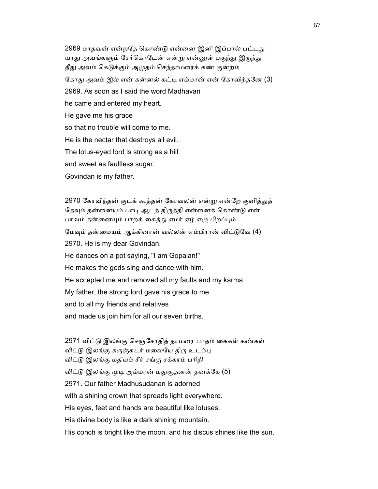2969 மாதவன் என்றதே கொண்டு என்னை இனி இப்பால் பட்டது யாது அவங்களும் சேர்கொடேன் என்று என்னுள் புகுந்து இருந்து தீது அவம் கெடுக்கும் அமுதம் செந்தாமரைக் கண் குன்றம் கோது அவம் இல் என் கன்னல் கட்டி எம்மான் என் கோவிந்தனே (3) 2969. As soon as I said the word Madhavan he came and entered my heart. He gave me his grace so that no trouble will come to me. He is the nectar that destroys all evil. The lotus-eyed lord is strong as a hill and sweet as faultless sugar. Govindan is my father.

2970 கோவிந்தன் குடக் கூத்தன் கோவலன் என்று என்றே குனித்துத் தேவும் தன்னையும் பாடி ஆடத் திருத்தி என்னைக் கொண்டு என் பாவம் தன்னையும் பாறக் கைத்து எமர் ஏழ் எழு பிறப்பும் மேவும் தன்மையம் ஆக்கினான் வல்லன் எம்பிரான் விட்டுவே (4) 2970. He is my dear Govindan. He dances on a pot saying, "I am Gopalan!" He makes the gods sing and dance with him. He accepted me and removed all my faults and my karma. My father, the strong lord gave his grace to me and to all my friends and relatives and made us join him for all our seven births.

 2971 விட்ᾌ இலங்கு ெசஞ்ேசாதித் தாமைர பாதம் ைககள் கண்கள் விட்டு இலங்கு கருஞ்சுடர் மலையே திரு உடம்பு விட்ᾌ இலங்கு மதியம் சீர் சங்கு சக்கரம் பாிதி விட்டு இலங்கு முடி அம்மான் மதுசூதனன் தனக்கே (5) 2971. Our father Madhusudanan is adorned with a shining crown that spreads light everywhere. His eyes, feet and hands are beautiful like lotuses. His divine body is like a dark shining mountain. His conch is bright like the moon. and his discus shines like the sun.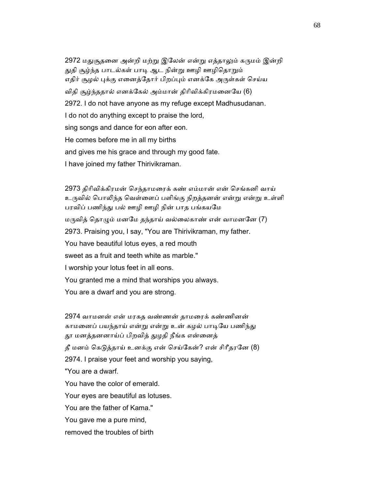2972 மதுசூதனை அன்றி மற்று இலேன் என்று எத்தாலும் கருமம் இன்றி துதி சூழ்ந்த பாடல்கள் பாடி ஆட நின்று ஊழி ஊழிதொறும் எதிர் சூழல் புக்கு எனைத்தோர் பிறப்பும் எனக்கே அருள்கள் செய்ய விதி சூழ்ந்ததால் எனக்ேகல் அம்மான் திாிவிக்கிரமைனேய (6) 2972. I do not have anyone as my refuge except Madhusudanan. I do not do anything except to praise the lord, sing songs and dance for eon after eon. He comes before me in all my births and gives me his grace and through my good fate. I have joined my father Thirivikraman.

 2973 திாிவிக்கிரமன் ெசந்தாமைரக் கண் எம்மான் என் ெசங்கனி வாய் உருவில் பொலிந்த வெள்ளைப் பளிங்கு நிறத்தனன் என்று என்று உள்ளி பரவிப் பணிந்து பல் ஊழி ஊழி நின் பாத பங்கயமே மருவித் தொழும் மனமே தந்தாய் வல்லைகாண் என் வாமனனே  $(7)$  2973. Praising you, I say, "You are Thirivikraman, my father. You have beautiful lotus eyes, a red mouth sweet as a fruit and teeth white as marble." I worship your lotus feet in all eons. You granted me a mind that worships you always. You are a dwarf and you are strong.

 2974 வாமனன் என் மரகத வண்ணன் தாமைரக் கண்ணினன் காமனைப் பயந்தாய் என்று என்று உன் கழல் பாடியே பணிந்து தூ மனத்தனனாய்ப் பிறவித் துழதி நீங்க என்னைத் தீ மனம் கெடுத்தாய் உனக்கு என் செய்கேன்? என் சிரீதரனே (8) 2974. I praise your feet and worship you saying, "You are a dwarf. You have the color of emerald. Your eyes are beautiful as lotuses. You are the father of Kama." You gave me a pure mind, removed the troubles of birth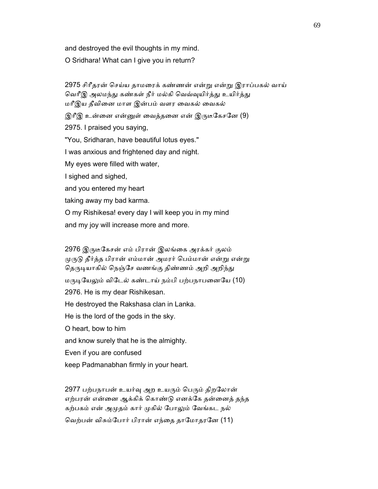and destroyed the evil thoughts in my mind.

O Sridhara! What can I give you in return?

 2975 சிாீதரன் ெசய்ய தாமைரக் கண்ணன் என்ᾠ என்ᾠ இராப்பகல் வாய் வெரீஇ அலமந்து கண்கள் நீர் மல்கி வெவ்வுயிர்த்து உயிர்த்து மாீஇய தீவிைன மாள இன்பம் வளர ைவகல் ைவகல் இரீஇ உன்னை என்னுள் வைத்தனை என் இருடீகேசனே (9) 2975. I praised you saying, "You, Sridharan, have beautiful lotus eyes." I was anxious and frightened day and night. My eyes were filled with water, I sighed and sighed, and you entered my heart taking away my bad karma. O my Rishikesa! every day I will keep you in my mind and my joy will increase more and more.

2976 இருடீகேசன் எம் பிரான் இலங்கை அரக்கர் குலம் முருடு தீர்த்த பிரான் எம்மான் அமரர் பெம்மான் என்று என்று தெருடியாகில் நெஞ்சே வணங்கு திண்ணம் அறி அறிந்து மருடியேலும் விடேல் கண்டாய் நம்பி பற்பநாபனையே (10) 2976. He is my dear Rishikesan. He destroyed the Rakshasa clan in Lanka. He is the lord of the gods in the sky. O heart, bow to him and know surely that he is the almighty. Even if you are confused keep Padmanabhan firmly in your heart.

2977 பற்பநாபன் உயர்வு அற உயரும் பெரும் திறலோன் எற்பரன் என்ைன ஆக்கிக் ெகாண்ᾌ எனக்ேக தன்ைனத் தந்த கற்பகம் என் அமுதம் கார் முகில் போலும் வேங்கட நல் வெற்பன் விசும்போர் பிரான் எந்தை தாமோதரனே (11)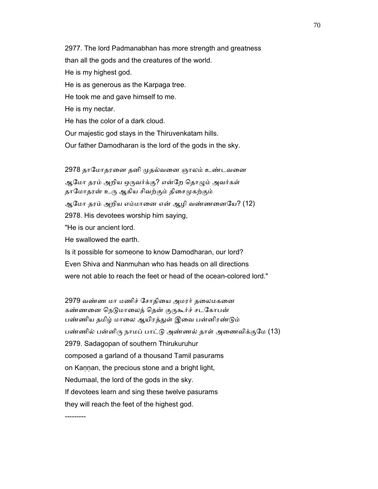2977. The lord Padmanabhan has more strength and greatness than all the gods and the creatures of the world. He is my highest god. He is as generous as the Karpaga tree. He took me and gave himself to me. He is my nectar. He has the color of a dark cloud. Our majestic god stays in the Thiruvenkatam hills. Our father Damodharan is the lord of the gods in the sky.

2978 தாமோதரனை தனி முதல்வனை ஞாலம் உண்டவனை ஆமோ தரம் அறிய ஒருவர்க்கு? என்றே தொழும் அவர்கள் தாமோதரன் உரு ஆகிய சிவற்கும் திசைமுகற்கும் ஆமோ தரம் அறிய எம்மானை என் ஆழி வண்ணனையே? (12) 2978. His devotees worship him saying, "He is our ancient lord. He swallowed the earth. Is it possible for someone to know Damodharan, our lord? Even Shiva and Nanmuhan who has heads on all directions

were not able to reach the feet or head of the ocean-colored lord."

2979 வண்ண மா மணிச் சோதியை அமரர் தலைமகனை கண்ணனை நெடுமாலைத் தென் குருகூர்ச் சடகோபன் பண்ணிய தமிழ் மாலை ஆயிரத்துள் இவை பன்னிரண்டும் பண்ணில் பன்னிரு நாமப் பாட்டு அண்ணல் தாள் அணைவிக்குமே (13) 2979. Sadagopan of southern Thirukuruhur composed a garland of a thousand Tamil pasurams on Kannan, the precious stone and a bright light, Nedumaal, the lord of the gods in the sky. If devotees learn and sing these twelve pasurams they will reach the feet of the highest god. ---------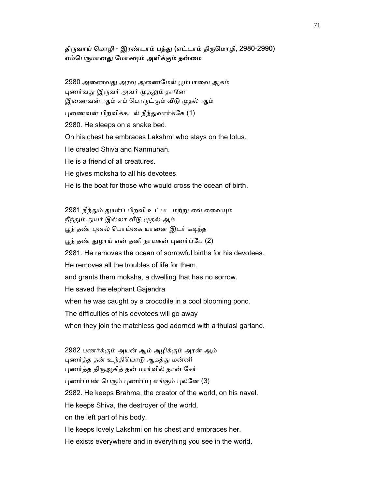#### திருவாய் மொழி - இரண்டாம் பத்து (எட்டாம் திருமொழி, 2980-2990) எம்பெருமானது மோக்ஷம் அளிக்கும் தன்மை

2980 அணைவது அரவு அணைமேல் பூம்பாவை ஆகம் புணர்வது இருவர் அவர் முதலும் தானே இணைவன் ஆம் எப் பொருட்கும் வீடு முதல் ஆம் புணைவன் பிறவிக்கடல் நீந்துவார்க்கே (1) 2980. He sleeps on a snake bed. On his chest he embraces Lakshmi who stays on the lotus. He created Shiva and Nanmuhan. He is a friend of all creatures. He gives moksha to all his devotees. He is the boat for those who would cross the ocean of birth.

2981 நீந்தும் துயர்ப் பிறவி உட்பட மற்று எவ் எவையும் நீந்தும் துயர் இல்லா வீடு முதல் ஆம் பூந் தண் புனல் பொய்கை யானை இடர் கடிந்த பூந் தண் துழாய் என் தனி நாயகன் புணர்ப்பே (2) 2981. He removes the ocean of sorrowful births for his devotees. He removes all the troubles of life for them. and grants them moksha, a dwelling that has no sorrow. He saved the elephant Gajendra when he was caught by a crocodile in a cool blooming pond. The difficulties of his devotees will go away when they join the matchless god adorned with a thulasi garland.

 2982 ᾗணர்க்கும் அயன் ஆம் அழிக்கும் அரன் ஆம் புணர்த்த தன் உந்தியொடு ஆகத்து மன்னி புணர்த்த திருஆகித் தன் மார்வில் தான் சேர் புணர்ப்பன் பெரும் புணர்ப்பு எங்கும் புலனே (3) 2982. He keeps Brahma, the creator of the world, on his navel. He keeps Shiva, the destroyer of the world, on the left part of his body. He keeps lovely Lakshmi on his chest and embraces her. He exists everywhere and in everything you see in the world.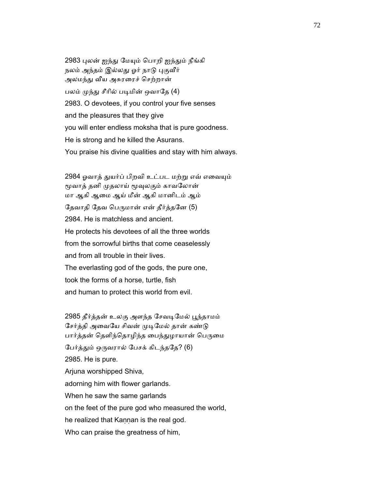2983 புலன் ஐந்து மேயும் பொறி ஐந்தும் நீங்கி நலம் அந்தம் இல்லது ஓர் நாடு புகுவீர் அலமந்து வீய அசுரரைச் செற்றான் பலம் முந்து சீரில் படிமின் ஒவாதே (4) 2983. O devotees, if you control your five senses and the pleasures that they give you will enter endless moksha that is pure goodness. He is strong and he killed the Asurans. You praise his divine qualities and stay with him always.

2984 ஓவாத் துயர்ப் பிறவி உட்பட மற்று எவ் எவையும் மூவாத் தனி முதலாய் மூவுலகும் காவலோன் மா ஆகி ஆைம ஆய் மீன் ஆகி மானிடம் ஆம் தேவாதி தேவ பெருமான் என் தீர்த்தனே (5) 2984. He is matchless and ancient. He protects his devotees of all the three worlds from the sorrowful births that come ceaselessly and from all trouble in their lives. The everlasting god of the gods, the pure one, took the forms of a horse, turtle, fish and human to protect this world from evil.

2985 தீர்த்தன் உலகு அளந்த சேவடிமேல் பூந்தாமம் சேர்த்தி அவையே சிவன் முடிமேல் தான் கண்டு பார்த்தன் தெளிந்தொழிந்த பைந்துழாயான் பெருமை பேர்த்தும் ஒருவரால் பேசக் கிடந்ததே? (6) 2985. He is pure. Arjuna worshipped Shiva, adorning him with flower garlands. When he saw the same garlands on the feet of the pure god who measured the world, he realized that Kannan is the real god. Who can praise the greatness of him,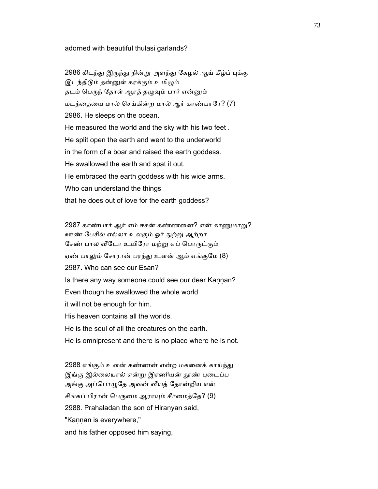#### adorned with beautiful thulasi garlands?

2986 கிடந்து இருந்து நின்று அளந்து கேழல் ஆய் கீழ்ப் புக்கு இடந்திடும் தன்னுள் கரக்கும் உமிழும் தடம் பெருந் தோள் ஆரத் தழுவும் பார் என்னும் மடந்ைதைய மால் ெசய்கின்ற மால் ஆர் காண்பாேர? (7) 2986. He sleeps on the ocean. He measured the world and the sky with his two feet . He split open the earth and went to the underworld in the form of a boar and raised the earth goddess. He swallowed the earth and spat it out. He embraced the earth goddess with his wide arms. Who can understand the things that he does out of love for the earth goddess?

2987 காண்பார் ஆர் எம் ஈசன் கண்ணனை? என் காணுமாறு? ஊண் ேபசில் எல்லா உலகும் ஓர் ᾐற்ᾠ ஆற்றா சேண் பால வீடோ உயிரோ மற்று எப் பொருட்கும் ஏண் பாலும் சோரான் பரந்து உளன் ஆம் எங்குமே (8) 2987. Who can see our Esan? Is there any way someone could see our dear Kannan? Even though he swallowed the whole world it will not be enough for him. His heaven contains all the worlds. He is the soul of all the creatures on the earth. He is omnipresent and there is no place where he is not.

2988 எங்கும் உளன் கண்ணன் என்ற மகனைக் காய்ந்து இங்கு இல்லையால் என்று இரணியன் தூண் புடைப்ப அங்கு அப்பொழுதே அவன் வீயத் தோன்றிய என் சிங்கப் பிரான் பெருமை ஆராயும் சீர்மைத்தே? (9) 2988. Prahaladan the son of Hiranyan said, "Kannan is everywhere," and his father opposed him saying,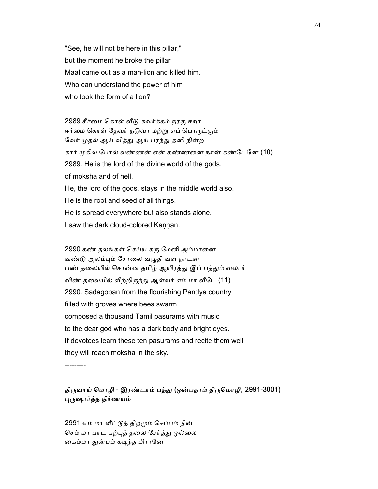"See, he will not be here in this pillar," but the moment he broke the pillar Maal came out as a man-lion and killed him. Who can understand the power of him who took the form of a lion?

2989 சீர்மை கொள் வீடு சுவர்க்கம் நரகு ஈறா ஈர்மை கொள் தேவர் நடுவா மற்று எப் பொருட்கும் வேர் முதல் ஆய் வித்து ஆய் பரந்து தனி நின்ற கார் முகில் போல் வண்ணன் என் கண்ணனை நான் கண்டேனே (10) 2989. He is the lord of the divine world of the gods, of moksha and of hell. He, the lord of the gods, stays in the middle world also. He is the root and seed of all things. He is spread everywhere but also stands alone. I saw the dark cloud-colored Kannan.

2990 கண் தலங்கள் செய்ய கரு மேனி அம்மானை வண்டு அலம்பும் சோலை வமுகி வள நாடன் பண் தலையில் சொன்ன தமிழ் ஆயிரத்து இப் பத்தும் வலார் விண் தலையில் வீற்றிருந்து ஆள்வர் எம் மா வீடே (11) 2990. Sadagopan from the flourishing Pandya country filled with groves where bees swarm composed a thousand Tamil pasurams with music to the dear god who has a dark body and bright eyes. If devotees learn these ten pasurams and recite them well they will reach moksha in the sky.

---------

#### திருவாய் மொழி - இரண்டாம் பத்து (ஒன்பதாம் திருமொழி, 2991-3001) ᾗᾞஷார்த்த நிர்ணயம்

2991 எம் மா வீட்டுத் திறமும் செப்பம் நின் செம் மா பாட பற்புத் தலை சேர்த்து ஒல்லை கைம்மா துன்பம் கடிந்த பிரானே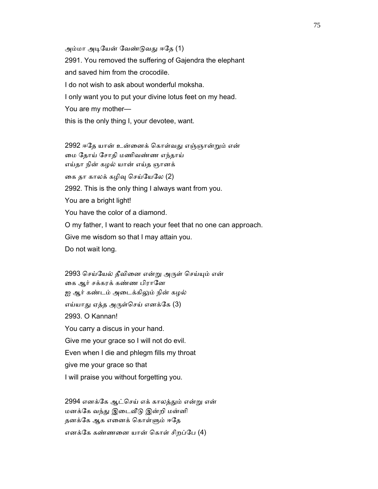அம்மா அடியேன் வேண்டுவது ஈதே (1)

 2991. You removed the suffering of Gajendra the elephant and saved him from the crocodile. I do not wish to ask about wonderful moksha. I only want you to put your divine lotus feet on my head. You are my mother this is the only thing I, your devotee, want.

2992 ஈதே யான் உன்னைக் கொள்வது எஞ்ஞான்றும் என் ைம ேதாய் ேசாதி மணிவண்ண எந்தாய் எய்தா நின் கழல் யான் எய்த ஞானக் கை தா காலக் கழிவு செய்யேலே (2) 2992. This is the only thing I always want from you. You are a bright light! You have the color of a diamond. O my father, I want to reach your feet that no one can approach. Give me wisdom so that I may attain you. Do not wait long.

2993 செய்யேல் தீவினை என்று அருள் செய்யும் என் கை ஆர் சக்கரக் கண்ண பிரானே ஐ ஆர் கண்டம் அடைக்கிலும் நின் கழல் எய்யாது ஏத்த அருள்செய் எனக்கே (3) 2993. O Kannan! You carry a discus in your hand. Give me your grace so I will not do evil. Even when I die and phlegm fills my throat give me your grace so that I will praise you without forgetting you.

2994 எனக்கே ஆட்செய் எக் காலத்தும் என்று என் மனக்கே வந்து இடைவீடு இன்றி மன்னி தனக்கே ஆக எனைக் கொள்ளும் ஈதே எனக்ேக கண்ணைன யான் ெகாள் சிறப்ேப (4)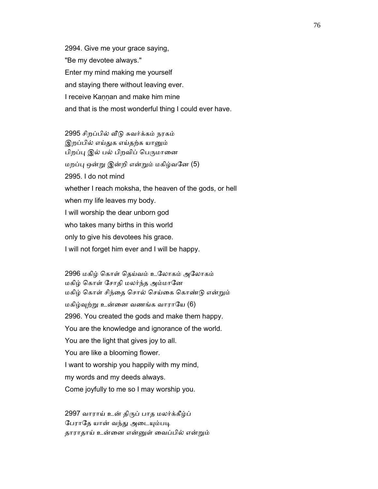2994. Give me your grace saying, "Be my devotee always." Enter my mind making me yourself and staying there without leaving ever. I receive Kannan and make him mine and that is the most wonderful thing I could ever have.

 2995 சிறப்பில் ᾪᾌ சுவர்க்கம் நரகம் இறப்பில் எய்துக எய்தற்க யானும் பிறப்பு இல் பல் பிறவிப் பெருமானை மறப்ᾗ ஒன்ᾠ இன்றி என்ᾠம் மகிழ்வேன (5) 2995. I do not mind whether I reach moksha, the heaven of the gods, or hell when my life leaves my body. I will worship the dear unborn god who takes many births in this world only to give his devotees his grace. I will not forget him ever and I will be happy.

 2996 மகிழ் ெகாள் ெதய்வம் உேலாகம் அேலாகம் மகிழ் ெகாள் ேசாதி மலர்ந்த அம்மாேன மகிழ் ெகாள் சிந்ைத ெசால் ெசய்ைக ெகாண்ᾌ என்ᾠம் மகிழ்ᾫற்ᾠ உன்ைன வணங்க வாராேய (6) 2996. You created the gods and make them happy. You are the knowledge and ignorance of the world. You are the light that gives joy to all. You are like a blooming flower. I want to worship you happily with my mind, my words and my deeds always. Come joyfully to me so I may worship you.

 2997 வாராய் உன் திᾞப் பாத மலர்க்கீழ்ப் பேராதே யான் வந்து அடையும்படி தாராதாய் உன்ைன என்ᾔள் ைவப்பில் என்ᾠம்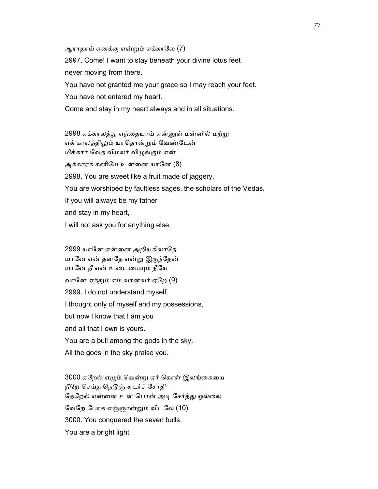ஆராதாய் எனக்கு என்ᾠம் எக்காேல (7) 2997. Come! I want to stay beneath your divine lotus feet never moving from there. You have not granted me your grace so I may reach your feet. You have not entered my heart. Come and stay in my heart always and in all situations.

2998 எக்காலத்து எந்தையாய் என்னுள் மன்னில் மற்று எக் காலத்திலும் யாதொன்றும் வேண்டேன் மிக்கார் ேவத விமலர் விᾨங்கும் என் அக்காரக் கனியே உன்னை யானே (8) 2998. You are sweet like a fruit made of jaggery. You are worshiped by faultless sages, the scholars of the Vedas. If you will always be my father and stay in my heart, I will not ask you for anything else.

 2999 யாேன என்ைன அறியகிலாேத யானே என் தனதே என்று இருந்தேன் யானே நீ என் உடைமையும் நீயே வாேன ஏத்ᾐம் எம் வானவர் ஏேற (9) 2999. I do not understand myself. I thought only of myself and my possessions, but now I know that I am you and all that I own is yours. You are a bull among the gods in the sky. All the gods in the sky praise you.

3000 ஏறேல் ஏழும் வென்று ஏர் கொள் இலங்கையை நீேற ெசய்த ெநᾌஞ் சுடர்ச் ேசாதி தேறேல் என்னை உன் பொன் அடி சேர்த்து ஒல்லை ேவேற ேபாக எஞ்ஞான்ᾠம் விடேல (10) 3000. You conquered the seven bulls. You are a bright light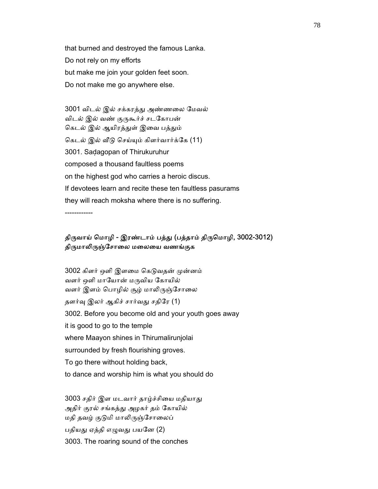that burned and destroyed the famous Lanka. Do not rely on my efforts but make me join your golden feet soon. Do not make me go anywhere else.

 3001 விடல் இல் சக்கரத்ᾐ அண்ணைல ேமவல் விடல் இல் வண் குருகூர்ச் சடகோபன் கெடல் இல் ஆயிரத்துள் இவை பத்தும் கெடல் இல் வீடு செய்யும் கிளர்வார்க்கே (11) 3001. Saḍagopan of Thirukuruhur composed a thousand faultless poems on the highest god who carries a heroic discus. If devotees learn and recite these ten faultless pasurams they will reach moksha where there is no suffering.

------------

### திருவாய் மொழி - இரண்டாம் பத்து (பத்தாம் திருமொழி, 3002-3012) திருமாலிருஞ்சோலை மலையை வணங்குக

3002 கிளர் ஒளி இளமை கெடுவதன் முன்னம் வளர் ஒளி மாயோன் மருவிய கோயில் வளர் இளம் பொழில் சூழ் மாலிருஞ்சோலை தளர்வு இலர் ஆகிச் சார்வது சதிரே (1) 3002. Before you become old and your youth goes away it is good to go to the temple where Maayon shines in Thirumalirunjolai surrounded by fresh flourishing groves. To go there without holding back, to dance and worship him is what you should do

3003 சதிர் இள மடவார் தாழ்ச்சியை மதியாது அதிர் குரல் சங்கத்ᾐ அழகர் தம் ேகாயில் மதி தவழ் குடுமி மாலிருஞ்சோலைப் பதியது ஏத்தி எழுவது பயனே (2) 3003. The roaring sound of the conches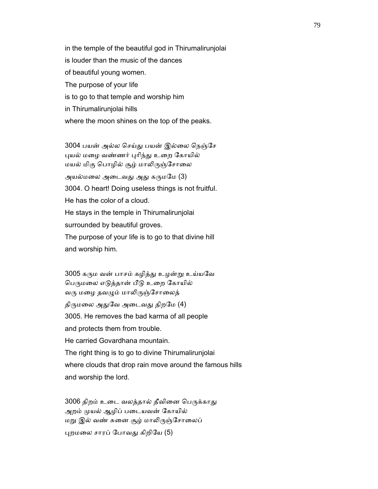in the temple of the beautiful god in Thirumalirunjolai is louder than the music of the dances of beautiful young women. The purpose of your life is to go to that temple and worship him in Thirumalirunjolai hills where the moon shines on the top of the peaks.

3004 பயன் அல்ல செய்து பயன் இல்லை நெஞ்சே புயல் மழை வண்ணர் புரிந்து உறை கோயில் மயல் மிகு பொழில் சூழ் மாலிருஞ்சோலை அயல்மலை அடைவது அது கருமமே (3) 3004. O heart! Doing useless things is not fruitful. He has the color of a cloud. He stays in the temple in Thirumalirunjolai surrounded by beautiful groves. The purpose of your life is to go to that divine hill

and worship him.

3005 கரும வன் பாசம் கழித்து உழன்று உய்யவே பெருமலை எடுத்தான் பீடு உறை கோயில் வரு மழை தவழும் மாலிருஞ்சோலைத் திருமலை அதுவே அடைவது திறமே (4) 3005. He removes the bad karma of all people and protects them from trouble. He carried Govardhana mountain. The right thing is to go to divine Thirumalirunjolai where clouds that drop rain move around the famous hills and worship the lord.

3006 திறம் உடை வலத்தால் தீவினை பெருக்காது அறம் முயல் ஆழிப் படையவன் கோயில் மறு இல் வண் சுனை சூழ் மாலிருஞ்சோலைப் ᾗறமைல சாரப் ேபாவᾐ கிறிேய (5)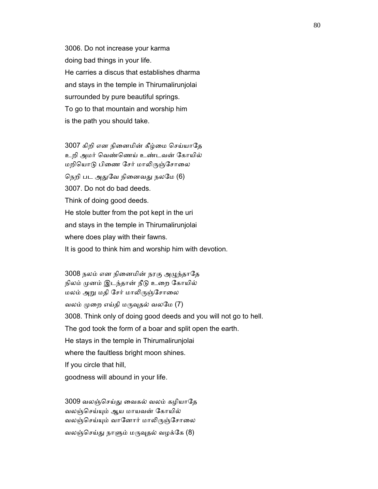3006. Do not increase your karma doing bad things in your life. He carries a discus that establishes dharma and stays in the temple in Thirumalirunjolai surrounded by pure beautiful springs. To go to that mountain and worship him is the path you should take.

3007 கிறி என நினைமின் கீழ்மை செய்யாதே உறி அமர் ெவண்ெணய் உண்டவன் ேகாயில் மறியொடு பிணை சேர் மாலிருஞ்சோலை நெறி பட அதுவே நினைவது நலமே (6) 3007. Do not do bad deeds. Think of doing good deeds. He stole butter from the pot kept in the uri and stays in the temple in Thirumalirunjolai where does play with their fawns. It is good to think him and worship him with devotion.

3008 நலம் என நினைமின் நரகு அழுந்தாதே நிலம் முனம் இடந்தான் நீடு உறை கோயில் மலம் அறு மதி சேர் மாலிருஞ்சோலை வலம் முறை எய்தி மருவுதல் வலமே  $(7)$  3008. Think only of doing good deeds and you will not go to hell. The god took the form of a boar and split open the earth. He stays in the temple in Thirumalirunjolai where the faultless bright moon shines. If you circle that hill, goodness will abound in your life.

 3009 வலஞ்ெசய்ᾐ ைவகல் வலம் கழியாேத வலஞ்ெசய்ᾜம் ஆய மாயவன் ேகாயில் வலஞ்செய்யும் வானோர் மாலிருஞ்சோலை வலஞ்செய்து நாளும் மருவுதல் வழக்கே  $(8)$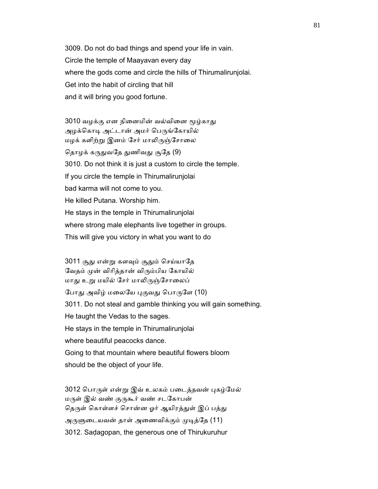3009. Do not do bad things and spend your life in vain. Circle the temple of Maayavan every day where the gods come and circle the hills of Thirumalirunjolai. Get into the habit of circling that hill and it will bring you good fortune.

3010 வழக்கு என நினைமின் வல்வினை மூழ்காது அழக்கொடி அட்டான் அமர் பெருங்கோயில் மழக் களிற்று இனம் சேர் மாலிருஞ்சோலை தொழக் கருதுவதே துணிவது சூதே (9) 3010. Do not think it is just a custom to circle the temple. If you circle the temple in Thirumalirunjolai bad karma will not come to you. He killed Putana. Worship him. He stays in the temple in Thirumalirunjolai where strong male elephants live together in groups. This will give you victory in what you want to do

3011 சூது என்று களவும் சூதும் செய்யாதே வேதம் முன் விரித்தான் விரும்பிய கோயில் மாது உறு மயில் சேர் மாலிருஞ்சோலைப் போது அவிழ் மலையே புகுவது பொருளே (10) 3011. Do not steal and gamble thinking you will gain something. He taught the Vedas to the sages. He stays in the temple in Thirumalirunjolai where beautiful peacocks dance. Going to that mountain where beautiful flowers bloom should be the object of your life.

3012 பொருள் என்று இவ் உலகம் படைத்தவன் புகழ்மேல் மᾞள் இல் வண் குᾞகூர் வண் சடேகாபன் தெருள் கொள்ளச் சொன்ன ஓர் ஆயிரத்துள் இப் பத்து அருளுடையவன் தாள் அணைவிக்கும் முடித்தே (11) 3012. Saḍagopan, the generous one of Thirukuruhur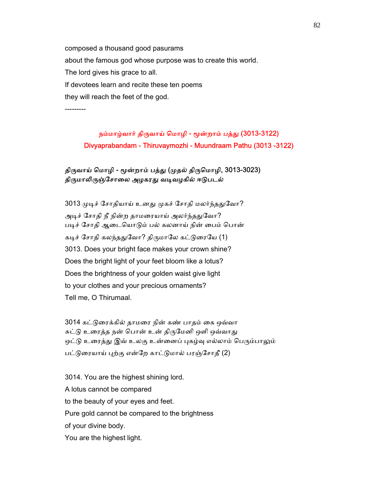composed a thousand good pasurams about the famous god whose purpose was to create this world. The lord gives his grace to all. If devotees learn and recite these ten poems they will reach the feet of the god.

---------

# நம்மாழ்வார் திருவாய் மொழி - மூன்றாம் பத்து (3013-3122) Divyaprabandam - Thiruvaymozhi - Muundraam Pathu (3013 -3122)

# திருவாய் மொழி - மூன்றாம் பத்து (முதல் திருமொழி, 3013-3023) திருமாலிருஞ்சோலை அழகரது வடிவழகில் ஈடுபடல்

3013 முடிச் சோதியாய் உனது முகச் சோதி மலர்ந்ததுவோ? அடிச் சோதி நீ நின்ற தாமரையாய் அலர்ந்ததுவோ? படிச் சோதி ஆடையொடும் பல் கலனாய் நின் பைம் பொன் கடிச் சோதி கலந்ததுவோ? திருமாலே கட்டுரையே (1) 3013. Does your bright face makes your crown shine? Does the bright light of your feet bloom like a lotus? Does the brightness of your golden waist give light to your clothes and your precious ornaments? Tell me, O Thirumaal.

 3014 கட்ᾌைரக்கில் தாமைர நின் கண் பாதம் ைக ஒவ்வா சுட்டு உரைத்த நன் பொன் உன் திருமேனி ஒளி ஒவ்வாது ஒட்டு உரைத்து இவ் உலகு உன்னைப் புகழ்வு எல்லாம் பெரும்பாலும் பட்டுரையாய் புற்கு என்றே காட்டுமால் பரஞ்சோதீ (2)

 3014. You are the highest shining lord. A lotus cannot be compared to the beauty of your eyes and feet. Pure gold cannot be compared to the brightness of your divine body. You are the highest light.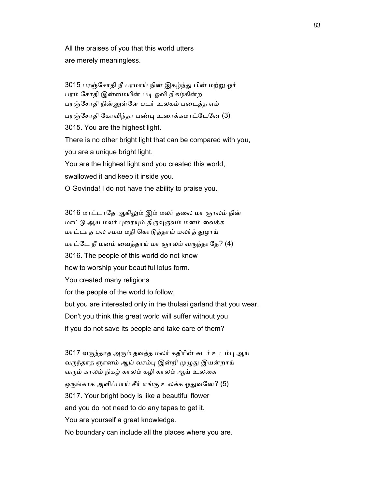All the praises of you that this world utters are merely meaningless.

3015 பரஞ்சோதி நீ பரமாய் நின் இகழ்ந்து பின் மற்று ஓர் பரம் சோதி இன்மையின் படி ஓவி நிகழ்கின்ற பரஞ்ேசாதி நின்ᾔள்ேள படர் உலகம் பைடத்த எம் பரஞ்ேசாதி ேகாவிந்தா பண்ᾗ உைரக்கமாட்ேடேன (3) 3015. You are the highest light. There is no other bright light that can be compared with you, you are a unique bright light. You are the highest light and you created this world, swallowed it and keep it inside you. O Govinda! I do not have the ability to praise you.

 3016 மாட்டாேத ஆகிᾤம் இம் மலர் தைல மா ஞாலம் நின் மாட்டு ஆய மலர் புரையும் திருவுருவம் மனம் வைக்க மாட்டாத பல சமய மதி ெகாᾌத்தாய் மலர்த் ᾐழாய் மாட்டே நீ மனம் வைத்தாய் மா ஞாலம் வருந்தாதே? (4) 3016. The people of this world do not know how to worship your beautiful lotus form. You created many religions for the people of the world to follow, but you are interested only in the thulasi garland that you wear. Don't you think this great world will suffer without you if you do not save its people and take care of them?

 3017 வᾞந்தாத அᾞம் தவத்த மலர் கதிாின் சுடர் உடம்ᾗ ஆய் வருந்தாத ஞானம் ஆய் வரம்பு இன்றி முழுது இயன்றாய் வᾞம் காலம் நிகழ் காலம் கழி காலம் ஆய் உலைக ஒருங்காக அளிப்பாய் சீர் எங்கு உலக்க ஓதுவனே? (5) 3017. Your bright body is like a beautiful flower and you do not need to do any tapas to get it. You are yourself a great knowledge. No boundary can include all the places where you are.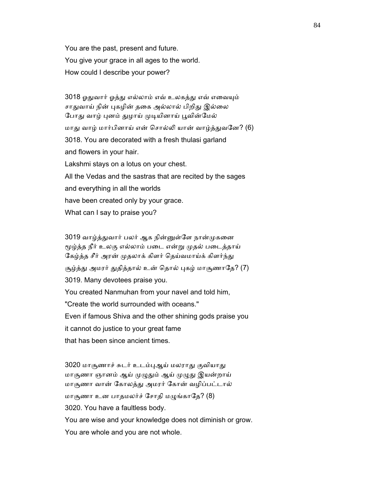You are the past, present and future. You give your grace in all ages to the world. How could I describe your power?

 3018 ஓᾐவார் ஓத்ᾐ எல்லாம் எவ் உலகத்ᾐ எவ் எைவᾜம் சாதுவாய் நின் புகழின் தகை அல்லால் பிறிது இல்லை போது வாழ் புனம் துழாய் முடியினாய் பூவின்மேல் மாது வாழ் மார்பினாய் என் சொல்லி யான் வாழ்த்துவனே? (6) 3018. You are decorated with a fresh thulasi garland and flowers in your hair. Lakshmi stays on a lotus on your chest. All the Vedas and the sastras that are recited by the sages and everything in all the worlds

 have been created only by your grace. What can I say to praise you?

3019 வாழ்த்துவார் பலர் ஆக நின்னுள்ளே நான்முகனை மூழ்த்த நீர் உலகு எல்லாம் படை என்று முதல் படைத்தாய் கேழ்த்த சீர் அரன் முதலாக் கிளர் தெய்வமாய்க் கிளர்ந்து சூழ்த்து அமரர் துதித்தால் உன் தொல் புகழ் மாசூணாதே? (7) 3019. Many devotees praise you. You created Nanmuhan from your navel and told him, "Create the world surrounded with oceans." Even if famous Shiva and the other shining gods praise you it cannot do justice to your great fame that has been since ancient times.

3020 மாசூணாச் சுடர் உடம்புஆய் மலராது குவியாது மாசூணா ஞானம் ஆய் முழுதும் ஆய் முழுது இயன்றாய் மாசூணா வான் ேகாலத்ᾐ அமரர் ேகான் வழிப்பட்டால் மாசூணா உன பாதமலர்ச் சோதி மழுங்காதே? (8) 3020. You have a faultless body. You are wise and your knowledge does not diminish or grow. You are whole and you are not whole.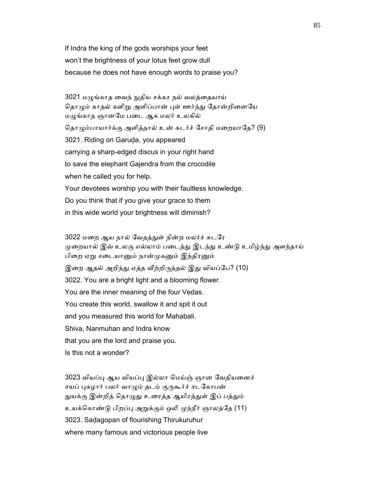If Indra the king of the gods worships your feet won't the brightness of your lotus feet grow dull because he does not have enough words to praise you?

3021 மழுங்காத வைந் நுதிய சக்கர நல் வலத்தையாய் தொழும் காதல் களிறு அளிப்பான் புள் ஊர்ந்து தோன்றினையே மழுங்காத ஞானமே படை ஆக மலர் உலகில் தொழும்பாயார்க்கு அளித்தால் உன் சுடர்ச் சோதி மறையாதே? (9) 3021. Riding on Garuḍa, you appeared carrying a sharp-edged discus in your right hand to save the elephant Gajendra from the crocodile when he called you for help. Your devotees worship you with their faultless knowledge. Do you think that if you give your grace to them in this wide world your brightness will diminish?

 3022 மைற ஆய நால் ேவதத்ᾐள் நின்ற மலர்ச் சுடேர முறையால் இவ் உலகு எல்லாம் படைத்து இடந்து உண்டு உமிழ்ந்து அளந்தாய் பிறை ஏறு சடையானும் நான்முகனும் இந்திரனும் இறை ஆதல் அறிந்து ஏத்த வீற்றிருத்தல் இது வியப்பே? (10) 3022. You are a bright light and a blooming flower. You are the inner meaning of the four Vedas. You create this world, swallow it and spit it out and you measured this world for Mahabali. Shiva, Nanmuhan and Indra know that you are the lord and praise you. Is this not a wonder?

3023 வியப்பு ஆய வியப்பு இல்லா மெய்ஞ் ஞான வேதியனைச் சயப் புகழார் பலர் வாழும் தடம் குருகூர்ச் சடகோபன் துயக்கு இன்றித் தொழுது உரைத்த ஆயிரத்துள் இப் பத்தும் உயக்கொண்டு பிறப்பு அறுக்கும் ஒலி முந்நீர் ஞாலத்தே (11) 3023. Saḍagopan of flourishing Thirukuruhur where many famous and victorious people live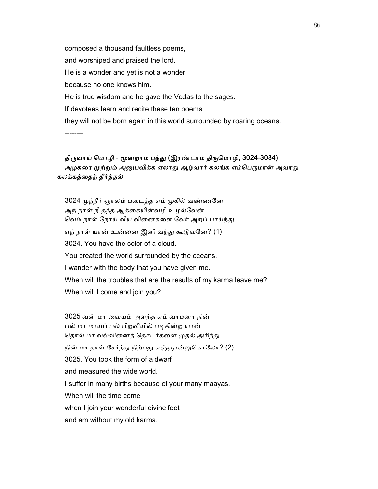composed a thousand faultless poems, and worshiped and praised the lord. He is a wonder and yet is not a wonder because no one knows him. He is true wisdom and he gave the Vedas to the sages. If devotees learn and recite these ten poems they will not be born again in this world surrounded by roaring oceans. --------

# திருவாய் மொழி - மூன்றாம் பத்து (இரண்டாம் திருமொழி, 3024-3034) அழகரை முற்றும் அனுபவிக்க ஏலாது ஆழ்வார் கலங்க எம்பெருமான் அவரது கலக்கத்ைதத் தீர்த்தல்

 3024 ᾙந்நீர் ஞாலம் பைடத்த எம் ᾙகில் வண்ணேன அந் நாள் நீ தந்த ஆக்கையின்வழி உழல்வேன் வெம் நாள் நோய் வீய வினைகளை வேர் அறப் பாய்ந்து எந் நாள் யான் உன்னை இனி வந்து கூடுவனே? (1) 3024. You have the color of a cloud. You created the world surrounded by the oceans. I wander with the body that you have given me. When will the troubles that are the results of my karma leave me? When will I come and join you?

 3025 வன் மா ைவயம் அளந்த எம் வாமனா நின் பல் மா மாயப் பல் பிறவியில் படிகின்ற யான் தொல் மா வல்வினைத் தொடர்களை முதல் அரிந்து நின் மா தாள் சேர்ந்து நிற்பது எஞ்ஞான்றுகொலோ? (2) 3025. You took the form of a dwarf and measured the wide world. I suffer in many births because of your many maayas. When will the time come when I join your wonderful divine feet and am without my old karma.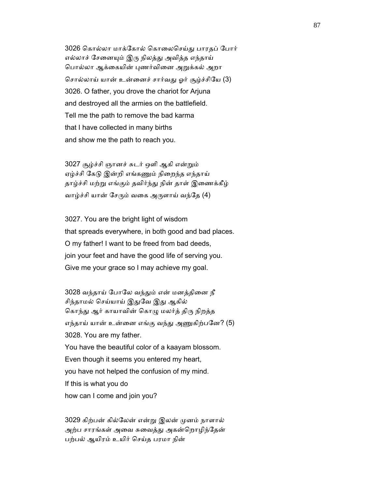3026 கொல்லா மாக்கோல் கொலைசெய்து பாரதப் போர் எல்லாச் சேனையும் இரு நிலத்து அவித்த எந்தாய் பொல்லா ஆக்கையின் புணர்வினை அறுக்கல் அறா ெசால்லாய் யான் உன்ைனச் சார்வᾐ ஓர் சூழ்ச்சிேய (3) 3026. O father, you drove the chariot for Arjuna and destroyed all the armies on the battlefield. Tell me the path to remove the bad karma that I have collected in many births and show me the path to reach you.

 3027 சூழ்ச்சி ஞானச் சுடர் ஒளி ஆகி என்ᾠம் ஏழ்ச்சி கேடு இன்றி எங்கணும் நிறைந்த எந்தாய் தாழ்ச்சி மற்று எங்கும் தவிர்ந்து நின் தாள் இணைக்கீழ் வாழ்ச்சி யான் சேரும் வகை அருளாய் வந்தே (4)

 3027. You are the bright light of wisdom that spreads everywhere, in both good and bad places. O my father! I want to be freed from bad deeds, join your feet and have the good life of serving you. Give me your grace so I may achieve my goal.

3028 வந்தாய் போலே வந்தும் என் மனத்தினை நீ சிந்தாமல் செய்யாய் இதுவே இது ஆகில் கொந்து ஆர் காயாவின் கொழு மலர்த் திரு நிறத்த எந்தாய் யான் உன்னை எங்கு வந்து அணுகிற்பனே? (5) 3028. You are my father. You have the beautiful color of a kaayam blossom. Even though it seems you entered my heart, you have not helped the confusion of my mind. If this is what you do how can I come and join you?

 3029 கிற்பன் கில்ேலன் என்ᾠ இலன் ᾙனம் நாளால் அற்ப சாரங்கள் அவை சுவைத்து அகன்றொழிந்தேன் பற்பல் ஆயிரம் உயிர் ெசய்த பரமா நின்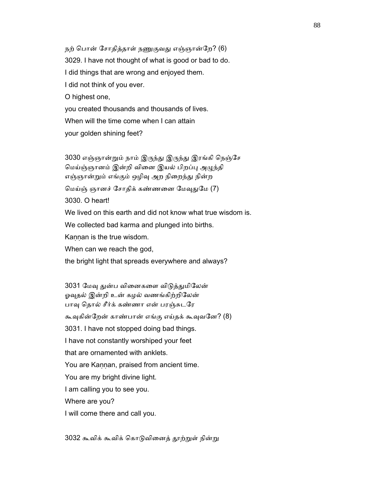நற் பொன் சோதித்தாள் நணுகுவது எஞ்ஞான்றே? (6) 3029. I have not thought of what is good or bad to do. I did things that are wrong and enjoyed them. I did not think of you ever. O highest one, you created thousands and thousands of lives. When will the time come when I can attain your golden shining feet?

 3030 எஞ்ஞான்ᾠம் நாம் இᾞந்ᾐ இᾞந்ᾐ இரங்கி ெநஞ்ேச மெய்ஞ்ஞானம் இன்றி வினை இயல் பிறப்பு அழுந்தி எஞ்ஞான்றும் எங்கும் ஒழிவு அற நிறைந்து நின்ற மெய்ஞ் ஞானச் சோதிக் கண்ணனை மேவுதுமே (7) 3030. O heart! We lived on this earth and did not know what true wisdom is. We collected bad karma and plunged into births. Kaṇṇan is the true wisdom. When can we reach the god,

the bright light that spreads everywhere and always?

3031 மேவு துன்ப வினைகளை விடுத்துமிலேன் ஓவுதல் இன்றி உன் கழல் வணங்கிற்றிலேன் பாவு தொல் சீர்க் கண்ணா என் பரஞ்சுடரே கூவுகின்றேன் காண்பான் எங்கு எய்தக் கூவுவனே? (8) 3031. I have not stopped doing bad things. I have not constantly worshiped your feet that are ornamented with anklets. You are Kannan, praised from ancient time. You are my bright divine light. I am calling you to see you. Where are you? I will come there and call you.

3032 கூவிக் கூவிக் கொடுவினைத் தூற்றுள் நின்று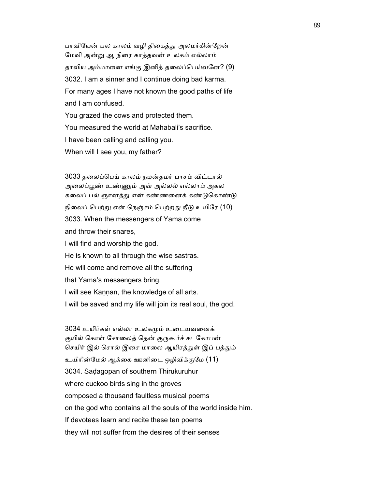பாவியேன் பல காலம் வழி திகைத்து அலமர்கின்றேன் ேமவி அன்ᾠ ஆ நிைர காத்தவன் உலகம் எல்லாம் தாவிய அம்மானை எங்கு இனித் தலைப்பெய்வனே? (9) 3032. I am a sinner and I continue doing bad karma. For many ages I have not known the good paths of life and I am confused. You grazed the cows and protected them.

 You measured the world at Mahabali's sacrifice. I have been calling and calling you. When will I see you, my father?

 3033 தைலப்ெபய் காலம் நமன்தமர் பாசம் விட்டால் அைலப்ᾘண் உண்ᾎம் அவ் அல்லல் எல்லாம் அகல கலைப் பல் ஞானத்து என் கண்ணனைக் கண்டுகொண்டு நிலைப் பெற்று என் நெஞ்சம் பெற்றது நீடு உயிரே (10) 3033. When the messengers of Yama come and throw their snares, I will find and worship the god. He is known to all through the wise sastras. He will come and remove all the suffering that Yama's messengers bring. I will see Kaṇṇan, the knowledge of all arts. I will be saved and my life will join its real soul, the god.

 3034 உயிர்கள் எல்லா உலகᾙம் உைடயவைனக் குயில் கொள் சோலைத் தென் குருகூர்ச் சடகோபன் செயிர் இல் சொல் இசை மாலை ஆயிரத்துள் இப் பத்தும் உயிாின்ேமல் ஆக்ைக ஊனிைட ஒழிவிக்குேம (11) 3034. Saḍagopan of southern Thirukuruhur where cuckoo birds sing in the groves composed a thousand faultless musical poems on the god who contains all the souls of the world inside him. If devotees learn and recite these ten poems they will not suffer from the desires of their senses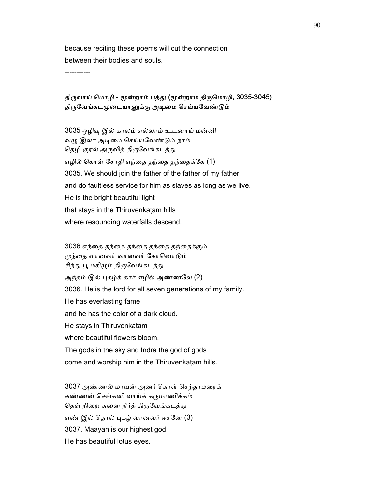because reciting these poems will cut the connection between their bodies and souls.

-----------

### திருவாய் மொழி - மூன்றாம் பத்து (மூன்றாம் திருமொழி, 3035-3045) திருவேங்கடமுடையானுக்கு அடிமை செய்யவேண்டும்

 3035 ஒழிᾫ இல் காலம் எல்லாம் உடனாய் மன்னி வழு இலா அடிமை செய்யவேண்டும் நாம் தெழி குரல் அருவித் திருவேங்கடத்து எழில் ெகாள் ேசாதி எந்ைத தந்ைத தந்ைதக்ேக (1) 3035. We should join the father of the father of my father and do faultless service for him as slaves as long as we live. He is the bright beautiful light that stays in the Thiruvenkatam hills where resounding waterfalls descend.

 3036 எந்ைத தந்ைத தந்ைத தந்ைத தந்ைதக்கும் முந்தை வானவர் வானவர் கோனொடும் சிந்து பூ மகிழும் திருவேங்கடத்து அந்தம் இல் புகழ்க் கார் எழில் அண்ணலே (2) 3036. He is the lord for all seven generations of my family. He has everlasting fame and he has the color of a dark cloud. He stays in Thiruvenkaṭam where beautiful flowers bloom. The gods in the sky and Indra the god of gods come and worship him in the Thiruvenkaṭam hills.

 3037 அண்ணல் மாயன் அணி ெகாள் ெசந்தாமைரக் கண்ணன் செங்கனி வாய்க் கருமாணிக்கம் தெள் நிறை சுனை நீர்த் திருவேங்கடத்து எண் இல் தொல் புகழ் வானவர் ஈசனே (3) 3037. Maayan is our highest god. He has beautiful lotus eyes.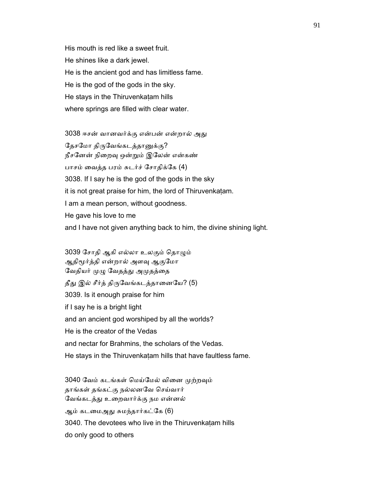His mouth is red like a sweet fruit. He shines like a dark jewel. He is the ancient god and has limitless fame. He is the god of the gods in the sky. He stays in the Thiruvenkatam hills where springs are filled with clear water.

3038 ஈசன் வானவர்க்கு என்பன் என்றால் அது தேசமோ திருவேங்கடத்தானுக்கு? நீசேனன் நிைறᾫ ஒன்ᾠம் இேலன் என்கண் பாசம் ைவத்த பரம் சுடர்ச் ேசாதிக்ேக (4) 3038. If I say he is the god of the gods in the sky it is not great praise for him, the lord of Thiruvenkaṭam. I am a mean person, without goodness. He gave his love to me and I have not given anything back to him, the divine shining light.

3039 சோதி ஆகி எல்லா உலகும் தொழும் ஆதிமூர்த்தி என்றால் அளவு ஆகுமோ வேதியர் முழு வேதத்து அமுதத்தை தீது இல் சீர்த் திருவேங்கடத்தானையே? (5) 3039. Is it enough praise for him if I say he is a bright light and an ancient god worshiped by all the worlds? He is the creator of the Vedas and nectar for Brahmins, the scholars of the Vedas. He stays in the Thiruvenkaṭam hills that have faultless fame.

3040 வேம் கடங்கள் மெய்மேல் வினை முற்றவும் தாங்கள் தங்கட்கு நல்லனேவ ெசய்வார் வேங்கடத்து உறைவார்க்கு நம என்னல் ஆம் கடமைஅது சுமந்தார்கட்கே (6) 3040. The devotees who live in the Thiruvenkaṭam hills do only good to others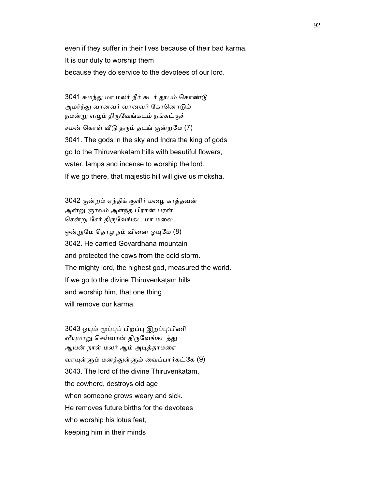even if they suffer in their lives because of their bad karma. It is our duty to worship them because they do service to the devotees of our lord.

3041 சுமந்து மா மலர் நீர் சுடர் தூபம் கொண்டு அமர்ந்து வானவர் வானவர் கோனொடும் நமன்று எழும் திருவேங்கடம் நங்கட்குச் சமன் கொள் வீடு தரும் தடங் குன்றமே (7) 3041. The gods in the sky and Indra the king of gods go to the Thiruvenkatam hills with beautiful flowers, water, lamps and incense to worship the lord. If we go there, that majestic hill will give us moksha.

 3042 குன்றம் ஏந்திக் குளிர் மைழ காத்தவன் அன்ᾠ ஞாலம் அளந்த பிரான் பரன் சென்று சேர் திருவேங்கட மா மலை ஒன்றுமே தொழ நம் வினை ஓயுமே (8) 3042. He carried Govardhana mountain and protected the cows from the cold storm. The mighty lord, the highest god, measured the world. If we go to the divine Thiruvenkaṭam hills and worship him, that one thing will remove our karma.

3043 ஓயும் மூப்புப் பிறப்பு இறப்பு:பிணி வீயுமாறு செய்வான் திருவேங்கடத்து ஆயன் நாள் மலர் ஆம் அடித்தாமரை வாயுள்ளும் மனத்துள்ளும் வைப்பார்கட்கே (9) 3043. The lord of the divine Thiruvenkatam, the cowherd, destroys old age when someone grows weary and sick. He removes future births for the devotees who worship his lotus feet, keeping him in their minds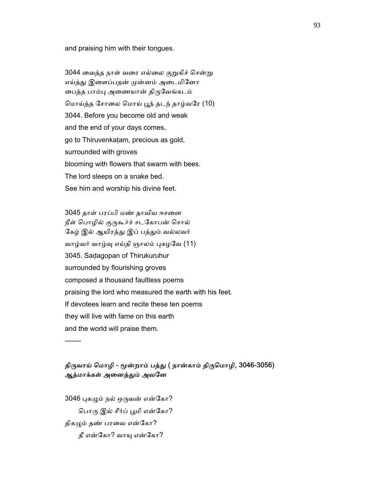and praising him with their tongues.

3044 வைத்த நாள் வரை எல்லை குறுகிச் சென்று எய்த்து இளைப்பதன் முன்னம் அடைமினோ ைபத்த பாம்ᾗ அைணயான் திᾞேவங்கடம் ெமாய்த்த ேசாைல ெமாய் ᾘந் தடந் தாழ்வேர (10) 3044. Before you become old and weak and the end of your days comes, go to Thiruvenkaṭam, precious as gold, surrounded with groves blooming with flowers that swarm with bees. The lord sleeps on a snake bed. See him and worship his divine feet.

 3045 தாள் பரப்பி மண் தாவிய ஈசைன நீள் பொழில் குருகூர்ச் சடகோபன் சொல் கேழ் இல் ஆயிரத்து இப் பத்தும் வல்லவர் வாழ்வர் வாழ்வு எய்தி ஞாலம் புகழவே (11) 3045. Saḍagopan of Thirukuruhur surrounded by flourishing groves composed a thousand faultless poems praising the lord who measured the earth with his feet. If devotees learn and recite these ten poems they will live with fame on this earth and the world will praise them. -------

### திருவாய் மொழி - மூன்றாம் பத்து ( நான்காம் திருமொழி, 3046-3056) ஆத்மாக்கள் அனைத்தும் அவனே

3046 புகழும் நல் ஒருவன் என்கோ? பொரு இல் சீர்ப் பூமி என்கோ? திகழும் தண் பரவை என்கோ? தீ என்கோ? வாயு என்கோ?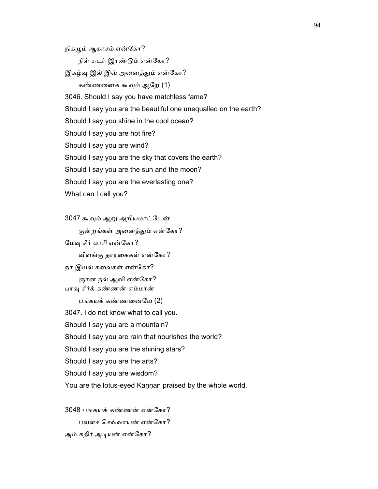நிகழும் ஆகாசம் என்கோ?

நீள் சுடர் இரண்ᾌம் என்ேகா?

இகழ்வு இல் இவ் அனைத்தும் என்கோ?

கண்ணைனக் கூᾫம் ஆேற (1)

3046. Should I say you have matchless fame?

Should I say you are the beautiful one unequalled on the earth?

Should I say you shine in the cool ocean?

Should I say you are hot fire?

Should I say you are wind?

Should I say you are the sky that covers the earth?

Should I say you are the sun and the moon?

Should I say you are the everlasting one?

What can I call you?

 3047 கூᾫம் ஆᾠ அறியமாட்ேடன் குன்றங்கள் அனைத்தும் என்கோ? மேவு சீர் மாரி என்கோ? விளங்கு தாரைககள் என்ேகா? நா இயல் கலைகள் என்கோ? ஞான நல் ஆவி என்கோ? பாᾫ சீர்க் கண்ணன் எம்மான் பங்கயக் கண்ணைனேய (2) 3047. I do not know what to call you. Should I say you are a mountain? Should I say you are rain that nourishes the world? Should I say you are the shining stars? Should I say you are the arts? Should I say you are wisdom? You are the lotus-eyed Kaṇṇan praised by the whole world.

 3048 பங்கயக் கண்ணன் என்ேகா? பவளச் ெசவ்வாயன் என்ேகா? அம் கதிர் அடியன் என்கோ?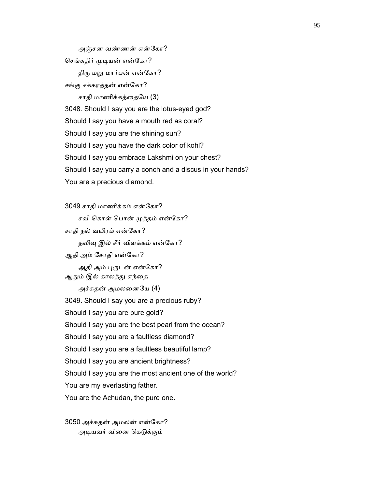அஞ்சன வண்ணன் என்ேகா? செங்கதிர் முடியன் என்கோ? திரு மறு மார்பன் என்கோ? சங்கு சக்கரத்தன் என்ேகா? சாதி மாணிக்கத்தையே (3) 3048. Should I say you are the lotus-eyed god? Should I say you have a mouth red as coral? Should I say you are the shining sun? Should I say you have the dark color of kohl? Should I say you embrace Lakshmi on your chest? Should I say you carry a conch and a discus in your hands? You are a precious diamond.

 3049 சாதி மாணிக்கம் என்ேகா? சவி கொள் பொன் முத்தம் என்கோ? சாதி நல் வயிரம் என்ேகா? தவிவு இல் சீர் விளக்கம் என்கோ? ஆதி அம் ேசாதி என்ேகா? ஆதி அம் புருடன் என்கோ? ஆதும் இல் காலத்து எந்தை அச்சுதன் அமலைனேய (4) 3049. Should I say you are a precious ruby? Should I say you are pure gold? Should I say you are the best pearl from the ocean? Should I say you are a faultless diamond? Should I say you are a faultless beautiful lamp? Should I say you are ancient brightness? Should I say you are the most ancient one of the world? You are my everlasting father. You are the Achudan, the pure one.

 3050 அச்சுதன் அமலன் என்ேகா? அடியவர் வினை கெடுக்கும்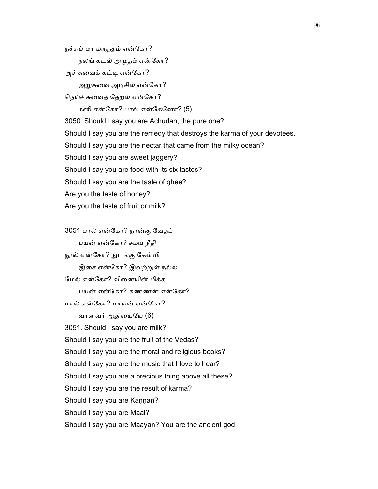நலங் கடல் அமுதம் என்கோ? அச் சுவைக் கட்டி என்கோ? அறுசுவை அடிசில் என்கோ? ெநய்ச் சுைவத் ேதறல் என்ேகா? கனி என்ேகா? பால் என்ேகேனா? (5) 3050. Should I say you are Achudan, the pure one? Should I say you are the remedy that destroys the karma of your devotees. Should I say you are the nectar that came from the milky ocean? Should I say you are sweet jaggery? Should I say you are food with its six tastes? Should I say you are the taste of ghee? Are you the taste of honey? Are you the taste of fruit or milk?

நச்சும் மா மருந்தம் என்கோ?

 3051 பால் என்ேகா? நான்கு ேவதப் பயன் என்ேகா? சமய நீதி நூல் என்கோ? நுடங்கு கேள்வி இசை என்கோ? இவற்றுள் நல்ல ேமல் என்ேகா? விைனயின் மிக்க பயன் என்ேகா? கண்ணன் என்ேகா? மால் என்ேகா? மாயன் என்ேகா? வானவர் ஆதியையே (6) 3051. Should I say you are milk? Should I say you are the fruit of the Vedas? Should I say you are the moral and religious books? Should I say you are the music that I love to hear? Should I say you are a precious thing above all these? Should I say you are the result of karma? Should I say you are Kannan? Should I say you are Maal? Should I say you are Maayan? You are the ancient god.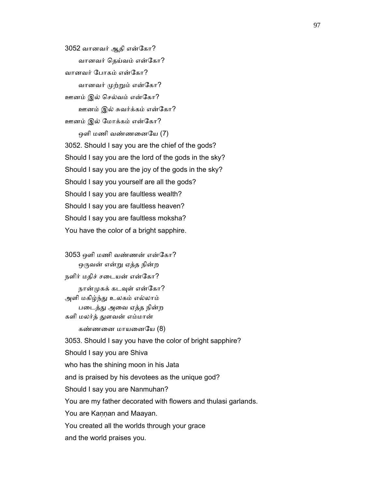3052 வானவர் ஆதி என்ேகா? வானவர் ெதய்வம் என்ேகா? வானவர் ேபாகம் என்ேகா? வானவர் முற்றும் என்கோ? ஊனம் இல் ெசல்வம் என்ேகா? ஊனம் இல் சுவர்க்கம் என்ேகா? ஊனம் இல் ேமாக்கம் என்ேகா? ஒளி மணி வண்ணைனேய (7) 3052. Should I say you are the chief of the gods? Should I say you are the lord of the gods in the sky? Should I say you are the joy of the gods in the sky? Should I say you yourself are all the gods? Should I say you are faultless wealth? Should I say you are faultless heaven? Should I say you are faultless moksha? You have the color of a bright sapphire.

 3053 ஒளி மணி வண்ணன் என்ேகா? ஒருவன் என்று ஏத்த நின்ற நளிர் மதிச் சடையன் என்கோ? நான்முகக் கடவுள் என்கோ? அளி மகிழ்ந்ᾐ உலகம் எல்லாம் படைத்து அவை ஏத்த நின்ற களி மலர்த் ᾐளவன் எம்மான் கண்ணைன மாயைனேய (8) 3053. Should I say you have the color of bright sapphire? Should I say you are Shiva who has the shining moon in his Jata and is praised by his devotees as the unique god? Should I say you are Nanmuhan? You are my father decorated with flowers and thulasi garlands. You are Kaṇṇan and Maayan. You created all the worlds through your grace and the world praises you.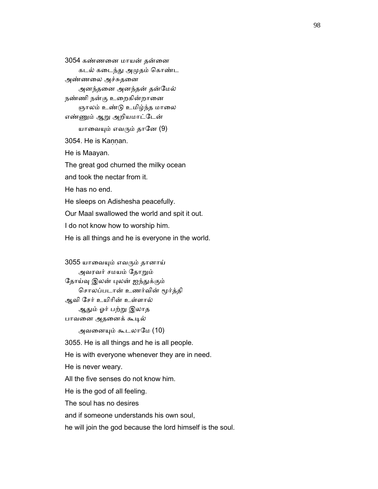3054 கண்ணைன மாயன் தன்ைன கடல் கைடந்ᾐ அᾙதம் ெகாண்ட அண்ணலை அச்சுதனை அனந்தைன அனந்தன் தன்ேமல் நண்ணி நன்கு உறைகின்றானை ஞாலம் உண்டு உமிழ்ந்த மாலை எண்ᾎம் ஆᾠ அறியமாட்ேடன் யாவையும் எவரும் தானே (9) 3054. He is Kaṇṇan. He is Maayan. The great god churned the milky ocean and took the nectar from it. He has no end. He sleeps on Adishesha peacefully. Our Maal swallowed the world and spit it out. I do not know how to worship him. He is all things and he is everyone in the world.

 3055 யாைவᾜம் எவᾞம் தானாய் அவரவர் சமயம் ேதாᾠம் தோய்வு இலன் புலன் ஐந்துக்கும் ெசாலப்படான் உணர்வின் ᾚர்த்தி ஆவி ேசர் உயிாின் உள்ளால் ஆᾐம் ஓர் பற்ᾠ இலாத பாவனை அதனைக் கூடில்

அவனையும் கூடலாமே (10)

3055. He is all things and he is all people.

He is with everyone whenever they are in need.

He is never weary.

All the five senses do not know him.

He is the god of all feeling.

The soul has no desires

and if someone understands his own soul,

he will join the god because the lord himself is the soul.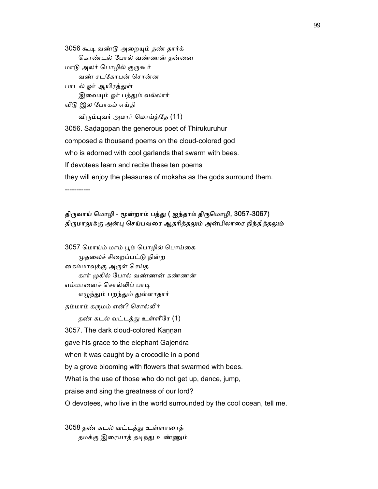3056 கூᾊ வண்ᾌ அைறᾜம் தண் தார்க் கொண்டல் போல் வண்ணன் தன்னை மாடு அலர் பொழில் குருகூர் வண் சடேகாபன் ெசான்ன பாடல் ஓர் ஆயிரத்துள் இவையும் ஓர் பத்தும் வல்லார்

ᾪᾌ இல ேபாகம் எய்தி

விரும்புவர் அமரர் மொய்த்தே (11)

 3056. Saḍagopan the generous poet of Thirukuruhur composed a thousand poems on the cloud-colored god who is adorned with cool garlands that swarm with bees. If devotees learn and recite these ten poems they will enjoy the pleasures of moksha as the gods surround them. -----------

## திருவாய் மொழி - மூன்றாம் பத்து ( ஐந்தாம் திருமொழி, 3057-3067) திருமாலுக்கு அன்பு செய்பவரை ஆதரித்தலும் அன்பிலாரை நிந்தித்தலும்

```
3057 மொய்ம் மாம் பூம் பொழில் பொய்கை
    முதலைச் சிறைப்பட்டு நின்ற
 ைகம்மாᾫக்கு அᾞள் ெசய்த 
     கார் ᾙகில் ேபால் வண்ணன் கண்ணன் 
 எம்மாைனச் ெசால்ᾢப் பாᾊ 
    எழுந்தும் பறந்தும் துள்ளாதார்
 தம்மாம் கᾞமம் என்? ெசால்லீர் 
    தண் கடல் வட்டத்து உள்ளீரே (1)
3057. The dark cloud-colored Kannan
 gave his grace to the elephant Gajendra 
when it was caught by a crocodile in a pond
 by a grove blooming with flowers that swarmed with bees. 
 What is the use of those who do not get up, dance, jump, 
 praise and sing the greatness of our lord? 
 O devotees, who live in the world surrounded by the cool ocean, tell me.
```
 3058 தண் கடல் வட்டத்ᾐ உள்ளாைரத் தமக்கு இரையாத் தடிந்து உண்ணும்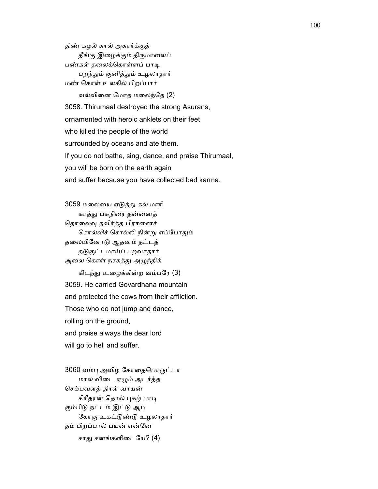திண் கழல் கால் அசுரர்க்குத் தீங்கு இழைக்கும் திருமாலைப் பண்கள் தலைக்கொள்ளப் பாடி பறந்ᾐம் குனித்ᾐம் உழலாதார் மண் ெகாள் உலகில் பிறப்பார்

 வல்விைன ேமாத மைலந்ேத (2) 3058. Thirumaal destroyed the strong Asurans, ornamented with heroic anklets on their feet who killed the people of the world surrounded by oceans and ate them. If you do not bathe, sing, dance, and praise Thirumaal, you will be born on the earth again and suffer because you have collected bad karma.

 3059 மைலைய எᾌத்ᾐ கல் மாாி காத்ᾐ பசுநிைர தன்ைனத் தொலைவு தவிர்த்த பிரானைச் சொல்லிச் சொல்லி நின்று எப்போதும் தைலயிேனாᾌ ஆதனம் தட்டத் தᾌகுட்டமாய்ப் பறவாதார் அலை கொள் நரகத்து அழுந்திக்

கிடந்து உழைக்கின்ற வம்பரே (3) 3059. He carried Govardhana mountain and protected the cows from their affliction. Those who do not jump and dance, rolling on the ground, and praise always the dear lord will go to hell and suffer.

3060 வம்பு அவிழ் கோதைபொருட்டா மால் விைட ஏᾨம் அடர்த்த ெசம்பவளத் திரள் வாயன் சிரீதரன் தொல் புகழ் பாடி கும்பிடு நட்டம் இட்டு ஆடி ேகாகு உகட்ᾌண்ᾌ உழலாதார் தம் பிறப்பால் பயன் என்ேன சாது சனங்களிடையே? (4)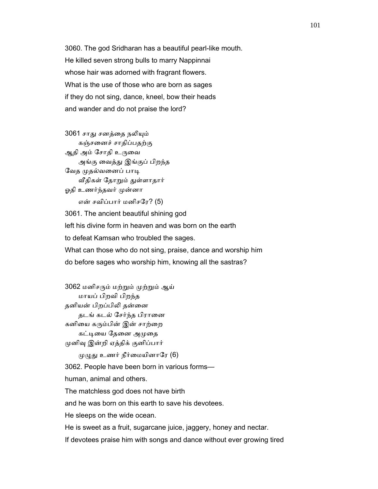3060. The god Sridharan has a beautiful pearl-like mouth. He killed seven strong bulls to marry Nappinnai whose hair was adorned with fragrant flowers. What is the use of those who are born as sages if they do not sing, dance, kneel, bow their heads and wander and do not praise the lord?

3061 சாது சனத்தை நலியும் கஞ்சைனச் சாதிப்பதற்கு ஆதி அம் சோதி உருவை அங்கு ைவத்ᾐ இங்குப் பிறந்த வேத முதல்வனைப் பாடி வீதிகள் தோறும் துள்ளாதார் ஓதி உணர்ந்தவர் முன்னா

என் சவிப்பார் மனிசேர? (5)

 3061. The ancient beautiful shining god left his divine form in heaven and was born on the earth to defeat Kamsan who troubled the sages. What can those who do not sing, praise, dance and worship him do before sages who worship him, knowing all the sastras?

 3062 மனிசᾞம் மற்ᾠம் ᾙற்ᾠம் ஆய் மாயப் பிறவி பிறந்த தனியன் பிறப்பிᾢ தன்ைன தடங் கடல் சேர்ந்த பிரானை கனியை கரும்பின் இன் சாற்றை கட்டியை தேனை அமுதை ᾙனிᾫ இன்றி ஏத்திக் குனிப்பார்  $(\mu)(\mu)$  உணர் நீர்மையினாரே (6) 3062. People have been born in various forms human, animal and others. The matchless god does not have birth and he was born on this earth to save his devotees. He sleeps on the wide ocean. He is sweet as a fruit, sugarcane juice, jaggery, honey and nectar. If devotees praise him with songs and dance without ever growing tired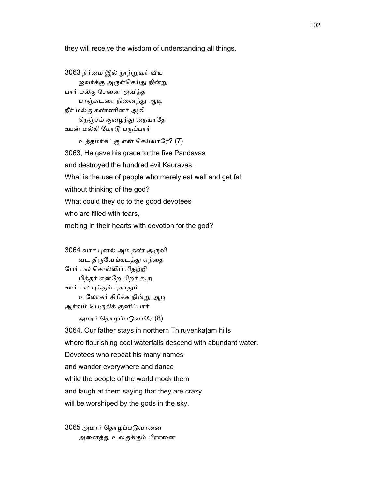they will receive the wisdom of understanding all things.

```
3063 நீர்மை இல் நூற்றுவர் வீய
    ஐவர்க்கு அருள்செய்து நின்று
 பார் மல்கு ேசைன அவித்த 
    பரஞ்சுடரை நினைந்து ஆடி
 நீர் மல்கு கண்ணினர் ஆகி 
    நெஞ்சம் குழைந்து நையாதே
ஊன் மல்கி மோடு பருப்பார்
     உத்தமர்கட்கு என் ெசய்வாேர? (7) 
 3063, He gave his grace to the five Pandavas 
 and destroyed the hundred evil Kauravas. 
 What is the use of people who merely eat well and get fat 
 without thinking of the god? 
 What could they do to the good devotees 
who are filled with tears.
 melting in their hearts with devotion for the god?
```
 3064 வார் ᾗனல் அம் தண் அᾞவி வட திருவேங்கடத்து எந்தை ேபர் பல ெசால்ᾢப் பிதற்றி பித்தர் என்ேற பிறர் கூற ஊர் பல புக்கும் புகாதும் உலோகர் சிரிக்க நின்று ஆடி ஆர்வம் பெருகிக் குனிப்பார்

அமரர் தொழப்படுவாரே (8)

 3064. Our father stays in northern Thiruvenkaṭam hills where flourishing cool waterfalls descend with abundant water. Devotees who repeat his many names and wander everywhere and dance while the people of the world mock them and laugh at them saying that they are crazy will be worshiped by the gods in the sky.

3065 அமரர் தொழப்படுவானை அனைத்து உலகுக்கும் பிரானை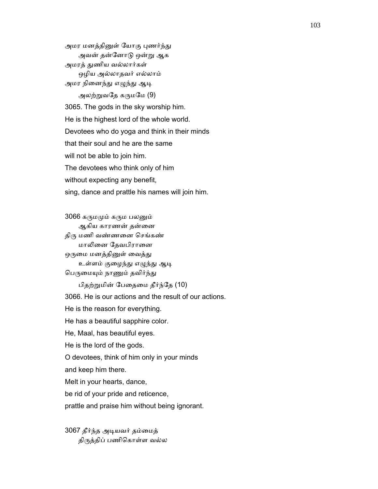அமர மனத்தினுள் யோகு புணர்ந்து அவன் தன்ேனாᾌ ஒன்ᾠ ஆக அமரத் துணிய வல்லார்கள் ஒழிய அல்லாதவர் எல்லாம் அமர நினைந்து எழுந்து ஆடி அலற்றுவதே கருமமே (9) 3065. The gods in the sky worship him. He is the highest lord of the whole world. Devotees who do yoga and think in their minds that their soul and he are the same will not be able to join him. The devotees who think only of him without expecting any benefit, sing, dance and prattle his names will join him.

 3066 கᾞமᾙம் கᾞம பலᾔம் ஆகிய காரணன் தன்னை திரு மணி வண்ணனை செங்கண் மாலினை தேவபிரானை ஒருமை மனத்தினுள் வைத்து உள்ளம் குழைந்து எழுந்து ஆடி பெருமையும் நாணும் தவிர்ந்து பிதற்ᾠமின் ேபைதைம தீர்ந்ேத (10) 3066. He is our actions and the result of our actions. He is the reason for everything. He has a beautiful sapphire color. He, Maal, has beautiful eyes. He is the lord of the gods. O devotees, think of him only in your minds and keep him there. Melt in your hearts, dance, be rid of your pride and reticence, prattle and praise him without being ignorant.

 3067 தீர்ந்த அᾊயவர் தம்ைமத் திᾞத்திப் பணிெகாள்ள வல்ல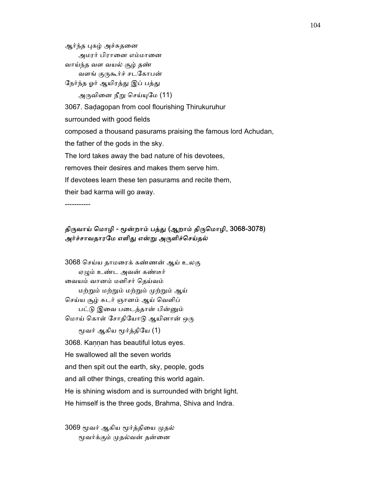ஆர்ந்த புகழ் அச்சுதனை அமரர் பிரானை எம்மானை வாய்ந்த வள வயல் சூழ் தண் வளங் குருகூர்ச் சடகோபன் நேர்ந்த ஓர் ஆயிரத்து இப் பத்து அருவினை நீறு செய்யுமே (11) 3067. Saḍagopan from cool flourishing Thirukuruhur surrounded with good fields composed a thousand pasurams praising the famous lord Achudan, the father of the gods in the sky. The lord takes away the bad nature of his devotees, removes their desires and makes them serve him.

If devotees learn these ten pasurams and recite them,

their bad karma will go away.

-----------

# திருவாய் மொழி - மூன்றாம் பத்து (ஆறாம் திருமொழி, 3068-3078) அர்ச்சாவதாரமே எளிது என்று அருளிச்செய்தல்

 3068 ெசய்ய தாமைரக் கண்ணன் ஆய் உலகு ஏᾨம் உண்ட அவன் கண்டீர் ைவயம் வானம் மனிசர் ெதய்வம் மற்ᾠம் மற்ᾠம் மற்ᾠம் ᾙற்ᾠம் ஆய் செய்ய சூழ் சுடர் ஞானம் ஆய் வெளிப் பட்ᾌ இைவ பைடத்தான் பின்ᾔம் மொய் கொள் சோதியோடு ஆயினான் ஒரு மூவர் ஆகிய மூர்த்தியே (1) 3068. Kaṇṇan has beautiful lotus eyes. He swallowed all the seven worlds and then spit out the earth, sky, people, gods and all other things, creating this world again. He is shining wisdom and is surrounded with bright light. He himself is the three gods, Brahma, Shiva and Indra.

3069 மூவர் ஆகிய மூர்த்தியை முதல் ᾚவர்க்கும் ᾙதல்வன் தன்ைன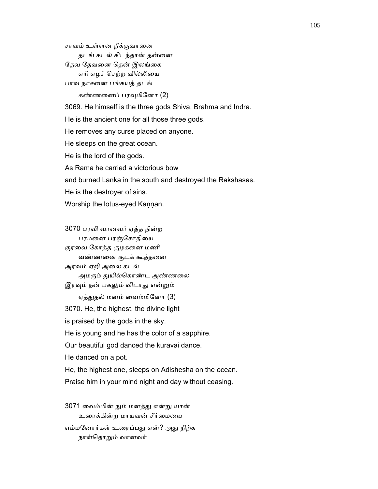சாவம் உள்ளன நீக்குவாைன தடங் கடல் கிடந்தான் தன்னை தேவ தேவனை தென் இலங்கை எாி எழச் ெசற்ற வில்ᾢைய பாவ நாசைன பங்கயத் தடங் கண்ணனைப் பரவுமினோ (2) 3069. He himself is the three gods Shiva, Brahma and Indra.

 He is the ancient one for all those three gods. He removes any curse placed on anyone. He sleeps on the great ocean. He is the lord of the gods. As Rama he carried a victorious bow and burned Lanka in the south and destroyed the Rakshasas.

He is the destroyer of sins.

Worship the lotus-eyed Kannan.

 3070 பரவி வானவர் ஏத்த நின்ற பரமனை பரஞ்சோதியை குரைவ ேகாத்த குழகைன மணி வண்ணைன குடக் கூத்தைன அரவம் ஏறி அைல கடல் அமரும் துயில்கொண்ட அண்ணலை இரவும் நன் பகலும் விடாது என்றும் ஏத்துதல் மனம் வைம்மினோ (3) 3070. He, the highest, the divine light is praised by the gods in the sky. He is young and he has the color of a sapphire. Our beautiful god danced the kuravai dance. He danced on a pot. He, the highest one, sleeps on Adishesha on the ocean. Praise him in your mind night and day without ceasing.

 3071 ைவம்மின் ᾒம் மனத்ᾐ என்ᾠ யான் உரைக்கின்ற மாயவன் சீர்மையை எம்மனோர்கள் உரைப்பது என்? அது நிற்க நாள்தொறும் வானவர்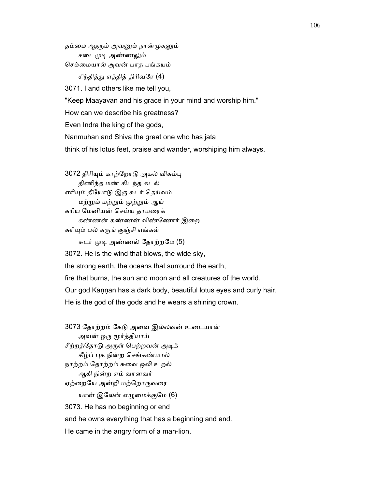தம்மை ஆளும் அவனும் நான்முகனும் சடைமுடி அண்ணலும் ெசம்ைமயால் அவன் பாத பங்கயம் சிந்தித்து ஏத்தித் திரிவரே (4) 3071. I and others like me tell you, "Keep Maayavan and his grace in your mind and worship him." How can we describe his greatness? Even Indra the king of the gods, Nanmuhan and Shiva the great one who has jata think of his lotus feet, praise and wander, worshiping him always.

3072 திரியும் காற்றோடு அகல் விசும்பு திணிந்த மண் கிடந்த கடல் எரியும் தீயோடு இரு சுடர் தெய்வம் மற்ᾠம் மற்ᾠம் ᾙற்ᾠம் ஆய் காிய ேமனியன் ெசய்ய தாமைரக் கண்ணன் கண்ணன் விண்ேணார் இைற சுரியும் பல் கருங் குஞ்சி எங்கள் சுடர் முடி அண்ணல் தோற்றமே (5)

 3072. He is the wind that blows, the wide sky, the strong earth, the oceans that surround the earth, fire that burns, the sun and moon and all creatures of the world. Our god Kaṇṇan has a dark body, beautiful lotus eyes and curly hair. He is the god of the gods and he wears a shining crown.

 3073 ேதாற்றம் ேகᾌ அைவ இல்லவன் உைடயான் அவன் ஒரு மூர்த்தியாய் சீற்றத்தோடு அருள் பெற்றவன் அடிக் கீழ்ப் ᾗக நின்ற ெசங்கண்மால் நாற்றம் தோற்றம் சுவை ஒலி உறல் ஆகி நின்ற எம் வானவர் ஏற்றையே அன்றி மற்றொருவரை யான் இலேன் எழுமைக்குமே (6) 3073. He has no beginning or end and he owns everything that has a beginning and end. He came in the angry form of a man-lion,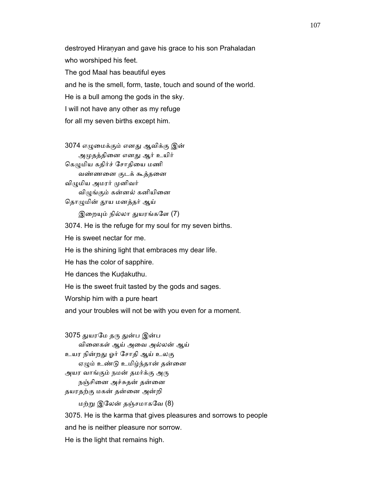destroyed Hiranyan and gave his grace to his son Prahaladan who worshiped his feet. The god Maal has beautiful eyes and he is the smell, form, taste, touch and sound of the world. He is a bull among the gods in the sky. I will not have any other as my refuge for all my seven births except him.

 3074 எᾨைமக்கும் எனᾐ ஆவிக்கு இன் அமுதத்தினை எனது ஆர் உயிர் கெழுமிய கதிர்ச் சோதியை மணி வண்ணைன குடக் கூத்தைன விழுமிய அமரர் முனிவர் விழுங்கும் கன்னல் கனியினை தொழுமின் தூய மனத்தர் ஆய் இறையும் நில்லா துயரங்களே (7)

 3074. He is the refuge for my soul for my seven births. He is sweet nectar for me. He is the shining light that embraces my dear life. He has the color of sapphire. He dances the Kuḍakuthu. He is the sweet fruit tasted by the gods and sages. Worship him with a pure heart and your troubles will not be with you even for a moment.

3075 துயரமே தரு துன்ப இன்ப விைனகள் ஆய் அைவ அல்லன் ஆய் உயர நின்றᾐ ஓர் ேசாதி ஆய் உலகு ஏழும் உண்டு உமிழ்ந்தான் தன்னை அயர வாங்கும் நமன் தமர்க்கு அரு நஞ்சினை அச்சுதன் தன்னை தயரதற்கு மகன் தன்ைன அன்றி மற்ᾠ இேலன் தஞ்சமாகேவ (8) 3075. He is the karma that gives pleasures and sorrows to people and he is neither pleasure nor sorrow.

He is the light that remains high.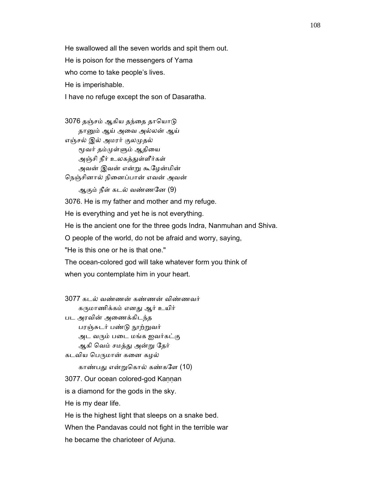He swallowed all the seven worlds and spit them out. He is poison for the messengers of Yama who come to take people's lives. He is imperishable. I have no refuge except the son of Dasaratha.

3076 தஞ்சம் ஆகிய தந்தை தாயொடு தாᾔம் ஆய் அைவ அல்லன் ஆய் எஞ்சல் இல் அமரர் குலᾙதல் மூவர் தம்முள்ளும் ஆதியை அஞ்சி நீர் உலகத்துள்ளீர்கள் அவன் இவன் என்ᾠ கூேழன்மின் ெநஞ்சினால் நிைனப்பான் எவன் அவன் ஆகும் நீள் கடல் வண்ணேன (9) 3076. He is my father and mother and my refuge. He is everything and yet he is not everything. He is the ancient one for the three gods Indra, Nanmuhan and Shiva. O people of the world, do not be afraid and worry, saying, "He is this one or he is that one." The ocean-colored god will take whatever form you think of when you contemplate him in your heart.

 3077 கடல் வண்ணன் கண்ணன் விண்ணவர் கருமாணிக்கம் எனது ஆர் உயிர் பட அரவின் அைணக்கிடந்த பரஞ்சுடர் பண்டு நூற்றுவர் அட வᾞம் பைட மங்க ஐவர்கட்கு ஆகி ெவம் சமத்ᾐ அன்ᾠ ேதர் கடவிய பெருமான் கனை கழல் காண்பது என்றுகொல் கண்களே (10) 3077. Our ocean colored-god Kaṇṇan is a diamond for the gods in the sky. He is my dear life. He is the highest light that sleeps on a snake bed. When the Pandavas could not fight in the terrible war

he became the charioteer of Arjuna.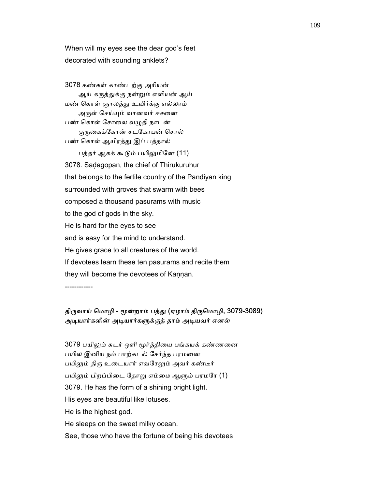When will my eyes see the dear god's feet decorated with sounding anklets?

 3078 கண்கள் காண்டற்கு அாியன் ஆய் கருத்துக்கு நன்றும் எளியன் ஆய் மண் ெகாள் ஞாலத்ᾐ உயிர்க்கு எல்லாம் அருள் செய்யும் வானவர் ஈசனை பண் கொள் சோலை வழுதி நாடன் குருகைக்கோன் சடகோபன் சொல் பண் கொள் ஆயிரத்து இப் பத்தால் பத்தர் ஆகக் கூடும் பயிலுமினே (11) 3078. Saḍagopan, the chief of Thirukuruhur that belongs to the fertile country of the Pandiyan king surrounded with groves that swarm with bees composed a thousand pasurams with music to the god of gods in the sky. He is hard for the eyes to see and is easy for the mind to understand. He gives grace to all creatures of the world. If devotees learn these ten pasurams and recite them they will become the devotees of Kaṇṇan.

------------

# திருவாய் மொழி - மூன்றாம் பத்து (ஏழாம் திருமொழி, 3079-3089) அடியார்களின் அடியார்களுக்குத் தாம் அடியவர் எனல்

 3079 பயிᾤம் சுடர் ஒளி ᾚர்த்திைய பங்கயக் கண்ணைன பயில இனிய நம் பாற்கடல் சேர்ந்த பரமனை பயிலும் திரு உடையார் எவரேலும் அவர் கண்டீர் பயிலும் பிறப்பிடை தோறு எம்மை ஆளும் பரமரே (1) 3079. He has the form of a shining bright light. His eyes are beautiful like lotuses. He is the highest god. He sleeps on the sweet milky ocean.

See, those who have the fortune of being his devotees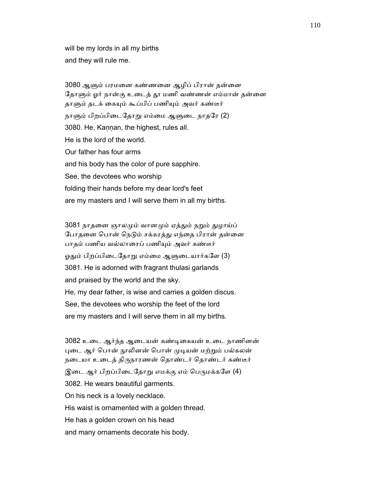will be my lords in all my births and they will rule me.

 3080 ஆᾦம் பரமைன கண்ணைன ஆழிப் பிரான் தன்ைன தோளும் ஓர் நான்கு உடைத் தூ மணி வண்ணன் எம்மான் தன்னை தாளும் தடக் கையும் கூப்பிப் பணியும் அவர் கண்டீர் நாளும் பிறப்பிடைதோறு எம்மை ஆளுடை நாதரே (2) 3080. He, Kaṇṇan, the highest, rules all. He is the lord of the world. Our father has four arms and his body has the color of pure sapphire. See, the devotees who worship folding their hands before my dear lord's feet are my masters and I will serve them in all my births.

3081 நாதனை ஞாலமும் வானமும் ஏத்தும் நறும் துழாய்ப் போதனை பொன் நெடும் சக்கரத்து எந்தை பிரான் தன்னை பாதம் பணிய வல்லாைரப் பணிᾜம் அவர் கண்டீர் ஓதும் பிறப்பிடைதோறு எம்மை ஆளுடையார்களே (3) 3081. He is adorned with fragrant thulasi garlands and praised by the world and the sky. He, my dear father, is wise and carries a golden discus. See, the devotees who worship the feet of the lord are my masters and I will serve them in all my births.

 3082 உைட ஆர்ந்த ஆைடயன் கண்ᾊைகயன் உைட நாணினன் புடை ஆர் பொன் நூலினன் பொன் முடியன் மற்றும் பல்கலன் நடையா உடைத் திருநாரணன் தொண்டர் தொண்டர் கண்டீர் இடை ஆர் பிறப்பிடைதோறு எமக்கு எம் பெருமக்களே (4) 3082. He wears beautiful garments. On his neck is a lovely necklace. His waist is ornamented with a golden thread. He has a golden crown on his head and many ornaments decorate his body.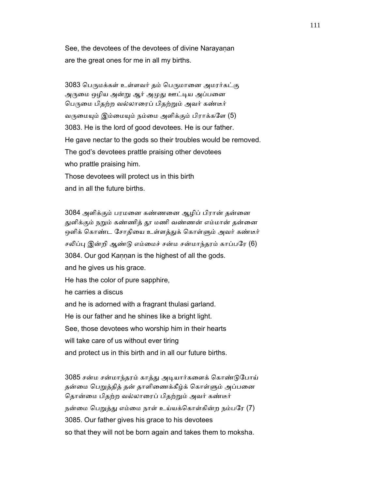See, the devotees of the devotees of divine Narayanan are the great ones for me in all my births.

3083 பெருமக்கள் உள்ளவர் தம் பெருமானை அமரர்கட்கு அருமை ஒழிய அன்று ஆர் அமுது ஊட்டிய அப்பனை பெருமை பிதற்ற வல்லாரைப் பிதற்றும் அவர் கண்டீர் வருமையும் இம்மையும் நம்மை அளிக்கும் பிராக்களே (5) 3083. He is the lord of good devotees. He is our father. He gave nectar to the gods so their troubles would be removed. The god's devotees prattle praising other devotees who prattle praising him. Those devotees will protect us in this birth and in all the future births.

 3084 அளிக்கும் பரமைன கண்ணைன ஆழிப் பிரான் தன்ைன துளிக்கும் நறும் கண்ணித் தூ மணி வண்ணன் எம்மான் தன்னை ஒளிக் கொண்ட சோதியை உள்ளத்துக் கொள்ளும் அவர் கண்டீர் சலிப்பு இன்றி ஆண்டு எம்மைச் சன்ம சன்மாந்தரம் காப்பரே (6) 3084. Our god Kannan is the highest of all the gods. and he gives us his grace. He has the color of pure sapphire, he carries a discus and he is adorned with a fragrant thulasi garland. He is our father and he shines like a bright light. See, those devotees who worship him in their hearts will take care of us without ever tiring and protect us in this birth and in all our future births.

 3085 சன்ம சன்மாந்தரம் காத்ᾐ அᾊயார்கைளக் ெகாண்ᾌேபாய் தன்மை பெறுத்தித் தன் தாளிணைக்கீழ்க் கொள்ளும் அப்பனை தொன்மை பிதற்ற வல்லாரைப் பிதற்றும் அவர் கண்டீர் நன்மை பெறுத்து எம்மை நாள் உய்யக்கொள்கின்ற நம்பரே (7) 3085. Our father gives his grace to his devotees so that they will not be born again and takes them to moksha.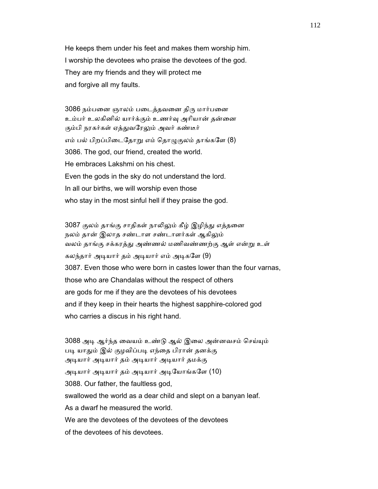He keeps them under his feet and makes them worship him. I worship the devotees who praise the devotees of the god. They are my friends and they will protect me and forgive all my faults.

3086 நம்பனை ஞாலம் படைத்தவனை திரு மார்பனை உம்பர் உலகினில் யார்க்கும் உணர்ᾫ அாியான் தன்ைன கும்பி நரகர்கள் ஏத்துவரேலும் அவர் கண்டீர் எம் பல் பிறப்பிடைதோறு எம் தொழுகுலம் தாங்களே (8) 3086. The god, our friend, created the world. He embraces Lakshmi on his chest. Even the gods in the sky do not understand the lord. In all our births, we will worship even those who stay in the most sinful hell if they praise the god.

3087 குலம் தாங்கு சாதிகள் நாலிலும் கீழ் இழிந்து எத்தனை நலம் தான் இலாத சண்டாள சண்டாளர்கள் ஆகிலும் வலம் தாங்கு சக்கரத்ᾐ அண்ணல் மணிவண்ணற்கு ஆள் என்ᾠ உள் கலந்தார் அடியார் தம் அடியார் எம் அடிகளே (9) 3087. Even those who were born in castes lower than the four varnas, those who are Chandalas without the respect of others are gods for me if they are the devotees of his devotees and if they keep in their hearts the highest sapphire-colored god who carries a discus in his right hand.

3088 அடி ஆர்ந்த வையம் உண்டு ஆல் இலை அன்னவசம் செய்யும் படி யாதும் இல் குழவிப்படி எந்தை பிரான் தனக்கு அᾊயார் அᾊயார் தம் அᾊயார் அᾊயார் தமக்கு அᾊயார் அᾊயார் தம் அᾊயார் அᾊேயாங்கேள (10) 3088. Our father, the faultless god, swallowed the world as a dear child and slept on a banyan leaf. As a dwarf he measured the world. We are the devotees of the devotees of the devotees of the devotees of his devotees.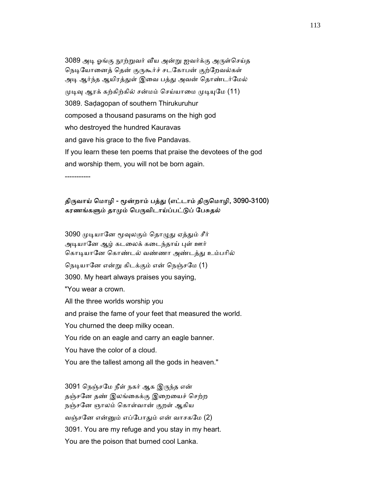3089 அᾊ ஓங்கு ᾓற்ᾠவர் ᾪய அன்ᾠ ஐவர்க்கு அᾞள்ெசய்த நெடியோனைத் தென் குருகூர்ச் சடகோபன் குற்றேவல்கள் அடி ஆர்ந்த ஆயிரத்துள் இவை பத்து அவன் தொண்டர்மேல் முடிவு ஆரக் கற்கிற்கில் சன்மம் செய்யாமை முடியுமே (11) 3089. Saḍagopan of southern Thirukuruhur composed a thousand pasurams on the high god who destroyed the hundred Kauravas and gave his grace to the five Pandavas. If you learn these ten poems that praise the devotees of the god and worship them, you will not be born again.

-----------

## திருவாய் மொழி - மூன்றாம் பத்து (எட்டாம் திருமொழி, 3090-3100) கரணங்களும் தாமும் பெருவிடாய்ப்பட்டுப் பேசுதல்

3090 முடியானே மூவுலகும் தொழுது ஏத்தும் சீர் அடியானே ஆழ் கடலைக் கடைந்தாய் புள் ஊர் கொடியானே கொண்டல் வண்ணா அண்டத்து உம்பரில் நெடியானே என்று கிடக்கும் என் நெஞ்சமே (1) 3090. My heart always praises you saying, "You wear a crown. All the three worlds worship you and praise the fame of your feet that measured the world. You churned the deep milky ocean. You ride on an eagle and carry an eagle banner. You have the color of a cloud. You are the tallest among all the gods in heaven."

 3091 ெநஞ்சேம நீள் நகர் ஆக இᾞந்த என் தஞ்சேன தண் இலங்ைகக்கு இைறையச் ெசற்ற நஞ்சேன ஞாலம் ெகாள்வான் குறள் ஆகிய வஞ்சேன என்ᾔம் எப்ேபாᾐம் என் வாசகேம (2) 3091. You are my refuge and you stay in my heart. You are the poison that burned cool Lanka.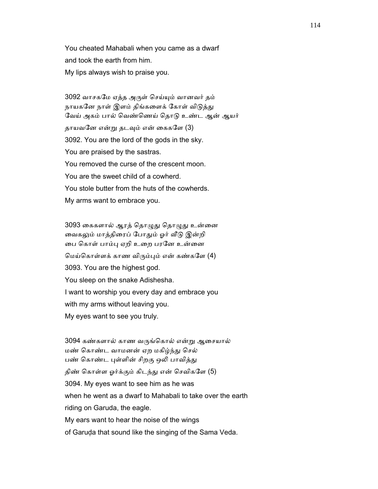You cheated Mahabali when you came as a dwarf and took the earth from him. My lips always wish to praise you.

 3092 வாசகேம ஏத்த அᾞள் ெசய்ᾜம் வானவர் தம் நாயகனே நாள் இளம் திங்களைக் கோள் விடுத்து வேய் அகம் பால் வெண்ணெய் தொடு உண்ட ஆன் ஆயர் தாயவனே என்று தடவும் என் கைகளே (3) 3092. You are the lord of the gods in the sky. You are praised by the sastras. You removed the curse of the crescent moon. You are the sweet child of a cowherd. You stole butter from the huts of the cowherds. My arms want to embrace you.

3093 கைகளால் ஆரத் தொழுது தொழுது உன்னை வைகலும் மாத்திரைப் போதும் ஓர் வீடு இன்றி ைப ெகாள் பாம்ᾗ ஏறி உைற பரேன உன்ைன ெமய்ெகாள்ளக் காண விᾞம்ᾗம் என் கண்கேள (4) 3093. You are the highest god. You sleep on the snake Adishesha. I want to worship you every day and embrace you with my arms without leaving you. My eyes want to see you truly.

 3094 கண்களால் காண வᾞங்ெகால் என்ᾠ ஆைசயால் மண் ெகாண்ட வாமனன் ஏற மகிழ்ந்ᾐ ெசல் பண் கொண்ட புள்ளின் சிறகு ஒலி பாவித்து திண் கொள்ள ஓர்க்கும் கிடந்து என் செவிகளே (5) 3094. My eyes want to see him as he was when he went as a dwarf to Mahabali to take over the earth riding on Garuda, the eagle. My ears want to hear the noise of the wings of Garuḍa that sound like the singing of the Sama Veda.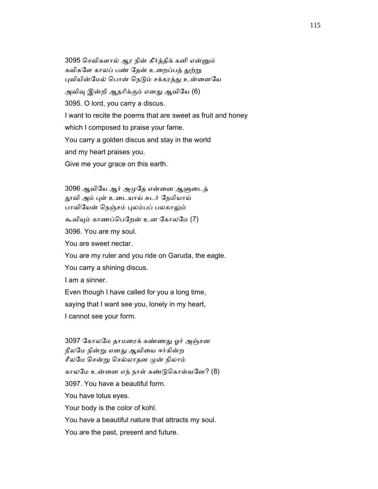3095 ெசவிகளால் ஆர நின் கீர்த்திக் கனி என்ᾔம் கவிகளே காலப் பண் தேன் உறைப்பத் துற்று புவியின்மேல் பொன் நெடும் சக்கரத்து உன்னையே அவிவு இன்றி ஆதரிக்கும் எனது ஆவியே (6) 3095. O lord, you carry a discus. I want to recite the poems that are sweet as fruit and honey which I composed to praise your fame. You carry a golden discus and stay in the world and my heart praises you. Give me your grace on this earth.

 3096 ஆவிேய ஆர் அᾙேத என்ைன ஆᾦைடத் தூவி அம் புள் உடையாய் சுடர் நேமியாய் பாவியேன் நெஞ்சம் புலம்பப் பலகாலும் கூவியும் காணப்பெறேன் உன கோலமே (7) 3096. You are my soul. You are sweet nectar. You are my ruler and you ride on Garuda, the eagle. You carry a shining discus. I am a sinner. Even though I have called for you a long time,

 saying that I want see you, lonely in my heart, I cannot see your form.

 3097 ேகாலேம தாமைரக் கண்ணᾐ ஓர் அஞ்சன நீலேம நின்ᾠ எனᾐ ஆவிைய ஈர்கின்ற சீலமே சென்று செல்லாதன முன் நிலாம் காலேம உன்ைன எந் நாள் கண்ᾌெகாள்வேன? (8) 3097. You have a beautiful form. You have lotus eyes. Your body is the color of kohl. You have a beautiful nature that attracts my soul. You are the past, present and future.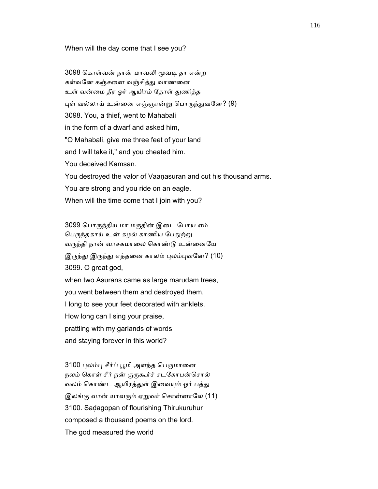#### When will the day come that I see you?

3098 கொள்வன் நான் மாவலி மூவடி தா என்ற கள்வனே கஞ்சனை வஞ்சித்து வாணனை உள் வன்மை தீர ஓர் ஆயிரம் தோள் துணித்த புள் வல்லாய் உன்னை எஞ்ஞான்று பொருந்துவனே? (9) 3098. You, a thief, went to Mahabali in the form of a dwarf and asked him, "O Mahabali, give me three feet of your land and I will take it," and you cheated him. You deceived Kamsan. You destroyed the valor of Vaaṇasuran and cut his thousand arms. You are strong and you ride on an eagle. When will the time come that I join with you?

 3099 ெபாᾞந்திய மா மᾞதின் இைட ேபாய எம் பெருந்தகாய் உன் கழல் காணிய பேதுற்று வருந்தி நான் வாசகமாலை கொண்டு உன்னையே இருந்து இருந்து எத்தனை காலம் புலம்புவனே? (10) 3099. O great god, when two Asurans came as large marudam trees, you went between them and destroyed them. I long to see your feet decorated with anklets. How long can I sing your praise, prattling with my garlands of words and staying forever in this world?

3100 புலம்பு சீர்ப் பூமி அளந்த பெருமானை நலம் கொள் சீர் நன் குருகூர்ச் சடகோபன்சொல் வலம் கொண்ட ஆயிரத்துள் இவையும் ஓர் பத்து இலங்கு வான் யாவரும் ஏறுவர் சொன்னாலே (11) 3100. Saḍagopan of flourishing Thirukuruhur composed a thousand poems on the lord. The god measured the world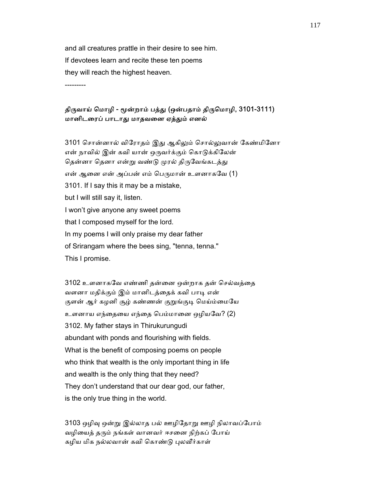and all creatures prattle in their desire to see him. If devotees learn and recite these ten poems they will reach the highest heaven.

---------

## திருவாய் மொழி - மூன்றாம் பத்து (ஒன்பதாம் திருமொழி, 3101-3111) மானிடைரப் பாடாᾐ மாதவைன ஏத்ᾐம் எனல்

3101 சொன்னால் விரோதம் இது ஆகிலும் சொல்லுவான் கேண்மினோ என் நாவில் இன் கவி யான் ஒருவர்க்கும் கொடுக்கிலேன் தென்னா தெனா என்று வண்டு முரல் திருவேங்கடத்து என் ஆனை என் அப்பன் எம் பெருமான் உளனாகவே (1) 3101. If I say this it may be a mistake, but I will still say it, listen. I won't give anyone any sweet poems that I composed myself for the lord. In my poems I will only praise my dear father of Srirangam where the bees sing, "tenna, tenna." This I promise.

 3102 உளனாகேவ எண்ணி தன்ைன ஒன்றாக தன் ெசல்வத்ைத வளனா மதிக்கும் இம் மானிடத்தைக் கவி பாடி என் குளன் ஆர் கழனி சூழ் கண்ணன் குறுங்குடி மெய்ம்மையே உளனாய எந்ைதைய எந்ைத ெபம்மாைன ஒழியேவ? (2) 3102. My father stays in Thirukurungudi abundant with ponds and flourishing with fields. What is the benefit of composing poems on people who think that wealth is the only important thing in life and wealth is the only thing that they need? They don't understand that our dear god, our father, is the only true thing in the world.

 3103 ஒழிᾫ ஒன்ᾠ இல்லாத பல் ஊழிேதாᾠ ஊழி நிலாவப்ேபாம் வழியைத் தரும் நங்கள் வானவர் ஈசனை நிற்கப் போய் கழிய மிக நல்லவான் கவி கொண்டு புலவீர்காள்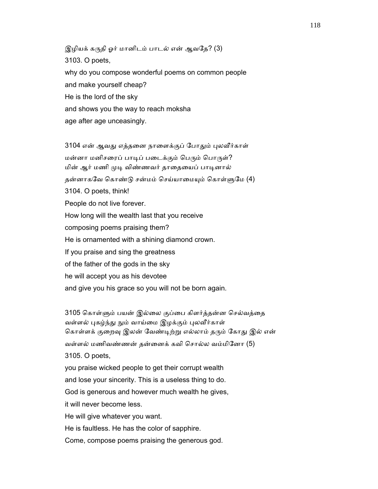இழியக் கருதி ஓர் மானிடம் பாடல் என் ஆவதே? (3) 3103. O poets, why do you compose wonderful poems on common people and make yourself cheap? He is the lord of the sky and shows you the way to reach moksha age after age unceasingly.

3104 என் ஆவது எத்தனை நாளைக்குப் போதும் புலவீர்காள் மன்னா மனிசரைப் பாடிப் படைக்கும் பெரும் பொருள்? மின் ஆர் மணி முடி விண்ணவர் தாதையைப் பாடினால் தன்னாகவே கொண்டு சன்மம் செய்யாமையும் கொள்ளுமே (4) 3104. O poets, think! People do not live forever. How long will the wealth last that you receive composing poems praising them? He is ornamented with a shining diamond crown. If you praise and sing the greatness of the father of the gods in the sky he will accept you as his devotee and give you his grace so you will not be born again.

3105 கொள்ளும் பயன் இல்லை குப்பை கிளர்த்தன்ன செல்வத்தை வள்ளல் புகழ்ந்து நும் வாய்மை இழக்கும் புலவீர்காள் கொள்ளக் குறைவு இலன் வேண்டிற்று எல்லாம் தரும் கோது இல் என் வள்ளல் மணிவண்ணன் தன்ைனக் கவி ெசால்ல வம்மிேனா (5) 3105. O poets, you praise wicked people to get their corrupt wealth and lose your sincerity. This is a useless thing to do. God is generous and however much wealth he gives, it will never become less. He will give whatever you want. He is faultless. He has the color of sapphire. Come, compose poems praising the generous god.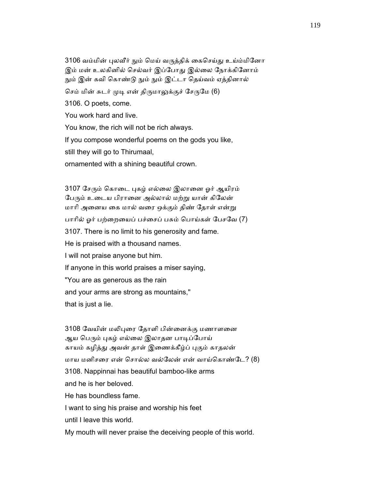3106 வம்மின் புலவீர் நும் மெய் வருத்திக் கைசெய்து உய்ம்மினோ இம் மன் உலகினில் செல்வர் இப்போது இல்லை நோக்கினோம் நும் இன் கவி கொண்டு நும் நும் இட்டா தெய்வம் ஏத்தினால் செம் மின் சுடர் முடி என் திருமாலுக்குச் சேருமே (6) 3106. O poets, come. You work hard and live. You know, the rich will not be rich always. If you compose wonderful poems on the gods you like, still they will go to Thirumaal, ornamented with a shining beautiful crown.

3107 சேரும் கொடை புகழ் எல்லை இலானை ஓர் ஆயிரம் பேரும் உடைய பிரானை அல்லால் மற்று யான் கிலேன் மாரி அனைய கை மால் வரை ஒக்கும் திண் தோள் என்று பாாில் ஓர் பற்ைறையப் பச்ைசப் பசும் ெபாய்கள் ேபசேவ (7) 3107. There is no limit to his generosity and fame. He is praised with a thousand names. I will not praise anyone but him. If anyone in this world praises a miser saying, "You are as generous as the rain and your arms are strong as mountains," that is just a lie.

3108 வேயின் மலிபுரை தோளி பின்னைக்கு மணாளனை ஆய பெரும் புகழ் எல்லை இலாதன பாடிப்போய் காயம் கழித்து அவன் தாள் இணைக்கீழ்ப் புகும் காதலன் மாய மனிசரை என் சொல்ல வல்லேன் என் வாய்கொண்டே? (8) 3108. Nappinnai has beautiful bamboo-like arms and he is her beloved. He has boundless fame. I want to sing his praise and worship his feet until I leave this world.

My mouth will never praise the deceiving people of this world.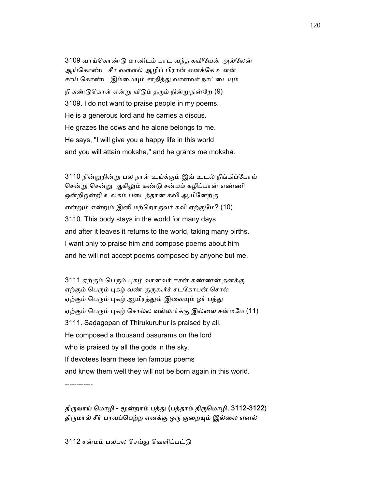3109 வாய்ெகாண்ᾌ மானிடம் பாட வந்த கவிேயன் அல்ேலன் ஆய்ெகாண்ட சீர் வள்ளல் ஆழிப் பிரான் எனக்ேக உளன் சாய் கொண்ட இம்மையும் சாதித்து வானவர் நாட்டையும் நீ கண்டுகொள் என்று வீடும் தரும் நின்றுநின்றே (9) 3109. I do not want to praise people in my poems. He is a generous lord and he carries a discus. He grazes the cows and he alone belongs to me. He says, "I will give you a happy life in this world and you will attain moksha," and he grants me moksha.

 3110 நின்ᾠநின்ᾠ பல நாள் உய்க்கும் இவ் உடல் நீங்கிப்ேபாய் சென்று சென்று ஆகிலும் கண்டு சன்மம் கழிப்பான் எண்ணி ஒன்றிஒன்றி உலகம் பைடத்தான் கவி ஆயிேனற்கு என்றும் என்றும் இனி மற்றொருவர் கவி ஏற்குமே? (10) 3110. This body stays in the world for many days and after it leaves it returns to the world, taking many births. I want only to praise him and compose poems about him and he will not accept poems composed by anyone but me.

3111 ஏற்கும் பெரும் புகழ் வானவர் ஈசன் கண்ணன் தனக்கு ஏற்கும் பெரும் புகழ் வண் குருகூர்ச் சடகோபன் சொல் ஏற்கும் பெரும் புகழ் ஆயிரத்துள் இவையும் ஓர் பத்து ஏற்கும் பெரும் புகழ் சொல்ல வல்லார்க்கு இல்லை சன்மமே (11) 3111. Saḍagopan of Thirukuruhur is praised by all. He composed a thousand pasurams on the lord who is praised by all the gods in the sky. If devotees learn these ten famous poems and know them well they will not be born again in this world. ------------

திருவாய் மொழி - மூன்றாம் பத்து (பத்தாம் திருமொழி, 3112-3122) திருமால் சீர் பரவப்பெற்ற எனக்கு ஒரு குறையும் இல்லை எனல்

3112 சன்மம் பலபல செய்து வெளிப்பட்டு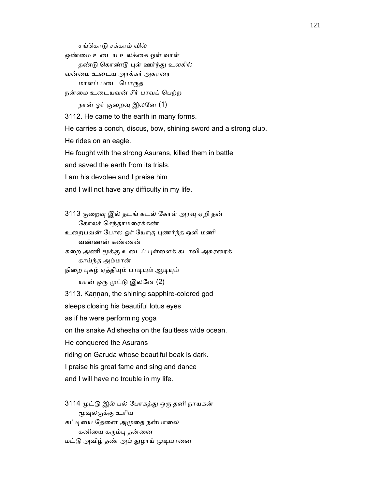சங்கொடு சக்கரம் வில் ஒண்மை உடைய உலக்கை ஒள் வாள் தண்டு கொண்டு புள் ஊர்ந்து உலகில் வன்மை உடைய அரக்கர் அசுரரை மாளப் படை பொருத நன்ைம உைடயவன் சீர் பரவப் ெபற்ற நான் ஓர் குறைவு இலனே (1) 3112. He came to the earth in many forms. He carries a conch, discus, bow, shining sword and a strong club. He rides on an eagle. He fought with the strong Asurans, killed them in battle and saved the earth from its trials. I am his devotee and I praise him and I will not have any difficulty in my life. 3113 குைறᾫ இல் தடங் கடல் ேகாள் அரᾫ ஏறி தன் ேகாலச் ெசந்தாமைரக்கண்

 உைறபவன் ேபால ஓர் ேயாகு ᾗணர்ந்த ஒளி மணி வண்ணன் கண்ணன்

கறை அணி மூக்கு உடைப் புள்ளைக் கடாவி அசுரரைக் காய்ந்த அம்மான்

நிறை புகழ் ஏத்தியும் பாடியும் ஆடியும்

யான் ஒரு முட்டு இலனே (2)

3113. Kaṇṇan, the shining sapphire-colored god

sleeps closing his beautiful lotus eyes

as if he were performing yoga

on the snake Adishesha on the faultless wide ocean.

He conquered the Asurans

riding on Garuda whose beautiful beak is dark.

I praise his great fame and sing and dance

and I will have no trouble in my life.

 3114 ᾙட்ᾌ இல் பல் ேபாகத்ᾐ ஒᾞ தனி நாயகன் ᾚᾫலகுக்கு உாிய

கட்டியை தேனை அமுதை நன்பாலை கனியை கரும்பு தன்னை

மட்டு அவிழ் தண் அம் துழாய் முடியானை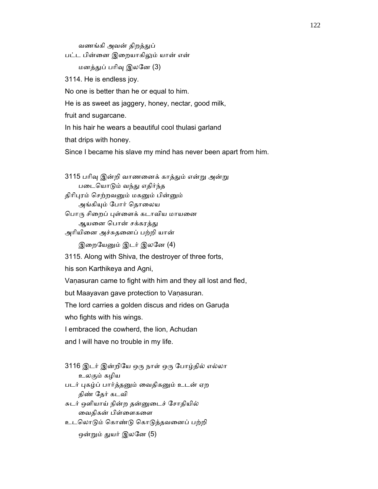வணங்கி அவன் திறத்துப்

பட்ட பின்ைன இைறயாகிᾤம் யான் என்

மனத்ᾐப் பாிᾫ இலேன (3)

3114. He is endless joy.

No one is better than he or equal to him.

He is as sweet as jaggery, honey, nectar, good milk,

fruit and sugarcane.

In his hair he wears a beautiful cool thulasi garland

that drips with honey.

Since I became his slave my mind has never been apart from him.

3115 பரிவு இன்றி வாணனைக் காத்தும் என்று அன்று பைடெயாᾌம் வந்ᾐ எதிர்ந்த திரிபுரம் செற்றவனும் மகனும் பின்னும் அங்கியும் போர் தொலைய பொரு சிறைப் புள்ளைக் கடாவிய மாயனை ஆயனை பொன் சக்கரத்து அாியிைன அச்சுதைனப் பற்றி யான் இறையேனும் இடர் இலனே (4) 3115. Along with Shiva, the destroyer of three forts, his son Karthikeya and Agni, Vaṇasuran came to fight with him and they all lost and fled,

but Maayavan gave protection to Vanasuran.

The lord carries a golden discus and rides on Garuḍa

who fights with his wings.

I embraced the cowherd, the lion, Achudan

and I will have no trouble in my life.

3116 இடர் இன்றியே ஒரு நாள் ஒரு போழ்தில் எல்லா உலகும் கழிய

படர் புகழ்ப் பார்த்தனும் வைதிகனும் உடன் ஏற திண் ேதர் கடவி

 சுடர் ஒளியாய் நின்ற தன்ᾔைடச் ேசாதியில் ைவதிகன் பிள்ைளகைள

உடெலாᾌம் ெகாண்ᾌ ெகாᾌத்தவைனப் பற்றி

ஒன்றும் துயர் இலனே (5)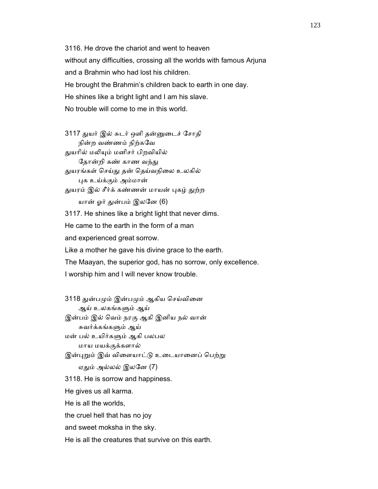3116. He drove the chariot and went to heaven without any difficulties, crossing all the worlds with famous Arjuna and a Brahmin who had lost his children. He brought the Brahmin's children back to earth in one day. He shines like a bright light and I am his slave. No trouble will come to me in this world.

 3117 ᾐயர் இல் சுடர் ஒளி தன்ᾔைடச் ேசாதி நின்ற வண்ணம் நிற்கேவ துயரில் மலியும் மனிசர் பிறவியில் தோன்றி கண் காண வந்து துயரங்கள் செய்து தன் தெய்வநிலை உலகில் ᾗக உய்க்கும் அம்மான் துயரம் இல் சீர்க் கண்ணன் மாயன் புகழ் துற்ற யான் ஓர் துன்பம் இலனே (6) 3117. He shines like a bright light that never dims. He came to the earth in the form of a man and experienced great sorrow. Like a mother he gave his divine grace to the earth. The Maayan, the superior god, has no sorrow, only excellence. I worship him and I will never know trouble.

3118 துன்பமும் இன்பமும் ஆகிய செய்வினை ஆய் உலகங்கᾦம் ஆய் இன்பம் இல் ெவம் நரகு ஆகி இனிய நல் வான் சுவர்க்கங்கᾦம் ஆய் மன் பல் உயிர்கᾦம் ஆகி பலபல மாய மயக்குக்களால் இன்புறும் இவ் விளையாட்டு உடையானைப் பெற்று ஏதும் அல்லல் இலனே (7) 3118. He is sorrow and happiness. He gives us all karma. He is all the worlds, the cruel hell that has no joy and sweet moksha in the sky. He is all the creatures that survive on this earth.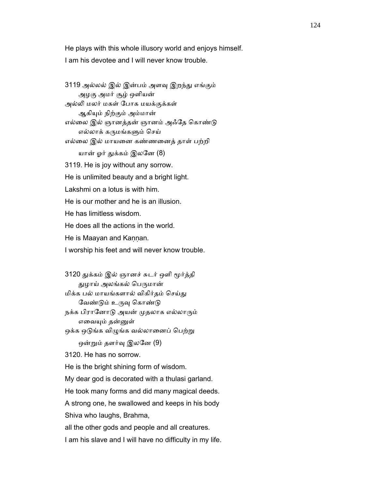He plays with this whole illusory world and enjoys himself. I am his devotee and I will never know trouble.

3119 அல்லல் இல் இன்பம் அளவு இறந்து எங்கும் அழகு அமர் சூழ் ஒளியன் அல்ᾢ மலர் மகள் ேபாக மயக்குக்கள் ஆகியும் நிற்கும் அம்மான் எல்லை இல் ஞானத்தன் ஞானம் அஃதே கொண்டு எல்லாக் கᾞமங்கᾦம் ெசய் எல்ைல இல் மாயைன கண்ணைனத் தாள் பற்றி யான் ஓர் துக்கம் இலனே (8) 3119. He is joy without any sorrow. He is unlimited beauty and a bright light. Lakshmi on a lotus is with him. He is our mother and he is an illusion. He has limitless wisdom. He does all the actions in the world. He is Maayan and Kannan. I worship his feet and will never know trouble.

3120 துக்கம் இல் ஞானச் சுடர் ஒளி மூர்த்தி துழாய் அலங்கல் பெருமான் மிக்க பல் மாயங்களால் விகிர்தம் செய்து வேண்டும் உருவு கொண்டு நக்க பிரானோடு அயன் முதலாக எல்லாரும் எவையும் தன்னுள் ஒக்க ஒடுங்க விழுங்க வல்லானைப் பெற்று ஒன்றும் தளர்வு இலனே (9) 3120. He has no sorrow. He is the bright shining form of wisdom. My dear god is decorated with a thulasi garland. He took many forms and did many magical deeds. A strong one, he swallowed and keeps in his body Shiva who laughs, Brahma, all the other gods and people and all creatures. I am his slave and I will have no difficulty in my life.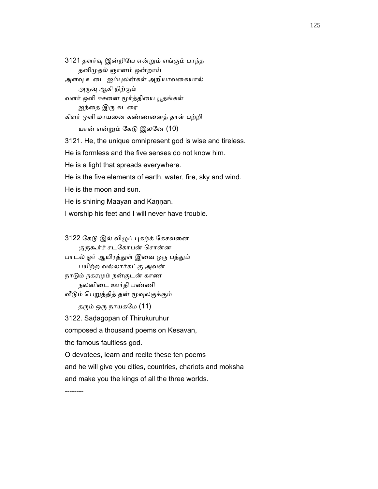3121 தளர்ᾫ இன்றிேய என்ᾠம் எங்கும் பரந்த தனிᾙதல் ஞானம் ஒன்றாய்

அளவு உடை ஐம்புலன்கள் அறியாவகையால்

அருவு ஆகி நிற்கும்

வளர் ஒளி ஈசனை மூர்த்தியை பூதங்கள்

ஐந்தை இரு சுடரை

கிளர் ஒளி மாயைன கண்ணைனத் தாள் பற்றி

யான் என்ᾠம் ேகᾌ இலேன (10)

3121. He, the unique omnipresent god is wise and tireless.

He is formless and the five senses do not know him.

He is a light that spreads everywhere.

He is the five elements of earth, water, fire, sky and wind.

He is the moon and sun.

He is shining Maayan and Kannan.

I worship his feet and I will never have trouble.

3122 கேடு இல் விழுப் புகழ்க் கேசவனை

குருகூர்ச் சடகோபன் சொன்ன

பாடல் ஓர் ஆயிரத்துள் இவை ஒரு பத்தும் பயிற்ற வல்லார்கட்கு அவன்

 நாᾌம் நகரᾙம் நன்குடன் காண நலனிைட ஊர்தி பண்ணி

வீடும் பெறுத்தித் தன் மூவுலகுக்கும்

தரும் ஒரு நாயகமே $(11)$ 

3122. Saḍagopan of Thirukuruhur

composed a thousand poems on Kesavan,

the famous faultless god.

O devotees, learn and recite these ten poems

and he will give you cities, countries, chariots and moksha

and make you the kings of all the three worlds.

--------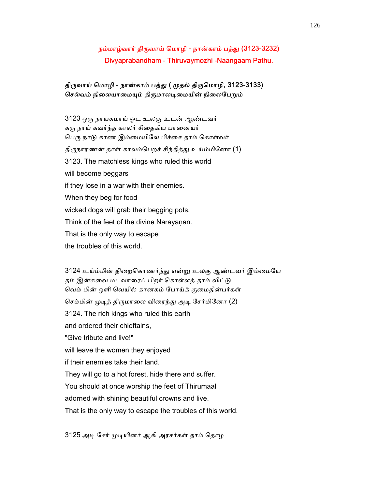# நம்மாழ்வார் திருவாய் மொழி - நான்காம் பத்து (3123-3232) Divyaprabandham - Thiruvaymozhi -Naangaam Pathu.

## திருவாய் மொழி - நான்காம் பத்து ( முதல் திருமொழி, 3123-3133) செல்வம் நிலையாமையும் திருமாலடிமையின் நிலைபேறும்

 3123 ஒᾞ நாயகமாய் ஓட உலகு உடன் ஆண்டவர் கரு நாய் கவர்ந்த காலர் சிதைகிய பானையர் பெரு நாடு காண இம்மையிலே பிச்சை தாம் கொள்வர் திருநாரணன் தாள் காலம்பெறச் சிந்தித்து உய்ம்மினோ (1) 3123. The matchless kings who ruled this world will become beggars if they lose in a war with their enemies. When they beg for food wicked dogs will grab their begging pots. Think of the feet of the divine Narayanan. That is the only way to escape the troubles of this world.

3124 உய்ம்மின் திறைகொணர்ந்து என்று உலகு ஆண்டவர் இம்மையே தம் இன்சுவை மடவாரைப் பிறர் கொள்ளத் தாம் விட்டு ெவம் மின் ஒளி ெவயில் கானகம் ேபாய்க் குைமதின்பர்கள் செம்மின் முடித் திருமாலை விரைந்து அடி சேர்மினோ (2) 3124. The rich kings who ruled this earth and ordered their chieftains, "Give tribute and live!" will leave the women they enjoyed if their enemies take their land. They will go to a hot forest, hide there and suffer. You should at once worship the feet of Thirumaal adorned with shining beautiful crowns and live. That is the only way to escape the troubles of this world.

3125 அடி சேர் முடியினர் ஆகி அரசர்கள் தாம் தொழ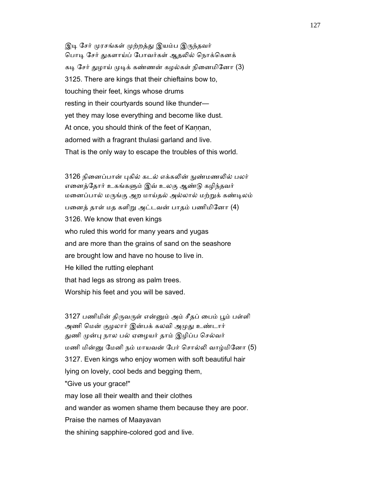இடி சேர் முரசங்கள் முற்றத்து இயம்ப இருந்தவர் பொடி சேர் துகளாய்ப் போவர்கள் ஆதலில் நொக்கெனக் கடி சேர் துழாய் முடிக் கண்ணன் கழல்கள் நினைமினோ (3) 3125. There are kings that their chieftains bow to, touching their feet, kings whose drums resting in their courtyards sound like thunder yet they may lose everything and become like dust. At once, you should think of the feet of Kaṇṇan, adorned with a fragrant thulasi garland and live. That is the only way to escape the troubles of this world.

3126 நினைப்பான் புகில் கடல் எக்கலின் நுண்மணலில் பலர் எனைத்தோர் உகங்களும் இவ் உலகு ஆண்டு கழிந்தவர் மனைப்பால் மருங்கு அற மாய்தல் அல்லால் மற்றுக் கண்டிலம் பனைத் தாள் மத களிறு அட்டவன் பாதம் பணிமினோ (4) 3126. We know that even kings who ruled this world for many years and yugas and are more than the grains of sand on the seashore are brought low and have no house to live in. He killed the rutting elephant that had legs as strong as palm trees. Worship his feet and you will be saved.

3127 பணிமின் திருவருள் என்னும் அம் சீதப் பைம் பூம் பள்ளி அணி மென் குழலார் இன்பக் கலவி அமுது உண்டார் துணி முன்பு நால பல் ஏழையர் தாம் இழிப்ப செல்வர் மணி மின்ᾔ ேமனி நம் மாயவன் ேபர் ெசால்ᾢ வாழ்மிேனா (5) 3127. Even kings who enjoy women with soft beautiful hair lying on lovely, cool beds and begging them, "Give us your grace!" may lose all their wealth and their clothes and wander as women shame them because they are poor. Praise the names of Maayavan the shining sapphire-colored god and live.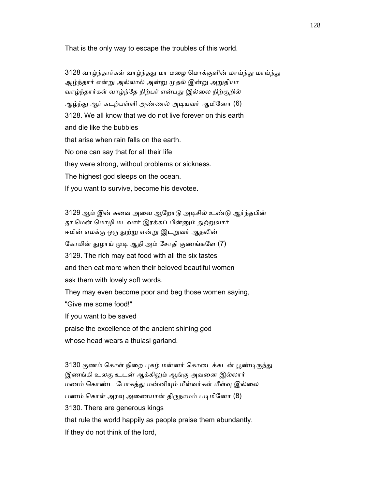That is the only way to escape the troubles of this world.

3128 வாழ்ந்தார்கள் வாழ்ந்தது மா மழை மொக்குளின் மாய்ந்து மாய்ந்து ஆழ்ந்தார் என்று அல்லால் அன்று முதல் இன்று அறுதியா வாழ்ந்தார்கள் வாழ்ந்தே நிற்பர் என்பது இல்லை நிற்குறில் ஆழ்ந்து ஆர் கடற்பள்ளி அண்ணல் அடியவர் ஆமினோ (6) 3128. We all know that we do not live forever on this earth and die like the bubbles that arise when rain falls on the earth. No one can say that for all their life they were strong, without problems or sickness. The highest god sleeps on the ocean. If you want to survive, become his devotee.

3129 ஆம் இன் சுவை அவை ஆறோடு அடிசில் உண்டு ஆர்ந்தபின் தூ மென் மொழி மடவார் இரக்கப் பின்னும் துற்றுவார் ஈமின் எமக்கு ஒரு துற்று என்று இடறுவர் ஆதலின் கோமின் துழாய் முடி ஆதி அம் சோதி குணங்களே (7) 3129. The rich may eat food with all the six tastes and then eat more when their beloved beautiful women ask them with lovely soft words. They may even become poor and beg those women saying, "Give me some food!" If you want to be saved praise the excellence of the ancient shining god whose head wears a thulasi garland.

3130 குணம் கொள் நிறை புகழ் மன்னர் கொடைக்கடன் பூண்டிருந்து இணங்கி உலகு உடன் ஆக்கிலும் ஆங்கு அவனை இல்லார் மணம் கொண்ட போகத்து மன்னியும் மீள்வர்கள் மீள்வு இல்லை பணம் கொள் அரவு அணையான் திருநாமம் படிமினோ (8) 3130. There are generous kings that rule the world happily as people praise them abundantly. If they do not think of the lord,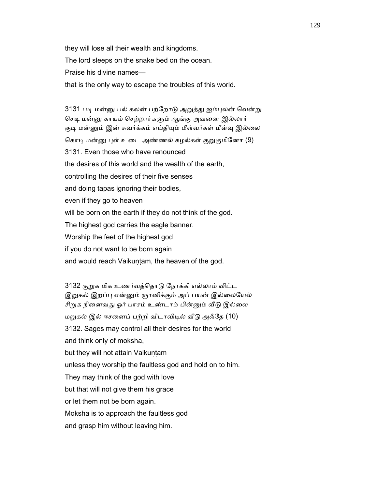they will lose all their wealth and kingdoms.

The lord sleeps on the snake bed on the ocean.

Praise his divine names—

that is the only way to escape the troubles of this world.

3131 படி மன்னு பல் கலன் பற்றோடு அறுத்து ஐம்புலன் வென்று செடி மன்னு காயம் செற்றார்களும் ஆங்கு அவனை இல்லார் குடி மன்னும் இன் சுவர்க்கம் எய்தியும் மீள்வர்கள் மீள்வு இல்லை கொடி மன்னு புள் உடை அண்ணல் கழல்கள் குறுகுமினோ (9) 3131. Even those who have renounced the desires of this world and the wealth of the earth, controlling the desires of their five senses and doing tapas ignoring their bodies, even if they go to heaven will be born on the earth if they do not think of the god. The highest god carries the eagle banner. Worship the feet of the highest god if you do not want to be born again and would reach Vaikuntam, the heaven of the god.

 3132 குᾠக மிக உணர்வத்ெதாᾌ ேநாக்கி எல்லாம் விட்ட இறுகல் இறப்பு என்னும் ஞானிக்கும் அப் பயன் இல்லையேல் சிறுக நினைவது ஓர் பாசம் உண்டாம் பின்னும் வீடு இல்லை மᾠகல் இல் ஈசைனப் பற்றி விடாவிᾊல் ᾪᾌ அஃேத (10) 3132. Sages may control all their desires for the world and think only of moksha, but they will not attain Vaikuṇṭam unless they worship the faultless god and hold on to him. They may think of the god with love but that will not give them his grace or let them not be born again. Moksha is to approach the faultless god and grasp him without leaving him.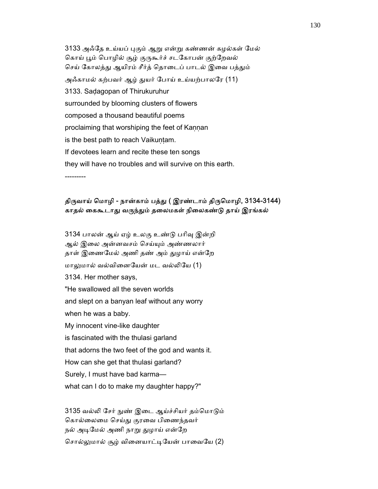3133 அஃேத உய்யப் ᾗகும் ஆᾠ என்ᾠ கண்ணன் கழல்கள் ேமல் கொய் பூம் பொழில் சூழ் குருகூர்ச் சடகோபன் குற்றேவல் செய் கோலத்து ஆயிரம் சீர்த் தொடைப் பாடல் இவை பத்தும் அஃகாமல் கற்பவர் ஆழ் துயர் போய் உய்யற்பாலரே (11) 3133. Saḍagopan of Thirukuruhur surrounded by blooming clusters of flowers composed a thousand beautiful poems proclaiming that worshiping the feet of Kaṇṇan is the best path to reach Vaikuntam. If devotees learn and recite these ten songs they will have no troubles and will survive on this earth. ---------

திருவாய் மொழி - நான்காம் பத்து ( இரண்டாம் திருமொழி, 3134-3144) காதல் கைகூடாது வருந்தும் தலைமகள் நிலைகண்டு தாய் இரங்கல்

 3134 பாலன் ஆய் ஏழ் உலகு உண்ᾌ பாிᾫ இன்றி ஆல் இைல அன்னவசம் ெசய்ᾜம் அண்ணலார் தாள் இணைமேல் அணி தண் அம் துழாய் என்றே மாᾤமால் வல்விைனேயன் மட வல்ᾢேய (1) 3134. Her mother says, "He swallowed all the seven worlds and slept on a banyan leaf without any worry when he was a baby. My innocent vine-like daughter is fascinated with the thulasi garland that adorns the two feet of the god and wants it. How can she get that thulasi garland? Surely, I must have bad karma what can I do to make my daughter happy?"

3135 வல்லி சேர் நுண் இடை ஆய்ச்சியர் தம்மொடும் கொல்லைமை செய்து குரவை பிணைந்தவர் நல் அடிமேல் அணி நாறு துழாய் என்றே சொல்லுமால் சூழ் வினையாட்டியேன் பாவையே (2)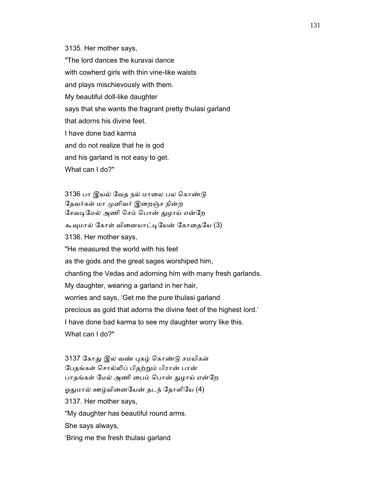3135. Her mother says,

 "The lord dances the kuravai dance with cowherd girls with thin vine-like waists and plays mischievously with them. My beautiful doll-like daughter says that she wants the fragrant pretty thulasi garland that adorns his divine feet. I have done bad karma and do not realize that he is god and his garland is not easy to get. What can I do?"

3136 பா இயல் வேத நல் மாலை பல கொண்டு தேவர்கள் மா முனிவர் இறைஞ்ச நின்ற சேவடிமேல் அணி செம் பொன் துழாய் என்றே கூவுமால் கோள் வினையாட்டியேன் கோதையே (3) 3136. Her mother says, "He measured the world with his feet as the gods and the great sages worshiped him, chanting the Vedas and adorning him with many fresh garlands. My daughter, wearing a garland in her hair, worries and says, 'Get me the pure thulasi garland precious as gold that adorns the divine feet of the highest lord.' I have done bad karma to see my daughter worry like this. What can I do?"

3137 கோது இல வண் புகழ் கொண்டு சமயிகள் ேபதங்கள் ெசால்ᾢப் பிதற்ᾠம் பிரான் பரன் பாதங்கள் மேல் அணி பைம் பொன் துழாய் என்றே ஓதுமால் ஊழ்வினையேன் தடந் தோளியே (4) 3137. Her mother says, "My daughter has beautiful round arms. She says always, 'Bring me the fresh thulasi garland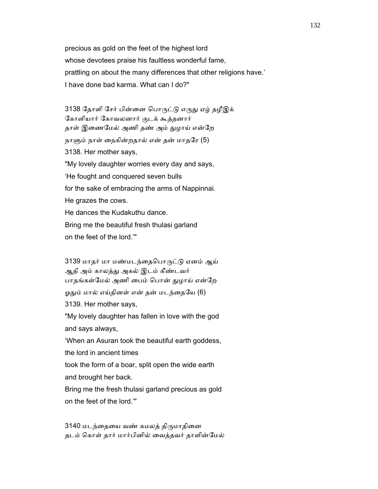precious as gold on the feet of the highest lord whose devotees praise his faultless wonderful fame, prattling on about the many differences that other religions have.' I have done bad karma. What can I do?"

3138 தோளி சேர் பின்னை பொருட்டு எருது ஏழ் தழீஇக் ேகாளியார் ேகாவலனார் குடக் கூத்தனார் தாள் இணைமேல் அணி தண் அம் துழாய் என்றே நாளும் நாள் நைகின்றதால் என் தன் மாதரே (5) 3138. Her mother says, "My lovely daughter worries every day and says, 'He fought and conquered seven bulls for the sake of embracing the arms of Nappinnai. He grazes the cows. He dances the Kudakuthu dance. Bring me the beautiful fresh thulasi garland on the feet of the lord.'"

3139 மாதர் மா மண்மடந்தைபொருட்டு ஏனம் ஆய் ஆதி அம் காலத்து அகல் இடம் கீண்டவர் பாதங்கள்மேல் அணி பைம் பொன் துழாய் என்றே ஓதும் மால் எய்தினள் என் தன் மடந்தையே (6) 3139. Her mother says, "My lovely daughter has fallen in love with the god and says always, 'When an Asuran took the beautiful earth goddess, the lord in ancient times took the form of a boar, split open the wide earth and brought her back.

 Bring me the fresh thulasi garland precious as gold on the feet of the lord.'"

3140 மடந்தையை வண் கமலத் திருமாதினை தடம் ெகாள் தார் மார்பினில் ைவத்தவர் தாளின்ேமல்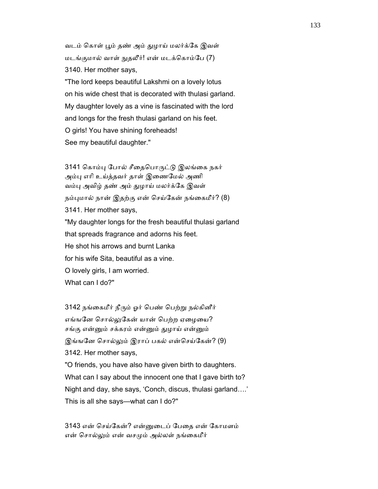வடம் கொள் பூம் தண் அம் துழாய் மலர்க்கே இவள் மடங்குமால் வாள் ᾒதலீர்! என் மடக்ெகாம்ேப (7) 3140. Her mother says, "The lord keeps beautiful Lakshmi on a lovely lotus on his wide chest that is decorated with thulasi garland. My daughter lovely as a vine is fascinated with the lord and longs for the fresh thulasi garland on his feet. O girls! You have shining foreheads! See my beautiful daughter."

3141 கொம்பு போல் சீதைபொருட்டு இலங்கை நகர் அம்பு எரி உய்த்தவர் தாள் இணைமேல் அணி வம்பு அவிழ் தண் அம் துழாய் மலர்க்கே இவள் நம்புமால் நான் இதற்கு என் செய்கேன் நங்கைமீர்? (8) 3141. Her mother says, "My daughter longs for the fresh beautiful thulasi garland that spreads fragrance and adorns his feet. He shot his arrows and burnt Lanka for his wife Sita, beautiful as a vine. O lovely girls, I am worried. What can I do?"

3142 நங்கைமீர் நீரும் ஓர் பெண் பெற்று நல்கினீர் எங்ஙனே சொல்லுகேன் யான் பெற்ற ஏழையை? சங்கு என்னும் சக்கரம் என்னும் துழாய் என்னும் இங்ஙனே சொல்லும் இராப் பகல் என்செய்கேன்? (9) 3142. Her mother says, "O friends, you have also have given birth to daughters. What can I say about the innocent one that I gave birth to? Night and day, she says, 'Conch, discus, thulasi garland….' This is all she says—what can I do?"

 3143 என் ெசய்ேகன்? என்ᾔைடப் ேபைத என் ேகாமளம் என் சொல்லும் என் வசமும் அல்லள் நங்கைமீர்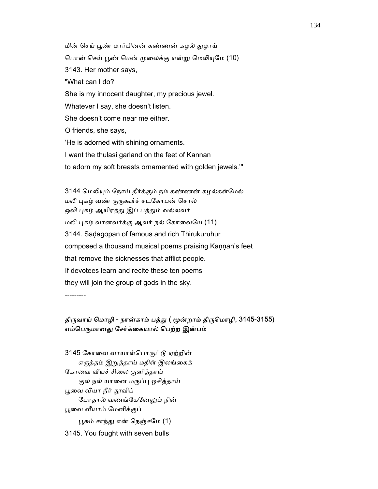மின் செய் பூண் மார்பினன் கண்ணன் கமல் குமாய் பொன் செய் பூண் மென் முலைக்கு என்று மெலியுமே (10) 3143. Her mother says, "What can I do? She is my innocent daughter, my precious jewel. Whatever I say, she doesn't listen. She doesn't come near me either. O friends, she says, 'He is adorned with shining ornaments. I want the thulasi garland on the feet of Kannan to adorn my soft breasts ornamented with golden jewels.'"

3144 மெலியும் நோய் தீர்க்கும் நம் கண்ணன் கழல்கள்மேல் மலி புகழ் வண் குருகூர்ச் சடகோபன் சொல் ஒலி புகழ் ஆயிரத்து இப் பத்தும் வல்லவர் மலி புகழ் வானவர்க்கு ஆவர் நல் கோவையே (11) 3144. Saḍagopan of famous and rich Thirukuruhur composed a thousand musical poems praising Kaṇṇan's feet that remove the sicknesses that afflict people. If devotees learn and recite these ten poems they will join the group of gods in the sky. ---------

## திருவாய் மொழி - நான்காம் பத்து ( மூன்றாம் திருமொழி, 3145-3155) எம்பெருமானது சேர்க்கையால் பெற்ற இன்பம்

3145 கோவை வாயாள்பொருட்டு ஏற்றின் எருத்தம் இறுத்தாய் மதிள் இலங்கைக் கோவை வீயச் சிலை குனித்தாய் குல நல் யானை மருப்பு ஒசித்தாய் பூவை வீயா நீர் தூவிப் போதால் வணங்கேனேலும் நின் பூவை வீயாம் மேனிக்குப் பூசும் சாந்து என் நெஞ்சமே (1) 3145. You fought with seven bulls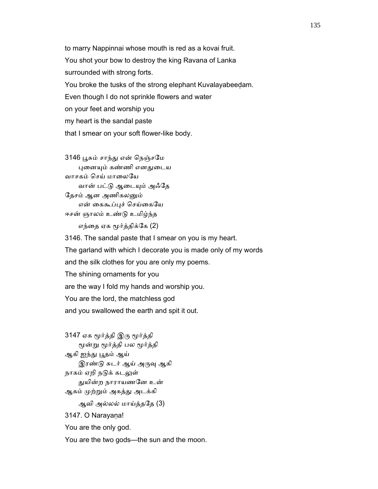to marry Nappinnai whose mouth is red as a kovai fruit. You shot your bow to destroy the king Ravana of Lanka surrounded with strong forts. You broke the tusks of the strong elephant Kuvalayabeeḍam. Even though I do not sprinkle flowers and water on your feet and worship you my heart is the sandal paste that I smear on your soft flower-like body.

 3146 ᾘசும் சாந்ᾐ என் ெநஞ்சேம புனையும் கண்ணி எனதுடைய வாசகம் செய் மாலையே வான் பட்டு ஆடையும் அஃதே தேசம் ஆன அணிகலனும் என் கைகூப்புச் செய்கையே ஈசன் ஞாலம் உண்ᾌ உமிழ்ந்த

எந்தை ஏக மூர்த்திக்கே (2)

 3146. The sandal paste that I smear on you is my heart. The garland with which I decorate you is made only of my words and the silk clothes for you are only my poems. The shining ornaments for you are the way I fold my hands and worship you. You are the lord, the matchless god and you swallowed the earth and spit it out.

 3147 ஏக ᾚர்த்தி இᾞ ᾚர்த்தி ᾚன்ᾠ ᾚர்த்தி பல ᾚர்த்தி ஆகி ஐந்து பூதம் ஆய் இரண்டு சுடர் ஆய் அருவு ஆகி நாகம் ஏறி நடுக் கடலுள் ᾐயின்ற நாராயணேன உன் ஆகம் முற்றும் அகத்து அடக்கி ஆவி அல்லல் மாய்த்தேத (3) 3147. O Narayana! You are the only god. You are the two gods—the sun and the moon.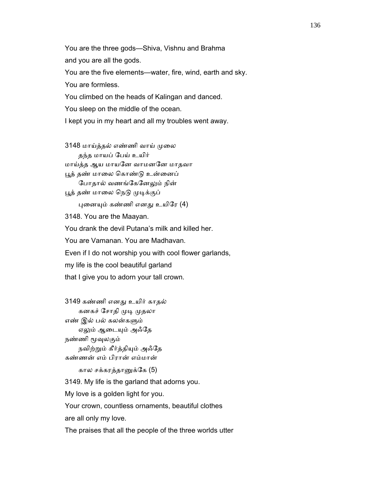You are the three gods—Shiva, Vishnu and Brahma and you are all the gods. You are the five elements—water, fire, wind, earth and sky. You are formless. You climbed on the heads of Kalingan and danced. You sleep on the middle of the ocean. I kept you in my heart and all my troubles went away.

3148 மாய்த்தல் எண்ணி வாய் முலை தந்த மாயப் ேபய் உயிர் மாய்த்த ஆய மாயேன வாமனேன மாதவா பூத் தண் மாலை கொண்டு உன்னைப் போதால் வணங்கேனேலும் நின் பூத் தண் மாலை நெடு முடிக்குப் ᾗைனᾜம் கண்ணி எனᾐ உயிேர (4) 3148. You are the Maayan. You drank the devil Putana's milk and killed her. You are Vamanan. You are Madhavan. Even if I do not worship you with cool flower garlands, my life is the cool beautiful garland that I give you to adorn your tall crown.

 3149 கண்ணி எனᾐ உயிர் காதல் கனகச் சோதி முடி முதலா எண் இல் பல் கலன்கᾦம் ஏலும் ஆடையும் அஃதே நண்ணி மூவுலகும் நவிற்ᾠம் கீர்த்திᾜம் அஃேத கண்ணன் எம் பிரான் எம்மான்

கால சக்கரத்தானுக்கே (5)

3149. My life is the garland that adorns you.

My love is a golden light for you.

Your crown, countless ornaments, beautiful clothes

are all only my love.

The praises that all the people of the three worlds utter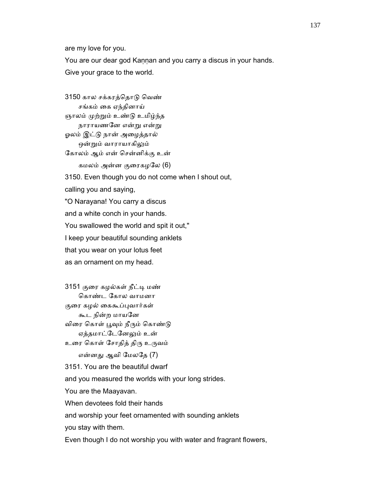are my love for you.

 You are our dear god Kaṇṇan and you carry a discus in your hands. Give your grace to the world.

 3150 கால சக்கரத்ெதாᾌ ெவண் சங்கம் ைக ஏந்தினாய் ஞாலம் முற்றும் உண்டு உமிழ்ந்த நாராயணனே என்று என்று ஓலம் இட்ᾌ நான் அைழத்தால் ஒன்றும் வாராயாகிலும் ேகாலம் ஆம் என் ெசன்னிக்கு உன் கமலம் அன்ன குைரகழேல (6) 3150. Even though you do not come when I shout out, calling you and saying, "O Narayana! You carry a discus and a white conch in your hands. You swallowed the world and spit it out," I keep your beautiful sounding anklets that you wear on your lotus feet as an ornament on my head.

 3151 குைர கழல்கள் நீட்ᾊ மண் ெகாண்ட ேகால வாமனா குரை கழல் கைகூப்புவார்கள் கூட நின்ற மாயேன விரை கொள் பூவும் நீரும் கொண்டு ஏத்தமாட்டேனேலும் உன் உரை கொள் சோதித் திரு உருவம் என்னᾐ ஆவி ேமலேத (7) 3151. You are the beautiful dwarf and you measured the worlds with your long strides. You are the Maayavan. When devotees fold their hands

and worship your feet ornamented with sounding anklets

you stay with them.

Even though I do not worship you with water and fragrant flowers,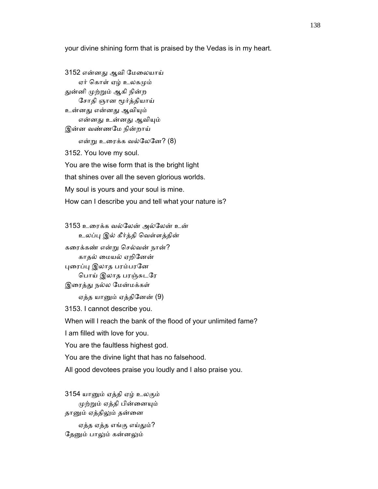your divine shining form that is praised by the Vedas is in my heart.

 3152 என்னᾐ ஆவி ேமைலயாய் ஏர் கொள் ஏழ் உலகமும் துன்னி முற்றும் ஆகி நின்ற ேசாதி ஞான ᾚர்த்தியாய் உன்னது என்னது ஆவியும் என்னது உன்னது ஆவியும் இன்ன வண்ணேம நின்றாய் என்ᾠ உைரக்க வல்ேலேன? (8) 3152. You love my soul. You are the wise form that is the bright light that shines over all the seven glorious worlds. My soul is yours and your soul is mine. How can I describe you and tell what your nature is?

 3153 உைரக்க வல்ேலன் அல்ேலன் உன் உலப்ᾗ இல் கீர்த்தி ெவள்ளத்தின்

 கைரக்கண் என்ᾠ ெசல்வன் நான்? காதல் ைமயல் ஏறிேனன் புரைப்பு இலாத பரம்பரனே ெபாய் இலாத பரஞ்சுடேர இரைத்து நல்ல மேன்மக்கள்

ஏத்த யாᾔம் ஏத்திேனன் (9)

3153. I cannot describe you.

When will I reach the bank of the flood of your unlimited fame?

I am filled with love for you.

You are the faultless highest god.

You are the divine light that has no falsehood.

All good devotees praise you loudly and I also praise you.

 3154 யாᾔம் ஏத்தி ஏழ் உலகும் ᾙற்ᾠம் ஏத்தி பின்ைனᾜம் தானும் ஏத்திலும் தன்னை ஏத்த ஏத்த எங்கு எய்தும்? தேனும் பாலும் கன்னலும்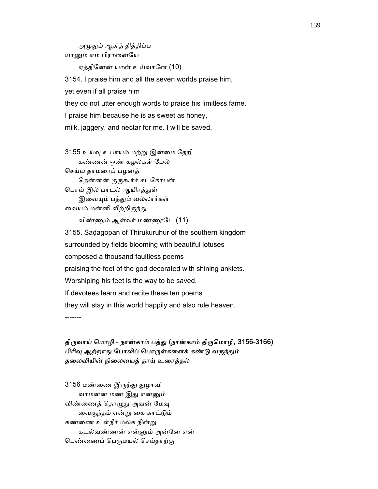அமுதும் ஆகித் தித்திப்ப யானும் எம் பிரானையே

ஏத்திேனன் யான் உய்வாேன (10)

 3154. I praise him and all the seven worlds praise him, yet even if all praise him they do not utter enough words to praise his limitless fame. I praise him because he is as sweet as honey, milk, jaggery, and nectar for me. I will be saved.

 3155 உய்ᾫ உபாயம் மற்ᾠ இன்ைம ேதறி கண்ணன் ஒண் கழல்கள் ேமல் ெசய்ய தாமைரப் பழனத் தென்னன் குருகூர்ச் சடகோபன் பொய் இல் பாடல் ஆயிரத்துள் இவையும் பத்தும் வல்லார்கள் வையம் மன்னி வீற்றிருந்து விண்ᾎம் ஆள்வர் மண்ᾏேட (11) 3155. Saḍagopan of Thirukuruhur of the southern kingdom

 surrounded by fields blooming with beautiful lotuses composed a thousand faultless poems praising the feet of the god decorated with shining anklets. Worshiping his feet is the way to be saved. If devotees learn and recite these ten poems they will stay in this world happily and also rule heaven.

-------

# திருவாய் மொழி - நான்காம் பத்து (நான்காம் திருமொழி, 3156-3166) பிரிவு ஆற்றாது போலிப் பொருள்களைக் கண்டு வருந்தும் தைலவியின் நிைலையத் தாய் உைரத்தல்

3156 மண்ணை இருந்து துழாவி வாமனன் மண் இது என்னும் விண்ணைத் தொழுது அவன் மேவு ைவகுந்தம் என்ᾠ ைக காட்ᾌம் கண்ைண உள்நீர் மல்க நின்ᾠ கடல்வண்ணன் என்ᾔம் அன்ேன என் பெண்ணைப் பெருமயல் செய்தாற்கு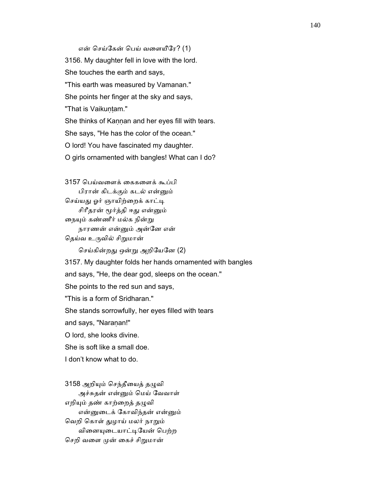### என் ெசய்ேகன் ெபய் வைளயீேர? (1)

 3156. My daughter fell in love with the lord. She touches the earth and says, "This earth was measured by Vamanan." She points her finger at the sky and says, "That is Vaikuntam." She thinks of Kaṇṇan and her eyes fill with tears. She says, "He has the color of the ocean." O lord! You have fascinated my daughter. O girls ornamented with bangles! What can I do?

 3157 ெபய்வைளக் ைககைளக் கூப்பி பிரான் கிடக்கும் கடல் என்ᾔம் செய்யது ஓர் ஞாயிற்றைக் காட்டி சிரீதரன் மூர்த்தி ஈது என்னும் நையும் கண்ணீர் மல்க நின்று நாரணன் என்ᾔம் அன்ேன என் தெய்வ உருவில் சிறுமான்

ெசய்கின்றᾐ ஒன்ᾠ அறிேயேன (2)

 3157. My daughter folds her hands ornamented with bangles and says, "He, the dear god, sleeps on the ocean." She points to the red sun and says,

"This is a form of Sridharan."

She stands sorrowfully, her eyes filled with tears

and says, "Naranan!"

O lord, she looks divine.

She is soft like a small doe.

I don't know what to do.

3158 அறியும் செந்தீயைத் தழுவி அச்சுதன் என்ᾔம் ெமய் ேவவாள் எறியும் தண் காற்றைத் தழுவி என்ᾔைடக் ேகாவிந்தன் என்ᾔம் வெறி கொள் துழாய் மலர் நாறும் வினையுடையாட்டியேன் பெற்ற செறி வளை முன் கைச் சிறுமான்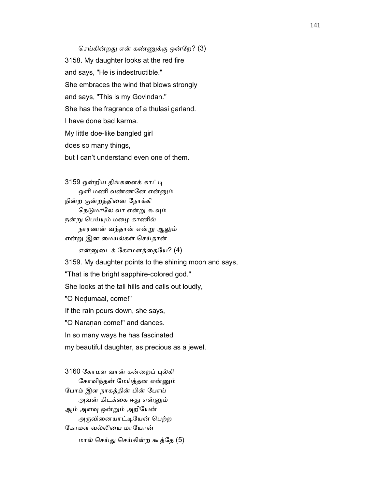செய்கின்றது என் கண்ணுக்கு ஒன்றே? (3) 3158. My daughter looks at the red fire and says, "He is indestructible." She embraces the wind that blows strongly and says, "This is my Govindan." She has the fragrance of a thulasi garland. I have done bad karma. My little doe-like bangled girl does so many things, but I can't understand even one of them.

 3159 ஒன்றிய திங்கைளக் காட்ᾊ ஒளி மணி வண்ணனே என்னும் நின்ற குன்றத்திைன ேநாக்கி நெடுமாலே வா என்று கூவும் நன்று பெய்யும் மழை காணில் நாரணன் வந்தான் என்ᾠ ஆᾤம் என்ᾠ இன ைமயல்கள் ெசய்தான் என்னுடைக் கோமளத்தையே? (4) 3159. My daughter points to the shining moon and says, "That is the bright sapphire-colored god." She looks at the tall hills and calls out loudly, "O Neḍumaal, come!" If the rain pours down, she says, "O Naranan come!" and dances. In so many ways he has fascinated my beautiful daughter, as precious as a jewel.

 3160 ேகாமள வான் கன்ைறப் ᾗல்கி ேகாவிந்தன் ேமய்த்தன என்ᾔம் ேபாம் இள நாகத்தின் பின் ேபாய் அவன் கிடக்கை ஈது என்னும் ஆம் அளᾫ ஒன்ᾠம் அறிேயன் அருவினையாட்டியேன் பெற்ற கோமள வல்லியை மாயோன் மால் ெசய்ᾐ ெசய்கின்ற கூத்ேத (5)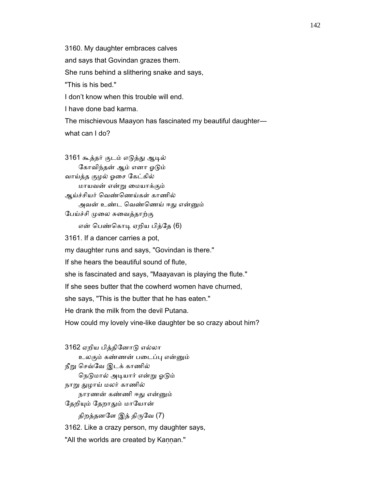3160. My daughter embraces calves

and says that Govindan grazes them.

She runs behind a slithering snake and says,

"This is his bed."

I don't know when this trouble will end.

I have done bad karma.

The mischievous Maayon has fascinated my beautiful daughter—

what can I do?

 3161 கூத்தர் குடம் எᾌத்ᾐ ஆᾊல் ேகாவிந்தன் ஆம் எனா ஓᾌம் வாய்த்த குழல் ஓைச ேகட்கில் மாயவன் என்ᾠ ைமயாக்கும் ஆய்ச்சியர் ெவண்ெணய்கள் காணில் அவன் உண்ட வெண்ணெய் ஈது என்னும் பேய்ச்சி முலை சுவைத்தாற்கு என் பெண்கொடி ஏறிய பித்தே (6) 3161. If a dancer carries a pot, my daughter runs and says, "Govindan is there." If she hears the beautiful sound of flute, she is fascinated and says, "Maayavan is playing the flute." If she sees butter that the cowherd women have churned, she says, "This is the butter that he has eaten." He drank the milk from the devil Putana. How could my lovely vine-like daughter be so crazy about him? 3162 ஏறிய பித்திேனாᾌ எல்லா உலகும் கண்ணன் படைப்பு என்னும்

நீறு செவ்வே இடக் காணில் நெடுமால் அடியார் என்று ஓடும் நாறு துழாய் மலர் காணில் நாரணன் கண்ணி ஈᾐ என்ᾔம் தேறியும் தேறாதும் மாயோன்

திறத்தனளே இத் திருவே (7)

3162. Like a crazy person, my daughter says,

"All the worlds are created by Kannan."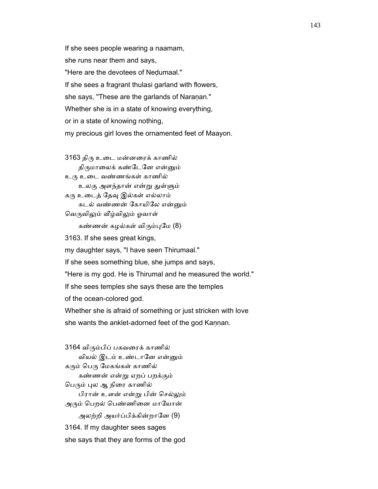If she sees people wearing a naamam, she runs near them and says, "Here are the devotees of Neḍumaal." If she sees a fragrant thulasi garland with flowers, she says, "These are the garlands of Naranan." Whether she is in a state of knowing everything, or in a state of knowing nothing, my precious girl loves the ornamented feet of Maayon.

 3163 திᾞ உைட மன்னைரக் காணில் திருமாலைக் கண்டேனே என்னும் உᾞ உைட வண்ணங்கள் காணில் உலகு அளந்தான் என்று துள்ளும் கரு உடைத் தேவு இல்கள் எல்லாம் கடல் வண்ணன் ேகாயிேல என்ᾔம் வெருவிலும் வீழ்விலும் ஓவாள் கண்ணன் கழல்கள் விரும்புமே (8) 3163. If she sees great kings, my daughter says, "I have seen Thirumaal." If she sees something blue, she jumps and says, "Here is my god. He is Thirumal and he measured the world." If she sees temples she says these are the temples of the ocean-colored god. Whether she is afraid of something or just stricken with love she wants the anklet-adorned feet of the god Kannan.

 3164 விᾞம்பிப் பகவைரக் காணில் வியல் இடம் உண்டாேன என்ᾔம் கரும் பெரு மேகங்கள் காணில் கண்ணன் என்ᾠ ஏறப் பறக்கும் பெரும் புல ஆ நிரை காணில் பிரான் உளன் என்ᾠ பின் ெசல்ᾤம் அரும் பெறல் பெண்ணினை மாயோன் அலற்றி அயர்ப்பிக்கின்றானே (9) 3164. If my daughter sees sages she says that they are forms of the god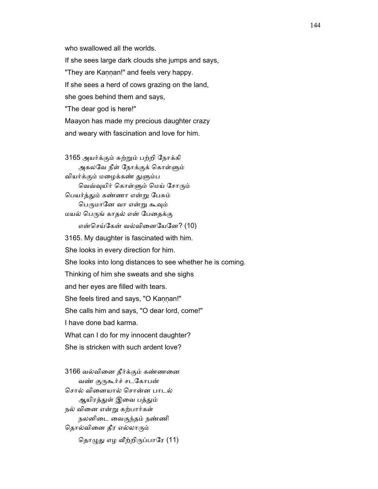who swallowed all the worlds. If she sees large dark clouds she jumps and says, "They are Kannan!" and feels very happy. If she sees a herd of cows grazing on the land, she goes behind them and says, "The dear god is here!" Maayon has made my precious daughter crazy and weary with fascination and love for him.

 3165 அயர்க்கும் சுற்ᾠம் பற்றி ேநாக்கி அகலவே நீள் நோக்குக் கொள்ளும் வியர்க்கும் மழைக்கண் துளும்ப வெவ்வுயிர் கொள்ளும் மெய் சோரும் ெபயர்த்ᾐம் கண்ணா என்ᾠ ேபசும் பெருமானே வா என்று கூவும் மயல் ெபᾞங் காதல் என் ேபைதக்கு என்ெசய்ேகன் வல்விைனேயேன? (10) 3165. My daughter is fascinated with him. She looks in every direction for him. She looks into long distances to see whether he is coming. Thinking of him she sweats and she sighs and her eyes are filled with tears. She feels tired and says, "O Kannan!" She calls him and says, "O dear lord, come!" I have done bad karma. What can I do for my innocent daughter? She is stricken with such ardent love?

 3166 வல்விைன தீர்க்கும் கண்ணைன வண் குருகூர்ச் சடகோபன் ெசால் விைனயால் ெசான்ன பாடல் ஆயிரத்துள் இவை பத்தும் நல் விைன என்ᾠ கற்பார்கள் நலனிைட ைவகுந்தம் நண்ணி தொல்வினை தீர எல்லாரும் தொழுது எழ வீற்றிருப்பாரே (11)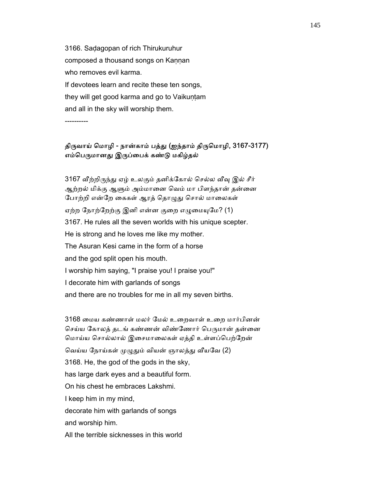3166. Saḍagopan of rich Thirukuruhur composed a thousand songs on Kaṇṇan who removes evil karma. If devotees learn and recite these ten songs, they will get good karma and go to Vaikuntam and all in the sky will worship them.

----------

#### திருவாய் மொழி - நான்காம் பத்து (ஐந்தாம் திருமொழி, 3167-3177) எம்பெருமானது இருப்பைக் கண்டு மகிழ்தல்

3167 வீற்றிருந்து ஏழ் உலகும் தனிக்கோல் செல்ல வீவு இல் சீர் ஆற்றல் மிக்கு ஆளும் அம்மானை வெம் மா பிளந்தான் தன்னை போற்றி என்றே கைகள் ஆரத் தொழுது சொல் மாலைகள் ஏற்ற நோற்றேற்கு இனி என்ன குறை எழுமையுமே? (1) 3167. He rules all the seven worlds with his unique scepter. He is strong and he loves me like my mother. The Asuran Kesi came in the form of a horse and the god split open his mouth. I worship him saying, "I praise you! I praise you!" I decorate him with garlands of songs and there are no troubles for me in all my seven births.

 3168 ைமய கண்ணாள் மலர் ேமல் உைறவாள் உைற மார்பினன் செய்ய கோலத் தடங் கண்ணன் விண்ணோர் பெருமான் தன்னை மொய்ய சொல்லால் இசைமாலைகள் ஏத்தி உள்ளப்பெற்றேன் வெய்ய நோய்கள் முழுதும் வியன் ஞாலத்து வீயவே (2) 3168. He, the god of the gods in the sky, has large dark eyes and a beautiful form. On his chest he embraces Lakshmi. I keep him in my mind, decorate him with garlands of songs and worship him. All the terrible sicknesses in this world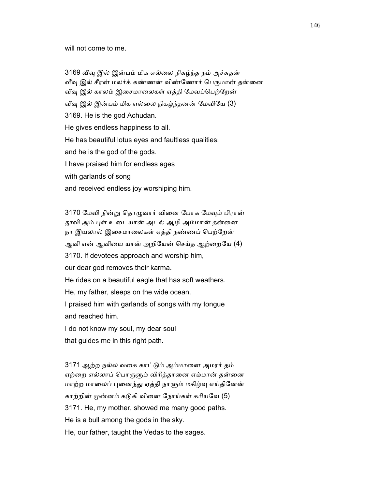will not come to me.

 3169 ᾪᾫ இல் இன்பம் மிக எல்ைல நிகழ்ந்த நம் அச்சுதன் வீவு இல் சீரன் மலர்க் கண்ணன் விண்ணோர் பெருமான் தன்னை வீவு இல் காலம் இசைமாலைகள் ஏத்தி மேவப்பெற்றேன் வீவு இல் இன்பம் மிக எல்லை நிகழ்ந்தனன் மேவியே (3) 3169. He is the god Achudan. He gives endless happiness to all. He has beautiful lotus eyes and faultless qualities. and he is the god of the gods. I have praised him for endless ages with garlands of song and received endless joy worshiping him.

 3170 ேமவி நின்ᾠ ெதாᾨவார் விைன ேபாக ேமᾫம் பிரான் தூவி அம் புள் உடையான் அடல் ஆழி அம்மான் தன்னை நா இயலால் இசைமாலைகள் ஏத்தி நண்ணப் பெற்றேன்

ஆவி என் ஆவியை யான் அறியேன் செய்த ஆற்றையே (4)

3170. If devotees approach and worship him,

our dear god removes their karma.

He rides on a beautiful eagle that has soft weathers.

He, my father, sleeps on the wide ocean.

 I praised him with garlands of songs with my tongue and reached him.

I do not know my soul, my dear soul

that guides me in this right path.

 3171 ஆற்ற நல்ல வைக காட்ᾌம் அம்மாைன அமரர் தம் ஏற்றை எல்லாப் பொருளும் விரித்தானை எம்மான் தன்னை மாற்ற மாலைப் புனைந்து ஏத்தி நாளும் மகிழ்வு எய்தினேன் காற்றின் முன்னம் கடுகி வினை நோய்கள் கரியவே (5) 3171. He, my mother, showed me many good paths. He is a bull among the gods in the sky. He, our father, taught the Vedas to the sages.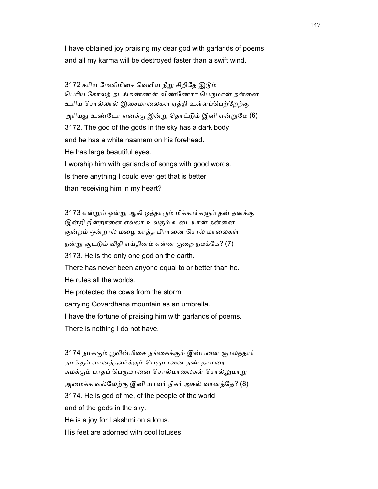I have obtained joy praising my dear god with garlands of poems and all my karma will be destroyed faster than a swift wind.

3172 கரிய மேனிமிசை வெளிய நீறு சிறிதே இடும் பெரிய கோலத் தடங்கண்ணன் விண்ணோர் பெருமான் தன்னை உாிய ெசால்லால் இைசமாைலகள் ஏத்தி உள்ளப்ெபற்ேறற்கு அரியது உண்டோ எனக்கு இன்று தொட்டும் இனி என்றுமே (6) 3172. The god of the gods in the sky has a dark body and he has a white naamam on his forehead. He has large beautiful eyes. I worship him with garlands of songs with good words.

 Is there anything I could ever get that is better than receiving him in my heart?

3173 என்றும் ஒன்று ஆகி ஒத்தாரும் மிக்கார்களும் தன் தனக்கு இன்றி நின்றானை எல்லா உலகும் உடையான் தன்னை குன்றம் ஒன்றால் மழை காத்த பிரானை சொல் மாலைகள் நன்று சூட்டும் விதி எய்தினம் என்ன குறை நமக்கே? (7) 3173. He is the only one god on the earth. There has never been anyone equal to or better than he. He rules all the worlds. He protected the cows from the storm, carrying Govardhana mountain as an umbrella. I have the fortune of praising him with garlands of poems. There is nothing I do not have.

3174 நமக்கும் பூவின்மிசை நங்கைக்கும் இன்பனை ஞாலத்தார் தமக்கும் வானத்தவர்க்கும் பெருமானை தண் தாமரை சுமக்கும் பாதப் பெருமானை சொல்மாலைகள் சொல்லுமாறு அைமக்க வல்ேலற்கு இனி யாவர் நிகர் அகல் வானத்ேத? (8) 3174. He is god of me, of the people of the world and of the gods in the sky. He is a joy for Lakshmi on a lotus. His feet are adorned with cool lotuses.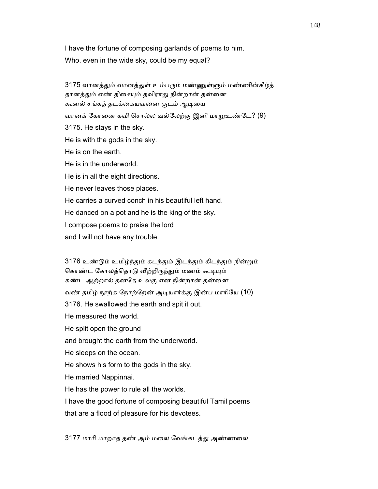I have the fortune of composing garlands of poems to him. Who, even in the wide sky, could be my equal?

3175 வானத்தும் வானத்துள் உம்பரும் மண்ணுள்ளும் மண்ணின்கீழ்த் தானத்தும் எண் திசையும் தவிராது நின்றான் தன்னை கூனல் சங்கத் தடக்கையவனை குடம் ஆடியை வானக் கோனை கவி சொல்ல வல்லேற்கு இனி மாறுஉண்டே? (9) 3175. He stays in the sky. He is with the gods in the sky. He is on the earth. He is in the underworld. He is in all the eight directions. He never leaves those places. He carries a curved conch in his beautiful left hand. He danced on a pot and he is the king of the sky. I compose poems to praise the lord and I will not have any trouble.

 3176 உண்ᾌம் உமிழ்ந்ᾐம் கடந்ᾐம் இடந்ᾐம் கிடந்ᾐம் நின்ᾠம் கொண்ட கோலத்தொடு வீற்றிருந்தும் மணம் கூடியும் கண்ட ஆற்றால் தனேத உலகு என நின்றான் தன்ைன வண் தமிழ் நூற்க நோற்றேன் அடியார்க்கு இன்ப மாரியே (10) 3176. He swallowed the earth and spit it out. He measured the world. He split open the ground and brought the earth from the underworld. He sleeps on the ocean. He shows his form to the gods in the sky. He married Nappinnai. He has the power to rule all the worlds. I have the good fortune of composing beautiful Tamil poems that are a flood of pleasure for his devotees.

3177 மாாி மாறாத தண் அம் மைல ேவங்கடத்ᾐ அண்ணைல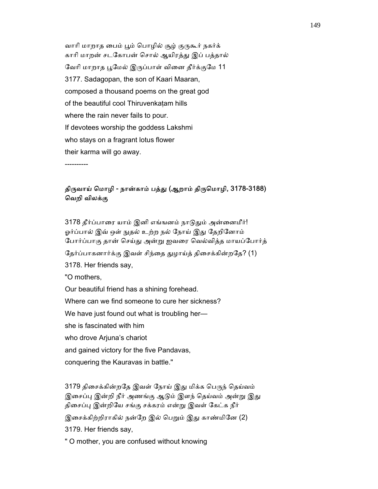வாரி மாறாத பைம் பூம் பொழில் சூழ் குருகூர் நகர்க் காரி மாறன் சடகோபன் சொல் ஆயிரத்து இப் பத்தால் வேரி மாறாத பூமேல் இருப்பாள் வினை தீர்க்குமே 11 3177. Sadagopan, the son of Kaari Maaran, composed a thousand poems on the great god of the beautiful cool Thiruvenkaṭam hills where the rain never fails to pour. If devotees worship the goddess Lakshmi who stays on a fragrant lotus flower their karma will go away.

----------

#### திருவாய் மொழி - நான்காம் பத்து (ஆறாம் திருமொழி, 3178-3188) ெவறி விலக்கு

3178 தீர்ப்பாரை யாம் இனி எங்ஙனம் நாடுதும் அன்னைமீர்! ஓர்ப்பால் இவ் ஒள் நுதல் உற்ற நல் நோய் இது தேறினோம் ேபார்ப்பாகு தான் ெசய்ᾐ அன்ᾠ ஐவைர ெவல்வித்த மாயப்ேபார்த் தேர்ப்பாகனார்க்கு இவள் சிந்தை துழாய்த் திசைக்கின்றதே? (1) 3178. Her friends say, "O mothers, Our beautiful friend has a shining forehead. Where can we find someone to cure her sickness? We have just found out what is troubling her she is fascinated with him who drove Arjuna's chariot and gained victory for the five Pandavas, conquering the Kauravas in battle."

3179 திசைக்கின்றதே இவள் நோய் இது மிக்க பெருந் தெய்வம் இசைப்பு இன்றி நீர் அணங்கு ஆடும் இளந் தெய்வம் அன்று இது திசைப்பு இன்றியே சங்கு சக்கரம் என்று இவள் கேட்க நீர் இசைக்கிற்றிராகில் நன்றே இல் பெறும் இது காண்மினே (2) 3179. Her friends say,

" O mother, you are confused without knowing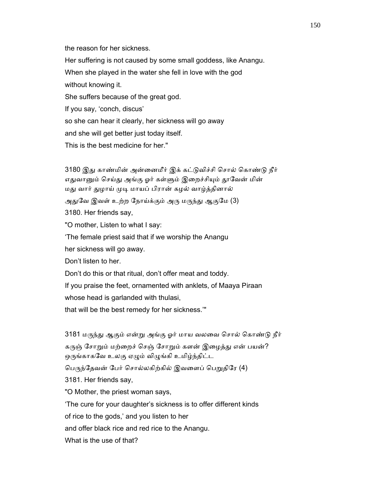the reason for her sickness.

 Her suffering is not caused by some small goddess, like Anangu. When she played in the water she fell in love with the god without knowing it. She suffers because of the great god. If you say, 'conch, discus' so she can hear it clearly, her sickness will go away and she will get better just today itself. This is the best medicine for her."

3180 இது காண்மின் அன்னைமீர் இக் கட்டுவிச்சி சொல் கொண்டு நீர் எதுவானும் செய்து அங்கு ஓர் கள்ளும் இறைச்சியும் தூவேன் மின் மது வார் துழாய் முடி மாயப் பிரான் கழல் வாழ்த்தினால் அதுவே இவள் உற்ற நோய்க்கும் அரு மருந்து ஆகுமே (3) 3180. Her friends say, "O mother, Listen to what I say:

'The female priest said that if we worship the Anangu

her sickness will go away.

Don't listen to her.

Don't do this or that ritual, don't offer meat and toddy.

If you praise the feet, ornamented with anklets, of Maaya Piraan

whose head is garlanded with thulasi,

that will be the best remedy for her sickness.'"

3181 மருந்து ஆகும் என்று அங்கு ஓர் மாய வலவை சொல் கொண்டு நீர் கருஞ் சோறும் மற்றைச் செஞ் சோறும் களன் இழைத்து என் பயன்? ஒருங்காகவே உலகு ஏழும் விழுங்கி உமிழ்ந்திட்ட

பெருந்தேவன் பேர் சொல்லகிற்கில் இவளைப் பெறுதிரே (4)

3181. Her friends say,

"O Mother, the priest woman says,

'The cure for your daughter's sickness is to offer different kinds

of rice to the gods,' and you listen to her

and offer black rice and red rice to the Anangu.

What is the use of that?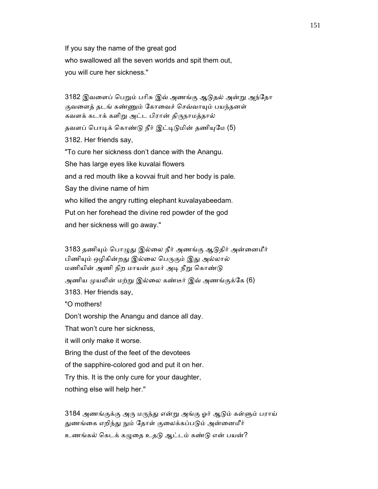If you say the name of the great god who swallowed all the seven worlds and spit them out, you will cure her sickness."

3182 இவளைப் பெறும் பரிசு இவ் அணங்கு ஆடுதல் அன்று அந்தோ குவளைத் தடங் கண்ணும் கோவைச் செவ்வாயும் பயந்தனள் கவளக் கடாக் களிறு அட்ட பிரான் திருநாமத்தால் தவளப் பொடிக் கொண்டு நீர் இட்டிடுமின் தணியுமே (5) 3182. Her friends say, "To cure her sickness don't dance with the Anangu. She has large eyes like kuvalai flowers and a red mouth like a kovvai fruit and her body is pale. Say the divine name of him who killed the angry rutting elephant kuvalayabeedam. Put on her forehead the divine red powder of the god and her sickness will go away."

3183 தணியும் பொழுது இல்லை நீர் அணங்கு ஆடுதிர் அன்னைமீர் பிணியும் ஒழிகின்றது இல்லை பெருகும் இது அல்லால் மணியின் அணி நிற மாயன் தமர் அடி நீறு கொண்டு அணிய முயலின் மற்று இல்லை கண்டீர் இவ் அணங்குக்கே (6) 3183. Her friends say, "O mothers! Don't worship the Anangu and dance all day.

That won't cure her sickness,

it will only make it worse.

Bring the dust of the feet of the devotees

of the sapphire-colored god and put it on her.

Try this. It is the only cure for your daughter,

nothing else will help her."

 3184 அணங்குக்கு அᾞ மᾞந்ᾐ என்ᾠ அங்கு ஓர் ஆᾌம் கள்ᾦம் பராய் துணங்கை எறிந்து நும் தோள் குலைக்கப்படும் அன்னைமீர்

உணங்கல் கெடக் கழுதை உதடு ஆட்டம் கண்டு என் பயன்?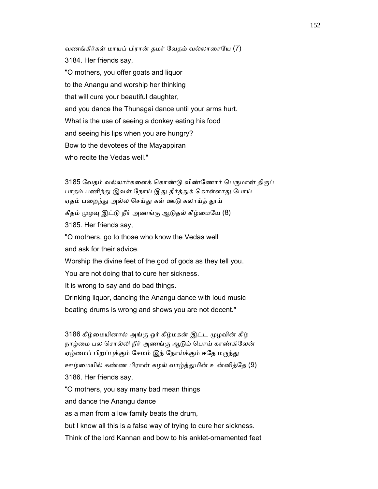வணங்கீர்கள் மாயப் பிரான் தமர் ேவதம் வல்லாைரேய (7) 3184. Her friends say, "O mothers, you offer goats and liquor to the Anangu and worship her thinking that will cure your beautiful daughter, and you dance the Thunagai dance until your arms hurt. What is the use of seeing a donkey eating his food and seeing his lips when you are hungry? Bow to the devotees of the Mayappiran who recite the Vedas well."

3185 வேதம் வல்லார்களைக் கொண்டு விண்ணோர் பெருமான் திருப் பாதம் பணிந்து இவள் நோய் இது தீர்த்துக் கொள்ளாது போய் ஏதம் பறைந்து அல்ல செய்து கள் ஊடு கலாய்த் தூய் கீதம் முழவு இட்டு நீர் அணங்கு ஆடுதல் கீழ்மையே (8) 3185. Her friends say, "O mothers, go to those who know the Vedas well and ask for their advice. Worship the divine feet of the god of gods as they tell you. You are not doing that to cure her sickness. It is wrong to say and do bad things. Drinking liquor, dancing the Anangu dance with loud music beating drums is wrong and shows you are not decent."

3186 கீழ்மையினால் அங்கு ஓர் கீழ்மகன் இட்ட முழவின் கீழ் நாழ்மை பல சொல்லி நீர் அணங்கு ஆடும் பொய் காண்கிலேன் ஏழ்மைப் பிறப்புக்கும் சேமம் இந் நோய்க்கும் ஈதே மருந்து ஊழ்மையில் கண்ண பிரான் கழல் வாழ்த்துமின் உன்னித்தே (9) 3186. Her friends say, "O mothers, you say many bad mean things and dance the Anangu dance as a man from a low family beats the drum, but I know all this is a false way of trying to cure her sickness.

Think of the lord Kannan and bow to his anklet-ornamented feet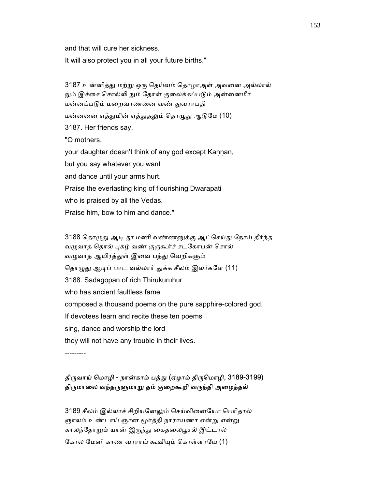and that will cure her sickness.

It will also protect you in all your future births."

 3187 உன்னித்ᾐ மற்ᾠ ஒᾞ ெதய்வம் ெதாழாஅள் அவைன அல்லால் நும் இச்சை சொல்லி நும் தோள் குலைக்கப்படும் அன்னைமீர் மன்னப்பᾌம் மைறவாணைன வண் ᾐவராபதி மன்னனை ஏத்துமின் ஏத்துதலும் தொழுது ஆடுமே (10) 3187. Her friends say, "O mothers, your daughter doesn't think of any god except Kannan, but you say whatever you want and dance until your arms hurt. Praise the everlasting king of flourishing Dwarapati who is praised by all the Vedas. Praise him, bow to him and dance."

3188 தொழுது ஆடி தூ மணி வண்ணனுக்கு ஆட்செய்து நோய் தீர்ந்த வழுவாத தொல் புகழ் வண் குருகூர்ச் சடகோபன் சொல் வழுவாத ஆயிரத்துள் இவை பத்து வெறிகளும் தொழுது ஆடிப் பாட வல்லார் துக்க சீலம் இலர்களே (11) 3188. Sadagopan of rich Thirukuruhur who has ancient faultless fame composed a thousand poems on the pure sapphire-colored god. If devotees learn and recite these ten poems sing, dance and worship the lord they will not have any trouble in their lives.

---------

# திருவாய் மொழி - நான்காம் பத்து (ஏழாம் திருமொழி, 3189-3199) திருமாலை வந்தருளுமாறு தம் குறைகூறி வருந்தி அழைத்தல்

3189 சீலம் இல்லாச் சிறியனேலும் செய்வினையோ பெரிதால் ஞாலம் உண்டாய் ஞான மூர்த்தி நாராயணா என்று என்று காலந்தோறும் யான் இருந்து கைதலைபூசல் இட்டால்

கோல மேனி காண வாராய் கூவியும் கொள்ளாயே (1)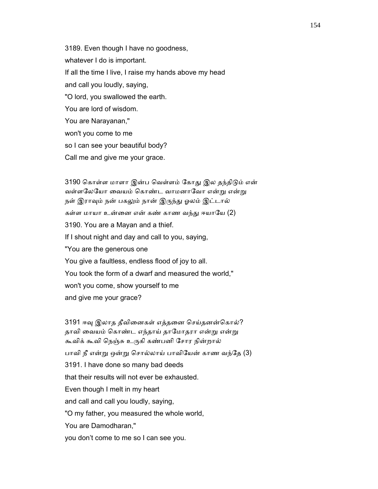3189. Even though I have no goodness, whatever I do is important. If all the time I live, I raise my hands above my head and call you loudly, saying, "O lord, you swallowed the earth. You are lord of wisdom. You are Narayanan," won't you come to me so I can see your beautiful body?

Call me and give me your grace.

3190 கொள்ள மாளா இன்ப வெள்ளம் கோது இல தந்திடும் என் வள்ளலேயோ வையம் கொண்ட வாமனாவோ என்று என்று நள் இராவும் நன் பகலும் நான் இருந்து ஓலம் இட்டால் கள்ள மாயா உன்னை என் கண் காண வந்து ஈயாயே (2) 3190. You are a Mayan and a thief. If I shout night and day and call to you, saying, "You are the generous one You give a faultless, endless flood of joy to all. You took the form of a dwarf and measured the world," won't you come, show yourself to me and give me your grace?

3191 ஈவு இலாத தீவினைகள் எத்தனை செய்தனன்கொல்? தாவி வையம் கொண்ட எந்தாய் தாமோதரா என்று என்று கூவிக் கூவி ெநஞ்சு உᾞகி கண்பனி ேசார நின்றால் பாவி நீ என்ᾠ ஒன்ᾠ ெசால்லாய் பாவிேயன் காண வந்ேத (3) 3191. I have done so many bad deeds that their results will not ever be exhausted. Even though I melt in my heart and call and call you loudly, saying, "O my father, you measured the whole world, You are Damodharan," you don't come to me so I can see you.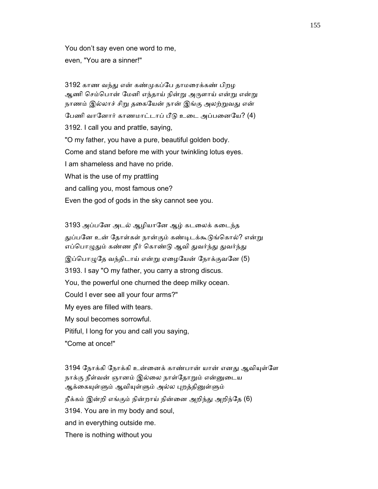You don't say even one word to me, even, "You are a sinner!"

 3192 காண வந்ᾐ என் கண்ᾙகப்ேப தாமைரக்கண் பிறழ ஆணி செம்பொன் மேனி எந்தாய் நின்று அருளாய் என்று என்று நாணம் இல்லாச் சிறு தகையேன் நான் இங்கு அலற்றுவது என் பேணி வானோர் காணமாட்டாப் பீடு உடை அப்பனையே? (4) 3192. I call you and prattle, saying, "O my father, you have a pure, beautiful golden body. Come and stand before me with your twinkling lotus eyes. I am shameless and have no pride. What is the use of my prattling and calling you, most famous one? Even the god of gods in the sky cannot see you.

 3193 அப்பேன அடல் ஆழியாேன ஆழ் கடைலக் கைடந்த துப்பனே உன் தோள்கள் நான்கும் கண்டிடக்கூடுங்கொல்? என்று எப்பொழுதும் கண்ண நீர் கொண்டு ஆவி துவர்ந்து துவர்ந்து இப்பொழுதே வந்திடாய் என்று ஏழையேன் நோக்குவனே (5) 3193. I say "O my father, you carry a strong discus. You, the powerful one churned the deep milky ocean. Could I ever see all your four arms?" My eyes are filled with tears. My soul becomes sorrowful. Pitiful, I long for you and call you saying, "Come at once!"

3194 நோக்கி நோக்கி உன்னைக் காண்பான் யான் எனது ஆவியுள்ளே நாக்கு நீள்வன் ஞானம் இல்லை நாள்தோறும் என்னுடைய ஆக்கையுள்ளும் ஆவியுள்ளும் அல்ல புறத்தினுள்ளும் நீக்கம் இன்றி எங்கும் நின்றாய் நின்னை அறிந்து அறிந்தே (6) 3194. You are in my body and soul, and in everything outside me. There is nothing without you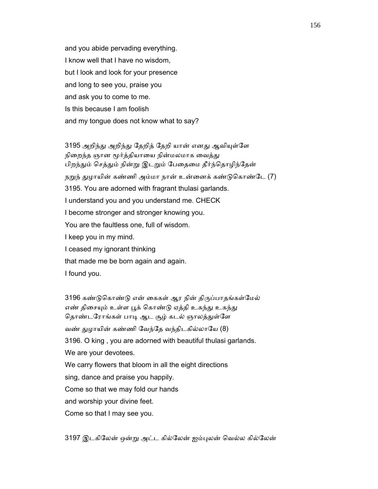and you abide pervading everything. I know well that I have no wisdom, but I look and look for your presence and long to see you, praise you and ask you to come to me. Is this because I am foolish and my tongue does not know what to say?

3195 அறிந்து அறிந்து தேறித் தேறி யான் எனது ஆவியுள்ளே நிறைந்த ஞான மூர்த்தியாயை நின்மலமாக வைத்து பிறந்தும் செத்தும் நின்று இடறும் பேதைமை தீர்ந்தொழிந்தேன் நறுந் துழாயின் கண்ணி அம்மா நான் உன்னைக் கண்டுகொண்டே (7) 3195. You are adorned with fragrant thulasi garlands. I understand you and you understand me. CHECK I become stronger and stronger knowing you. You are the faultless one, full of wisdom. I keep you in my mind. I ceased my ignorant thinking that made me be born again and again.

I found you.

3196 கண்டுகொண்டு என் கைகள் ஆர நின் திருப்பாதங்கள்மேல் எண் திசையும் உள்ள பூக் கொண்டு ஏத்தி உகந்து உகந்து தொண்டரோங்கள் பாடி ஆட சூழ் கடல் ஞாலத்துள்ளே வண் ᾐழாயின் கண்ணி ேவந்ேத வந்திடகில்லாேய (8) 3196. O king , you are adorned with beautiful thulasi garlands. We are your devotees. We carry flowers that bloom in all the eight directions sing, dance and praise you happily. Come so that we may fold our hands and worship your divine feet. Come so that I may see you.

3197 இடகிேலன் ஒன்ᾠ அட்ட கில்ேலன் ஐம்ᾗலன் ெவல்ல கில்ேலன்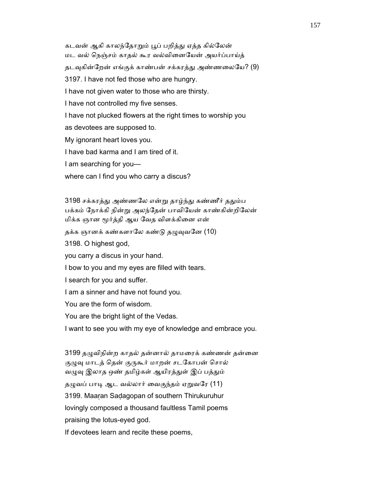கடவன் ஆகி காலந்தோறும் பூப் பறித்து ஏத்த கில்லேன் மட வல் ெநஞ்சம் காதல் கூர வல்விைனேயன் அயர்ப்பாய்த் தடவுகின்றேன் எங்குக் காண்பன் சக்கரத்து அண்ணலையே? (9) 3197. I have not fed those who are hungry. I have not given water to those who are thirsty. I have not controlled my five senses. I have not plucked flowers at the right times to worship you as devotees are supposed to. My ignorant heart loves you. I have bad karma and I am tired of it. I am searching for you where can I find you who carry a discus?

3198 சக்கரத்து அண்ணலே என்று தாழ்ந்து கண்ணீர் ததும்ப பக்கம் நோக்கி நின்று அலந்தேன் பாவியேன் காண்கின்றிலேன் மிக்க ஞான மூர்த்தி ஆய வேத விளக்கினை என்

தக்க ஞானக் கண்களாலே கண்டு தழுவுவனே (10)

3198. O highest god,

you carry a discus in your hand.

I bow to you and my eyes are filled with tears.

I search for you and suffer.

I am a sinner and have not found you.

You are the form of wisdom.

You are the bright light of the Vedas.

I want to see you with my eye of knowledge and embrace you.

3199 தழுவிநின்ற காதல் தன்னால் தாமரைக் கண்ணன் தன்னை குழுவு மாடத் தென் குருகூர் மாறன் சடகோபன் சொல் வழுவு இலாத ஒண் தமிழ்கள் ஆயிரத்துள் இப் பத்தும் தழுவப் பாடி ஆட வல்லார் வைகுந்தம் ஏறுவரே (11) 3199. Maaṛan Saḍagopan of southern Thirukuruhur lovingly composed a thousand faultless Tamil poems praising the lotus-eyed god.

If devotees learn and recite these poems,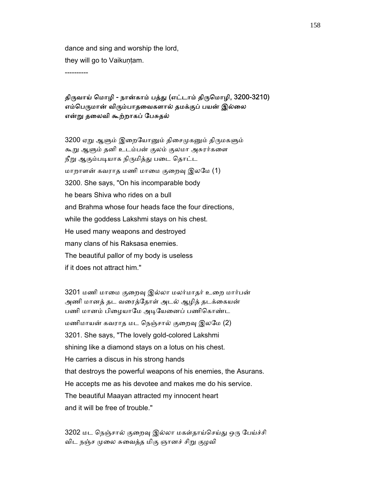dance and sing and worship the lord, they will go to Vaikuṇṭam.

----------

# திருவாய் மொழி - நான்காம் பத்து (எட்டாம் திருமொழி, 3200-3210) எம்பெருமான் விரும்பாதவைகளால் தமக்குப் பயன் இல்லை என்ᾠ தைலவி கூற்றாகப் ேபசுதல்

3200 ஏறு ஆளும் இறையோனும் திசைமுகனும் திருமகளும் கூᾠ ஆᾦம் தனி உடம்பன் குலம் குலமா அசுரர்கைள நீறு ஆகும்படியாக நிருமித்து படை தொட்ட மாறாளன் கவராத மணி மாமை குறைவு இலமே (1) 3200. She says, "On his incomparable body he bears Shiva who rides on a bull and Brahma whose four heads face the four directions, while the goddess Lakshmi stays on his chest. He used many weapons and destroyed many clans of his Raksasa enemies. The beautiful pallor of my body is useless if it does not attract him."

3201 மணி மாமை குறைவு இல்லா மலர்மாதர் உறை மார்பன் அணி மானத் தட வைரத்ேதாள் அடல் ஆழித் தடக்ைகயன் பணி மானம் பிழையாமே அடியேனைப் பணிகொண்ட மணிமாயன் கவராத மட நெஞ்சால் குறைவு இலமே (2) 3201. She says, "The lovely gold-colored Lakshmi shining like a diamond stays on a lotus on his chest. He carries a discus in his strong hands that destroys the powerful weapons of his enemies, the Asurans. He accepts me as his devotee and makes me do his service. The beautiful Maayan attracted my innocent heart and it will be free of trouble."

3202 மட நெஞ்சால் குறைவு இல்லா மகள்தாய்செய்து ஒரு பேய்ச்சி விட நஞ்ச முலை சுவைத்த மிகு ஞானச் சிறு குழவி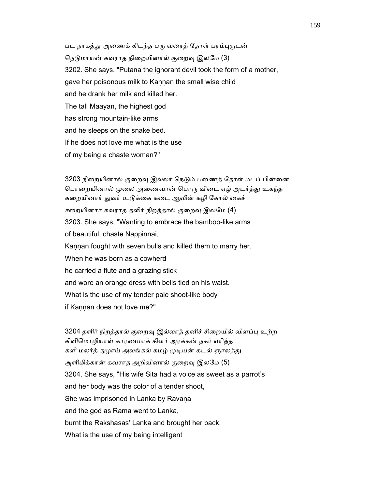பட நாகத்து அணைக் கிடந்த பரு வரைத் தோள் பரம்புருடன் நெடுமாயன் கவராத நிறையினால் குறைவு இலமே (3) 3202. She says, "Putana the ignorant devil took the form of a mother, gave her poisonous milk to Kannan the small wise child and he drank her milk and killed her. The tall Maayan, the highest god has strong mountain-like arms and he sleeps on the snake bed. If he does not love me what is the use of my being a chaste woman?"

3203 நிறையினால் குறைவு இல்லா நெடும் பணைத் தோள் மடப் பின்னை பொறையினால் முலை அணைவான் பொரு விடை ஏழ் அடர்த்து உகந்த கறையினார் துவர் உடுக்கை கடை ஆவின் கழி கோல் கைச் சறையினார் கவராத தளிர் நிறத்தால் குறைவு இலமே (4) 3203. She says, "Wanting to embrace the bamboo-like arms of beautiful, chaste Nappinnai, Kaṇṇan fought with seven bulls and killed them to marry her. When he was born as a cowherd he carried a flute and a grazing stick and wore an orange dress with bells tied on his waist. What is the use of my tender pale shoot-like body if Kannan does not love me?"

3204 தளிர் நிறத்தால் குறைவு இல்லாத் தனிச் சிறையில் விளப்பு உற்ற கிளிெமாழியாள் காரணமாக் கிளர் அரக்கன் நகர் எாித்த களி மலர்த் துழாய் அலங்கல் கமழ் முடியன் கடல் ஞாலத்து அளிமிக்கான் கவராத அறிவினால் குறைவு இலமே (5) 3204. She says, "His wife Sita had a voice as sweet as a parrot's and her body was the color of a tender shoot, She was imprisoned in Lanka by Ravana and the god as Rama went to Lanka, burnt the Rakshasas' Lanka and brought her back. What is the use of my being intelligent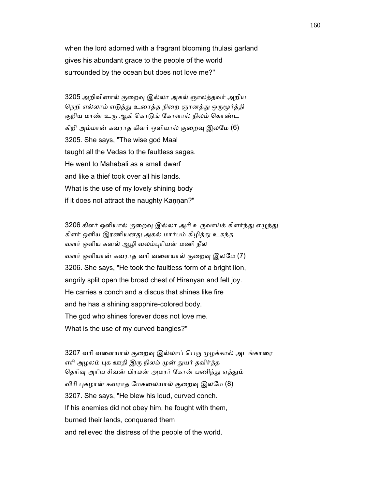when the lord adorned with a fragrant blooming thulasi garland gives his abundant grace to the people of the world surrounded by the ocean but does not love me?"

 3205 அறிவினால் குைறᾫ இல்லா அகல் ஞாலத்தவர் அறிய நெறி எல்லாம் எடுத்து உரைத்த நிறை ஞானத்து ஒருமூர்த்தி குறிய மாண் உரு ஆகி கொடுங் கோளால் நிலம் கொண்ட கிறி அம்மான் கவராத கிளர் ஒளியால் குறைவு இலமே (6) 3205. She says, "The wise god Maal taught all the Vedas to the faultless sages. He went to Mahabali as a small dwarf and like a thief took over all his lands. What is the use of my lovely shining body if it does not attract the naughty Kannan?"

3206 கிளர் ஒளியால் குறைவு இல்லா அரி உருவாய்க் கிளர்ந்து எழுந்து கிளர் ஒளிய இரணியனது அகல் மார்பம் கிழித்து உகந்த வளர் ஒளிய கனல் ஆழி வலம்ᾗாியன் மணி நீல வளர் ஒளியான் கவராத வரி வளையால் குறைவு இலமே (7) 3206. She says, "He took the faultless form of a bright lion, angrily split open the broad chest of Hiranyan and felt joy. He carries a conch and a discus that shines like fire and he has a shining sapphire-colored body. The god who shines forever does not love me. What is the use of my curved bangles?"

3207 வரி வளையால் குறைவு இல்லாப் பெரு முழக்கால் அடங்காரை எரி அழலம் புக ஊதி இரு நிலம் முன் துயர் தவிர்த்த தெரிவு அரிய சிவன் பிரமன் அமரர் கோன் பணிந்து ஏத்தும் விரி புகழான் கவராத மேகலையால் குறைவு இலமே (8) 3207. She says, "He blew his loud, curved conch. If his enemies did not obey him, he fought with them, burned their lands, conquered them and relieved the distress of the people of the world.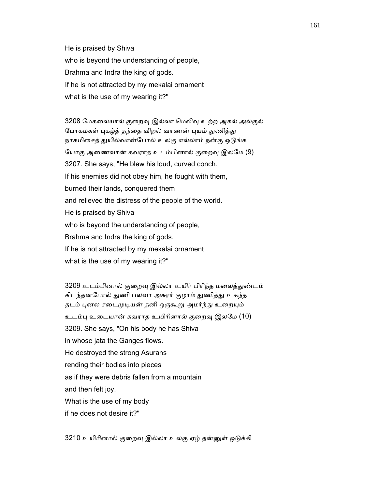He is praised by Shiva who is beyond the understanding of people, Brahma and Indra the king of gods. If he is not attracted by my mekalai ornament what is the use of my wearing it?"

3208 மேகலையால் குறைவு இல்லா மெலிவு உற்ற அகல் அல்குல் போகமகள் புகழ்த் தந்தை விறல் வாணன் புயம் துணித்து நாகமிசைத் துயில்வான்போல் உலகு எல்லாம் நன்கு ஒடுங்க யோகு அணைவான் கவராத உடம்பினால் குறைவு இலமே (9) 3207. She says, "He blew his loud, curved conch. If his enemies did not obey him, he fought with them, burned their lands, conquered them and relieved the distress of the people of the world. He is praised by Shiva who is beyond the understanding of people, Brahma and Indra the king of gods. If he is not attracted by my mekalai ornament what is the use of my wearing it?"

 3209 உடம்பினால் குைறᾫ இல்லா உயிர் பிாிந்த மைலத்ᾐண்டம் கிடந்தனபோல் துணி பலவா அசுரர் குழாம் துணித்து உகந்த தடம் புனல சடைமுடியன் தனி ஒருகூறு அமர்ந்து உறையும் உடம்பு உடையான் கவராத உயிரினால் குறைவு இலமே (10) 3209. She says, "On his body he has Shiva in whose jata the Ganges flows. He destroyed the strong Asurans rending their bodies into pieces as if they were debris fallen from a mountain and then felt joy. What is the use of my body if he does not desire it?"

3210 உயிரினால் குறைவு இல்லா உலகு ஏழ் தன்னுள் ஒடுக்கி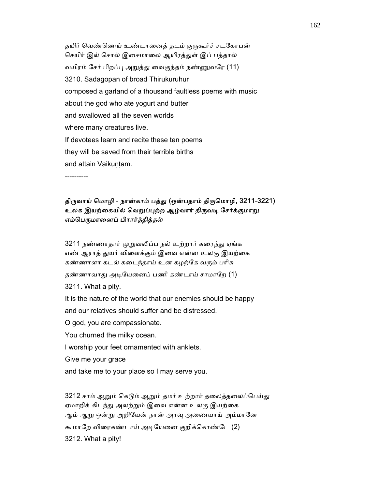தயிர் வெண்ணெய் உண்டானைத் தடம் குருகூர்ச் சடகோபன் செயிர் இல் சொல் இசைமாலை ஆயிரத்துள் இப் பத்தால் வயிரம் சேர் பிறப்பு அறுத்து வைகுந்தம் நண்ணுவரே (11) 3210. Sadagopan of broad Thirukuruhur composed a garland of a thousand faultless poems with music about the god who ate yogurt and butter and swallowed all the seven worlds where many creatures live. If devotees learn and recite these ten poems they will be saved from their terrible births and attain Vaikuntam.

----------

# திருவாய் மொழி - நான்காம் பத்து (ஒன்பதாம் திருமொழி, 3211-3221) உலக இயற்கையில் வெறுப்புற்ற ஆழ்வார் திருவடி சேர்க்குமாறு எம்பெருமானைப் பிரார்த்தித்தல்

3211 நண்ணாதார் முறுவலிப்ப நல் உற்றார் கரைந்து ஏங்க எண் ஆராத் துயர் விளைக்கும் இவை என்ன உலகு இயற்கை கண்ணாளா கடல் கடைந்தாய் உன கழற்கே வரும் பரிசு

தண்ணாவாது அடியேனைப் பணி கண்டாய் சாமாறே (1)

3211. What a pity.

 It is the nature of the world that our enemies should be happy and our relatives should suffer and be distressed.

O god, you are compassionate.

You churned the milky ocean.

I worship your feet ornamented with anklets.

Give me your grace

and take me to your place so I may serve you.

3212 சாம் ஆறும் கெடும் ஆறும் தமர் உற்றார் தலைத்தலைப்பெய்து ஏமாறிக் கிடந்து அலற்றும் இவை என்ன உலகு இயற்கை ஆம் ஆறு ஒன்று அறியேன் நான் அரவு அணையாய் அம்மானே கூமாறே விரைகண்டாய் அடியேனை குறிக்கொண்டே (2) 3212. What a pity!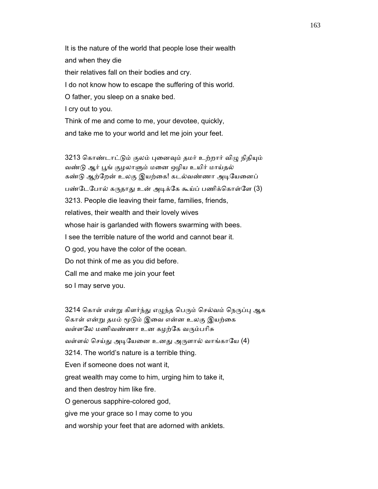It is the nature of the world that people lose their wealth and when they die their relatives fall on their bodies and cry. I do not know how to escape the suffering of this world. O father, you sleep on a snake bed. I cry out to you. Think of me and come to me, your devotee, quickly,

and take me to your world and let me join your feet.

3213 கொண்டாட்டும் குலம் புனைவும் தமர் உற்றார் விழு நிதியும் வண்டு ஆர் பூங் குழலாளும் மனை ஒழிய உயிர் மாய்தல் கண்டு ஆற்றேன் உலகு இயற்கை! கடல்வண்ணா அடியேனைப் பண்டேபோல் கருதாது உன் அடிக்கே கூய்ப் பணிக்கொள்ளே (3) 3213. People die leaving their fame, families, friends, relatives, their wealth and their lovely wives whose hair is garlanded with flowers swarming with bees. I see the terrible nature of the world and cannot bear it. O god, you have the color of the ocean. Do not think of me as you did before. Call me and make me join your feet so I may serve you.

3214 கொள் என்று கிளர்ந்து எழுந்த பெரும் செல்வம் நெருப்பு ஆக கொள் என்று தமம் மூடும் இவை என்ன உலகு இயற்கை வள்ளலே மணிவண்ணா உன கழற்கே வரும்பரிசு வள்ளல் செய்து அடியேனை உனது அருளால் வாங்காயே (4) 3214. The world's nature is a terrible thing. Even if someone does not want it, great wealth may come to him, urging him to take it, and then destroy him like fire. O generous sapphire-colored god, give me your grace so I may come to you and worship your feet that are adorned with anklets.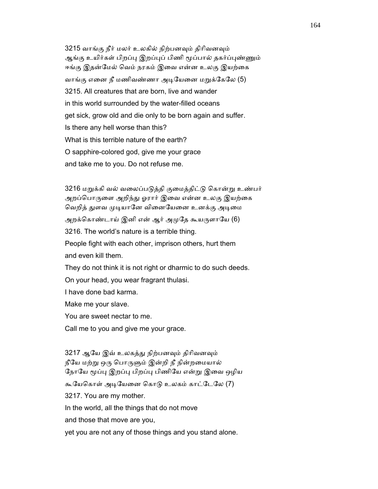3215 வாங்கு நீர் மலர் உலகில் நிற்பனவும் திரிவனவும் ஆங்கு உயிர்கள் பிறப்பு இறப்புப் பிணி மூப்பால் தகர்ப்புண்ணும் ஈங்கு இதன்மேல் வெம் நரகம் இவை என்ன உலகு இயற்கை வாங்கு எனை நீ மணிவண்ணா அடியேனை மறுக்கேலே (5) 3215. All creatures that are born, live and wander in this world surrounded by the water-filled oceans get sick, grow old and die only to be born again and suffer. Is there any hell worse than this? What is this terrible nature of the earth? O sapphire-colored god, give me your grace and take me to you. Do not refuse me.

3216 மறுக்கி வல் வலைப்படுத்தி குமைத்திட்டு கொன்று உண்பர் அறப்பொருளை அறிந்து ஓரார் இவை என்ன உலகு இயற்கை வெறித் துளவ முடியானே வினையேனை உனக்கு அடிமை அறக்கொண்டாய் இனி என் ஆர் அமுதே கூயருளாயே (6) 3216. The world's nature is a terrible thing. People fight with each other, imprison others, hurt them and even kill them. They do not think it is not right or dharmic to do such deeds. On your head, you wear fragrant thulasi. I have done bad karma. Make me your slave. You are sweet nectar to me. Call me to you and give me your grace. 3217 ஆயே இவ் உலகத்து நிற்பனவும் திரிவனவும்

நீயே மற்று ஒரு பொருளும் இன்றி நீ நின்றமையால் நோயே மூப்பு இறப்பு பிறப்பு பிணியே என்று இவை ஒழிய கூயேகொள் அடியேனை கொடு உலகம் காட்டேலே (7) 3217. You are my mother. In the world, all the things that do not move and those that move are you, yet you are not any of those things and you stand alone.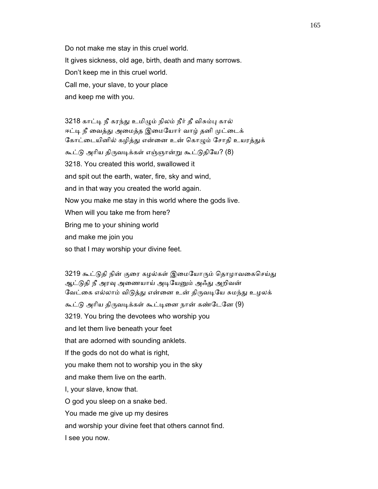Do not make me stay in this cruel world. It gives sickness, old age, birth, death and many sorrows. Don't keep me in this cruel world. Call me, your slave, to your place and keep me with you.

 3218 காட்ᾊ நீ கரந்ᾐ உமிᾨம் நிலம் நீர் தீ விசும்ᾗ கால் ஈட்டி நீ வைத்து அமைத்த இமையோர் வாழ் தனி முட்டைக் கோட்டையினில் கழித்து என்னை உன் கொழும் சோதி உயரத்துக் கூட்டு அரிய திருவடிக்கள் எஞ்ஞான்று கூட்டுதியே? (8) 3218. You created this world, swallowed it and spit out the earth, water, fire, sky and wind, and in that way you created the world again. Now you make me stay in this world where the gods live. When will you take me from here? Bring me to your shining world and make me join you so that I may worship your divine feet.

3219 கூட்டுதி நின் குரை கழல்கள் இமையோரும் தொழாவகைசெய்து ஆட்டுதி நீ அரவு அணையாய் அடியேனும் அஃது அறிவன் வேட்கை எல்லாம் விடுத்து என்னை உன் திருவடியே சுமந்து உழலக் கூட்டு அரிய திருவடிக்கள் கூட்டினை நான் கண்டேனே (9) 3219. You bring the devotees who worship you and let them live beneath your feet that are adorned with sounding anklets. If the gods do not do what is right, you make them not to worship you in the sky and make them live on the earth. I, your slave, know that. O god you sleep on a snake bed. You made me give up my desires and worship your divine feet that others cannot find. I see you now.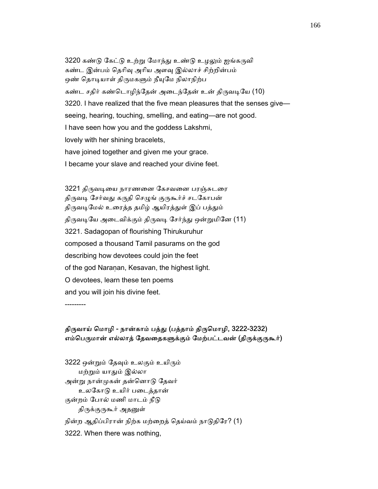3220 கண்டு கேட்டு உற்று மோந்து உண்டு உழலும் ஐங்கருவி கண்ட இன்பம் தெரிவு அரிய அளவு இல்லாச் சிற்றின்பம் ஒண் தொடியாள் திருமகளும் நீயுமே நிலாநிற்ப கண்ட சதிர் கண்டொழிந்தேன் அடைந்தேன் உன் திருவடியே (10) 3220. I have realized that the five mean pleasures that the senses give seeing, hearing, touching, smelling, and eating—are not good. I have seen how you and the goddess Lakshmi, lovely with her shining bracelets, have joined together and given me your grace. I became your slave and reached your divine feet.

3221 திருவடியை நாரணனை கேசவனை பரஞ்சுடரை திருவடி சேர்வது கருதி செழுங் குருகூர்ச் சடகோபன் திருவடிமேல் உரைத்த தமிழ் ஆயிரத்துள் இப் பத்தும் திருவடியே அடைவிக்கும் திருவடி சேர்ந்து ஒன்றுமினே (11) 3221. Sadagopan of flourishing Thirukuruhur composed a thousand Tamil pasurams on the god describing how devotees could join the feet of the god Naranan, Kesavan, the highest light. O devotees, learn these ten poems and you will join his divine feet.

---------

#### திருவாய் மொழி - நான்காம் பத்து (பத்தாம் திருமொழி, 3222-3232) எம்பெருமான் எல்லாத் தேவதைகளுக்கும் மேற்பட்டவன் (திருக்குருகூர்)

3222 ஒன்றும் தேவும் உலகும் உயிரும் மற்ᾠம் யாᾐம் இல்லா அன்ᾠ நான்ᾙகன் தன்ெனாᾌ ேதவர் உலேகாᾌ உயிர் பைடத்தான் குன்றம் போல் மணி மாடம் நீடு திருக்குருகூர் அதனுள் நின்ற ஆதிப்பிரான் நிற்க மற்றைத் தெய்வம் நாடுதிரே? (1) 3222. When there was nothing,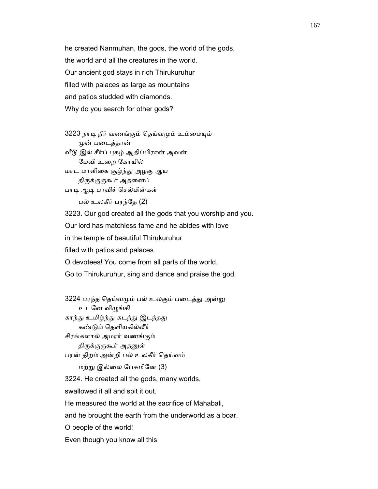he created Nanmuhan, the gods, the world of the gods, the world and all the creatures in the world. Our ancient god stays in rich Thirukuruhur filled with palaces as large as mountains and patios studded with diamonds. Why do you search for other gods?

3223 நாடி நீர் வணங்கும் தெய்வமும் உம்மையும் ᾙன் பைடத்தான்

வீடு இல் சீர்ப் புகழ் ஆதிப்பிரான் அவன் ேமவி உைற ேகாயில் மாட மாளிைக சூழ்ந்ᾐ அழகு ஆய திருக்குருகூர் அதனைப்

பாடி ஆடி பரவிச் செல்மின்கள்

பல் உலகீர் பரந்ேத (2)

3223. Our god created all the gods that you worship and you.

Our lord has matchless fame and he abides with love

in the temple of beautiful Thirukuruhur

filled with patios and palaces.

O devotees! You come from all parts of the world,

Go to Thirukuruhur, sing and dance and praise the god.

3224 பரந்த தெய்வமும் பல் உலகும் படைத்து அன்று உடனே விழுங்கி கரந்து உமிழ்ந்து கடந்து இடந்தது கண்ᾌம் ெதளியகில்லீர் சிரங்களால் அமரர் வணங்கும் திருக்குருகூர் அதனுள் பரன் திறம் அன்றி பல் உலகீர் ெதய்வம் மற்ᾠ இல்ைல ேபசுமிேன (3) 3224. He created all the gods, many worlds, swallowed it all and spit it out. He measured the world at the sacrifice of Mahabali, and he brought the earth from the underworld as a boar. O people of the world! Even though you know all this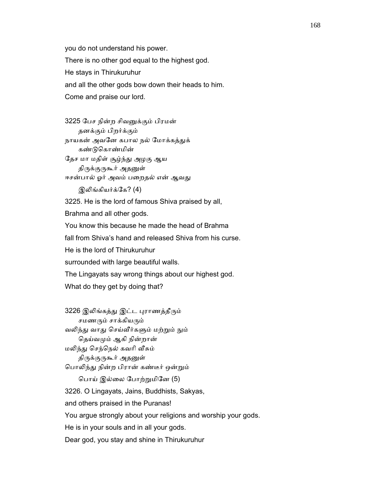you do not understand his power. There is no other god equal to the highest god. He stays in Thirukuruhur and all the other gods bow down their heads to him. Come and praise our lord.

 3225 ேபச நின்ற சிவᾔக்கும் பிரமன் தனக்கும் பிறர்க்கும் நாயகன் அவனே கபால நல் மோக்கத்துக் கண்ᾌெகாண்மின் ேதச மா மதிள் சூழ்ந்ᾐ அழகு ஆய திருக்குருகூர் அதனுள் ஈசன்பால் ஓர் அவம் பறைதல் என் ஆவது இலிங்கியர்க்கே? (4)

 3225. He is the lord of famous Shiva praised by all, Brahma and all other gods. You know this because he made the head of Brahma fall from Shiva's hand and released Shiva from his curse. He is the lord of Thirukuruhur surrounded with large beautiful walls. The Lingayats say wrong things about our highest god.

What do they get by doing that?

3226 இலிங்கத்து இட்ட புராணத்தீரும் சமணரும் சாக்கியரும் வலிந்து வாது செய்வீர்களும் மற்றும் நும் தெய்வமும் ஆகி நின்றான் மலிந்து செந்நெல் கவரி வீசும் திருக்குருகூர் அதனுள் பொலிந்து நின்ற பிரான் கண்டீர் ஒன்றும் ெபாய் இல்ைல ேபாற்ᾠமிேன (5) 3226. O Lingayats, Jains, Buddhists, Sakyas, and others praised in the Puranas! You argue strongly about your religions and worship your gods. He is in your souls and in all your gods. Dear god, you stay and shine in Thirukuruhur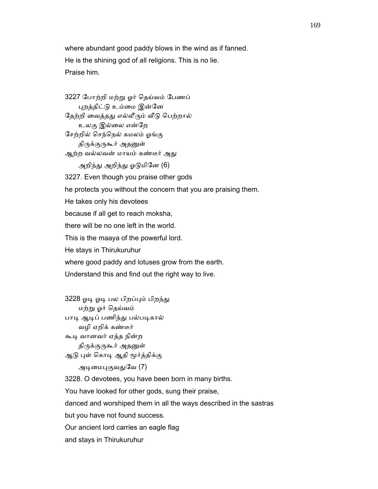where abundant good paddy blows in the wind as if fanned. He is the shining god of all religions. This is no lie. Praise him.

 3227 ேபாற்றி மற்ᾠ ஓர் ெதய்வம் ேபணப் ᾗறத்திட்ᾌ உம்ைம இன்ேன தேற்றி வைத்தது எல்லீரும் வீடு பெற்றால் உலகு இல்ைல என்ேற ேசற்றில் ெசந்ெநல் கமலம் ஓங்கு திருக்குருகூர் அதனுள் ஆற்ற வல்லவன் மாயம் கண்டீர் அது அறிந்து அறிந்து ஓடுமினே (6) 3227. Even though you praise other gods he protects you without the concern that you are praising them. He takes only his devotees because if all get to reach moksha, there will be no one left in the world. This is the maaya of the powerful lord. He stays in Thirukuruhur where good paddy and lotuses grow from the earth. Understand this and find out the right way to live.

3228 ஓடி ஓடி பல பிறப்பும் பிறந்து மற்ᾠ ஓர் ெதய்வம் பாடி ஆடிப் பணிந்து பல்படிகால் வழி ஏறிக் கண்டீர் கூᾊ வானவர் ஏத்த நின்ற திருக்குருகூர் அதனுள் ஆடு புள் கொடி ஆதி மூர்த்திக்கு

அடிமைபுகுவதுவே (7)

3228. O devotees, you have been born in many births.

You have looked for other gods, sung their praise,

danced and worshiped them in all the ways described in the sastras

but you have not found success.

Our ancient lord carries an eagle flag

and stays in Thirukuruhur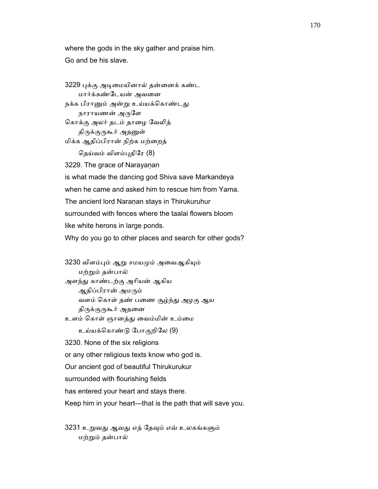where the gods in the sky gather and praise him. Go and be his slave.

 3229 ᾗக்கு அᾊைமயினால் தன்ைனக் கண்ட மார்க்கண்ேடயன் அவைன நக்க பிரானும் அன்று உய்யக்கொண்டது நாராயணன் அருளே கொக்கு அலர் தடம் தாழை வேலித் திருக்குருகூர் அதனுள் மிக்க ஆதிப்பிரான் நிற்க மற்ைறத் தெய்வம் விளம்புதிரே (8) 3229. The grace of Narayaṇan is what made the dancing god Shiva save Markandeya when he came and asked him to rescue him from Yama. The ancient lord Naranan stays in Thirukuruhur surrounded with fences where the taalai flowers bloom like white herons in large ponds. Why do you go to other places and search for other gods?

 3230 விளம்ᾗம் ஆᾠ சமயᾙம் அைவஆகிᾜம் மற்ᾠம் தன்பால் அளந்ᾐ காண்டற்கு அாியன் ஆகிய ஆதிப்பிரான் அமரும் வளம் ெகாள் தண் பைண சூழ்ந்ᾐ அழகு ஆய திருக்குருகூர் அதனை உளம் ெகாள் ஞானத்ᾐ ைவம்மின் உம்ைம

உய்யக்ெகாண்ᾌ ேபாகுறிேல (9)

3230. None of the six religions

or any other religious texts know who god is.

Our ancient god of beautiful Thirukurukur

surrounded with flourishing fields

has entered your heart and stays there.

Keep him in your heart—that is the path that will save you.

3231 உறுவது ஆவது எத் தேவும் எவ் உலகங்களும் மற்ᾠம் தன்பால்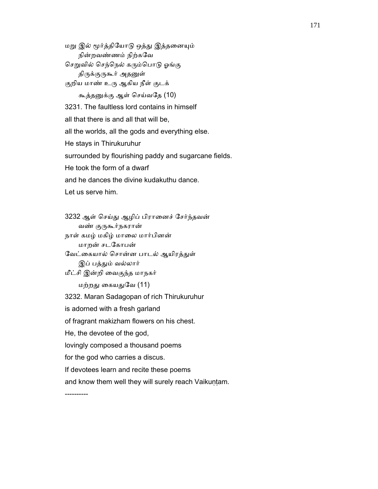மறு இல் மூர்த்தியோடு ஒத்து இத்தனையும் நின்றவண்ணம் நிற்கேவ செறுவில் செந்நெல் கரும்பொடு ஓங்கு திருக்குருகூர் அதனுள் குறிய மாண் உரு ஆகிய நீள் குடக் கூத்தᾔக்கு ஆள் ெசய்வேத (10) 3231. The faultless lord contains in himself all that there is and all that will be, all the worlds, all the gods and everything else. He stays in Thirukuruhur surrounded by flourishing paddy and sugarcane fields.

He took the form of a dwarf

and he dances the divine kudakuthu dance.

Let us serve him.

 3232 ஆள் ெசய்ᾐ ஆழிப் பிராைனச் ேசர்ந்தவன் வண் குருகூர்நகரான் நாள் கமழ் மகிழ் மாைல மார்பினன் மாறன் சடேகாபன் வேட்கையால் சொன்ன பாடல் ஆயிரத்துள் இப் பத்தும் வல்லார் மீட்சி இன்றி ைவகுந்த மாநகர் மற்றது கையதுவே (11)

3232. Maran Sadagopan of rich Thirukuruhur

is adorned with a fresh garland

of fragrant makizham flowers on his chest.

He, the devotee of the god,

lovingly composed a thousand poems

for the god who carries a discus.

If devotees learn and recite these poems

and know them well they will surely reach Vaikuṇṭam.

----------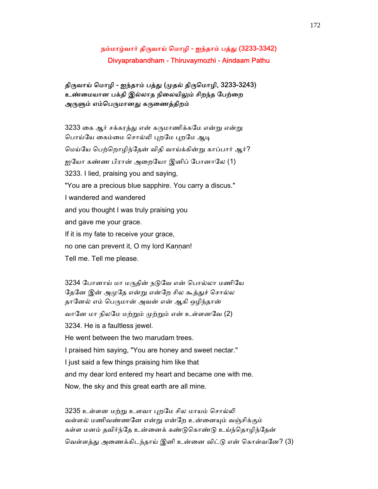# நம்மாழ்வார் திருவாய் மொழி - ஐந்தாம் பத்து (3233-3342) Divyaprabandham - Thiruvaymozhi - Aindaam Pathu

# திருவாய் மொழி - ஐந்தாம் பத்து (முதல் திருமொழி, 3233-3243) உண்மையான பக்தி இல்லாத நிலையிலும் சிறந்த பேற்றை அருளும் எம்பெருமானது கருணைத்திறம்

3233 கை ஆர் சக்கரத்து என் கருமாணிக்கமே என்று என்று பொய்யே கைம்மை சொல்லி புறமே புறமே ஆடி ெமய்ேய ெபற்ெறாழிந்ேதன் விதி வாய்க்கின்ᾠ காப்பார் ஆர்? ஐயோ கண்ண பிரான் அறையோ இனிப் போனாலே (1) 3233. I lied, praising you and saying, "You are a precious blue sapphire. You carry a discus." I wandered and wandered and you thought I was truly praising you and gave me your grace. If it is my fate to receive your grace, no one can prevent it, O my lord Kannan! Tell me. Tell me please.

3234 போனாய் மா மருதின் நடுவே என் பொல்லா மணியே தேனே இன் அமுதே என்று என்றே சில கூத்துச் சொல்ல தானேல் எம் பெருமான் அவன் என் ஆகி ஒழிந்தான் வானே மா நிலமே மற்றும் முற்றும் என் உள்ளனவே (2) 3234. He is a faultless jewel. He went between the two marudam trees. I praised him saying, "You are honey and sweet nectar." I just said a few things praising him like that and my dear lord entered my heart and became one with me. Now, the sky and this great earth are all mine.

3235 உள்ளன மற்று உளவா புறமே சில மாயம் சொல்லி வள்ளல் மணிவண்ணனே என்று என்றே உன்னையும் வஞ்சிக்கும் கள்ள மனம் தவிர்ந்தே உன்னைக் கண்டுகொண்டு உய்ந்தொழிந்தேன் வெள்ளத்து அணைக்கிடந்தாய் இனி உன்னை விட்டு என் கொள்வனே? (3)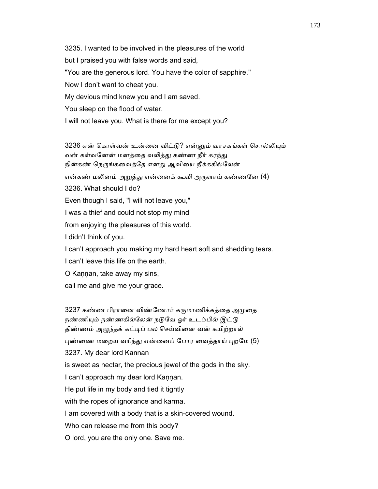3235. I wanted to be involved in the pleasures of the world but I praised you with false words and said, "You are the generous lord. You have the color of sapphire." Now I don't want to cheat you. My devious mind knew you and I am saved. You sleep on the flood of water. I will not leave you. What is there for me except you?

3236 என் கொள்வன் உன்னை விட்டு? என்னும் வாசகங்கள் சொல்லியும் வன் கள்வனேன் மனத்தை வலித்து கண்ண நீர் கரந்து நின்கண் நெருங்கவைத்தே எனது ஆவியை நீக்ககில்லேன் என்கண் மலினம் அறுத்து என்னைக் கூவி அருளாய் கண்ணனே (4) 3236. What should I do? Even though I said, "I will not leave you," I was a thief and could not stop my mind from enjoying the pleasures of this world. I didn't think of you. I can't approach you making my hard heart soft and shedding tears. I can't leave this life on the earth. O Kaṇṇan, take away my sins,

call me and give me your grace.

3237 கண்ண பிரானை விண்ணோர் கருமாணிக்கத்தை அமுதை நண்ணியும் நண்ணகில்லேன் நடுவே ஓர் உடம்பில் இட்டு திண்ணம் அழுந்தக் கட்டிப் பல செய்வினை வன் கயிற்றால் புண்ணை மறைய வரிந்து என்னைப் போர வைத்தாய் புறமே (5) 3237. My dear lord Kannan is sweet as nectar, the precious jewel of the gods in the sky. I can't approach my dear lord Kannan. He put life in my body and tied it tightly with the ropes of ignorance and karma. I am covered with a body that is a skin-covered wound. Who can release me from this body? O lord, you are the only one. Save me.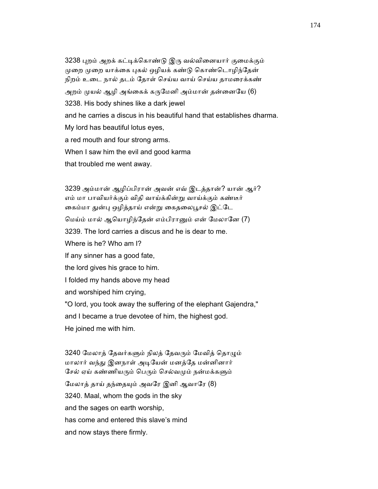3238 ᾗறம் அறக் கட்ᾊக்ெகாண்ᾌ இᾞ வல்விைனயார் குைமக்கும் முறை முறை யாக்கை புகல் ஒழியக் கண்டு கொண்டொழிந்தேன் நிறம் உைட நால் தடம் ேதாள் ெசய்ய வாய் ெசய்ய தாமைரக்கண் அறம் முயல் ஆழி அங்கைக் கருமேனி அம்மான் தன்னையே (6) 3238. His body shines like a dark jewel and he carries a discus in his beautiful hand that establishes dharma. My lord has beautiful lotus eyes, a red mouth and four strong arms. When I saw him the evil and good karma that troubled me went away.

 3239 அம்மான் ஆழிப்பிரான் அவன் எவ் இடத்தான்? யான் ஆர்? எம் மா பாவியர்க்கும் விதி வாய்க்கின்ᾠ வாய்க்கும் கண்டீர் கைம்மா துன்பு ஒழித்தாய் என்று கைதலைபூசல் இட்டே ெமய்ம் மால் ஆெயாழிந்ேதன் எம்பிராᾔம் என் ேமலாேன (7) 3239. The lord carries a discus and he is dear to me. Where is he? Who am I? If any sinner has a good fate, the lord gives his grace to him. I folded my hands above my head and worshiped him crying, "O lord, you took away the suffering of the elephant Gajendra," and I became a true devotee of him, the highest god. He joined me with him.

3240 மேலாத் தேவர்களும் நிலத் தேவரும் மேவித் தொழும் மாலார் வந்ᾐ இனநாள் அᾊேயன் மனத்ேத மன்னினார் சேல் ஏய் கண்ணியரும் பெரும் செல்வமும் நன்மக்களும் மேலாத் தாய் தந்தையும் அவரே இனி ஆவாரே (8) 3240. Maal, whom the gods in the sky and the sages on earth worship, has come and entered this slave's mind and now stays there firmly.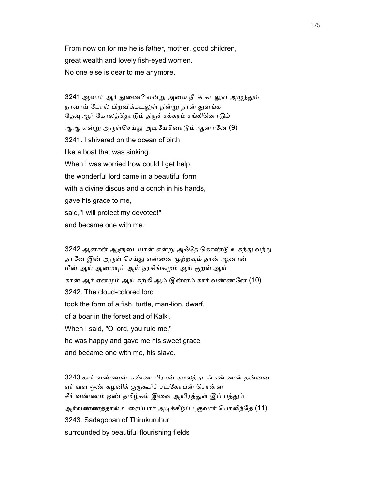From now on for me he is father, mother, good children, great wealth and lovely fish-eyed women. No one else is dear to me anymore.

3241 ஆவார் ஆர் துணை? என்று அலை நீர்க் கடலுள் அழுந்தும் நாவாய் போல் பிறவிக்கடலுள் நின்று நான் துளங்க தேவு ஆர் கோலத்தொடும் திருச் சக்கரம் சங்கினொடும் ஆஆ என்று அருள்செய்து அடியேனொடும் ஆனானே (9) 3241. I shivered on the ocean of birth like a boat that was sinking. When I was worried how could I get help, the wonderful lord came in a beautiful form with a divine discus and a conch in his hands. gave his grace to me, said,"I will protect my devotee!" and became one with me.

3242 ஆனான் ஆளுடையான் என்று அஃதே கொண்டு உகந்து வந்து தானே இன் அருள் செய்து என்னை முற்றவும் தான் ஆனான் மீன் ஆய் ஆமையும் ஆய் நரசிங்கமும் ஆய் குறள் ஆய் கான் ஆர் ஏனமும் ஆய் கற்கி ஆம் இன்னம் கார் வண்ணனே (10) 3242. The cloud-colored lord took the form of a fish, turtle, man-lion, dwarf, of a boar in the forest and of Kalki. When I said, "O lord, you rule me," he was happy and gave me his sweet grace and became one with me, his slave.

 3243 கார் வண்ணன் கண்ண பிரான் கமலத்தடங்கண்ணன் தன்ைன ஏர் வள ஒண் கழனிக் குருகூர்ச் சடகோபன் சொன்ன சீர் வண்ணம் ஒண் தமிழ்கள் இவை ஆயிரத்துள் இப் பத்தும் ஆர்வண்ணத்தால் உரைப்பார் அடிக்கீழ்ப் புகுவார் பொலிந்தே (11) 3243. Sadagopan of Thirukuruhur surrounded by beautiful flourishing fields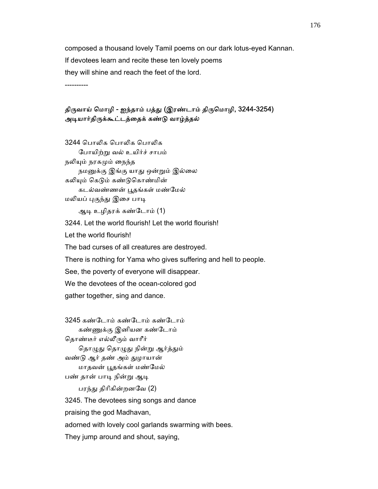composed a thousand lovely Tamil poems on our dark lotus-eyed Kannan. If devotees learn and recite these ten lovely poems they will shine and reach the feet of the lord.

----------

#### திருவாய் மொழி - ஐந்தாம் பத்து (இரண்டாம் திருமொழி, 3244-3254) அடியார்திருக்கூட்டத்தைக் கண்டு வாழ்த்தல்

3244 பொலிக பொலிக ேபாயிற்ᾠ வல் உயிர்ச் சாபம் நலியும் நரகமும் நைந்த நமனுக்கு இங்கு யாது ஒன்றும் இல்லை கலியும் கெடும் கண்டுகொண்மின் கடல்வண்ணன் பூதங்கள் மண்மேல் மலியப் புகுந்து இசை பாடி

ஆᾊ உழிதரக் கண்ேடாம் (1)

3244. Let the world flourish! Let the world flourish!

Let the world flourish!

The bad curses of all creatures are destroyed.

There is nothing for Yama who gives suffering and hell to people.

See, the poverty of everyone will disappear.

We the devotees of the ocean-colored god

gather together, sing and dance.

 3245 கண்ேடாம் கண்ேடாம் கண்ேடாம் கண்ணுக்கு இனியன கண்டோம் தொண்டீர் எல்லீரும் வாரீர் தொழுது தொழுது நின்று ஆர்த்தும் வண்ᾌ ஆர் தண் அம் ᾐழாயான் மாதவன் ᾘதங்கள் மண்ேமல் பண் தான் பாடி நின்று ஆடி பரந்து திரிகின்றனவே (2) 3245. The devotees sing songs and dance praising the god Madhavan,

adorned with lovely cool garlands swarming with bees.

They jump around and shout, saying,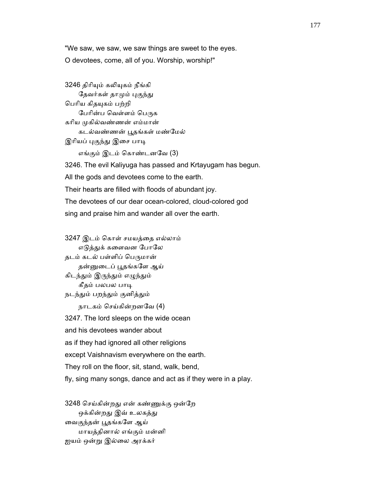"We saw, we saw, we saw things are sweet to the eyes. O devotees, come, all of you. Worship, worship!"

3246 திரியும் கலியுகம் நீங்கி தேவர்கள் தாமும் புகுந்து ெபாிய கிதᾜகம் பற்றி பேரின்ப வெள்ளம் பெருக கரிய முகில்வண்ணன் எம்மான் கடல்வண்ணன் பூதங்கள் மண்மேல் இரியப் புகுந்து இசை பாடி எங்கும் இடம் ெகாண்டனேவ (3) 3246. The evil Kaliyuga has passed and Krtayugam has begun. All the gods and devotees come to the earth. Their hearts are filled with floods of abundant joy. The devotees of our dear ocean-colored, cloud-colored god sing and praise him and wander all over the earth.

 3247 இடம் ெகாள் சமயத்ைத எல்லாம் எடுத்துக் களைவன போலே தடம் கடல் பள்ளிப் பெருமான் தன்னுடைப் பூதங்களே ஆய் கிடந்தும் இருந்தும் எழுந்தும் கீதம் பலபல பாடி நடந்தும் பறந்தும் குனித்தும் நாடகம் ெசய்கின்றனேவ (4) 3247. The lord sleeps on the wide ocean and his devotees wander about as if they had ignored all other religions except Vaishnavism everywhere on the earth. They roll on the floor, sit, stand, walk, bend, fly, sing many songs, dance and act as if they were in a play.

 3248 ெசய்கின்றᾐ என் கண்ᾎக்கு ஒன்ேற ஒக்கின்றது இவ் உலகத்து ைவகுந்தன் ᾘதங்கேள ஆய் மாயத்தினால் எங்கும் மன்னி ஐயம் ஒன்ᾠ இல்ைல அரக்கர்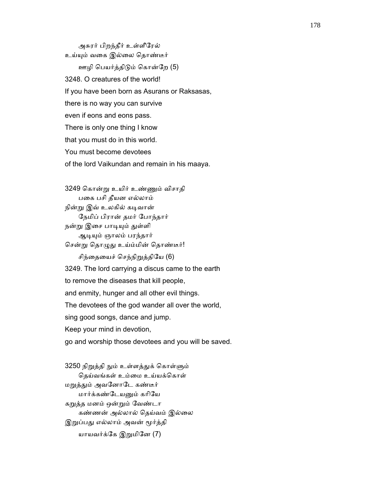அசுரர் பிறந்தீர் உள்ளீேரல் உய்யும் வகை இல்லை தொண்டீர் ஊழி ெபயர்த்திᾌம் ெகான்ேற (5) 3248. O creatures of the world! If you have been born as Asurans or Raksasas, there is no way you can survive even if eons and eons pass. There is only one thing I know that you must do in this world. You must become devotees of the lord Vaikundan and remain in his maaya.

 3249 ெகான்ᾠ உயிர் உண்ᾎம் விசாதி பைக பசி தீயன எல்லாம் நின்று இவ் உலகில் கடிவான் ேநமிப் பிரான் தமர் ேபாந்தார் நன்று இசை பாடியும் துள்ளி ஆᾊᾜம் ஞாலம் பரந்தார் சென்று தொழுது உய்ம்மின் தொண்டீர்! சிந்தையைச் செந்நிறுத்தியே (6) 3249. The lord carrying a discus came to the earth to remove the diseases that kill people, and enmity, hunger and all other evil things. The devotees of the god wander all over the world, sing good songs, dance and jump. Keep your mind in devotion,

go and worship those devotees and you will be saved.

3250 நிறுத்தி நும் உள்ளத்துக் கொள்ளும் தெய்வங்கள் உம்மை உய்யக்கொள் மறுத்தும் அவனோடே கண்டீர் மார்க்கண்டேயனும் கரியே கᾠத்த மனம் ஒன்ᾠம் ேவண்டா கண்ணன் அல்லால் ெதய்வம் இல்ைல இறுப்பது எல்லாம் அவன் மூர்த்தி யாயவர்க்கே இறுமினே (7)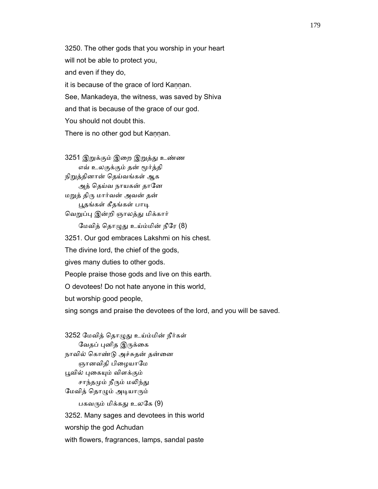3250. The other gods that you worship in your heart will not be able to protect you, and even if they do, it is because of the grace of lord Kaṇṇan. See, Mankadeya, the witness, was saved by Shiva and that is because of the grace of our god. You should not doubt this. There is no other god but Kannan.

3251 இறுக்கும் இறை இறுத்து உண்ண எவ் உலகுக்கும் தன் ᾚர்த்தி நிறுத்தினான் தெய்வங்கள் ஆக அத் தெய்வ நாயகன் தானே மᾠத் திᾞ மார்வன் அவன் தன் பூதங்கள் கீதங்கள் பாடி வெறுப்பு இன்றி ஞாலத்து மிக்கார் மேவித் தொழுது உய்ம்மின் நீரே (8) 3251. Our god embraces Lakshmi on his chest. The divine lord, the chief of the gods, gives many duties to other gods. People praise those gods and live on this earth. O devotees! Do not hate anyone in this world, but worship good people, sing songs and praise the devotees of the lord, and you will be saved.

 3252 ேமவித் ெதாᾨᾐ உய்ம்மின் நீர்கள் வேதப் புனித இருக்கை நாவில் கொண்டு அச்சுதன் தன்னை ஞானவிதி பிழையாமே பூவில் புகையும் விளக்கும் சாந்தமும் நீரும் மலிந்து ேமவித் ெதாᾨம் அᾊயாᾞம் பகவரும் மிக்கது உலகே (9) 3252. Many sages and devotees in this world worship the god Achudan with flowers, fragrances, lamps, sandal paste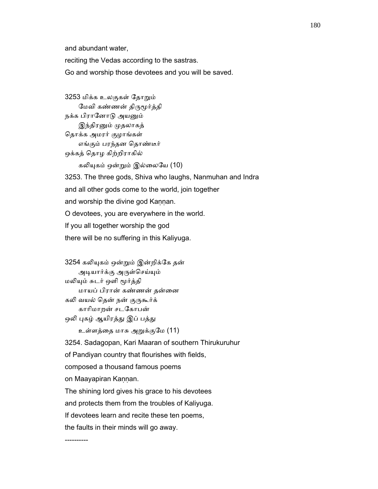and abundant water,

reciting the Vedas according to the sastras.

Go and worship those devotees and you will be saved.

 3253 மிக்க உலகுகள் ேதாᾠம் மேவி கண்ணன் திருமூர்த்தி நக்க பிரானோடு அயனும் இந்திரனும் முதலாகத் ெதாக்க அமரர் குழாங்கள் எங்கும் பரந்தன ெதாண்டீர் ஒக்கத் ெதாழ கிற்றிராகில்

கலியுகம் ஒன்றும் இல்லையே (10)

 3253. The three gods, Shiva who laughs, Nanmuhan and Indra and all other gods come to the world, join together and worship the divine god Kaṇṇan. O devotees, you are everywhere in the world. If you all together worship the god there will be no suffering in this Kaliyuga.

3254 கலியுகம் ஒன்றும் இன்றிக்கே தன் அடியார்க்கு அருள்செய்யும் மலியும் சுடர் ஒளி மூர்த்தி மாயப் பிரான் கண்ணன் தன்ைன கலி வயல் தென் நன் குருகூர்க் காாிமாறன் சடேகாபன் ஒலி புகழ் ஆயிரத்து இப் பத்து உள்ளத்ைத மாசு அᾠக்குேம (11)

3254. Sadagopan, Kari Maaran of southern Thirukuruhur

of Pandiyan country that flourishes with fields,

composed a thousand famous poems

on Maayapiran Kaṇṇan.

The shining lord gives his grace to his devotees

and protects them from the troubles of Kaliyuga.

If devotees learn and recite these ten poems,

the faults in their minds will go away.

----------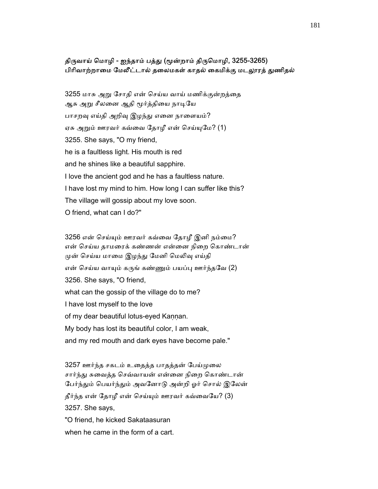## திருவாய் மொழி - ஐந்தாம் பத்து (மூன்றாம் திருமொழி, 3255-3265) பிரிவாற்றாமை மேலீட்டால் தலைமகள் காதல் கைமிக்கு மடலூரத் துணிதல்

 3255 மாசு அᾠ ேசாதி என் ெசய்ய வாய் மணிக்குன்றத்ைத ஆசு அறு சீலனை ஆதி மூர்த்தியை நாடியே பாசறவு எய்தி அறிவு இழந்து எனை நாளையம்? ஏசு அறும் ஊரவர் கவ்வை தோழீ என் செய்யுமே? (1) 3255. She says, "O my friend, he is a faultless light. His mouth is red and he shines like a beautiful sapphire. I love the ancient god and he has a faultless nature. I have lost my mind to him. How long I can suffer like this? The village will gossip about my love soon. O friend, what can I do?"

 3256 என் ெசய்ᾜம் ஊரவர் கவ்ைவ ேதாழீ இனி நம்ைம? என் செய்ய தாமரைக் கண்ணன் என்னை நிறை கொண்டான் முன் செய்ய மாமை இழந்து மேனி மெலிவு எய்தி என் செய்ய வாயும் கருங் கண்ணும் பயப்பு ஊர்ந்தவே (2) 3256. She says, "O friend, what can the gossip of the village do to me? I have lost myself to the love of my dear beautiful lotus-eyed Kannan. My body has lost its beautiful color, I am weak, and my red mouth and dark eyes have become pale."

 3257 ஊர்ந்த சகடம் உைதத்த பாதத்தன் ேபய்ᾙைல சார்ந்து சுவைத்த செவ்வாயன் என்னை நிறை கொண்டான் பேர்ந்தும் பெயர்ந்தும் அவனோடு அன்றி ஓர் சொல் இலேன் தீர்ந்த என் ேதாழீ என் ெசய்ᾜம் ஊரவர் கவ்ைவேய? (3) 3257. She says, "O friend, he kicked Sakataasuran

when he came in the form of a cart.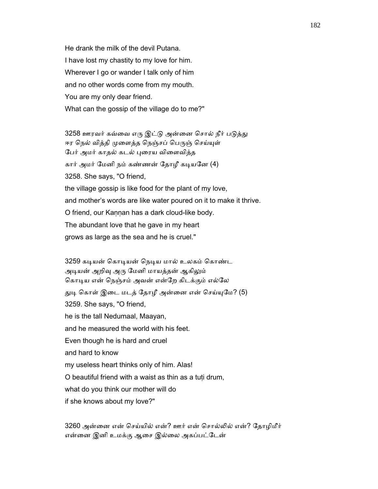He drank the milk of the devil Putana. I have lost my chastity to my love for him. Wherever I go or wander I talk only of him and no other words come from my mouth. You are my only dear friend. What can the gossip of the village do to me?"

3258 ஊரவர் கவ்வை எரு இட்டு அன்னை சொல் நீர் படுத்து ஈர நெல் வித்தி முளைத்த நெஞ்சப் பெருஞ் செய்யுள் பேர் அமர் காதல் கடல் புரைய விளைவித்த கார் அமர் மேனி நம் கண்ணன் தோழீ கடியனே (4) 3258. She says, "O friend, the village gossip is like food for the plant of my love, and mother's words are like water poured on it to make it thrive. O friend, our Kannan has a dark cloud-like body. The abundant love that he gave in my heart grows as large as the sea and he is cruel."

3259 கடியன் கொடியன் நெடிய மால் உலகம் கொண்ட அடியன் அறிவு அரு மேனி மாயத்தன் ஆகிலும் கொடிய என் நெஞ்சம் அவன் என்றே கிடக்கும் எல்லே துடி கொள் இடை மடத் தோழீ அன்னை என் செய்யுமே? (5) 3259. She says, "O friend, he is the tall Nedumaal, Maayan, and he measured the world with his feet. Even though he is hard and cruel and hard to know my useless heart thinks only of him. Alas! O beautiful friend with a waist as thin as a tuṭi drum, what do you think our mother will do if she knows about my love?"

 3260 அன்ைன என் ெசய்யில் என்? ஊர் என் ெசால்ᾢல் என்? ேதாழிமீர் என்ைன இனி உமக்கு ஆைச இல்ைல அகப்பட்ேடன்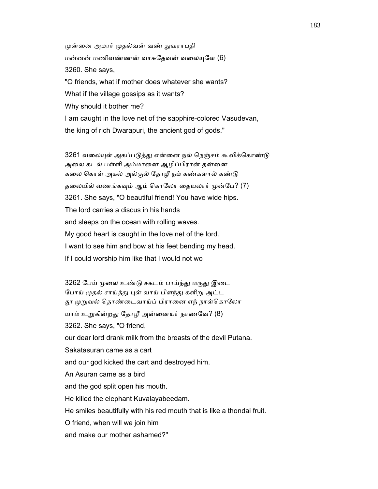முன்னை அமரர் முதல்வன் வண் துவராபதி மன்னன் மணிவண்ணன் வாசுதேவன் வலையுளே (6) 3260. She says, "O friends, what if mother does whatever she wants? What if the village gossips as it wants? Why should it bother me? I am caught in the love net of the sapphire-colored Vasudevan, the king of rich Dwarapuri, the ancient god of gods."

3261 வலையுள் அகப்படுத்து என்னை நல் நெஞ்சம் கூவிக்கொண்டு அைல கடல் பள்ளி அம்மாைன ஆழிப்பிரான் தன்ைன கலை கொள் அகல் அல்குல் தோழீ நம் கண்களால் கண்டு தலையில் வணங்கவும் ஆம் கொலோ தையலார் முன்பே? (7) 3261. She says, "O beautiful friend! You have wide hips. The lord carries a discus in his hands and sleeps on the ocean with rolling waves. My good heart is caught in the love net of the lord. I want to see him and bow at his feet bending my head. If I could worship him like that I would not wo

3262 பேய் முலை உண்டு சகடம் பாய்ந்து மருது இடை போய் முதல் சாய்த்து புள் வாய் பிளந்து களிறு அட்ட தூ முறுவல் தொண்டைவாய்ப் பிரானை எந் நாள்கொலோ யாம் உறுகின்றது தோழீ அன்னையர் நாணவே? (8) 3262. She says, "O friend, our dear lord drank milk from the breasts of the devil Putana. Sakatasuran came as a cart and our god kicked the cart and destroyed him. An Asuran came as a bird and the god split open his mouth. He killed the elephant Kuvalayabeedam. He smiles beautifully with his red mouth that is like a thondai fruit. O friend, when will we join him

and make our mother ashamed?"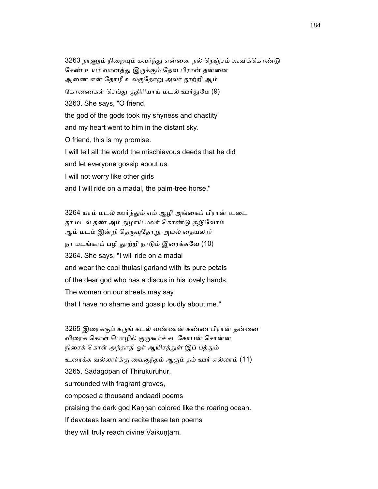3263 நாணும் நிறையும் கவர்ந்து என்னை நல் நெஞ்சம் கூவிக்கொண்டு சேண் உயர் வானத்து இருக்கும் தேவ பிரான் தன்னை ஆணை என் தோழீ உலகுதோறு அலர் தூற்றி ஆம் கோணைகள் செய்து குதிரியாய் மடல் ஊர்துமே (9) 3263. She says, "O friend, the god of the gods took my shyness and chastity and my heart went to him in the distant sky. O friend, this is my promise. I will tell all the world the mischievous deeds that he did and let everyone gossip about us. I will not worry like other girls and I will ride on a madal, the palm-tree horse."

3264 யாம் மடல் ஊர்ந்தும் எம் ஆழி அங்கைப் பிரான் உடை தூ மடல் தண் அம் துழாய் மலர் கொண்டு சூடுவோம் ஆம் மடம் இன்றி தெருவுதோறு அயல் தையலார் நா மடங்காப் பழி தூற்றி நாடும் இரைக்கவே (10) 3264. She says, "I will ride on a madal and wear the cool thulasi garland with its pure petals of the dear god who has a discus in his lovely hands. The women on our streets may say that I have no shame and gossip loudly about me."

3265 இரைக்கும் கருங் கடல் வண்ணன் கண்ண பிரான் தன்னை விரைக் கொள் பொழில் குருகூர்ச் சடகோபன் சொன்ன நிரைக் கொள் அந்தாதி ஓர் ஆயிரத்துள் இப் பத்தும் உைரக்க வல்லார்க்கு ைவகுந்தம் ஆகும் தம் ஊர் எல்லாம் (11) 3265. Sadagopan of Thirukuruhur, surrounded with fragrant groves, composed a thousand andaadi poems praising the dark god Kannan colored like the roaring ocean. If devotees learn and recite these ten poems they will truly reach divine Vaikuntam.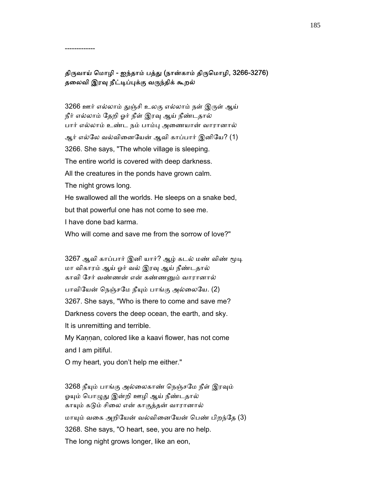## திருவாய் மொழி - ஐந்தாம் பத்து (நான்காம் திருமொழி, 3266-3276) தலைவி இரவு நீட்டிப்புக்கு வருந்திக் கூறல்

-------------

3266 ஊர் எல்லாம் துஞ்சி உலகு எல்லாம் நள் இருள் ஆய் நீர் எல்லாம் தேறி ஓர் நீள் இரவு ஆய் நீண்டதால் பார் எல்லாம் உண்ட நம் பாம்ᾗ அைணயான் வாரானால் ஆர் எல்லே வல்வினையேன் ஆவி காப்பார் இனியே? (1) 3266. She says, "The whole village is sleeping. The entire world is covered with deep darkness. All the creatures in the ponds have grown calm. The night grows long. He swallowed all the worlds. He sleeps on a snake bed, but that powerful one has not come to see me. I have done bad karma. Who will come and save me from the sorrow of love?"

3267 ஆவி காப்பார் இனி யார்? ஆழ் கடல் மண் விண் மூடி மா விகாரம் ஆய் ஓர் வல் இரᾫ ஆய் நீண்டதால் காவி ேசர் வண்ணன் என் கண்ணᾔம் வாரானால் பாவியேன் நெஞ்சமே நீயும் பாங்கு அல்லையே. (2) 3267. She says, "Who is there to come and save me? Darkness covers the deep ocean, the earth, and sky. It is unremitting and terrible. My Kaṇṇan, colored like a kaavi flower, has not come and I am pitiful.

O my heart, you don't help me either."

3268 நீயும் பாங்கு அல்லைகாண் நெஞ்சமே நீள் இரவும் ஓயும் பொழுது இன்றி ஊழி ஆய் நீண்டதால் காயும் கடும் சிலை என் காகுத்தன் வாரானால் மாயும் வகை அறியேன் வல்வினையேன் பெண் பிறந்தே (3) 3268. She says, "O heart, see, you are no help. The long night grows longer, like an eon,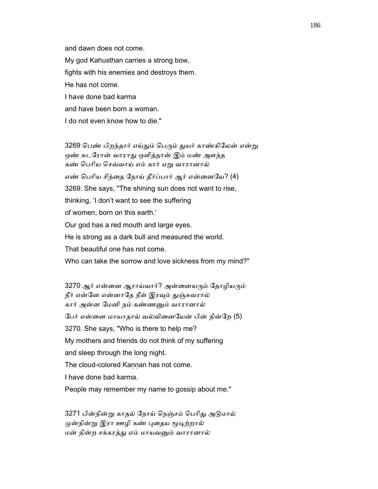and dawn does not come. My god Kahusthan carries a strong bow, fights with his enemies and destroys them. He has not come. I have done bad karma and have been born a woman. I do not even know how to die."

3269 பெண் பிறந்தார் எய்தும் பெரும் துயர் காண்கிலேன் என்று ஒண் சுடரோன் வாராது ஒளித்தான் இம் மண் அளந்த கண் ெபாிய ெசவ்வாய் எம் கார் ஏᾠ வாரானால் எண் பெரிய சிந்தை நோய் தீர்ப்பார் ஆர் என்னையே? (4) 3269. She says, "The shining sun does not want to rise, thinking, 'I don't want to see the suffering of women, born on this earth.' Our god has a red mouth and large eyes. He is strong as a dark bull and measured the world. That beautiful one has not come. Who can take the sorrow and love sickness from my mind?"

3270 ஆர் என்னை ஆராய்வார்? அன்னையரும் தோழியரும் நீர் என்னே என்னாதே நீள் இரவும் துஞ்சுவரால் கார் அன்ன ேமனி நம் கண்ணᾔம் வாரானால் ேபர் என்ைன மாயாதால் வல்விைனேயன் பின் நின்ேற (5) 3270. She says, "Who is there to help me? My mothers and friends do not think of my suffering and sleep through the long night. The cloud-colored Kannan has not come. I have done bad karma. People may remember my name to gossip about me."

 3271 பின்நின்ᾠ காதல் ேநாய் ெநஞ்சம் ெபாிᾐ அᾌமால் முன்நின்று இரா ஊழி கண் புதைய மூடிற்றால் மன் நின்ற சக்கரத்ᾐ எம் மாயவᾔம் வாரானால்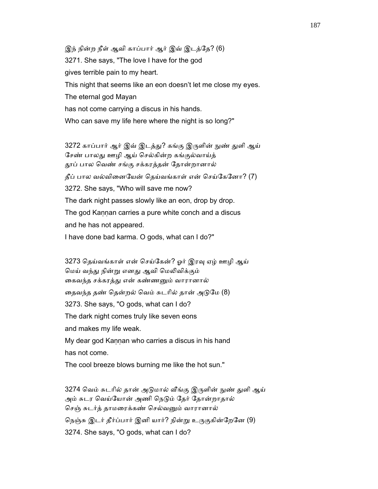இந் நின்ற நீள் ஆவி காப்பார் ஆர் இவ் இடத்ேத? (6) 3271. She says, "The love I have for the god gives terrible pain to my heart. This night that seems like an eon doesn't let me close my eyes. The eternal god Mayan has not come carrying a discus in his hands. Who can save my life here where the night is so long?"

3272 காப்பார் ஆர் இவ் இடத்து? கங்கு இருளின் நுண் துளி ஆய் சேண் பாலது ஊழி ஆய் செல்கின்ற கங்குல்வாய்த் ᾑப் பால ெவண் சங்கு சக்கரத்தன் ேதான்றானால் தீப் பால வல்வினையேன் தெய்வங்காள் என் செய்கேனோ? (7) 3272. She says, "Who will save me now? The dark night passes slowly like an eon, drop by drop. The god Kannan carries a pure white conch and a discus and he has not appeared. I have done bad karma. O gods, what can I do?"

3273 தெய்வங்காள் என் செய்கேன்? ஓர் இரவு ஏழ் ஊழி ஆய் ெமய் வந்ᾐ நின்ᾠ எனᾐ ஆவி ெமᾢவிக்கும் கைவந்த சக்கரத்து என் கண்ணனும் வாரானால் தைவந்த தண் தென்றல் வெம் சுடரில் தான் அடுமே (8) 3273. She says, "O gods, what can I do? The dark night comes truly like seven eons and makes my life weak. My dear god Kannan who carries a discus in his hand has not come. The cool breeze blows burning me like the hot sun."

3274 வெம் சுடரில் தான் அடுமால் வீங்கு இருளின் நுண் துளி ஆய் அம் சுடர வெய்யோன் அணி நெடும் தேர் தோன்றாதால் செஞ் சுடர்த் தாமரைக்கண் செல்வனும் வாரானால் நெஞ்சு இடர் தீர்ப்பார் இனி யார்? நின்று உருகுகின்றேனே (9) 3274. She says, "O gods, what can I do?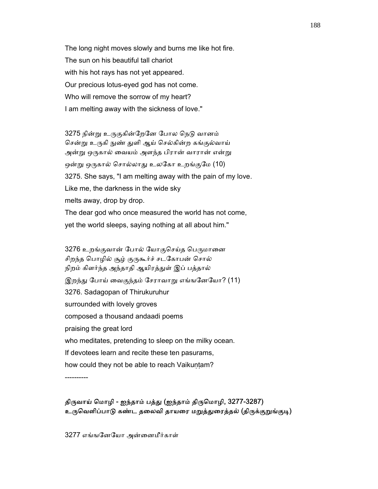The long night moves slowly and burns me like hot fire. The sun on his beautiful tall chariot with his hot rays has not yet appeared. Our precious lotus-eyed god has not come. Who will remove the sorrow of my heart? I am melting away with the sickness of love."

3275 நின்று உருகுகின்றேனே போல நெடு வானம் சென்று உருகி நுண் துளி ஆய் செல்கின்ற கங்குல்வாய் அன்று ஒருகால் வையம் அளந்த பிரான் வாரான் என்று ஒன்று ஒருகால் சொல்லாது உலகோ உறங்குமே (10) 3275. She says, "I am melting away with the pain of my love. Like me, the darkness in the wide sky melts away, drop by drop. The dear god who once measured the world has not come, yet the world sleeps, saying nothing at all about him."

3276 உறங்குவான் போல் யோகுசெய்த பெருமானை சிறந்த பொழில் சூழ் குருகூர்ச் சடகோபன் சொல் நிறம் கிளர்ந்த அந்தாதி ஆயிரத்துள் இப் பத்தால் இறந்து போய் வைகுந்தம் சேராவாறு எங்ஙனேயோ? (11) 3276. Sadagopan of Thirukuruhur surrounded with lovely groves composed a thousand andaadi poems praising the great lord who meditates, pretending to sleep on the milky ocean. If devotees learn and recite these ten pasurams, how could they not be able to reach Vaikuntam?

----------

திருவாய் மொழி - ஐந்தாம் பத்து (ஐந்தாம் திருமொழி, 3277-3287) உருவெளிப்பாடு கண்ட தலைவி தாயரை மறுத்துரைத்தல் (திருக்குறுங்குடி)

3277 எங்ஙேனேயா அன்ைனமீர்காள்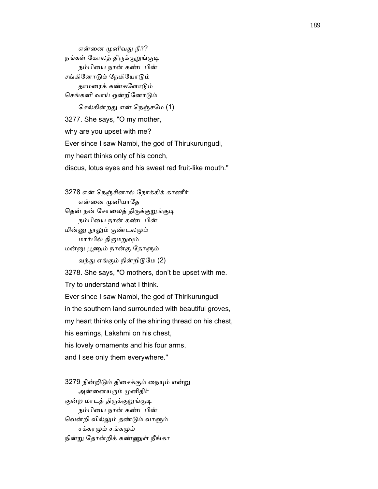என்னை முனிவது நீர்? நங்கள் கோலத் திருக்குறுங்குடி நம்பியை நான் கண்டபின் சங்கினோடும் நேமியோடும் தாமைரக் கண்கேளாᾌம் செங்கனி வாய் ஒன்றினோடும்

 ெசல்கின்றᾐ என் ெநஞ்சேம (1) 3277. She says, "O my mother, why are you upset with me? Ever since I saw Nambi, the god of Thirukurungudi, my heart thinks only of his conch, discus, lotus eyes and his sweet red fruit-like mouth."

 3278 என் ெநஞ்சினால் ேநாக்கிக் காணீர் என்னை முனியாதே தென் நன் சோலைத் திருக்குறுங்குடி நம்பிைய நான் கண்டபின் மின்னு நூலும் குண்டலமும் மார்பில் திருமறுவும் மன்னு பூணும் நான்கு தோளும் வந்து எங்கும் நின்றிடுமே (2) 3278. She says, "O mothers, don't be upset with me. Try to understand what I think. Ever since I saw Nambi, the god of Thirikurungudi in the southern land surrounded with beautiful groves, my heart thinks only of the shining thread on his chest,

his earrings, Lakshmi on his chest,

his lovely ornaments and his four arms,

and I see only them everywhere."

3279 நின்றிடும் திசைக்கும் நையும் என்று அன்னையரும் முனிதிர் குன்ற மாடத் திருக்குறுங்குடி நம்பிைய நான் கண்டபின் ெவன்றி வில்ᾤம் தண்ᾌம் வாᾦம் சக்கரமும் சங்கமும் நின்ᾠ ேதான்றிக் கண்ᾎள் நீங்கா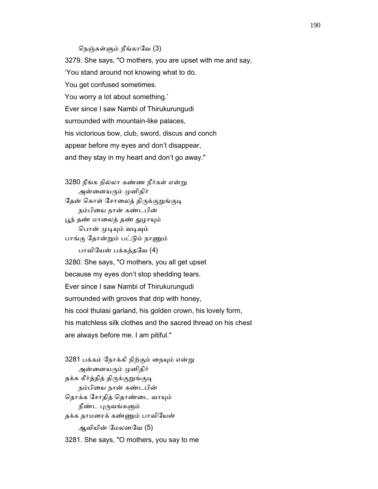### ெநஞ்சுள்ᾦம் நீங்காேவ (3)

 3279. She says, "O mothers, you are upset with me and say, 'You stand around not knowing what to do. You get confused sometimes. You worry a lot about something.' Ever since I saw Nambi of Thirukurungudi surrounded with mountain-like palaces, his victorious bow, club, sword, discus and conch appear before my eyes and don't disappear, and they stay in my heart and don't go away."

 3280 நீங்க நில்லா கண்ண நீர்கள் என்ᾠ அன்னையரும் முனிதிர் தேன் கொள் சோலைத் திருக்குறுங்குடி நம்பிைய நான் கண்டபின் பூந் தண் மாலைத் தண் துழாயும் பொன் முடியும் வடிவும் பாங்கு தோன்றும் பட்டும் நாணும் பாவிேயன் பக்கத்தேவ (4) 3280. She says, "O mothers, you all get upset because my eyes don't stop shedding tears. Ever since I saw Nambi of Thirukurungudi surrounded with groves that drip with honey, his cool thulasi garland, his golden crown, his lovely form, his matchless silk clothes and the sacred thread on his chest are always before me. I am pitiful."

3281 பக்கம் நோக்கி நிற்கும் நையும் என்று அன்னையரும் முனிதிர் தக்க கீர்த்தித் திருக்குறுங்குடி நம்பிைய நான் கண்டபின் தொக்க சோதித் தொண்டை வாயும் நீண்ட புருவங்களும் தக்க தாமைரக் கண்ᾎம் பாவிேயன் ஆவியின் ேமலனேவ (5) 3281. She says, "O mothers, you say to me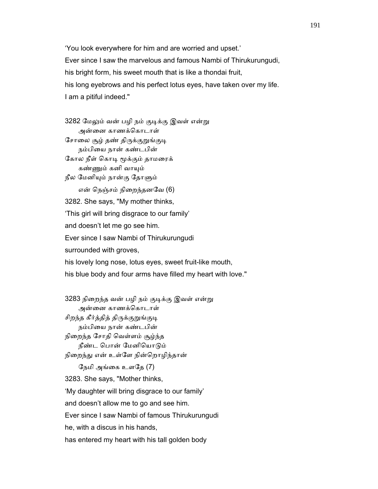'You look everywhere for him and are worried and upset.' Ever since I saw the marvelous and famous Nambi of Thirukurungudi, his bright form, his sweet mouth that is like a thondai fruit, his long eyebrows and his perfect lotus eyes, have taken over my life. I am a pitiful indeed."

3282 மேலும் வன் பழி நம் குடிக்கு இவள் என்று அன்ைன காணக்ெகாடாள் சோலை சூழ் தண் திருக்குறுங்குடி நம்பிைய நான் கண்டபின் கோல நீள் கொடி மூக்கும் தாமரைக் கண்ᾎம் கனி வாᾜம் நீல ேமனிᾜம் நான்கு ேதாᾦம் என் ெநஞ்சம் நிைறந்தனேவ (6) 3282. She says, "My mother thinks, 'This girl will bring disgrace to our family' and doesn't let me go see him. Ever since I saw Nambi of Thirukurungudi surrounded with groves, his lovely long nose, lotus eyes, sweet fruit-like mouth, his blue body and four arms have filled my heart with love."

3283 நிறைந்த வன் பழி நம் குடிக்கு இவள் என்று அன்ைன காணக்ெகாடாள் சிறந்த கீர்த்தித் திருக்குறுங்குடி நம்பிைய நான் கண்டபின் நிைறந்த ேசாதி ெவள்ளம் சூழ்ந்த நீண்ட ெபான் ேமனிெயாᾌம் நிறைந்து என் உள்ளே நின்றொழிந்தான் ேநமி அங்ைக உளேத (7) 3283. She says, "Mother thinks, 'My daughter will bring disgrace to our family' and doesn't allow me to go and see him. Ever since I saw Nambi of famous Thirukurungudi he, with a discus in his hands, has entered my heart with his tall golden body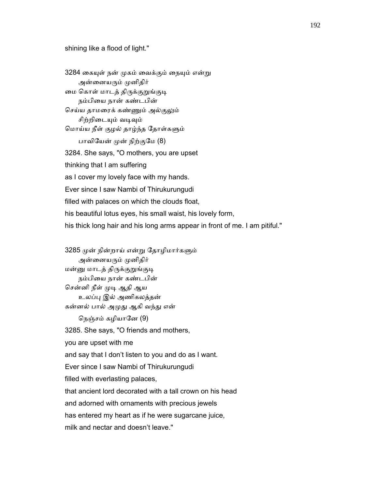### shining like a flood of light."

3284 கையுள் நன் முகம் வைக்கும் நையும் என்று அன்னையரும் முனிதிர் மை கொள் மாடத் திருக்குறுங்குடி நம்பிைய நான் கண்டபின் செய்ய தாமரைக் கண்ணும் அல்குலும் சிற்றிடையும் வடிவும் ெமாய்ய நீள் குழல் தாழ்ந்த ேதாள்கᾦம் பாவியேன் முன் நிற்குமே (8) 3284. She says, "O mothers, you are upset thinking that I am suffering as I cover my lovely face with my hands. Ever since I saw Nambi of Thirukurungudi filled with palaces on which the clouds float, his beautiful lotus eyes, his small waist, his lovely form, his thick long hair and his long arms appear in front of me. I am pitiful."

3285 முன் நின்றாய் என்று தோழிமார்களும் அன்னையரும் முனிதிர் மன்னு மாடத் திருக்குறுங்குடி நம்பிைய நான் கண்டபின் சென்னி நீள் முடி ஆதி ஆய உலப்ᾗ இல் அணிகலத்தன் கன்னல் பால் அமுது ஆகி வந்து என் ெநஞ்சம் கழியாேன (9) 3285. She says, "O friends and mothers, you are upset with me and say that I don't listen to you and do as I want. Ever since I saw Nambi of Thirukurungudi filled with everlasting palaces, that ancient lord decorated with a tall crown on his head and adorned with ornaments with precious jewels has entered my heart as if he were sugarcane juice, milk and nectar and doesn't leave."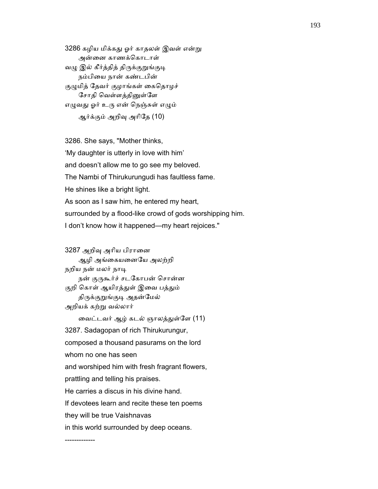3286 கழிய மிக்கது ஓர் காதலள் இவள் என்று அன்ைன காணக்ெகாடாள் வழு இல் கீர்த்தித் திருக்குறுங்குடி நம்பிைய நான் கண்டபின் குழுமித் தேவர் குழாங்கள் கைதொழச் சோதி வெள்ளத்தினுள்ளே எழுவது ஓர் உரு என் நெஞ்சுள் எழும் ஆர்க்கும் அறிᾫ அாிேத (10)

 3286. She says, "Mother thinks, 'My daughter is utterly in love with him' and doesn't allow me to go see my beloved. The Nambi of Thirukurungudi has faultless fame. He shines like a bright light. As soon as I saw him, he entered my heart, surrounded by a flood-like crowd of gods worshipping him. I don't know how it happened—my heart rejoices."

 3287 அறிᾫ அாிய பிராைன ஆழி அங்ைகயைனேய அலற்றி நறிய நன் மலர் நாடி நன் குருகூர்ச் சடகோபன் சொன்ன குறி கொள் ஆயிரத்துள் இவை பத்தும் திருக்குறுங்குடி அதன்மேல் அறியக் கற்று வல்லார் ைவட்டவர் ஆழ் கடல் ஞாலத்ᾐள்ேள (11) 3287. Sadagopan of rich Thirukurungur, composed a thousand pasurams on the lord whom no one has seen and worshiped him with fresh fragrant flowers, prattling and telling his praises. He carries a discus in his divine hand. If devotees learn and recite these ten poems they will be true Vaishnavas in this world surrounded by deep oceans.

-------------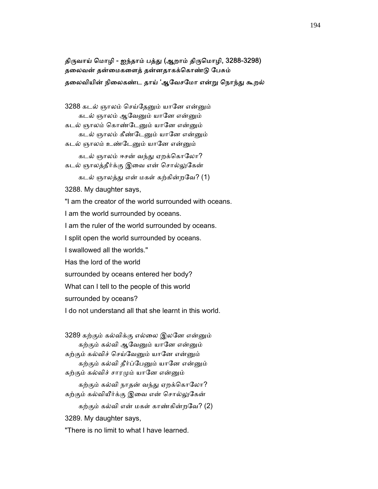# திருவாய் மொழி - ஐந்தாம் பத்து (ஆறாம் திருமொழி, 3288-3298) தைலவன் தன்ைமகைளத் தன்னதாகக்ெகாண்ᾌ ேபசும் தலைவியின் நிலைகண்ட தாய் 'ஆவேசமோ என்று நொந்து கூறல்

3288 கடல் ஞாலம் செய்தேனும் யானே என்னும் கடல் ஞாலம் ஆவேனும் யானே என்னும் கடல் ஞாலம் கொண்டேனும் யானே என்னும் கடல் ஞாலம் கீண்டேனும் யானே என்னும் கடல் ஞாலம் உண்டேனும் யானே என்னும் கடல் ஞாலம் ஈசன் வந்து ஏறக்கொலோ? கடல் ஞாலத்தீர்க்கு இவை என் சொல்லுகேன் கடல் ஞாலத்ᾐ என் மகள் கற்கின்றேவ? (1) 3288. My daughter says, "I am the creator of the world surrounded with oceans. I am the world surrounded by oceans. I am the ruler of the world surrounded by oceans. I split open the world surrounded by oceans. I swallowed all the worlds." Has the lord of the world surrounded by oceans entered her body? What can I tell to the people of this world surrounded by oceans? I do not understand all that she learnt in this world.

3289 கற்கும் கல்விக்கு எல்லை இலனே என்னும் கற்கும் கல்வி ஆவேனும் யானே என்னும் கற்கும் கல்விச் செய்வேனும் யானே என்னும் கற்கும் கல்வி தீர்ப்பேனும் யானே என்னும் கற்கும் கல்விச் சாரமும் யானே என்னும்

கற்கும் கல்வி நாதன் வந்து ஏறக்கொலோ? கற்கும் கல்வியீர்க்கு இவை என் சொல்லுகேன்

கற்கும் கல்வி என் மகள் காண்கின்றவே? (2) 3289. My daughter says, "There is no limit to what I have learned.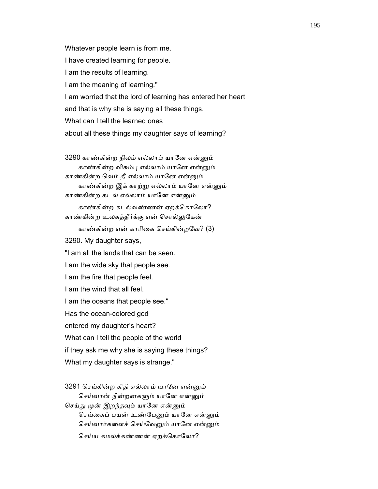Whatever people learn is from me. I have created learning for people. I am the results of learning. I am the meaning of learning." I am worried that the lord of learning has entered her heart and that is why she is saying all these things. What can I tell the learned ones about all these things my daughter says of learning?

3290 காண்கின்ற நிலம் எல்லாம் யானே என்னும் காண்கின்ற விசும்பு எல்லாம் யானே என்னும் காண்கின்ற வெம் தீ எல்லாம் யானே என்னும் காண்கின்ற இக் காற்ᾠ எல்லாம் யாேன என்ᾔம் காண்கின்ற கடல் எல்லாம் யாேன என்ᾔம் காண்கின்ற கடல்வண்ணன் ஏறக்கொலோ? காண்கின்ற உலகத்தீர்க்கு என் ெசால்ᾤேகன் காண்கின்ற என் காரிகை செய்கின்றவே? (3) 3290. My daughter says, "I am all the lands that can be seen. I am the wide sky that people see. I am the fire that people feel. I am the wind that all feel. I am the oceans that people see." Has the ocean-colored god entered my daughter's heart? What can I tell the people of the world if they ask me why she is saying these things? What my daughter says is strange."

3291 செய்கின்ற கிதி எல்லாம் யானே என்னும் செய்வான் நின்றனகளும் யானே என்னும் செய்து முன் இறந்தவும் யானே என்னும் செய்கைப் பயன் உண்பேனும் யானே என்னும் செய்வார்களைச் செய்வேனும் யானே என்னும் செய்ய கமலக்கண்ணன் ஏறக்கொலோ?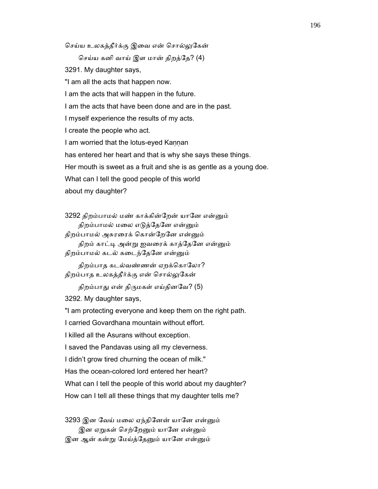செய்ய உலகத்தீர்க்கு இவை என் சொல்லுகேன்

ெசய்ய கனி வாய் இள மான் திறத்ேத? (4)

3291. My daughter says,

"I am all the acts that happen now.

I am the acts that will happen in the future.

I am the acts that have been done and are in the past.

I myself experience the results of my acts.

I create the people who act.

I am worried that the lotus-eyed Kaṇṇan

has entered her heart and that is why she says these things.

Her mouth is sweet as a fruit and she is as gentle as a young doe.

What can I tell the good people of this world

about my daughter?

3292 திறம்பாமல் மண் காக்கின்றேன் யானே என்னும் திறம்பாமல் மலை எடுத்தேனே என்னும் திறம்பாமல் அசுரரைக் கொன்றேனே என்னும்

திறம் காட்டி அன்று ஐவரைக் காத்தேனே என்னும்

திறம்பாமல் கடல் கடைந்தேனே என்னும்

திறம்பாத கடல்வண்ணன் ஏறக்கொலோ? திறம்பாத உலகத்தீர்க்கு என் சொல்லுகேன்

திறம்பாது என் திருமகள் எய்தினவே? (5)

3292. My daughter says,

"I am protecting everyone and keep them on the right path.

I carried Govardhana mountain without effort.

I killed all the Asurans without exception.

I saved the Pandavas using all my cleverness.

I didn't grow tired churning the ocean of milk."

Has the ocean-colored lord entered her heart?

What can I tell the people of this world about my daughter?

How can I tell all these things that my daughter tells me?

3293 இன வேய் மலை ஏந்தினேன் யானே என்னும் இன ஏறுகள் செற்றேனும் யானே என்னும் இன ஆன் கன்று மேய்த்தேனும் யானே என்னும்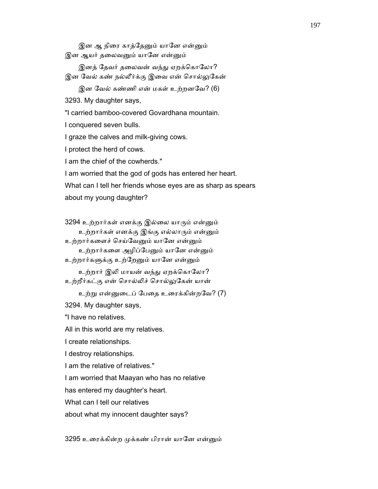இன ஆ நிரை காத்தேனும் யானே என்னும் இன ஆயர் தலைவனும் யானே என்னும்

இனத் தேவர் தலைவன் வந்து ஏறக்கொலோ? இன வேல் கண் நல்லீர்க்கு இவை என் சொல்லுகேன்

இன ேவல் கண்ணி என் மகள் உற்றனேவ? (6)

3293. My daughter says,

"I carried bamboo-covered Govardhana mountain.

I conquered seven bulls.

I graze the calves and milk-giving cows.

I protect the herd of cows.

I am the chief of the cowherds."

I am worried that the god of gods has entered her heart.

What can I tell her friends whose eyes are as sharp as spears

about my young daughter?

3294 உற்றார்கள் எனக்கு இல்லை யாரும் என்னும் உற்றார்கள் எனக்கு இங்கு எல்லாᾞம் என்ᾔம்

உற்றார்கைளச் ெசய்ேவᾔம் யாேன என்ᾔம்

உற்றார்களை அழிப்பேனும் யானே என்னும் உற்றார்களுக்கு உற்றேனும் யானே என்னும்

உற்றார் இலி மாயன் வந்து ஏறக்கொலோ? உற்றீர்கட்கு என் ெசால்ᾢச் ெசால்ᾤேகன் யான்

உற்ᾠ என்ᾔைடப் ேபைத உைரக்கின்றேவ? (7)

3294. My daughter says,

"I have no relatives.

All in this world are my relatives.

I create relationships.

I destroy relationships.

I am the relative of relatives."

I am worried that Maayan who has no relative

has entered my daughter's heart.

What can I tell our relatives

about what my innocent daughter says?

3295 உரைக்கின்ற முக்கண் பிரான் யானே என்னும்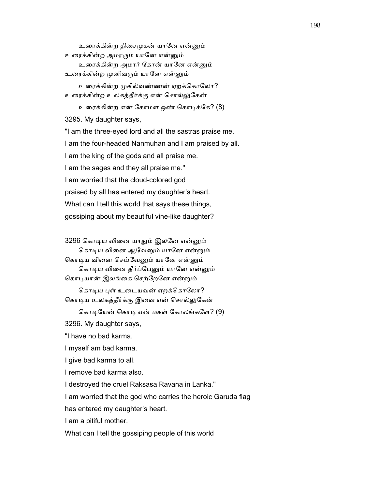உரைக்கின்ற திசைமுகன் யானே என்னும் உரைக்கின்ற அமரரும் யானே என்னும் உரைக்கின்ற அமரர் கோன் யானே என்னும் உரைக்கின்ற முனிவரும் யானே என்னும் உரைக்கின்ற முகில்வண்ணன் ஏறக்கொலோ? உைரக்கின்ற உலகத்தீர்க்கு என் ெசால்ᾤேகன் உரைக்கின்ற என் கோமள ஒண் கொடிக்கே? (8) 3295. My daughter says, "I am the three-eyed lord and all the sastras praise me. I am the four-headed Nanmuhan and I am praised by all. I am the king of the gods and all praise me. I am the sages and they all praise me." I am worried that the cloud-colored god praised by all has entered my daughter's heart. What can I tell this world that says these things, gossiping about my beautiful vine-like daughter?

 3296 ெகாᾊய விைன யாᾐம் இலேன என்ᾔம் கொடிய வினை ஆவேனும் யானே என்னும் கொடிய வினை செய்வேனும் யானே என்னும் கொடிய வினை தீர்ப்பேனும் யானே என்னும் கொடியான் இலங்கை செற்றேனே என்னும்

கொடிய புள் உடையவன் ஏறக்கொலோ? கொடிய உலகத்தீர்க்கு இவை என் சொல்லுகேன்

கொடியேன் கொடி என் மகள் கோலங்களே? (9)

3296. My daughter says,

"I have no bad karma.

I myself am bad karma.

I give bad karma to all.

I remove bad karma also.

I destroyed the cruel Raksasa Ravana in Lanka."

I am worried that the god who carries the heroic Garuda flag

has entered my daughter's heart.

I am a pitiful mother.

What can I tell the gossiping people of this world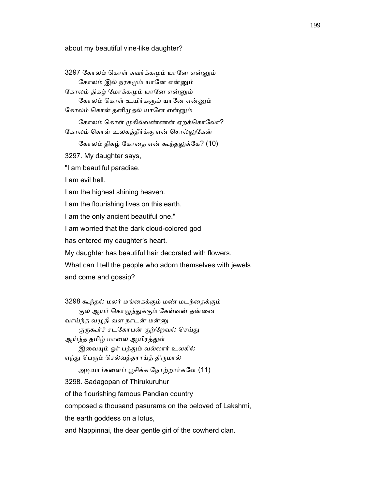about my beautiful vine-like daughter?

3297 கோலம் கொள் சுவர்க்கமும் யானே என்னும் கோலம் இல் நரகமும் யானே என்னும் கோலம் திகழ் மோக்கமும் யானே என்னும் கோலம் கொள் உயிர்களும் யானே என்னும் கோலம் கொள் தனிமுதல் யானே என்னும் கோலம் கொள் முகில்வண்ணன் ஏறக்கொலோ? கோலம் கொள் உலகத்தீர்க்கு என் சொல்லுகேன் கோலம் திகழ் கோதை என் கூந்தலுக்கே? (10) 3297. My daughter says, "I am beautiful paradise. I am evil hell. I am the highest shining heaven. I am the flourishing lives on this earth. I am the only ancient beautiful one." I am worried that the dark cloud-colored god has entered my daughter's heart. My daughter has beautiful hair decorated with flowers. What can I tell the people who adorn themselves with jewels and come and gossip? 3298 கூந்தல் மலர் மங்ைகக்கும் மண் மடந்ைதக்கும் குல ஆயர் கொழுந்துக்கும் கேள்வன் தன்னை வாய்ந்த வழுதி வள நாடன் மன்னு குருகூர்ச் சடகோபன் குற்றேவல் செய்து ஆய்ந்த தமிழ் மாலை ஆயிரத்துள் இவையும் ஓர் பத்தும் வல்லார் உலகில் ஏந்து பெரும் செல்வத்தராய்த் திருமால் அடியார்களைப் பூசிக்க நோற்றார்களே (11) 3298. Sadagopan of Thirukuruhur of the flourishing famous Pandian country composed a thousand pasurams on the beloved of Lakshmi, the earth goddess on a lotus, and Nappinnai, the dear gentle girl of the cowherd clan.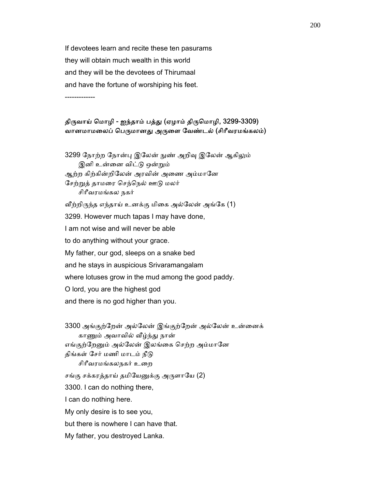If devotees learn and recite these ten pasurams they will obtain much wealth in this world and they will be the devotees of Thirumaal and have the fortune of worshiping his feet. -------------

## திருவாய் மொழி - ஐந்தாம் பத்து (ஏழாம் திருமொழி, 3299-3309) வானமாமலைப் பெருமானது அருளை வேண்டல் (சிரீவரமங்கலம்)

3299 நோற்ற நோன்பு இலேன் நுண் அறிவு இலேன் ஆகிலும் இனி உன்னை விட்டு ஒன்றும் ஆற்ற கிற்கின்றிலேன் அரவின் அணை அம்மானே ேசற்ᾠத் தாமைர ெசந்ெநல் ஊᾌ மலர் சிாீவரமங்கல நகர் வீற்றிருந்த எந்தாய் உனக்கு மிகை அல்லேன் அங்கே (1) 3299. However much tapas I may have done, I am not wise and will never be able to do anything without your grace. My father, our god, sleeps on a snake bed and he stays in auspicious Srivaramangalam where lotuses grow in the mud among the good paddy. O lord, you are the highest god and there is no god higher than you.

3300 அங்குற்றேன் அல்லேன் இங்குற்றேன் அல்லேன் உன்னைக் காணும் அவாவில் வீழ்ந்து நான் எங்குற்றேனும் அல்லேன் இலங்கை செற்ற அம்மானே திங்கள் சேர் மணி மாடம் நீடு சிரீவரமங்கலநகர் உறை சங்கு சக்கரத்தாய் தமியேனுக்கு அருளாயே (2) 3300. I can do nothing there, I can do nothing here. My only desire is to see you, but there is nowhere I can have that. My father, you destroyed Lanka.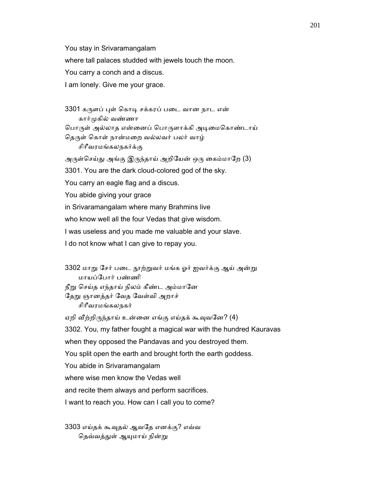You stay in Srivaramangalam

where tall palaces studded with jewels touch the moon.

You carry a conch and a discus.

I am lonely. Give me your grace.

3301 கருளப் புள் கொடி சக்கரப் படை வான நாட என் கார்ᾙகில் வண்ணா பொருள் அல்லாத என்னைப் பொருளாக்கி அடிமைகொண்டாய் தெருள் கொள் நான்மறை வல்லவர் பலர் வாழ் சிாீவரமங்கலநகர்க்கு அருள்செய்து அங்கு இருந்தாய் அறியேன் ஒரு கைம்மாறே (3) 3301. You are the dark cloud-colored god of the sky. You carry an eagle flag and a discus. You abide giving your grace in Srivaramangalam where many Brahmins live who know well all the four Vedas that give wisdom. I was useless and you made me valuable and your slave.

3302 மாறு சேர் படை நூற்றுவர் மங்க ஓர் ஐவர்க்கு ஆய் அன்று மாயப்ேபார் பண்ணி நீறு செய்த எந்தாய் நிலம் கீண்ட அம்மானே தேறு ஞானத்தர் வேத வேள்வி அறாச் சிாீவரமங்கலநகர் ஏறி வீற்றிருந்தாய் உன்னை எங்கு எய்தக் கூவுவனே? (4) 3302. You, my father fought a magical war with the hundred Kauravas when they opposed the Pandavas and you destroyed them.

You split open the earth and brought forth the earth goddess.

You abide in Srivaramangalam

where wise men know the Vedas well

I do not know what I can give to repay you.

and recite them always and perform sacrifices.

I want to reach you. How can I call you to come?

 3303 எய்தக் கூᾫதல் ஆவேத எனக்கு? எவ்வ தெவ்வத்துள் ஆயுமாய் நின்று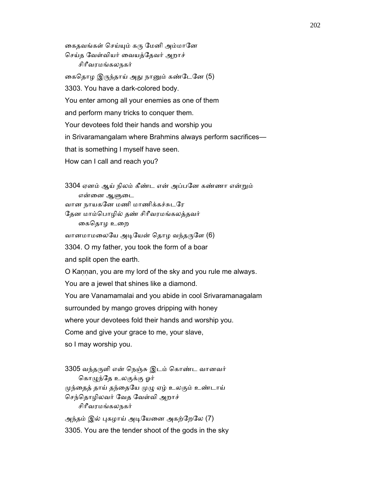கைதவங்கள் செய்யும் கரு மேனி அம்மானே ெசய்த ேவள்வியர் ைவயத்ேதவர் அறாச் சிாீவரமங்கலநகர் கைதொழ இருந்தாய் அது நானும் கண்டேனே (5) 3303. You have a dark-colored body. You enter among all your enemies as one of them and perform many tricks to conquer them. Your devotees fold their hands and worship you in Srivaramangalam where Brahmins always perform sacrifices that is something I myself have seen. How can I call and reach you?

 3304 ஏனம் ஆய் நிலம் கீண்ட என் அப்பேன கண்ணா என்ᾠம் என்னை ஆளுடை வான நாயகேன மணி மாணிக்கச்சுடேர ேதன மாம்ெபாழில் தண் சிாீவரமங்கலத்தவர்

கைதொழ உறை

வானமாமலையே அடியேன் தொழ வந்தருளே (6)

3304. O my father, you took the form of a boar

and split open the earth.

O Kaṇṇan, you are my lord of the sky and you rule me always.

You are a jewel that shines like a diamond.

You are Vanamamalai and you abide in cool Srivaramanagalam

surrounded by mango groves dripping with honey

where your devotees fold their hands and worship you.

Come and give your grace to me, your slave,

so I may worship you.

 3305 வந்தᾞளி என் ெநஞ்சு இடம் ெகாண்ட வானவர் கொழுந்தே உலகுக்கு ஓர் முந்தைத் தாய் தந்தையே முழு ஏழ் உலகும் உண்டாய் ெசந்ெதாழிலவர் ேவத ேவள்வி அறாச் சிாீவரமங்கலநகர் அந்தம் இல் புகழாய் அடியேனை அகற்றேலே (7)

3305. You are the tender shoot of the gods in the sky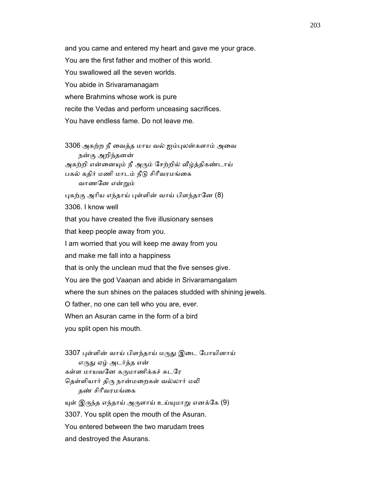and you came and entered my heart and gave me your grace. You are the first father and mother of this world. You swallowed all the seven worlds. You abide in Srivaramanagam where Brahmins whose work is pure recite the Vedas and perform unceasing sacrifices. You have endless fame. Do not leave me.

 3306 அகற்ற நீ ைவத்த மாய வல் ஐம்ᾗலன்களாம் அைவ நன்கு அறிந்தனன் அகற்றி என்னையும் நீ அரும் சேற்றில் வீழ்த்திகண்டாய் பகல் கதிர் மணி மாடம் நீடு சிரீவரமங்கை வாணேன என்ᾠம்

புகற்கு அரிய எந்தாய் புள்ளின் வாய் பிளந்தானே (8)

3306. I know well

that you have created the five illusionary senses

that keep people away from you.

I am worried that you will keep me away from you

and make me fall into a happiness

that is only the unclean mud that the five senses give.

You are the god Vaaṇan and abide in Srivaramangalam

where the sun shines on the palaces studded with shining jewels.

O father, no one can tell who you are, ever.

When an Asuran came in the form of a bird

you split open his mouth.

3307 புள்ளின் வாய் பிளந்தாய் மருது இடை போயினாய் எருது ஏழ் அடர்த்த என் கள்ள மாயவனே கருமாணிக்கச் சுடரே தெள்ளியார் திரு நான்மறைகள் வல்லார் மலி தண் சிரீவரமங்கை யுள் இருந்த எந்தாய் அருளாய் உய்யுமாறு எனக்கே (9) 3307. You split open the mouth of the Asuran. You entered between the two marudam trees and destroyed the Asurans.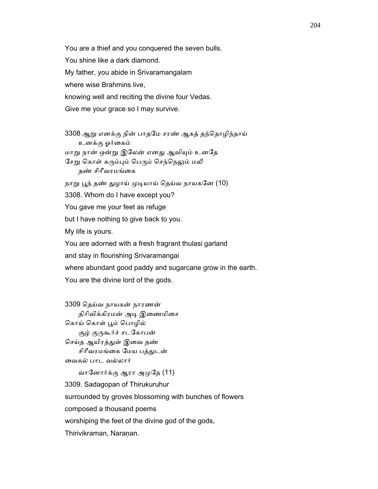You are a thief and you conquered the seven bulls. You shine like a dark diamond. My father, you abide in Srivaramangalam where wise Brahmins live, knowing well and reciting the divine four Vedas. Give me your grace so I may survive.

 3308 ஆᾠ எனக்கு நின் பாதேம சரண் ஆகத் தந்ெதாழிந்தாய் உனக்கு ஓர்ைகம் மாறு நான் ஒன்று இலேன் எனது ஆவியும் உனதே சேறு கொள் கரும்பும் பெரும் செந்நெலும் மலி தண் சிரீவரமங்கை நாறு பூந் தண் துழாய் முடியாய் தெய்வ நாயகனே (10) 3308. Whom do I have except you? You gave me your feet as refuge but I have nothing to give back to you. My life is yours. You are adorned with a fresh fragrant thulasi garland and stay in flourishing Srivaramangai

where abundant good paddy and sugarcane grow in the earth.

You are the divine lord of the gods.

 3309 ெதய்வ நாயகன் நாரணன் திரிவிக்கிரமன் அடி இணைமிசை கொய் கொள் பூம் பொழில் சூழ் குருகூர்ச் சடகோபன் செய்த ஆயிரத்துள் இவை தண் சிரீவரமங்கை மேய பத்துடன் ைவகல் பாட வல்லார் வாேனார்க்கு ஆரா அᾙேத (11)

 3309. Sadagopan of Thirukuruhur surrounded by groves blossoming with bunches of flowers composed a thousand poems worshiping the feet of the divine god of the gods, Thirivikraman, Naranan.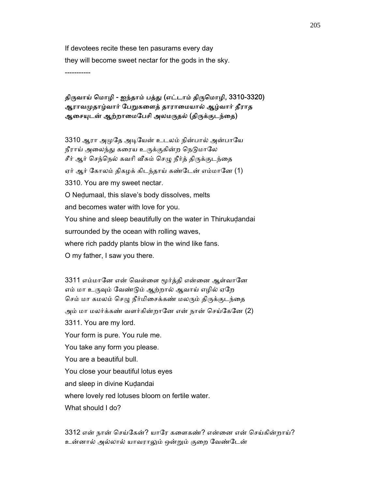If devotees recite these ten pasurams every day they will become sweet nectar for the gods in the sky.

-----------

# திருவாய் மொழி - ஐந்தாம் பத்து (எட்டாம் திருமொழி, 3310-3320) ஆராவமுதாழ்வார் பேறுகளைத் தாராமையால் ஆழ்வார் தீராத ஆசையுடன் ஆற்றாமைபேசி அலமருதல் (திருக்குடந்தை)

3310 ஆரா அமுதே அடியேன் உடலம் நின்பால் அன்பாயே நீராய் அலைந்து கரைய உருக்குகின்ற நெடுமாலே சீர் ஆர் செந்நெல் கவரி வீசும் செழு நீர்த் திருக்குடந்தை ஏர் ஆர் கோலம் திகழக் கிடந்தாய் கண்டேன் எம்மானே (1) 3310. You are my sweet nectar. O Neḍumaal, this slave's body dissolves, melts and becomes water with love for you. You shine and sleep beautifully on the water in Thirukudandai surrounded by the ocean with rolling waves, where rich paddy plants blow in the wind like fans. O my father, I saw you there.

3311 எம்மானே என் வெள்ளை மூர்த்தி என்னை ஆள்வானே எம் மா உருவும் வேண்டும் ஆற்றால் ஆவாய் எழில் ஏறே செம் மா கமலம் செழு நீர்மிசைக்கண் மலரும் திருக்குடந்தை அம் மா மலர்க்கண் வளர்கின்றானே என் நான் செய்கேனே (2) 3311. You are my lord. Your form is pure. You rule me. You take any form you please. You are a beautiful bull. You close your beautiful lotus eyes and sleep in divine Kuḍandai where lovely red lotuses bloom on fertile water. What should I do?

 3312 என் நான் ெசய்ேகன்? யாேர கைளகண்? என்ைன என் ெசய்கின்றாய்? உன்னால் அல்லால் யாவராᾤம் ஒன்ᾠம் குைற ேவண்ேடன்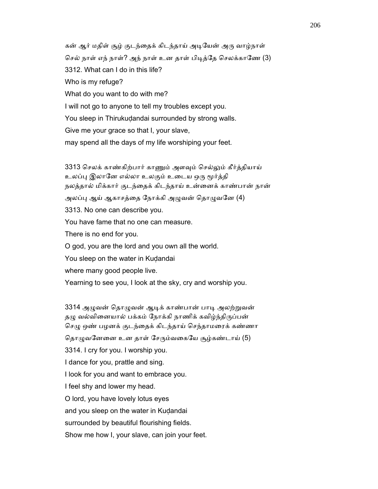கன் ஆர் மதிள் சூழ் குடந்தைக் கிடந்தாய் அடியேன் அரு வாழ்நாள் செல் நாள் எந் நாள்? அந் நாள் உன தாள் பிடித்தே செலக்காணே (3) 3312. What can I do in this life? Who is my refuge? What do you want to do with me? I will not go to anyone to tell my troubles except you. You sleep in Thirukuḍandai surrounded by strong walls. Give me your grace so that I, your slave, may spend all the days of my life worshiping your feet.

3313 செலக் காண்கிற்பார் காணும் அளவும் செல்லும் கீர்த்தியாய் உலப்பு இலானே எல்லா உலகும் உடைய ஒரு மூர்த்தி நலத்தால் மிக்கார் குடந்ைதக் கிடந்தாய் உன்ைனக் காண்பான் நான் அலப்பு ஆய் ஆகாசத்தை நோக்கி அழுவன் தொழுவனே (4) 3313. No one can describe you. You have fame that no one can measure. There is no end for you. O god, you are the lord and you own all the world. You sleep on the water in Kudandai where many good people live. Yearning to see you, I look at the sky, cry and worship you.

3314 அழுவன் தொழுவன் ஆடிக் காண்பான் பாடி அலற்றுவன் தழு வல்வினையால் பக்கம் நோக்கி நாணிக் கவிழ்ந்திருப்பன் செழு ஒண் பழனக் குடந்தைக் கிடந்தாய் செந்தாமரைக் கண்ணா தொழுவனேனை உன தாள் சேரும்வகையே சூழ்கண்டாய் (5) 3314. I cry for you. I worship you. I dance for you, prattle and sing. I look for you and want to embrace you. I feel shy and lower my head. O lord, you have lovely lotus eyes and you sleep on the water in Kuḍandai surrounded by beautiful flourishing fields. Show me how I, your slave, can join your feet.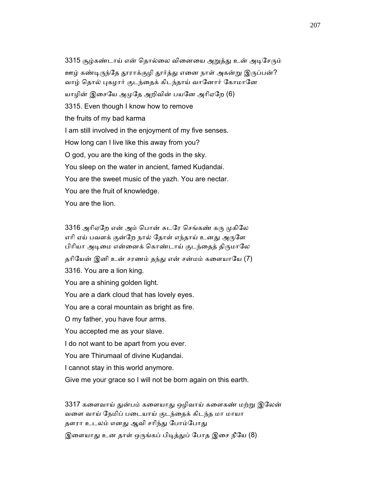3315 சூழ்கண்டாய் என் தொல்லை வினையை அறுத்து உன் அடிசேரும் ஊழ் கண்டிருந்தே தூராக்குழி தூர்த்து எனை நாள் அகன்று இருப்பன்? வாழ் தொல் புகழார் குடந்தைக் கிடந்தாய் வானோர் கோமானே யாழின் இசையே அமுதே அறிவின் பயனே அரிஏறே (6) 3315. Even though I know how to remove the fruits of my bad karma I am still involved in the enjoyment of my five senses. How long can I live like this away from you? O god, you are the king of the gods in the sky. You sleep on the water in ancient, famed Kudandai. You are the sweet music of the yazh. You are nectar. You are the fruit of knowledge. You are the lion.

3316 அரிஏறே என் அம் பொன் சுடரே செங்கண் கரு முகிலே எரி ஏய் பவளக் குன்றே நால் தோள் எந்தாய் உனது அருளே பிரியா அடிமை என்னைக் கொண்டாய் குடந்தைத் திருமாலே தரியேன் இனி உன் சரணம் தந்து என் சன்மம் களையாயே (7) 3316. You are a lion king. You are a shining golden light. You are a dark cloud that has lovely eyes. You are a coral mountain as bright as fire. O my father, you have four arms. You accepted me as your slave. I do not want to be apart from you ever. You are Thirumaal of divine Kudandai. I cannot stay in this world anymore. Give me your grace so I will not be born again on this earth.

3317 களைவாய் துன்பம் களையாது ஒழிவாய் களைகண் மற்று இலேன் வைள வாய் ேநமிப் பைடயாய் குடந்ைதக் கிடந்த மா மாயா தளரா உடலம் எனது ஆவி சரிந்து போம்போது

இளையாது உன தாள் ஒருங்கப் பிடித்துப் போத இசை நீயே (8)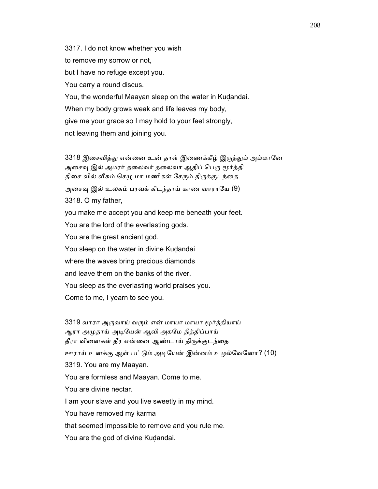3317. I do not know whether you wish to remove my sorrow or not, but I have no refuge except you. You carry a round discus. You, the wonderful Maayan sleep on the water in Kudandai. When my body grows weak and life leaves my body, give me your grace so I may hold to your feet strongly, not leaving them and joining you.

3318 இசைவித்து என்னை உன் தாள் இணைக்கீழ் இருத்தும் அம்மானே அசைவு இல் அமரர் தலைவர் தலைவா ஆதிப் பெரு மூர்த்தி திசை வில் வீசும் செழு மா மணிகள் சேரும் திருக்குடந்தை அசைவு இல் உலகம் பரவக் கிடந்தாய் காண வாராயே (9) 3318. O my father, you make me accept you and keep me beneath your feet. You are the lord of the everlasting gods. You are the great ancient god. You sleep on the water in divine Kudandai where the waves bring precious diamonds and leave them on the banks of the river. You sleep as the everlasting world praises you. Come to me, I yearn to see you.

3319 வாரா அருவாய் வரும் என் மாயா மாயா மூர்த்தியாய் ஆரா அமுதாய் அடியேன் ஆவி அகமே தித்திப்பாய் தீரா வினைகள் தீர என்னை ஆண்டாய் திருக்குடந்தை ஊராய் உனக்கு ஆள் பட்டும் அடியேன் இன்னம் உழல்வேனோ? (10) 3319. You are my Maayan. You are formless and Maayan. Come to me. You are divine nectar. I am your slave and you live sweetly in my mind. You have removed my karma that seemed impossible to remove and you rule me.

You are the god of divine Kuḍandai.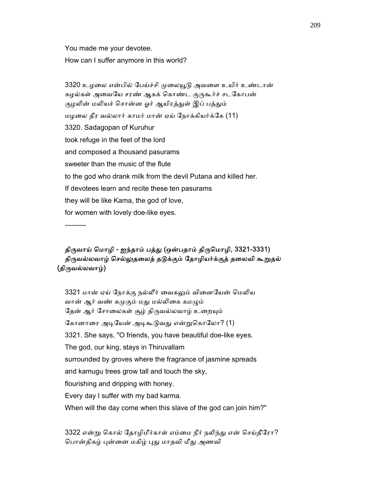You made me your devotee.

How can I suffer anymore in this world?

3320 உழலை என்பில் பேய்ச்சி முலையூடு அவளை உயிர் உண்டான் கழல்கள் அவையே சரண் ஆகக் கொண்ட குருகூர்ச் சடகோபன் குழலின் மலியச் சொன்ன ஓர் ஆயிரத்துள் இப் பத்தும் மழைல தீர வல்லார் காமர் மான் ஏய் ேநாக்கியர்க்ேக (11) 3320. Sadagopan of Kuruhur took refuge in the feet of the lord and composed a thousand pasurams sweeter than the music of the flute to the god who drank milk from the devil Putana and killed her. If devotees learn and recite these ten pasurams they will be like Kama, the god of love, for women with lovely doe-like eyes.

---------

# திருவாய் மொழி - ஐந்தாம் பத்து (ஒன்பதாம் திருமொழி, 3321-3331) திருவல்லவாழ் செல்லுதலைத் தடுக்கும் தோழியர்க்குத் தலைவி கூறுதல் (திருவல்லவாழ்)

3321 மான் ஏய் நோக்கு நல்லீர் வைகலும் வினையேன் மெலிய வான் ஆர் வண் கமுகும் மது மல்லிகை கமழும் தேன் ஆர் சோலைகள் சூழ் திருவல்லவாழ் உறையும் கோனாரை அடியேன் அடிகூடுவது என்றுகொலோ? (1) 3321. She says, "O friends, you have beautiful doe-like eyes. The god, our king, stays in Thiruvallam surrounded by groves where the fragrance of jasmine spreads and kamugu trees grow tall and touch the sky, flourishing and dripping with honey. Every day I suffer with my bad karma. When will the day come when this slave of the god can join him?"

3322 என்று கொல் தோழிமீர்காள் எம்மை நீர் நலிந்து என் செய்தீரோ? பொன்திகழ் புன்னை மகிழ் புது மாதவி மீது அணவி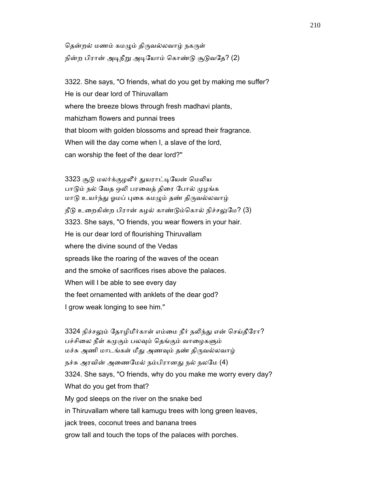தென்றல் மணம் கமழும் திருவல்லவாழ் நகருள் நின்ற பிரான் அடிநீறு அடியோம் கொண்டு சூடுவதே? (2)

 3322. She says, "O friends, what do you get by making me suffer? He is our dear lord of Thiruvallam where the breeze blows through fresh madhavi plants, mahizham flowers and punnai trees that bloom with golden blossoms and spread their fragrance. When will the day come when I, a slave of the lord, can worship the feet of the dear lord?"

3323 சூடு மலர்க்குழலீர் துயராட்டியேன் மெலிய பாடும் நல் வேத ஒலி பரவைத் திரை போல் முழங்க மாடு உயர்ந்து ஓமப் புகை கமழும் தண் திருவல்லவாழ் நீடு உறைகின்ற பிரான் கழல் காண்டும்கொல் நிச்சலுமே? (3) 3323. She says, "O friends, you wear flowers in your hair. He is our dear lord of flourishing Thiruvallam where the divine sound of the Vedas spreads like the roaring of the waves of the ocean and the smoke of sacrifices rises above the palaces. When will I be able to see every day the feet ornamented with anklets of the dear god? I grow weak longing to see him."

3324 நிச்சலும் தோழிமீர்காள் எம்மை நீர் நலிந்து என் செய்தீரோ? பச்சிலை நீள் கமுகும் பலவும் தெங்கும் வாழைகளும் மச்சு அணி மாடங்கள் மீது அணவும் தண் திருவல்லவாழ் நச்சு அரவின் அணைமேல் நம்பிரானது நல் நலமே (4) 3324. She says, "O friends, why do you make me worry every day? What do you get from that? My god sleeps on the river on the snake bed in Thiruvallam where tall kamugu trees with long green leaves, jack trees, coconut trees and banana trees grow tall and touch the tops of the palaces with porches.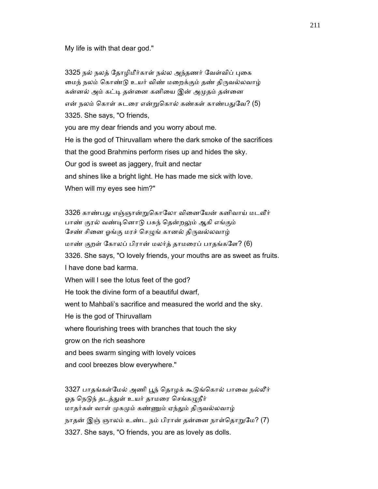My life is with that dear god."

3325 நல் நலத் தோழிமீர்காள் நல்ல அந்தணர் வேள்விப் புகை மைந் நலம் கொண்டு உயர் விண் மறைக்கும் தண் திருவல்லவாழ் கன்னல் அம் கட்டி தன்னை கனியை இன் அமுதம் தன்னை என் நலம் கொள் சுடரை என்றுகொல் கண்கள் காண்பதுவே? (5) 3325. She says, "O friends, you are my dear friends and you worry about me. He is the god of Thiruvallam where the dark smoke of the sacrifices that the good Brahmins perform rises up and hides the sky. Our god is sweet as jaggery, fruit and nectar and shines like a bright light. He has made me sick with love. When will my eyes see him?"

3326 காண்பது எஞ்ஞான்றுகொலோ வினையேன் கனிவாய் மடவீர் பாண் குரல் வண்டினொடு பசுந் தென்றலும் ஆகி எங்கும் சேண் சினை ஓங்கு மரச் செழுங் கானல் திருவல்லவாழ் மாண் குறள் ேகாலப் பிரான் மலர்த் தாமைரப் பாதங்கேள? (6) 3326. She says, "O lovely friends, your mouths are as sweet as fruits. I have done bad karma. When will I see the lotus feet of the god? He took the divine form of a beautiful dwarf, went to Mahbali's sacrifice and measured the world and the sky. He is the god of Thiruvallam where flourishing trees with branches that touch the sky grow on the rich seashore and bees swarm singing with lovely voices and cool breezes blow everywhere."

3327 பாதங்கள்மேல் அணி பூந் தொழக் கூடுங்கொல் பாவை நல்லீர் ஓத நெடுந் தடத்துள் உயர் தாமரை செங்கழுநீர் மாதர்கள் வாள் முகமும் கண்ணும் ஏந்தும் திருவல்லவாழ் நாதன் இஞ் ஞாலம் உண்ட நம் பிரான் தன்னை நாள்தொறுமே? (7) 3327. She says, "O friends, you are as lovely as dolls.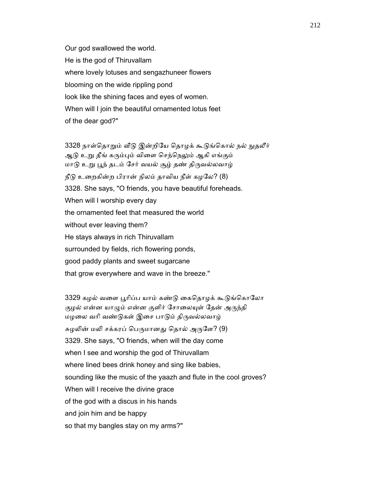Our god swallowed the world. He is the god of Thiruvallam where lovely lotuses and sengazhuneer flowers blooming on the wide rippling pond look like the shining faces and eyes of women. When will I join the beautiful ornamented lotus feet of the dear god?"

3328 நாள்தொறும் வீடு இன்றியே தொழக் கூடுங்கொல் நல் நுதலீர் ஆடு உறு தீங் கரும்பும் விளை செந்நெலும் ஆகி எங்கும் மாடு உறு பூந் தடம் சேர் வயல் சூழ் தண் திருவல்லவாழ்  $f_0$ டு உறைகின்ற பிரான் நிலம் தாவிய நீள் கழலே? (8) 3328. She says, "O friends, you have beautiful foreheads. When will I worship every day the ornamented feet that measured the world without ever leaving them? He stays always in rich Thiruvallam surrounded by fields, rich flowering ponds, good paddy plants and sweet sugarcane that grow everywhere and wave in the breeze."

3329 கழல் வளை பூரிப்ப யாம் கண்டு கைதொழக் கூடுங்கொலோ குழல் என்ன யாழும் என்ன குளிர் சோலையுள் தேன் அருந்தி மழலை வரி வண்டுகள் இசை பாடும் திருவல்லவாழ் சுழலின் மலி சக்கரப் பெருமானது தொல் அருளே? (9) 3329. She says, "O friends, when will the day come when I see and worship the god of Thiruvallam where lined bees drink honey and sing like babies, sounding like the music of the yaazh and flute in the cool groves? When will I receive the divine grace of the god with a discus in his hands and join him and be happy so that my bangles stay on my arms?"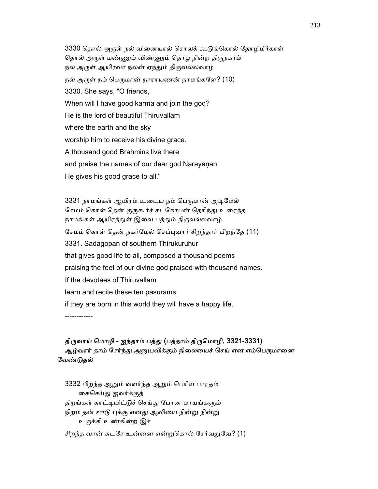3330 தொல் அருள் நல் வினையால் சொலக் கூடுங்கொல் கோமிமீர்காள் தொல் அருள் மண்ணும் விண்ணும் தொழ நின்ற திருநகரம் நல் அருள் ஆயிரவர் நலன் ஏந்தும் திருவல்லவாழ் நல் அருள் நம் பெருமான் நாராயணன் நாமங்களே? (10) 3330. She says, "O friends, When will I have good karma and join the god? He is the lord of beautiful Thiruvallam where the earth and the sky worship him to receive his divine grace. A thousand good Brahmins live there and praise the names of our dear god Narayanan. He gives his good grace to all."

3331 நாமங்கள் ஆயிரம் உடைய நம் பெருமான் அடிமேல் சேமம் கொள் தென் குருகூர்ச் சடகோபன் தெரிந்து உரைத்த நாமங்கள் ஆயிரத்துள் இவை பத்தும் திருவல்லவாழ் ேசமம் ெகாள் ெதன் நகர்ேமல் ெசப்ᾗவார் சிறந்தார் பிறந்ேத (11) 3331. Sadagopan of southern Thirukuruhur that gives good life to all, composed a thousand poems praising the feet of our divine god praised with thousand names. If the devotees of Thiruvallam learn and recite these ten pasurams, if they are born in this world they will have a happy life. ------------

# திருவாய் மொழி - ஐந்தாம் பத்து (பத்தாம் திருமொழி, 3321-3331) ஆழ்வார் தாம் சேர்ந்து அனுபவிக்கும் நிலையைச் செய் என எம்பெருமானை ேவண்ᾌதல்

 3332 பிறந்த ஆᾠம் வளர்ந்த ஆᾠம் ெபாிய பாரதம் ைகெசய்ᾐ ஐவர்க்குத் திறங்கள் காட்டியிட்டுச் செய்து போன மாயங்களும் நிறம் தன் ஊடு புக்கு எனது ஆவியை நின்று நின்று உருக்கி உண்கின்ற இச்

சிறந்த வான் சுடரே உன்னை என்றுகொல் சேர்வதுவே? (1)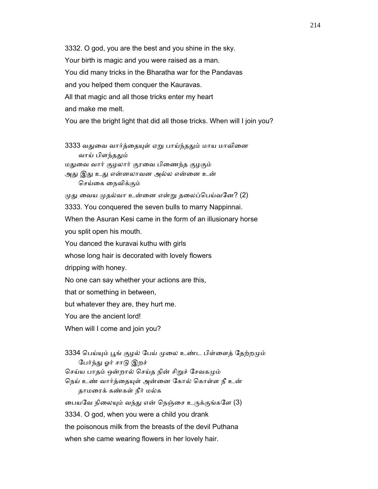3332. O god, you are the best and you shine in the sky. Your birth is magic and you were raised as a man. You did many tricks in the Bharatha war for the Pandavas and you helped them conquer the Kauravas. All that magic and all those tricks enter my heart and make me melt. You are the bright light that did all those tricks. When will I join you? 3333 வதுவை வார்த்தையுள் ஏறு பாய்ந்ததும் மாய மாவினை வாய் பிளந்ததும் மதுவை வார் குழலார் குரவை பிணைந்த குழகும் அது இது உது என்னலாவன அல்ல என்னை உன் ெசய்ைக ைநவிக்கும்  $\mu$ து வைய  $\mu$ தல்வா உன்னை என்று தலைப்பெய்வனே? (2) 3333. You conquered the seven bulls to marry Nappinnai. When the Asuran Kesi came in the form of an illusionary horse you split open his mouth. You danced the kuravai kuthu with girls whose long hair is decorated with lovely flowers dripping with honey. No one can say whether your actions are this, that or something in between, but whatever they are, they hurt me. You are the ancient lord! When will I come and join you? 3334 பெய்யும் பூங் குழல் பேய் முலை உண்ட பிள்ளைத் தேற்றமும் பேர்ந்து ஓர் சாடு இறச் செய்ய பாதம் ஒன்றால் செய்த நின் சிறுச் சேவகமும் நெய் உண் வார்த்தையுள் அன்னை கோல் கொள்ள நீ உன்

 தாமைரக் கண்கள் நீர் மல்க பையவே நிலையும் வந்து என் நெஞ்சை உருக்குங்களே (3) 3334. O god, when you were a child you drank the poisonous milk from the breasts of the devil Puthana

when she came wearing flowers in her lovely hair.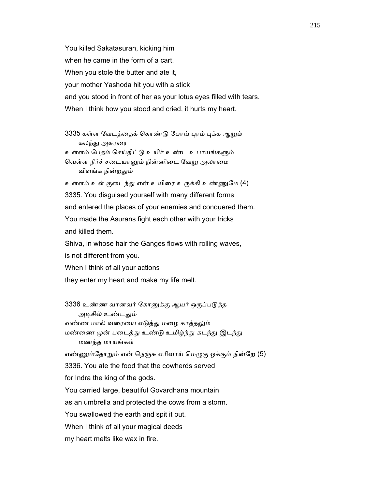You killed Sakatasuran, kicking him when he came in the form of a cart. When you stole the butter and ate it, your mother Yashoda hit you with a stick and you stood in front of her as your lotus eyes filled with tears. When I think how you stood and cried, it hurts my heart.

3335 கள்ள வேடத்தைக் கொண்டு போய் புரம் புக்க ஆறும் கலந்து அசுரரை உள்ளம் பேதம் செய்திட்டு உயிர் உண்ட உபாயங்களும் வெள்ள நீர்ச் சடையானும் நின்னிடை வேறு அலாமை விளங்க நின்றᾐம்

உள்ளம் உள் குடைந்து என் உயிரை உருக்கி உண்ணுமே (4) 3335. You disguised yourself with many different forms and entered the places of your enemies and conquered them. You made the Asurans fight each other with your tricks and killed them.

 Shiva, in whose hair the Ganges flows with rolling waves, is not different from you.

When I think of all your actions

they enter my heart and make my life melt.

3336 உண்ண வானவர் கோனுக்கு ஆயர் ஒருப்படுத்த அடிசில் உண்டதும் வண்ண மால் வரையை எடுத்து மழை காத்தலும் மண்ணை முன் படைத்து உண்டு உமிழ்ந்து கடந்து இடந்து மணந்த மாயங்கள் எண்ணும்தோறும் என் நெஞ்சு எரிவாய் மெழுகு ஒக்கும் நின்றே (5) 3336. You ate the food that the cowherds served for Indra the king of the gods. You carried large, beautiful Govardhana mountain as an umbrella and protected the cows from a storm. You swallowed the earth and spit it out. When I think of all your magical deeds my heart melts like wax in fire.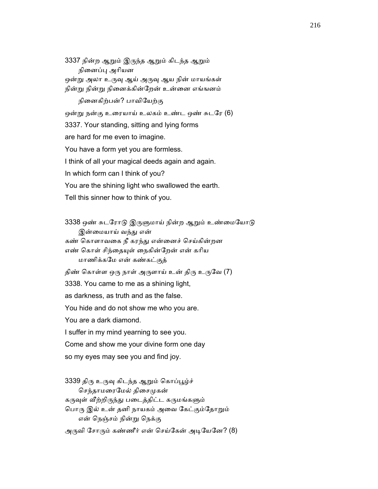3337 நின்ற ஆᾠம் இᾞந்த ஆᾠம் கிடந்த ஆᾠம் நினைப்பு அரியன ஒன்று அலா உருவு ஆய் அருவு ஆய நின் மாயங்கள் நின்ᾠ நின்ᾠ நிைனக்கின்ேறன் உன்ைன எங்ஙனம் நிைனகிற்பன்? பாவிேயற்கு ஒன்று நன்கு உரையாய் உலகம் உண்ட ஒண் சுடரே (6) 3337. Your standing, sitting and lying forms are hard for me even to imagine. You have a form yet you are formless. I think of all your magical deeds again and again. In which form can I think of you? You are the shining light who swallowed the earth.

Tell this sinner how to think of you.

3338 ஒண் சுடரோடு இருளுமாய் நின்ற ஆறும் உண்மையோடு இன்மையாய் வந்து என் கண் ெகாளாவைக நீ கரந்ᾐ என்ைனச் ெசய்கின்றன எண் கொள் சிந்தையுள் நைகின்றேன் என் கரிய மாணிக்கேம என் கண்கட்குத் திண் கொள்ள ஒரு நாள் அருளாய் உன் திரு உருவே (7) 3338. You came to me as a shining light, as darkness, as truth and as the false. You hide and do not show me who you are. You are a dark diamond. I suffer in my mind yearning to see you. Come and show me your divine form one day so my eyes may see you and find joy.

3339 திரு உருவு கிடந்த ஆறும் கொப்பூழ்ச் செந்தாமரைமேல் திசைமுகன் கருவுள் வீற்றிருந்து படைத்திட்ட கருமங்களும் பொரு இல் உன் தனி நாயகம் அவை கேட்கும்தோறும் என் ெநஞ்சம் நின்ᾠ ெநக்கு அருவி சோரும் கண்ணீர் என் செய்கேன் அடியேனே? (8)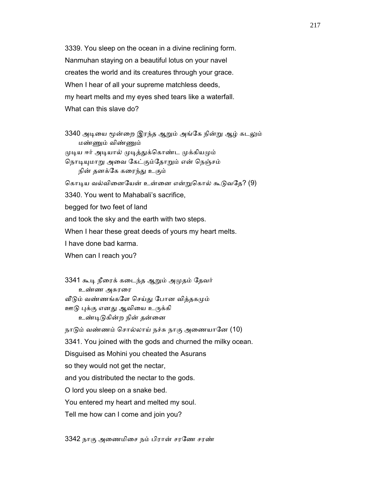3339. You sleep on the ocean in a divine reclining form. Nanmuhan staying on a beautiful lotus on your navel creates the world and its creatures through your grace. When I hear of all your supreme matchless deeds, my heart melts and my eyes shed tears like a waterfall. What can this slave do?

3340 அடியை மூன்றை இரந்த ஆறும் அங்கே நின்று ஆழ் கடலும் மண்ᾎம் விண்ᾎம் முடிய ஈர் அடியால் முடித்துக்கொண்ட முக்கியமும் நொடியுமாறு அவை கேட்கும்தோறும் என் நெஞ்சம் நின் தனக்கே கரைந்து உகும் கொடிய வல்வினையேன் உன்னை என்றுகொல் கூடுவதே? (9) 3340. You went to Mahabali's sacrifice, begged for two feet of land and took the sky and the earth with two steps. When I hear these great deeds of yours my heart melts. I have done bad karma. When can I reach you?

3341 கூடி நீரைக் கடைந்த ஆறும் அமுதம் தேவர் உண்ண அசுரைர வீடும் வண்ணங்களே செய்து போன வித்தகமும்

ஊடு புக்கு எனது ஆவியை உருக்கி

உண்டிடுகின்ற நின் தன்னை

நாடும் வண்ணம் சொல்லாய் நச்சு நாகு அணையானே (10) 3341. You joined with the gods and churned the milky ocean. Disguised as Mohini you cheated the Asurans so they would not get the nectar, and you distributed the nectar to the gods. O lord you sleep on a snake bed. You entered my heart and melted my soul. Tell me how can I come and join you?

3342 நாகு அைணமிைச நம் பிரான் சரேண சரண்